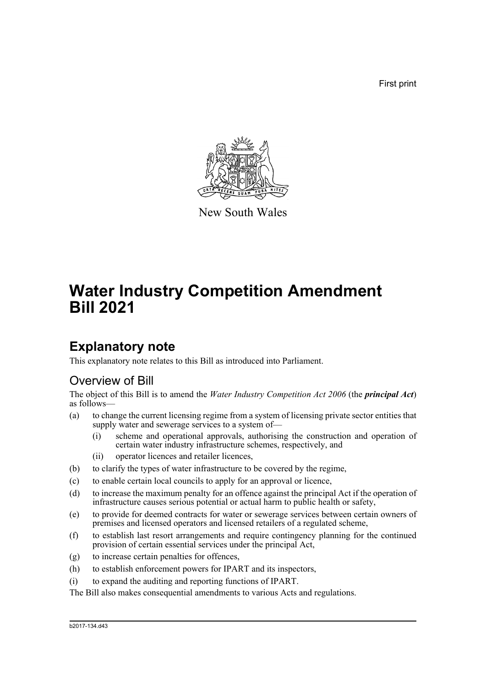First print



New South Wales

# **Water Industry Competition Amendment Bill 2021**

## **Explanatory note**

This explanatory note relates to this Bill as introduced into Parliament.

## Overview of Bill

The object of this Bill is to amend the *Water Industry Competition Act 2006* (the *principal Act*) as follows—

- (a) to change the current licensing regime from a system of licensing private sector entities that supply water and sewerage services to a system of—
	- (i) scheme and operational approvals, authorising the construction and operation of certain water industry infrastructure schemes, respectively, and
	- (ii) operator licences and retailer licences,
- (b) to clarify the types of water infrastructure to be covered by the regime,
- (c) to enable certain local councils to apply for an approval or licence,
- (d) to increase the maximum penalty for an offence against the principal Act if the operation of infrastructure causes serious potential or actual harm to public health or safety,
- (e) to provide for deemed contracts for water or sewerage services between certain owners of premises and licensed operators and licensed retailers of a regulated scheme,
- (f) to establish last resort arrangements and require contingency planning for the continued provision of certain essential services under the principal Act,
- (g) to increase certain penalties for offences,
- (h) to establish enforcement powers for IPART and its inspectors,
- (i) to expand the auditing and reporting functions of IPART.

The Bill also makes consequential amendments to various Acts and regulations.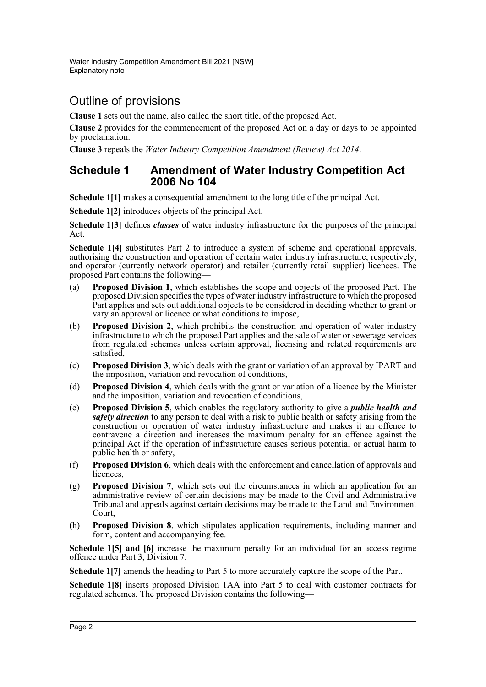## Outline of provisions

**Clause 1** sets out the name, also called the short title, of the proposed Act.

**Clause 2** provides for the commencement of the proposed Act on a day or days to be appointed by proclamation.

**Clause 3** repeals the *Water Industry Competition Amendment (Review) Act 2014*.

### **Schedule 1 Amendment of Water Industry Competition Act 2006 No 104**

**Schedule 1[1]** makes a consequential amendment to the long title of the principal Act.

**Schedule 1[2]** introduces objects of the principal Act.

**Schedule 1[3]** defines *classes* of water industry infrastructure for the purposes of the principal Act.

**Schedule 1[4]** substitutes Part 2 to introduce a system of scheme and operational approvals, authorising the construction and operation of certain water industry infrastructure, respectively, and operator (currently network operator) and retailer (currently retail supplier) licences. The proposed Part contains the following—

- (a) **Proposed Division 1**, which establishes the scope and objects of the proposed Part. The proposed Division specifies the types of water industry infrastructure to which the proposed Part applies and sets out additional objects to be considered in deciding whether to grant or vary an approval or licence or what conditions to impose,
- (b) **Proposed Division 2**, which prohibits the construction and operation of water industry infrastructure to which the proposed Part applies and the sale of water or sewerage services from regulated schemes unless certain approval, licensing and related requirements are satisfied,
- (c) **Proposed Division 3**, which deals with the grant or variation of an approval by IPART and the imposition, variation and revocation of conditions,
- (d) **Proposed Division 4**, which deals with the grant or variation of a licence by the Minister and the imposition, variation and revocation of conditions,
- (e) **Proposed Division 5**, which enables the regulatory authority to give a *public health and safety direction* to any person to deal with a risk to public health or safety arising from the construction or operation of water industry infrastructure and makes it an offence to contravene a direction and increases the maximum penalty for an offence against the principal Act if the operation of infrastructure causes serious potential or actual harm to public health or safety,
- (f) **Proposed Division 6**, which deals with the enforcement and cancellation of approvals and licences,
- (g) **Proposed Division 7**, which sets out the circumstances in which an application for an administrative review of certain decisions may be made to the Civil and Administrative Tribunal and appeals against certain decisions may be made to the Land and Environment Court,
- (h) **Proposed Division 8**, which stipulates application requirements, including manner and form, content and accompanying fee.

**Schedule 1[5] and [6]** increase the maximum penalty for an individual for an access regime offence under Part 3, Division 7.

**Schedule 1[7]** amends the heading to Part 5 to more accurately capture the scope of the Part.

**Schedule 1[8]** inserts proposed Division 1AA into Part 5 to deal with customer contracts for regulated schemes. The proposed Division contains the following—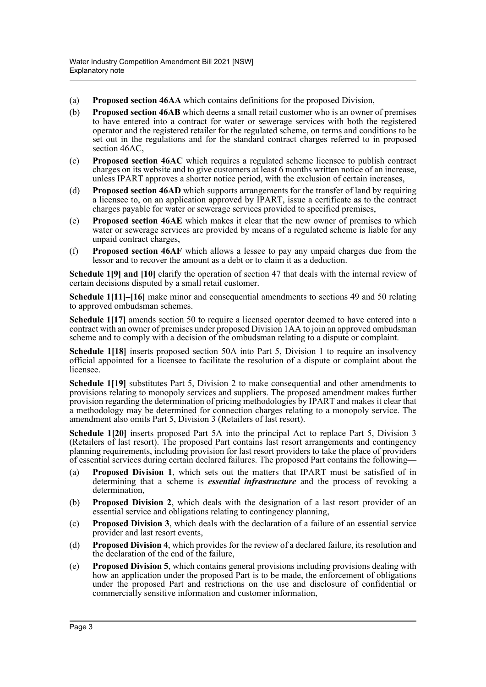- (a) **Proposed section 46AA** which contains definitions for the proposed Division,
- (b) **Proposed section 46AB** which deems a small retail customer who is an owner of premises to have entered into a contract for water or sewerage services with both the registered operator and the registered retailer for the regulated scheme, on terms and conditions to be set out in the regulations and for the standard contract charges referred to in proposed section 46AC,
- (c) **Proposed section 46AC** which requires a regulated scheme licensee to publish contract charges on its website and to give customers at least 6 months written notice of an increase, unless IPART approves a shorter notice period, with the exclusion of certain increases,
- (d) **Proposed section 46AD** which supports arrangements for the transfer of land by requiring a licensee to, on an application approved by IPART, issue a certificate as to the contract charges payable for water or sewerage services provided to specified premises,
- (e) **Proposed section 46AE** which makes it clear that the new owner of premises to which water or sewerage services are provided by means of a regulated scheme is liable for any unpaid contract charges,
- (f) **Proposed section 46AF** which allows a lessee to pay any unpaid charges due from the lessor and to recover the amount as a debt or to claim it as a deduction.

**Schedule 1[9] and [10]** clarify the operation of section 47 that deals with the internal review of certain decisions disputed by a small retail customer.

**Schedule 1[11]–[16]** make minor and consequential amendments to sections 49 and 50 relating to approved ombudsman schemes.

**Schedule 1[17]** amends section 50 to require a licensed operator deemed to have entered into a contract with an owner of premises under proposed Division 1AA to join an approved ombudsman scheme and to comply with a decision of the ombudsman relating to a dispute or complaint.

**Schedule 1[18]** inserts proposed section 50A into Part 5, Division 1 to require an insolvency official appointed for a licensee to facilitate the resolution of a dispute or complaint about the licensee.

**Schedule 1[19]** substitutes Part 5, Division 2 to make consequential and other amendments to provisions relating to monopoly services and suppliers. The proposed amendment makes further provision regarding the determination of pricing methodologies by IPART and makes it clear that a methodology may be determined for connection charges relating to a monopoly service. The amendment also omits Part 5, Division 3 (Retailers of last resort).

**Schedule 1[20]** inserts proposed Part 5A into the principal Act to replace Part 5, Division 3 (Retailers of last resort). The proposed Part contains last resort arrangements and contingency planning requirements, including provision for last resort providers to take the place of providers of essential services during certain declared failures. The proposed Part contains the following—

- (a) **Proposed Division 1**, which sets out the matters that IPART must be satisfied of in determining that a scheme is *essential infrastructure* and the process of revoking a determination,
- (b) **Proposed Division 2**, which deals with the designation of a last resort provider of an essential service and obligations relating to contingency planning,
- (c) **Proposed Division 3**, which deals with the declaration of a failure of an essential service provider and last resort events,
- (d) **Proposed Division 4**, which provides for the review of a declared failure, its resolution and the declaration of the end of the failure,
- (e) **Proposed Division 5**, which contains general provisions including provisions dealing with how an application under the proposed Part is to be made, the enforcement of obligations under the proposed Part and restrictions on the use and disclosure of confidential or commercially sensitive information and customer information,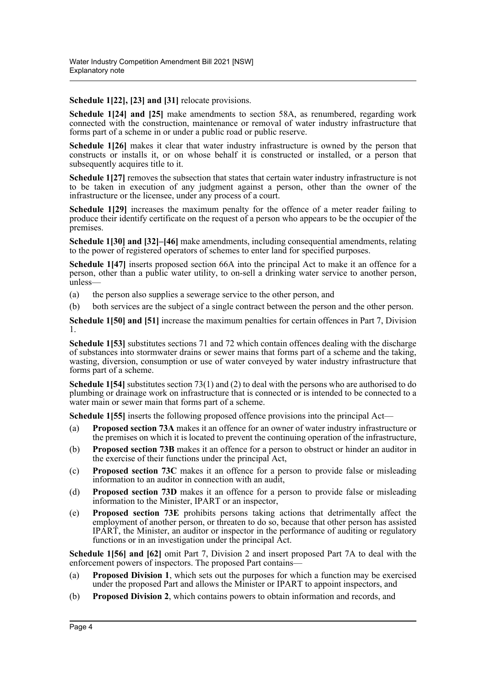**Schedule 1[22], [23] and [31]** relocate provisions.

**Schedule 1[24] and [25]** make amendments to section 58A, as renumbered, regarding work connected with the construction, maintenance or removal of water industry infrastructure that forms part of a scheme in or under a public road or public reserve.

**Schedule 1[26]** makes it clear that water industry infrastructure is owned by the person that constructs or installs it, or on whose behalf it is constructed or installed, or a person that subsequently acquires title to it.

Schedule 1[27] removes the subsection that states that certain water industry infrastructure is not to be taken in execution of any judgment against a person, other than the owner of the infrastructure or the licensee, under any process of a court.

**Schedule 1[29]** increases the maximum penalty for the offence of a meter reader failing to produce their identify certificate on the request of a person who appears to be the occupier of the premises.

**Schedule 1[30] and [32]–[46]** make amendments, including consequential amendments, relating to the power of registered operators of schemes to enter land for specified purposes.

**Schedule 1[47]** inserts proposed section 66A into the principal Act to make it an offence for a person, other than a public water utility, to on-sell a drinking water service to another person, unless—

- (a) the person also supplies a sewerage service to the other person, and
- (b) both services are the subject of a single contract between the person and the other person.

**Schedule 1[50] and [51]** increase the maximum penalties for certain offences in Part 7, Division 1.

**Schedule 1[53]** substitutes sections 71 and 72 which contain offences dealing with the discharge of substances into stormwater drains or sewer mains that forms part of a scheme and the taking, wasting, diversion, consumption or use of water conveyed by water industry infrastructure that forms part of a scheme.

**Schedule 1[54]** substitutes section 73(1) and (2) to deal with the persons who are authorised to do plumbing or drainage work on infrastructure that is connected or is intended to be connected to a water main or sewer main that forms part of a scheme.

**Schedule 1[55]** inserts the following proposed offence provisions into the principal Act—

- (a) **Proposed section 73A** makes it an offence for an owner of water industry infrastructure or the premises on which it is located to prevent the continuing operation of the infrastructure,
- (b) **Proposed section 73B** makes it an offence for a person to obstruct or hinder an auditor in the exercise of their functions under the principal Act,
- (c) **Proposed section 73C** makes it an offence for a person to provide false or misleading information to an auditor in connection with an audit,
- (d) **Proposed section 73D** makes it an offence for a person to provide false or misleading information to the Minister, IPART or an inspector,
- (e) **Proposed section 73E** prohibits persons taking actions that detrimentally affect the employment of another person, or threaten to do so, because that other person has assisted IPART, the Minister, an auditor or inspector in the performance of auditing or regulatory functions or in an investigation under the principal Act.

**Schedule 1[56] and [62]** omit Part 7, Division 2 and insert proposed Part 7A to deal with the enforcement powers of inspectors. The proposed Part contains—

- (a) **Proposed Division 1**, which sets out the purposes for which a function may be exercised under the proposed Part and allows the Minister or IPART to appoint inspectors, and
- (b) **Proposed Division 2**, which contains powers to obtain information and records, and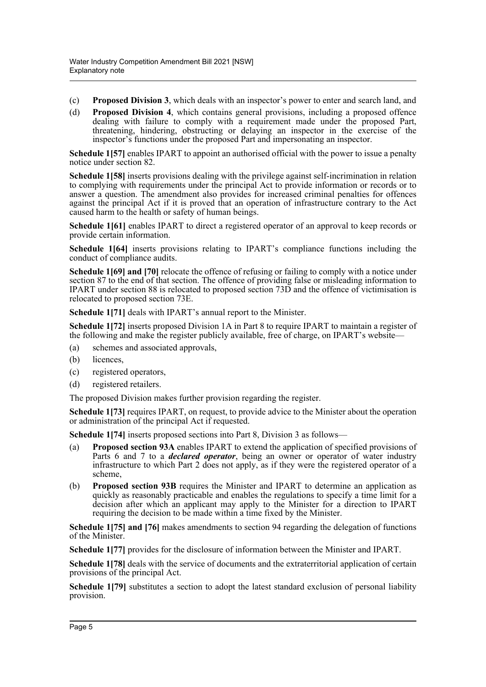- (c) **Proposed Division 3**, which deals with an inspector's power to enter and search land, and
- (d) **Proposed Division 4**, which contains general provisions, including a proposed offence dealing with failure to comply with a requirement made under the proposed Part, threatening, hindering, obstructing or delaying an inspector in the exercise of the inspector's functions under the proposed Part and impersonating an inspector.

**Schedule 1157** enables IPART to appoint an authorised official with the power to issue a penalty notice under section 82.

**Schedule 1[58]** inserts provisions dealing with the privilege against self-incrimination in relation to complying with requirements under the principal Act to provide information or records or to answer a question. The amendment also provides for increased criminal penalties for offences against the principal Act if it is proved that an operation of infrastructure contrary to the Act caused harm to the health or safety of human beings.

**Schedule 1[61]** enables IPART to direct a registered operator of an approval to keep records or provide certain information.

**Schedule 1[64]** inserts provisions relating to IPART's compliance functions including the conduct of compliance audits.

**Schedule 1[69] and [70]** relocate the offence of refusing or failing to comply with a notice under section 87 to the end of that section. The offence of providing false or misleading information to IPART under section 88 is relocated to proposed section 73D and the offence of victimisation is relocated to proposed section 73E.

**Schedule 1[71]** deals with IPART's annual report to the Minister.

**Schedule 1[72]** inserts proposed Division 1A in Part 8 to require IPART to maintain a register of the following and make the register publicly available, free of charge, on IPART's website—

- (a) schemes and associated approvals,
- (b) licences,
- (c) registered operators,
- (d) registered retailers.

The proposed Division makes further provision regarding the register.

**Schedule 1[73]** requires IPART, on request, to provide advice to the Minister about the operation or administration of the principal Act if requested.

**Schedule 1[74]** inserts proposed sections into Part 8, Division 3 as follows—

- (a) **Proposed section 93A** enables IPART to extend the application of specified provisions of Parts 6 and 7 to a *declared operator*, being an owner or operator of water industry infrastructure to which Part 2 does not apply, as if they were the registered operator of a scheme,
- (b) **Proposed section 93B** requires the Minister and IPART to determine an application as quickly as reasonably practicable and enables the regulations to specify a time limit for a decision after which an applicant may apply to the Minister for a direction to IPART requiring the decision to be made within a time fixed by the Minister.

**Schedule 1[75] and [76]** makes amendments to section 94 regarding the delegation of functions of the Minister.

**Schedule 1[77]** provides for the disclosure of information between the Minister and IPART.

**Schedule 1[78]** deals with the service of documents and the extraterritorial application of certain provisions of the principal Act.

**Schedule 1[79]** substitutes a section to adopt the latest standard exclusion of personal liability provision.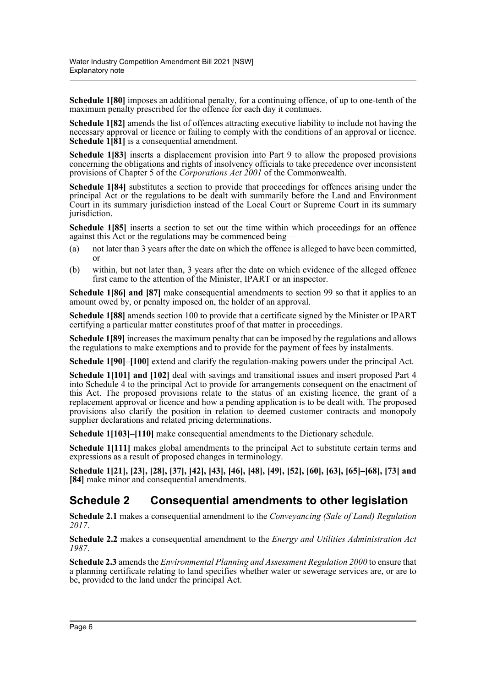**Schedule 1[80]** imposes an additional penalty, for a continuing offence, of up to one-tenth of the maximum penalty prescribed for the offence for each day it continues.

**Schedule 1[82]** amends the list of offences attracting executive liability to include not having the necessary approval or licence or failing to comply with the conditions of an approval or licence. **Schedule 1[81]** is a consequential amendment.

**Schedule 1[83]** inserts a displacement provision into Part 9 to allow the proposed provisions concerning the obligations and rights of insolvency officials to take precedence over inconsistent provisions of Chapter 5 of the *Corporations Act 2001* of the Commonwealth.

**Schedule 1[84]** substitutes a section to provide that proceedings for offences arising under the principal Act or the regulations to be dealt with summarily before the Land and Environment Court in its summary jurisdiction instead of the Local Court or Supreme Court in its summary jurisdiction.

**Schedule 1[85]** inserts a section to set out the time within which proceedings for an offence against this Act or the regulations may be commenced being—

- (a) not later than 3 years after the date on which the offence is alleged to have been committed, or
- (b) within, but not later than, 3 years after the date on which evidence of the alleged offence first came to the attention of the Minister, IPART or an inspector.

**Schedule 1[86] and [87]** make consequential amendments to section 99 so that it applies to an amount owed by, or penalty imposed on, the holder of an approval.

**Schedule 1[88]** amends section 100 to provide that a certificate signed by the Minister or IPART certifying a particular matter constitutes proof of that matter in proceedings.

**Schedule 1[89]** increases the maximum penalty that can be imposed by the regulations and allows the regulations to make exemptions and to provide for the payment of fees by instalments.

**Schedule 1[90]–[100]** extend and clarify the regulation-making powers under the principal Act.

**Schedule 1[101] and [102]** deal with savings and transitional issues and insert proposed Part 4 into Schedule 4 to the principal Act to provide for arrangements consequent on the enactment of this Act. The proposed provisions relate to the status of an existing licence, the grant of a replacement approval or licence and how a pending application is to be dealt with. The proposed provisions also clarify the position in relation to deemed customer contracts and monopoly supplier declarations and related pricing determinations.

**Schedule 1[103]–[110]** make consequential amendments to the Dictionary schedule.

**Schedule 1[111]** makes global amendments to the principal Act to substitute certain terms and expressions as a result of proposed changes in terminology.

**Schedule 1[21], [23], [28], [37], [42], [43], [46], [48], [49], [52], [60], [63], [65]–[68], [73] and [84]** make minor and consequential amendments.

## **Schedule 2 Consequential amendments to other legislation**

**Schedule 2.1** makes a consequential amendment to the *Conveyancing (Sale of Land) Regulation 2017*.

**Schedule 2.2** makes a consequential amendment to the *Energy and Utilities Administration Act 1987*.

**Schedule 2.3** amends the *Environmental Planning and Assessment Regulation 2000* to ensure that a planning certificate relating to land specifies whether water or sewerage services are, or are to be, provided to the land under the principal Act.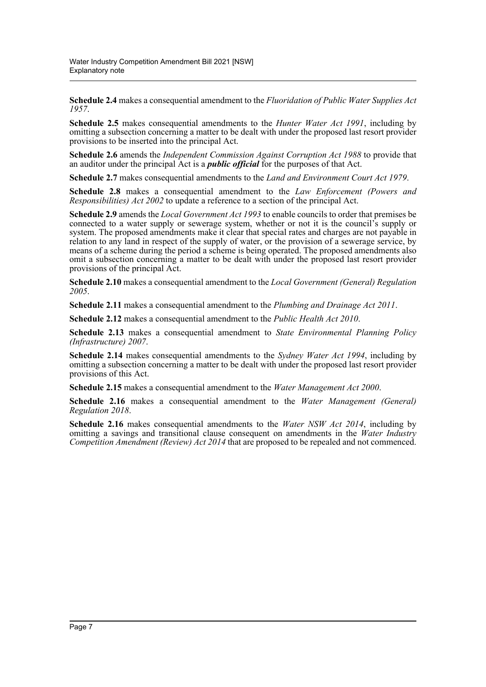**Schedule 2.4** makes a consequential amendment to the *Fluoridation of Public Water Supplies Act 1957*.

**Schedule 2.5** makes consequential amendments to the *Hunter Water Act 1991*, including by omitting a subsection concerning a matter to be dealt with under the proposed last resort provider provisions to be inserted into the principal Act.

**Schedule 2.6** amends the *Independent Commission Against Corruption Act 1988* to provide that an auditor under the principal Act is a *public official* for the purposes of that Act.

**Schedule 2.7** makes consequential amendments to the *Land and Environment Court Act 1979*.

**Schedule 2.8** makes a consequential amendment to the *Law Enforcement (Powers and Responsibilities) Act 2002* to update a reference to a section of the principal Act.

**Schedule 2.9** amends the *Local Government Act 1993* to enable councils to order that premises be connected to a water supply or sewerage system, whether or not it is the council's supply or system. The proposed amendments make it clear that special rates and charges are not payable in relation to any land in respect of the supply of water, or the provision of a sewerage service, by means of a scheme during the period a scheme is being operated. The proposed amendments also omit a subsection concerning a matter to be dealt with under the proposed last resort provider provisions of the principal Act.

**Schedule 2.10** makes a consequential amendment to the *Local Government (General) Regulation 2005*.

**Schedule 2.11** makes a consequential amendment to the *Plumbing and Drainage Act 2011*.

**Schedule 2.12** makes a consequential amendment to the *Public Health Act 2010*.

**Schedule 2.13** makes a consequential amendment to *State Environmental Planning Policy (Infrastructure) 2007*.

**Schedule 2.14** makes consequential amendments to the *Sydney Water Act 1994*, including by omitting a subsection concerning a matter to be dealt with under the proposed last resort provider provisions of this Act.

**Schedule 2.15** makes a consequential amendment to the *Water Management Act 2000*.

**Schedule 2.16** makes a consequential amendment to the *Water Management (General) Regulation 2018*.

**Schedule 2.16** makes consequential amendments to the *Water NSW Act 2014*, including by omitting a savings and transitional clause consequent on amendments in the *Water Industry Competition Amendment (Review) Act 2014* that are proposed to be repealed and not commenced.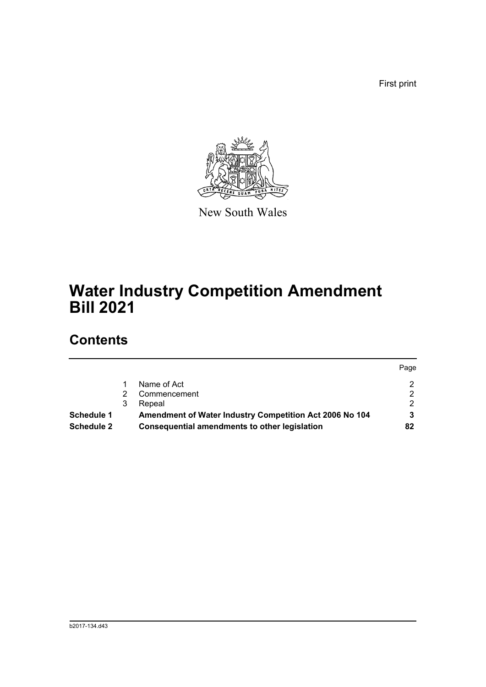First print



New South Wales

# **Water Industry Competition Amendment Bill 2021**

## **Contents**

| <b>Schedule 2</b> |   | Consequential amendments to other legislation           | 82   |
|-------------------|---|---------------------------------------------------------|------|
| <b>Schedule 1</b> |   | Amendment of Water Industry Competition Act 2006 No 104 |      |
|                   | 3 | Repeal                                                  |      |
|                   |   | Commencement                                            |      |
|                   |   | Name of Act                                             | ົ    |
|                   |   |                                                         | Page |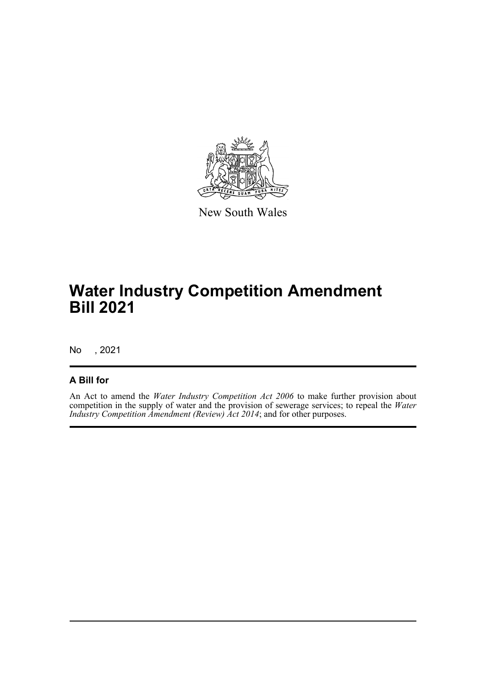

New South Wales

## **Water Industry Competition Amendment Bill 2021**

No , 2021

### **A Bill for**

An Act to amend the *Water Industry Competition Act 2006* to make further provision about competition in the supply of water and the provision of sewerage services; to repeal the *Water Industry Competition Amendment (Review) Act 2014*; and for other purposes.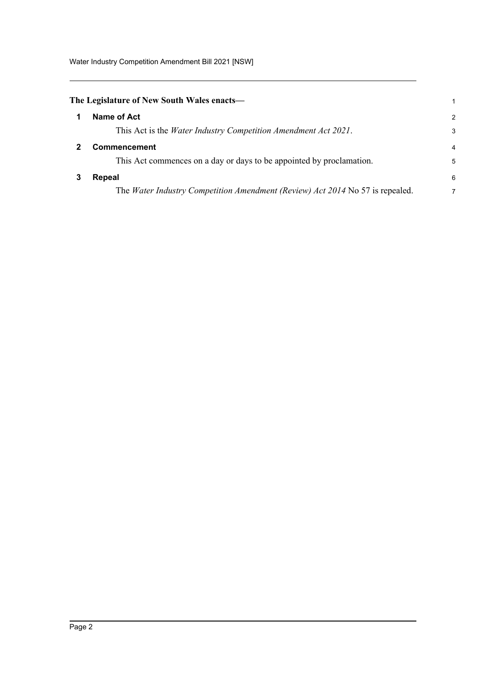Water Industry Competition Amendment Bill 2021 [NSW]

<span id="page-9-2"></span><span id="page-9-1"></span><span id="page-9-0"></span>

| The Legislature of New South Wales enacts—                                    |                |
|-------------------------------------------------------------------------------|----------------|
| Name of Act                                                                   | $\overline{2}$ |
| This Act is the <i>Water Industry Competition Amendment Act 2021</i> .        | 3              |
| Commencement                                                                  | $\overline{4}$ |
| This Act commences on a day or days to be appointed by proclamation.          | 5              |
| Repeal                                                                        | 6              |
| The Water Industry Competition Amendment (Review) Act 2014 No 57 is repealed. | 7              |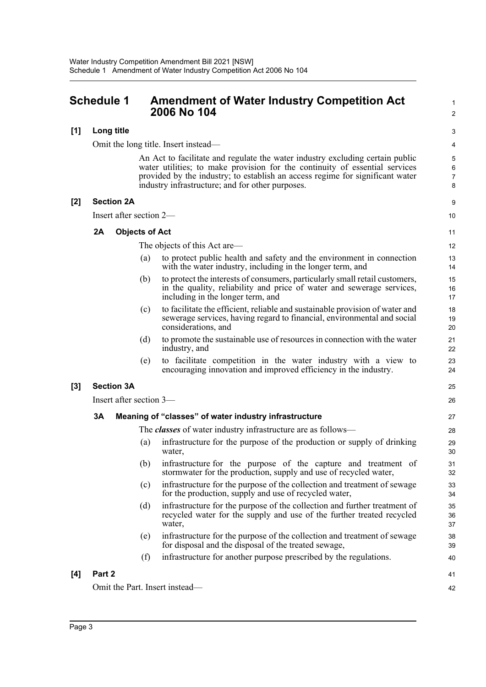### <span id="page-10-0"></span>**Schedule 1 Amendment of Water Industry Competition Act 2006 No 104**

#### **[1] Long title**

Omit the long title. Insert instead—

An Act to facilitate and regulate the water industry excluding certain public water utilities; to make provision for the continuity of essential services provided by the industry; to establish an access regime for significant water industry infrastructure; and for other purposes.

1 2

9

41 42

#### **[2] Section 2A**

Insert after section 2—

#### **2A Objects of Act**

|     | Insert after section 2— |                         |     |                                                                                                                                                                                           |                |
|-----|-------------------------|-------------------------|-----|-------------------------------------------------------------------------------------------------------------------------------------------------------------------------------------------|----------------|
|     | 2A                      | <b>Objects of Act</b>   |     |                                                                                                                                                                                           | 11             |
|     |                         |                         |     | The objects of this Act are—                                                                                                                                                              | 12             |
|     |                         |                         | (a) | to protect public health and safety and the environment in connection<br>with the water industry, including in the longer term, and                                                       | 13<br>14       |
|     |                         |                         | (b) | to protect the interests of consumers, particularly small retail customers,<br>in the quality, reliability and price of water and sewerage services,<br>including in the longer term, and | 15<br>16<br>17 |
|     |                         |                         | (c) | to facilitate the efficient, reliable and sustainable provision of water and<br>sewerage services, having regard to financial, environmental and social<br>considerations, and            | 18<br>19<br>20 |
|     |                         |                         | (d) | to promote the sustainable use of resources in connection with the water<br>industry, and                                                                                                 | 21<br>22       |
|     |                         |                         | (e) | to facilitate competition in the water industry with a view to<br>encouraging innovation and improved efficiency in the industry.                                                         | 23<br>24       |
| [3] |                         | <b>Section 3A</b>       |     |                                                                                                                                                                                           | 25             |
|     |                         | Insert after section 3— |     |                                                                                                                                                                                           | 26             |
|     | 3A                      |                         |     | Meaning of "classes" of water industry infrastructure                                                                                                                                     | 27             |
|     |                         |                         |     | The <i>classes</i> of water industry infrastructure are as follows—                                                                                                                       | 28             |
|     |                         |                         | (a) | infrastructure for the purpose of the production or supply of drinking<br>water,                                                                                                          | 29<br>30       |
|     |                         |                         | (b) | infrastructure for the purpose of the capture and treatment of<br>stormwater for the production, supply and use of recycled water,                                                        | 31<br>32       |
|     |                         |                         | (c) | infrastructure for the purpose of the collection and treatment of sewage<br>for the production, supply and use of recycled water,                                                         | 33<br>34       |
|     |                         |                         | (d) | infrastructure for the purpose of the collection and further treatment of<br>recycled water for the supply and use of the further treated recycled<br>water,                              | 35<br>36<br>37 |
|     |                         |                         | (e) | infrastructure for the purpose of the collection and treatment of sewage<br>for disposal and the disposal of the treated sewage,                                                          | 38<br>39       |
|     |                         |                         | (f) | infrastructure for another purpose prescribed by the regulations.                                                                                                                         | 40             |
|     |                         |                         |     |                                                                                                                                                                                           |                |

#### **[4] Part 2**

Omit the Part. Insert instead—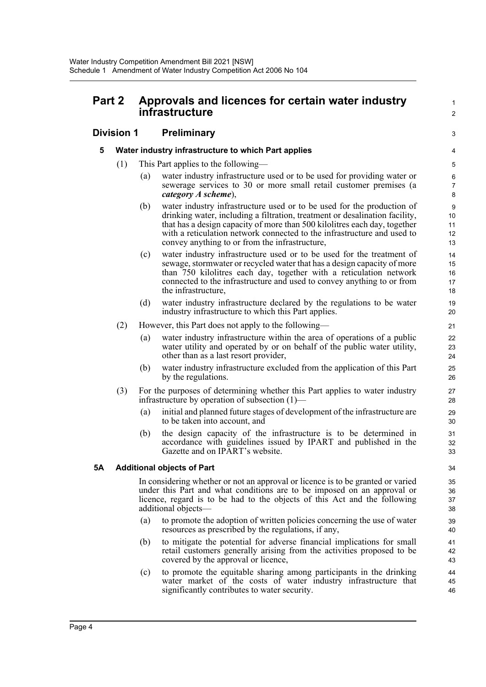## **Part 2 Approvals and licences for certain water industry infrastructure**

1

## **Division 1 Preliminary**

### **5 Water industry infrastructure to which Part applies**

- (1) This Part applies to the following—
	- (a) water industry infrastructure used or to be used for providing water or sewerage services to 30 or more small retail customer premises (a *category A scheme*),
	- (b) water industry infrastructure used or to be used for the production of drinking water, including a filtration, treatment or desalination facility, that has a design capacity of more than 500 kilolitres each day, together with a reticulation network connected to the infrastructure and used to convey anything to or from the infrastructure,
	- (c) water industry infrastructure used or to be used for the treatment of sewage, stormwater or recycled water that has a design capacity of more than 750 kilolitres each day, together with a reticulation network connected to the infrastructure and used to convey anything to or from the infrastructure,
	- (d) water industry infrastructure declared by the regulations to be water industry infrastructure to which this Part applies.
- (2) However, this Part does not apply to the following—
	- (a) water industry infrastructure within the area of operations of a public water utility and operated by or on behalf of the public water utility, other than as a last resort provider,
	- (b) water industry infrastructure excluded from the application of this Part by the regulations.
- (3) For the purposes of determining whether this Part applies to water industry infrastructure by operation of subsection (1)—
	- (a) initial and planned future stages of development of the infrastructure are to be taken into account, and
	- (b) the design capacity of the infrastructure is to be determined in accordance with guidelines issued by IPART and published in the Gazette and on IPART's website.

### **5A Additional objects of Part**

In considering whether or not an approval or licence is to be granted or varied under this Part and what conditions are to be imposed on an approval or licence, regard is to be had to the objects of this Act and the following additional objects—

- (a) to promote the adoption of written policies concerning the use of water resources as prescribed by the regulations, if any,
- (b) to mitigate the potential for adverse financial implications for small retail customers generally arising from the activities proposed to be covered by the approval or licence,
- (c) to promote the equitable sharing among participants in the drinking water market of the costs of water industry infrastructure that significantly contributes to water security.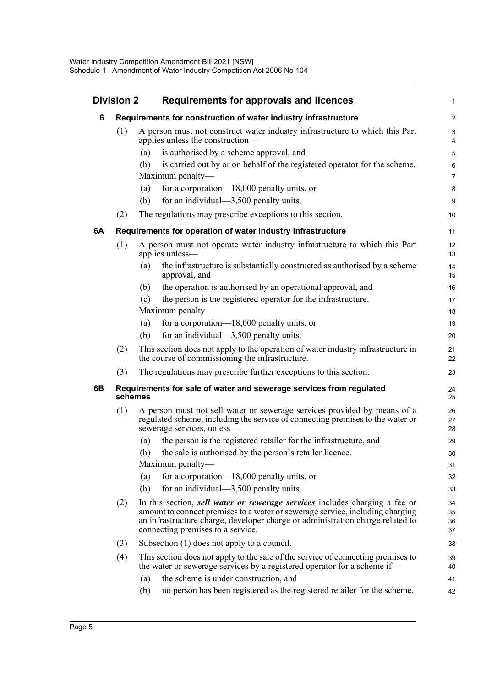| <b>Division 2</b> |     |         | Requirements for approvals and licences                                                                                                                                                                                                                                             |                      |  |
|-------------------|-----|---------|-------------------------------------------------------------------------------------------------------------------------------------------------------------------------------------------------------------------------------------------------------------------------------------|----------------------|--|
| 6                 |     |         | Requirements for construction of water industry infrastructure                                                                                                                                                                                                                      | 2                    |  |
|                   | (1) |         | A person must not construct water industry infrastructure to which this Part<br>applies unless the construction-                                                                                                                                                                    | 4                    |  |
|                   |     | (a)     | is authorised by a scheme approval, and                                                                                                                                                                                                                                             | ŧ                    |  |
|                   |     | (b)     | is carried out by or on behalf of the registered operator for the scheme.                                                                                                                                                                                                           | Е                    |  |
|                   |     |         | Maximum penalty-                                                                                                                                                                                                                                                                    | 7                    |  |
|                   |     | (a)     | for a corporation— $18,000$ penalty units, or                                                                                                                                                                                                                                       | ε                    |  |
|                   |     | (b)     | for an individual— $3,500$ penalty units.                                                                                                                                                                                                                                           | ς                    |  |
|                   | (2) |         | The regulations may prescribe exceptions to this section.                                                                                                                                                                                                                           | 10                   |  |
| 6A                |     |         | Requirements for operation of water industry infrastructure                                                                                                                                                                                                                         | 11                   |  |
|                   | (1) |         | A person must not operate water industry infrastructure to which this Part<br>applies unless-                                                                                                                                                                                       | 12<br>13             |  |
|                   |     | (a)     | the infrastructure is substantially constructed as authorised by a scheme<br>approval, and                                                                                                                                                                                          | 14<br>15             |  |
|                   |     | (b)     | the operation is authorised by an operational approval, and                                                                                                                                                                                                                         | 16                   |  |
|                   |     | (c)     | the person is the registered operator for the infrastructure.                                                                                                                                                                                                                       | 17                   |  |
|                   |     |         | Maximum penalty—                                                                                                                                                                                                                                                                    | 18                   |  |
|                   |     | (a)     | for a corporation— $18,000$ penalty units, or                                                                                                                                                                                                                                       | 19                   |  |
|                   |     | (b)     | for an individual— $3,500$ penalty units.                                                                                                                                                                                                                                           | 20                   |  |
|                   | (2) |         | This section does not apply to the operation of water industry infrastructure in<br>the course of commissioning the infrastructure.                                                                                                                                                 | 21<br>22             |  |
|                   | (3) |         | The regulations may prescribe further exceptions to this section.                                                                                                                                                                                                                   | 23                   |  |
| 6B                |     | schemes | Requirements for sale of water and sewerage services from regulated                                                                                                                                                                                                                 | 24<br>25             |  |
|                   | (1) |         | A person must not sell water or sewerage services provided by means of a<br>regulated scheme, including the service of connecting premises to the water or<br>sewerage services, unless-                                                                                            | 26<br>27<br>28       |  |
|                   |     | (a)     | the person is the registered retailer for the infrastructure, and                                                                                                                                                                                                                   | 29                   |  |
|                   |     | (b)     | the sale is authorised by the person's retailer licence.                                                                                                                                                                                                                            | 3 <sub>C</sub>       |  |
|                   |     |         | Maximum penalty-                                                                                                                                                                                                                                                                    | 31                   |  |
|                   |     | (a)     | for a corporation-18,000 penalty units, or                                                                                                                                                                                                                                          | 32                   |  |
|                   |     | (b)     | for an individual— $3,500$ penalty units.                                                                                                                                                                                                                                           | 33                   |  |
|                   | (2) |         | In this section, sell water or sewerage services includes charging a fee or<br>amount to connect premises to a water or sewerage service, including charging<br>an infrastructure charge, developer charge or administration charge related to<br>connecting premises to a service. | 34<br>35<br>36<br>37 |  |
|                   | (3) |         | Subsection (1) does not apply to a council.                                                                                                                                                                                                                                         | 38                   |  |
|                   | (4) |         | This section does not apply to the sale of the service of connecting premises to<br>the water or sewerage services by a registered operator for a scheme if—                                                                                                                        | 39<br>40             |  |
|                   |     | (a)     | the scheme is under construction, and                                                                                                                                                                                                                                               | 41                   |  |
|                   |     | (b)     | no person has been registered as the registered retailer for the scheme.                                                                                                                                                                                                            | 42                   |  |
|                   |     |         |                                                                                                                                                                                                                                                                                     |                      |  |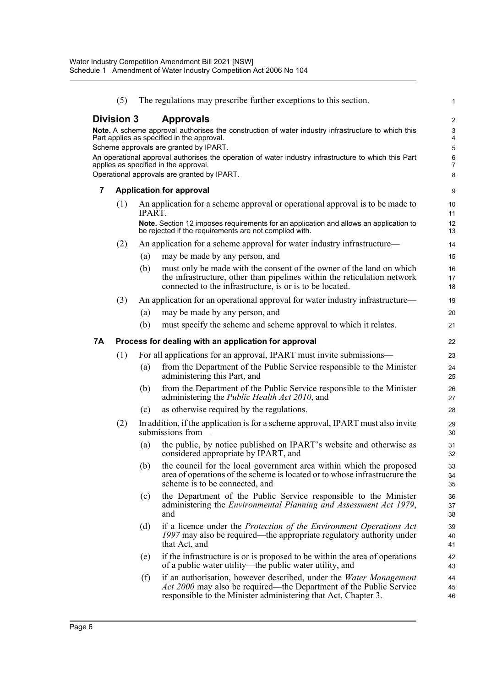|    | (5)               |        | The regulations may prescribe further exceptions to this section.                                                                                                                                                        | 1                   |
|----|-------------------|--------|--------------------------------------------------------------------------------------------------------------------------------------------------------------------------------------------------------------------------|---------------------|
|    | <b>Division 3</b> |        | <b>Approvals</b>                                                                                                                                                                                                         | $\overline{c}$      |
|    |                   |        | Note. A scheme approval authorises the construction of water industry infrastructure to which this<br>Part applies as specified in the approval.                                                                         | 3<br>$\overline{4}$ |
|    |                   |        | Scheme approvals are granted by IPART.                                                                                                                                                                                   | 5                   |
|    |                   |        | An operational approval authorises the operation of water industry infrastructure to which this Part                                                                                                                     | 6                   |
|    |                   |        | applies as specified in the approval.<br>Operational approvals are granted by IPART.                                                                                                                                     | $\overline{7}$<br>8 |
| 7  |                   |        | <b>Application for approval</b>                                                                                                                                                                                          | 9                   |
|    | (1)               |        | An application for a scheme approval or operational approval is to be made to                                                                                                                                            | 10                  |
|    |                   | IPART. |                                                                                                                                                                                                                          | 11                  |
|    |                   |        | Note. Section 12 imposes requirements for an application and allows an application to<br>be rejected if the requirements are not complied with.                                                                          | 12<br>13            |
|    | (2)               |        | An application for a scheme approval for water industry infrastructure—                                                                                                                                                  | 14                  |
|    |                   | (a)    | may be made by any person, and                                                                                                                                                                                           | 15                  |
|    |                   | (b)    | must only be made with the consent of the owner of the land on which                                                                                                                                                     | 16                  |
|    |                   |        | the infrastructure, other than pipelines within the reticulation network<br>connected to the infrastructure, is or is to be located.                                                                                     | 17<br>18            |
|    | (3)               |        | An application for an operational approval for water industry infrastructure—                                                                                                                                            | 19                  |
|    |                   | (a)    | may be made by any person, and                                                                                                                                                                                           | 20                  |
|    |                   | (b)    | must specify the scheme and scheme approval to which it relates.                                                                                                                                                         | 21                  |
| 7Α |                   |        | Process for dealing with an application for approval                                                                                                                                                                     | 22                  |
|    | (1)               |        | For all applications for an approval, IPART must invite submissions—                                                                                                                                                     | 23                  |
|    |                   | (a)    | from the Department of the Public Service responsible to the Minister<br>administering this Part, and                                                                                                                    | 24<br>25            |
|    |                   | (b)    | from the Department of the Public Service responsible to the Minister<br>administering the <i>Public Health Act 2010</i> , and                                                                                           | 26<br>27            |
|    |                   | (c)    | as otherwise required by the regulations.                                                                                                                                                                                | 28                  |
|    | (2)               |        | In addition, if the application is for a scheme approval, IPART must also invite<br>submissions from-                                                                                                                    | 29<br>30            |
|    |                   | (a)    | the public, by notice published on IPART's website and otherwise as<br>considered appropriate by IPART, and                                                                                                              | 31<br>32            |
|    |                   | (b)    | the council for the local government area within which the proposed<br>area of operations of the scheme is located or to whose infrastructure the<br>scheme is to be connected, and                                      | 33<br>34<br>35      |
|    |                   | (c)    | the Department of the Public Service responsible to the Minister<br>administering the <i>Environmental Planning and Assessment Act 1979</i> ,<br>and                                                                     | 36<br>37<br>38      |
|    |                   | (d)    | if a licence under the Protection of the Environment Operations Act<br>1997 may also be required—the appropriate regulatory authority under<br>that Act, and                                                             | 39<br>40<br>41      |
|    |                   | (e)    | if the infrastructure is or is proposed to be within the area of operations<br>of a public water utility—the public water utility, and                                                                                   | 42<br>43            |
|    |                   | (f)    | if an authorisation, however described, under the <i>Water Management</i><br><i>Act 2000</i> may also be required—the Department of the Public Service<br>responsible to the Minister administering that Act, Chapter 3. | 44<br>45<br>46      |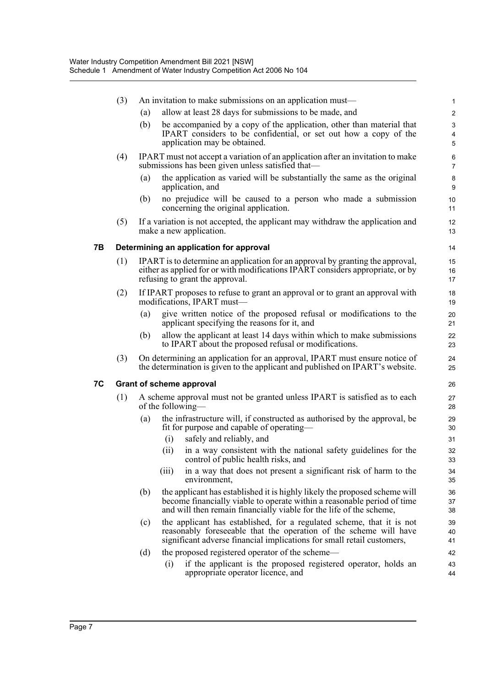|    | (3) |     |       | An invitation to make submissions on an application must—                                                                                                                                                                    | 1                     |
|----|-----|-----|-------|------------------------------------------------------------------------------------------------------------------------------------------------------------------------------------------------------------------------------|-----------------------|
|    |     | (a) |       | allow at least 28 days for submissions to be made, and                                                                                                                                                                       | $\overline{2}$        |
|    |     | (b) |       | be accompanied by a copy of the application, other than material that<br>IPART considers to be confidential, or set out how a copy of the<br>application may be obtained.                                                    | 3<br>4<br>5           |
|    | (4) |     |       | IPART must not accept a variation of an application after an invitation to make<br>submissions has been given unless satisfied that—                                                                                         | 6<br>$\overline{7}$   |
|    |     | (a) |       | the application as varied will be substantially the same as the original<br>application, and                                                                                                                                 | 8<br>9                |
|    |     | (b) |       | no prejudice will be caused to a person who made a submission<br>concerning the original application.                                                                                                                        | 10 <sup>1</sup><br>11 |
|    | (5) |     |       | If a variation is not accepted, the applicant may withdraw the application and<br>make a new application.                                                                                                                    | 12<br>13              |
| 7В |     |     |       | Determining an application for approval                                                                                                                                                                                      | 14                    |
|    | (1) |     |       | IPART is to determine an application for an approval by granting the approval,<br>either as applied for or with modifications IPART considers appropriate, or by<br>refusing to grant the approval.                          | 15<br>16<br>17        |
|    | (2) |     |       | If IPART proposes to refuse to grant an approval or to grant an approval with<br>modifications, IPART must-                                                                                                                  | 18<br>19              |
|    |     | (a) |       | give written notice of the proposed refusal or modifications to the<br>applicant specifying the reasons for it, and                                                                                                          | 20<br>21              |
|    |     | (b) |       | allow the applicant at least 14 days within which to make submissions<br>to IPART about the proposed refusal or modifications.                                                                                               | 22<br>23              |
|    | (3) |     |       | On determining an application for an approval, IPART must ensure notice of<br>the determination is given to the applicant and published on IPART's website.                                                                  | 24<br>25              |
| 7C |     |     |       | <b>Grant of scheme approval</b>                                                                                                                                                                                              | 26                    |
|    | (1) |     |       | A scheme approval must not be granted unless IPART is satisfied as to each<br>of the following—                                                                                                                              | 27<br>28              |
|    |     | (a) |       | the infrastructure will, if constructed as authorised by the approval, be<br>fit for purpose and capable of operating—                                                                                                       | 29<br>30              |
|    |     |     | (i)   | safely and reliably, and                                                                                                                                                                                                     | 31                    |
|    |     |     | (ii)  | in a way consistent with the national safety guidelines for the<br>control of public health risks, and                                                                                                                       | 32<br>33              |
|    |     |     | (iii) | in a way that does not present a significant risk of harm to the<br>environment,                                                                                                                                             | 34<br>35              |
|    |     | (b) |       | the applicant has established it is highly likely the proposed scheme will<br>become financially viable to operate within a reasonable period of time<br>and will then remain financially viable for the life of the scheme, | 36<br>37<br>38        |
|    |     | (c) |       | the applicant has established, for a regulated scheme, that it is not<br>reasonably foreseeable that the operation of the scheme will have<br>significant adverse financial implications for small retail customers,         | 39<br>40<br>41        |
|    |     | (d) | (i)   | the proposed registered operator of the scheme—<br>if the applicant is the proposed registered operator, holds an<br>appropriate operator licence, and                                                                       | 42<br>43<br>44        |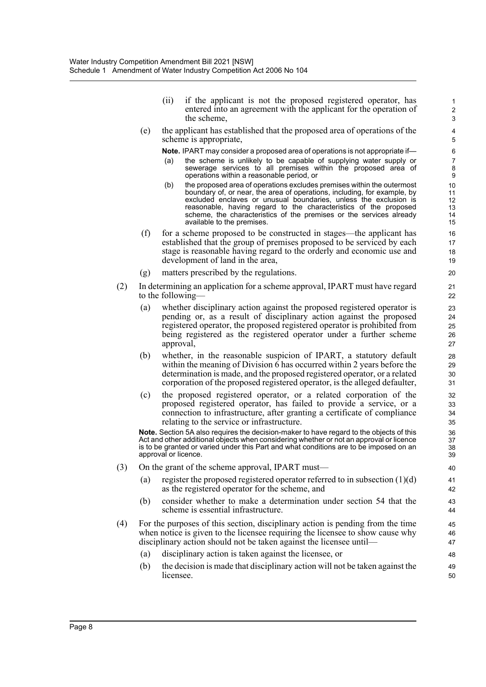(ii) if the applicant is not the proposed registered operator, has entered into an agreement with the applicant for the operation of the scheme,

(e) the applicant has established that the proposed area of operations of the scheme is appropriate,

**Note.** IPART may consider a proposed area of operations is not appropriate if—

- (a) the scheme is unlikely to be capable of supplying water supply or sewerage services to all premises within the proposed area of operations within a reasonable period, or
- (b) the proposed area of operations excludes premises within the outermost boundary of, or near, the area of operations, including, for example, by excluded enclaves or unusual boundaries, unless the exclusion is reasonable, having regard to the characteristics of the proposed scheme, the characteristics of the premises or the services already available to the premises.
- (f) for a scheme proposed to be constructed in stages—the applicant has established that the group of premises proposed to be serviced by each stage is reasonable having regard to the orderly and economic use and development of land in the area,
- (g) matters prescribed by the regulations.
- (2) In determining an application for a scheme approval, IPART must have regard to the following—
	- (a) whether disciplinary action against the proposed registered operator is pending or, as a result of disciplinary action against the proposed registered operator, the proposed registered operator is prohibited from being registered as the registered operator under a further scheme approval,
	- (b) whether, in the reasonable suspicion of IPART, a statutory default within the meaning of Division 6 has occurred within 2 years before the determination is made, and the proposed registered operator, or a related corporation of the proposed registered operator, is the alleged defaulter,
	- (c) the proposed registered operator, or a related corporation of the proposed registered operator, has failed to provide a service, or a connection to infrastructure, after granting a certificate of compliance relating to the service or infrastructure.

**Note.** Section 5A also requires the decision-maker to have regard to the objects of this Act and other additional objects when considering whether or not an approval or licence is to be granted or varied under this Part and what conditions are to be imposed on an approval or licence.

- (3) On the grant of the scheme approval, IPART must—
	- (a) register the proposed registered operator referred to in subsection  $(1)(d)$ as the registered operator for the scheme, and
	- (b) consider whether to make a determination under section 54 that the scheme is essential infrastructure.
- (4) For the purposes of this section, disciplinary action is pending from the time when notice is given to the licensee requiring the licensee to show cause why disciplinary action should not be taken against the licensee until—
	- (a) disciplinary action is taken against the licensee, or
	- (b) the decision is made that disciplinary action will not be taken against the licensee.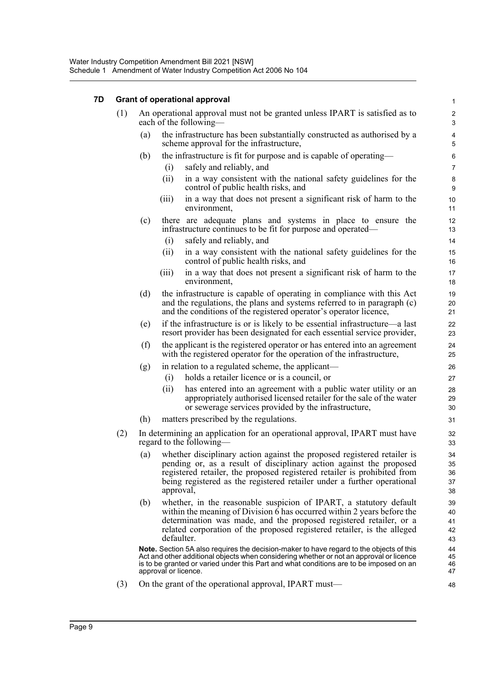#### **7D Grant of operational approval**

|     |                                                                                                       |                      | Grant of operational approval                                                                                                                                                                                                                                                                         | 1                          |  |  |
|-----|-------------------------------------------------------------------------------------------------------|----------------------|-------------------------------------------------------------------------------------------------------------------------------------------------------------------------------------------------------------------------------------------------------------------------------------------------------|----------------------------|--|--|
| (1) | An operational approval must not be granted unless IPART is satisfied as to<br>each of the following— |                      |                                                                                                                                                                                                                                                                                                       |                            |  |  |
|     | (a)                                                                                                   |                      | the infrastructure has been substantially constructed as authorised by a<br>scheme approval for the infrastructure,                                                                                                                                                                                   | 4<br>5                     |  |  |
|     | (b)                                                                                                   | (i)                  | the infrastructure is fit for purpose and is capable of operating—<br>safely and reliably, and                                                                                                                                                                                                        | 6<br>$\overline{7}$        |  |  |
|     |                                                                                                       | (ii)                 | in a way consistent with the national safety guidelines for the<br>control of public health risks, and                                                                                                                                                                                                | 8<br>9                     |  |  |
|     |                                                                                                       | (iii)                | in a way that does not present a significant risk of harm to the<br>environment,                                                                                                                                                                                                                      | 10<br>11                   |  |  |
|     | (c)                                                                                                   |                      | there are adequate plans and systems in place to ensure the<br>infrastructure continues to be fit for purpose and operated—                                                                                                                                                                           | 12<br>13                   |  |  |
|     |                                                                                                       | (i)                  | safely and reliably, and                                                                                                                                                                                                                                                                              | 14                         |  |  |
|     |                                                                                                       | (ii)                 | in a way consistent with the national safety guidelines for the<br>control of public health risks, and                                                                                                                                                                                                | 15<br>16                   |  |  |
|     |                                                                                                       | (iii)                | in a way that does not present a significant risk of harm to the<br>environment,                                                                                                                                                                                                                      | 17<br>18                   |  |  |
|     | (d)                                                                                                   |                      | the infrastructure is capable of operating in compliance with this Act<br>and the regulations, the plans and systems referred to in paragraph $(c)$<br>and the conditions of the registered operator's operator licence,                                                                              | 19<br>20<br>21             |  |  |
|     | (e)                                                                                                   |                      | if the infrastructure is or is likely to be essential infrastructure—a last<br>resort provider has been designated for each essential service provider,                                                                                                                                               | 22<br>23                   |  |  |
|     | (f)                                                                                                   |                      | the applicant is the registered operator or has entered into an agreement<br>with the registered operator for the operation of the infrastructure,                                                                                                                                                    | 24<br>25                   |  |  |
|     | (g)                                                                                                   |                      | in relation to a regulated scheme, the applicant—                                                                                                                                                                                                                                                     | 26                         |  |  |
|     |                                                                                                       | (i)                  | holds a retailer licence or is a council, or                                                                                                                                                                                                                                                          | 27                         |  |  |
|     |                                                                                                       | (ii)                 | has entered into an agreement with a public water utility or an<br>appropriately authorised licensed retailer for the sale of the water<br>or sewerage services provided by the infrastructure,                                                                                                       | 28<br>29<br>30             |  |  |
|     | (h)                                                                                                   |                      | matters prescribed by the regulations.                                                                                                                                                                                                                                                                | 31                         |  |  |
| (2) |                                                                                                       |                      | In determining an application for an operational approval, IPART must have<br>regard to the following—                                                                                                                                                                                                | 32<br>33                   |  |  |
|     | (a)                                                                                                   | approval,            | whether disciplinary action against the proposed registered retailer is<br>pending or, as a result of disciplinary action against the proposed<br>registered retailer, the proposed registered retailer is prohibited from<br>being registered as the registered retailer under a further operational | 34<br>35<br>36<br>37<br>38 |  |  |
|     | (b)                                                                                                   | defaulter.           | whether, in the reasonable suspicion of IPART, a statutory default<br>within the meaning of Division 6 has occurred within 2 years before the<br>determination was made, and the proposed registered retailer, or a<br>related corporation of the proposed registered retailer, is the alleged        | 39<br>40<br>41<br>42<br>43 |  |  |
|     |                                                                                                       | approval or licence. | <b>Note.</b> Section 5A also requires the decision-maker to have regard to the objects of this<br>Act and other additional objects when considering whether or not an approval or licence<br>is to be granted or varied under this Part and what conditions are to be imposed on an                   | 44<br>45<br>46<br>47       |  |  |
| (3) |                                                                                                       |                      | On the grant of the operational approval, IPART must—                                                                                                                                                                                                                                                 | 48                         |  |  |

(3) On the grant of the operational approval, IPART must—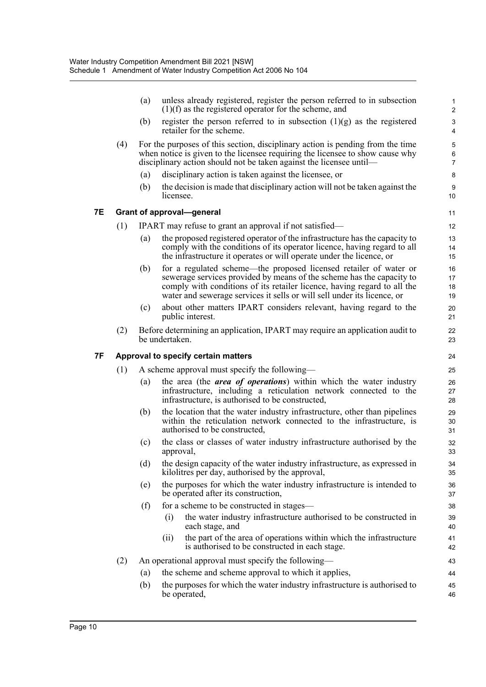|    |     | (a)               | unless already registered, register the person referred to in subsection<br>$(1)(f)$ as the registered operator for the scheme, and                                                                                                                                                               | 1<br>$\overline{2}$      |
|----|-----|-------------------|---------------------------------------------------------------------------------------------------------------------------------------------------------------------------------------------------------------------------------------------------------------------------------------------------|--------------------------|
|    |     | (b)               | register the person referred to in subsection $(1)(g)$ as the registered<br>retailer for the scheme.                                                                                                                                                                                              | 3<br>4                   |
|    | (4) |                   | For the purposes of this section, disciplinary action is pending from the time<br>when notice is given to the licensee requiring the licensee to show cause why<br>disciplinary action should not be taken against the licensee until—                                                            | 5<br>6<br>$\overline{7}$ |
|    |     | $\left( a\right)$ | disciplinary action is taken against the licensee, or                                                                                                                                                                                                                                             | $\bf 8$                  |
|    |     | (b)               | the decision is made that disciplinary action will not be taken against the<br>licensee.                                                                                                                                                                                                          | 9<br>10                  |
| 7Е |     |                   | Grant of approval-general                                                                                                                                                                                                                                                                         | 11                       |
|    | (1) |                   | IPART may refuse to grant an approval if not satisfied—                                                                                                                                                                                                                                           | 12                       |
|    |     | (a)               | the proposed registered operator of the infrastructure has the capacity to<br>comply with the conditions of its operator licence, having regard to all<br>the infrastructure it operates or will operate under the licence, or                                                                    | 13<br>14<br>15           |
|    |     | (b)               | for a regulated scheme-the proposed licensed retailer of water or<br>sewerage services provided by means of the scheme has the capacity to<br>comply with conditions of its retailer licence, having regard to all the<br>water and sewerage services it sells or will sell under its licence, or | 16<br>17<br>18<br>19     |
|    |     | (c)               | about other matters IPART considers relevant, having regard to the<br>public interest.                                                                                                                                                                                                            | 20<br>21                 |
|    | (2) |                   | Before determining an application, IPART may require an application audit to<br>be undertaken.                                                                                                                                                                                                    | 22<br>23                 |
| 7F |     |                   | Approval to specify certain matters                                                                                                                                                                                                                                                               | 24                       |
|    | (1) |                   | A scheme approval must specify the following—                                                                                                                                                                                                                                                     | 25                       |
|    |     | (a)               | the area (the <i>area of operations</i> ) within which the water industry<br>infrastructure, including a reticulation network connected to the<br>infrastructure, is authorised to be constructed,                                                                                                | 26<br>27<br>28           |
|    |     | (b)               | the location that the water industry infrastructure, other than pipelines<br>within the reticulation network connected to the infrastructure, is<br>authorised to be constructed,                                                                                                                 | 29<br>30<br>31           |
|    |     | (c)               | the class or classes of water industry infrastructure authorised by the<br>approval,                                                                                                                                                                                                              | 32<br>33                 |
|    |     | (d)               | the design capacity of the water industry infrastructure, as expressed in<br>kilolitres per day, authorised by the approval,                                                                                                                                                                      | 34<br>35                 |
|    |     | (e)               | the purposes for which the water industry infrastructure is intended to<br>be operated after its construction,                                                                                                                                                                                    | 36<br>37                 |
|    |     | (f)               | for a scheme to be constructed in stages—                                                                                                                                                                                                                                                         | 38                       |
|    |     |                   | the water industry infrastructure authorised to be constructed in<br>(i)<br>each stage, and                                                                                                                                                                                                       | 39<br>40                 |
|    |     |                   | the part of the area of operations within which the infrastructure<br>(ii)<br>is authorised to be constructed in each stage.                                                                                                                                                                      | 41<br>42                 |
|    | (2) |                   | An operational approval must specify the following—                                                                                                                                                                                                                                               | 43                       |
|    |     | (a)               | the scheme and scheme approval to which it applies,                                                                                                                                                                                                                                               | 44                       |
|    |     | (b)               | the purposes for which the water industry infrastructure is authorised to<br>be operated,                                                                                                                                                                                                         | 45<br>46                 |
|    |     |                   |                                                                                                                                                                                                                                                                                                   |                          |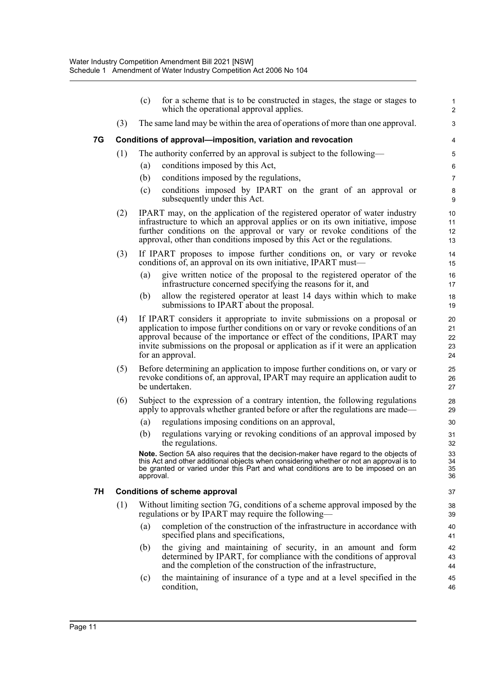|    |     | (c)       | for a scheme that is to be constructed in stages, the stage or stages to<br>which the operational approval applies.                                                                                                                                                                                                                           | $\mathbf{1}$<br>$\overline{2}$    |
|----|-----|-----------|-----------------------------------------------------------------------------------------------------------------------------------------------------------------------------------------------------------------------------------------------------------------------------------------------------------------------------------------------|-----------------------------------|
|    | (3) |           | The same land may be within the area of operations of more than one approval.                                                                                                                                                                                                                                                                 | 3                                 |
| 7G |     |           | Conditions of approval—imposition, variation and revocation                                                                                                                                                                                                                                                                                   | 4                                 |
|    | (1) |           | The authority conferred by an approval is subject to the following—                                                                                                                                                                                                                                                                           | 5                                 |
|    |     | (a)       | conditions imposed by this Act,                                                                                                                                                                                                                                                                                                               | 6                                 |
|    |     | (b)       | conditions imposed by the regulations,                                                                                                                                                                                                                                                                                                        | $\overline{7}$                    |
|    |     | (c)       | conditions imposed by IPART on the grant of an approval or<br>subsequently under this Act.                                                                                                                                                                                                                                                    | 8<br>9                            |
|    | (2) |           | IPART may, on the application of the registered operator of water industry<br>infrastructure to which an approval applies or on its own initiative, impose<br>further conditions on the approval or vary or revoke conditions of the<br>approval, other than conditions imposed by this Act or the regulations.                               | 10 <sup>1</sup><br>11<br>12<br>13 |
|    | (3) |           | If IPART proposes to impose further conditions on, or vary or revoke<br>conditions of, an approval on its own initiative, IPART must—                                                                                                                                                                                                         | 14<br>15                          |
|    |     | (a)       | give written notice of the proposal to the registered operator of the<br>infrastructure concerned specifying the reasons for it, and                                                                                                                                                                                                          | 16<br>17                          |
|    |     | (b)       | allow the registered operator at least 14 days within which to make<br>submissions to IPART about the proposal.                                                                                                                                                                                                                               | 18<br>19                          |
|    | (4) |           | If IPART considers it appropriate to invite submissions on a proposal or<br>application to impose further conditions on or vary or revoke conditions of an<br>approval because of the importance or effect of the conditions, IPART may<br>invite submissions on the proposal or application as if it were an application<br>for an approval. | 20<br>21<br>22<br>23<br>24        |
|    | (5) |           | Before determining an application to impose further conditions on, or vary or<br>revoke conditions of, an approval, IPART may require an application audit to<br>be undertaken.                                                                                                                                                               | 25<br>26<br>27                    |
|    | (6) |           | Subject to the expression of a contrary intention, the following regulations<br>apply to approvals whether granted before or after the regulations are made—                                                                                                                                                                                  | 28<br>29                          |
|    |     | (a)       | regulations imposing conditions on an approval,                                                                                                                                                                                                                                                                                               | 30                                |
|    |     | (b)       | regulations varying or revoking conditions of an approval imposed by<br>the regulations.                                                                                                                                                                                                                                                      | 31<br>32                          |
|    |     | approval. | Note. Section 5A also requires that the decision-maker have regard to the objects of<br>this Act and other additional objects when considering whether or not an approval is to<br>be granted or varied under this Part and what conditions are to be imposed on an                                                                           | 33<br>34<br>35<br>36              |
| 7H |     |           | <b>Conditions of scheme approval</b>                                                                                                                                                                                                                                                                                                          | 37                                |
|    | (1) |           | Without limiting section 7G, conditions of a scheme approval imposed by the<br>regulations or by IPART may require the following-                                                                                                                                                                                                             | 38<br>39                          |
|    |     | (a)       | completion of the construction of the infrastructure in accordance with<br>specified plans and specifications,                                                                                                                                                                                                                                | 40<br>41                          |
|    |     | (b)       | the giving and maintaining of security, in an amount and form<br>determined by IPART, for compliance with the conditions of approval<br>and the completion of the construction of the infrastructure,                                                                                                                                         | 42<br>43<br>44                    |
|    |     | (c)       | the maintaining of insurance of a type and at a level specified in the<br>condition,                                                                                                                                                                                                                                                          | 45<br>46                          |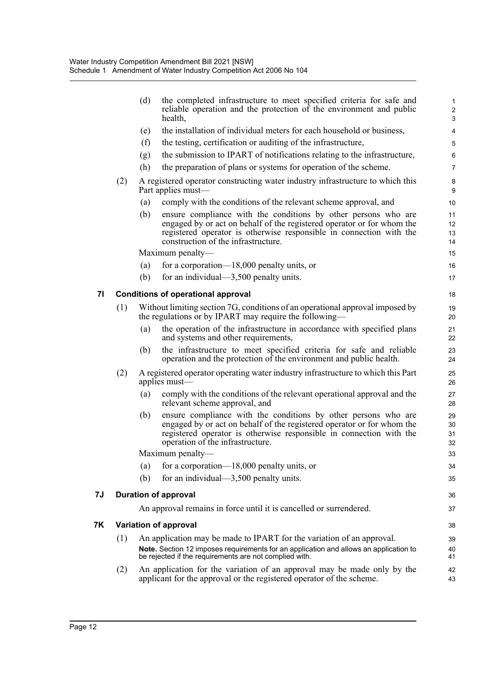|    |     | (d) | the completed infrastructure to meet specified criteria for safe and<br>reliable operation and the protection of the environment and public<br>health,                                                                                                 | $\mathbf{1}$<br>$\overline{c}$<br>3 |
|----|-----|-----|--------------------------------------------------------------------------------------------------------------------------------------------------------------------------------------------------------------------------------------------------------|-------------------------------------|
|    |     | (e) | the installation of individual meters for each household or business,                                                                                                                                                                                  | 4                                   |
|    |     | (f) | the testing, certification or auditing of the infrastructure,                                                                                                                                                                                          | 5                                   |
|    |     | (g) | the submission to IPART of notifications relating to the infrastructure,                                                                                                                                                                               | 6                                   |
|    |     | (h) | the preparation of plans or systems for operation of the scheme.                                                                                                                                                                                       | $\overline{7}$                      |
|    | (2) |     | A registered operator constructing water industry infrastructure to which this<br>Part applies must-                                                                                                                                                   | 8<br>9                              |
|    |     | (a) | comply with the conditions of the relevant scheme approval, and                                                                                                                                                                                        | 10                                  |
|    |     | (b) | ensure compliance with the conditions by other persons who are<br>engaged by or act on behalf of the registered operator or for whom the<br>registered operator is otherwise responsible in connection with the<br>construction of the infrastructure. | 11<br>12<br>13<br>14                |
|    |     |     | Maximum penalty—                                                                                                                                                                                                                                       | 15                                  |
|    |     | (a) | for a corporation— $18,000$ penalty units, or                                                                                                                                                                                                          | 16                                  |
|    |     | (b) | for an individual— $3,500$ penalty units.                                                                                                                                                                                                              | 17                                  |
| 71 |     |     | <b>Conditions of operational approval</b>                                                                                                                                                                                                              | 18                                  |
|    | (1) |     | Without limiting section 7G, conditions of an operational approval imposed by<br>the regulations or by IPART may require the following—                                                                                                                | 19<br>20                            |
|    |     | (a) | the operation of the infrastructure in accordance with specified plans<br>and systems and other requirements,                                                                                                                                          | 21<br>22                            |
|    |     | (b) | the infrastructure to meet specified criteria for safe and reliable<br>operation and the protection of the environment and public health.                                                                                                              | 23<br>24                            |
|    | (2) |     | A registered operator operating water industry infrastructure to which this Part<br>applies must—                                                                                                                                                      | 25<br>26                            |
|    |     | (a) | comply with the conditions of the relevant operational approval and the<br>relevant scheme approval, and                                                                                                                                               | 27<br>28                            |
|    |     | (b) | ensure compliance with the conditions by other persons who are<br>engaged by or act on behalf of the registered operator or for whom the<br>registered operator is otherwise responsible in connection with the<br>operation of the infrastructure.    | 29<br>30<br>31<br>32                |
|    |     |     | Maximum penalty-                                                                                                                                                                                                                                       | 33                                  |
|    |     | (a) | for a corporation— $18,000$ penalty units, or                                                                                                                                                                                                          | 34                                  |
|    |     | (b) | for an individual— $3,500$ penalty units.                                                                                                                                                                                                              | 35                                  |
| 'J |     |     | <b>Duration of approval</b>                                                                                                                                                                                                                            | 36                                  |
|    |     |     | An approval remains in force until it is cancelled or surrendered.                                                                                                                                                                                     | 37                                  |
| Κ  |     |     | Variation of approval                                                                                                                                                                                                                                  | 38                                  |
|    | (1) |     | An application may be made to IPART for the variation of an approval.                                                                                                                                                                                  | 39                                  |
|    |     |     | Note. Section 12 imposes requirements for an application and allows an application to<br>be rejected if the requirements are not complied with.                                                                                                        | 40<br>41                            |
|    | (2) |     | An application for the variation of an approval may be made only by the<br>applicant for the approval or the registered operator of the scheme.                                                                                                        | 42<br>43                            |
|    |     |     |                                                                                                                                                                                                                                                        |                                     |

**7J Duration of approval**

**7K Variation of approval**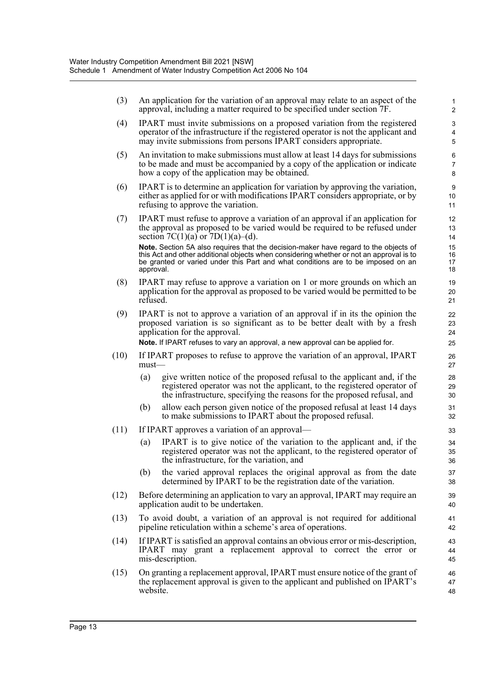| (3)  | An application for the variation of an approval may relate to an aspect of the<br>approval, including a matter required to be specified under section 7F.                                                                                                                        | 1<br>2                   |
|------|----------------------------------------------------------------------------------------------------------------------------------------------------------------------------------------------------------------------------------------------------------------------------------|--------------------------|
| (4)  | IPART must invite submissions on a proposed variation from the registered<br>operator of the infrastructure if the registered operator is not the applicant and<br>may invite submissions from persons IPART considers appropriate.                                              | 3<br>4<br>5              |
| (5)  | An invitation to make submissions must allow at least 14 days for submissions<br>to be made and must be accompanied by a copy of the application or indicate<br>how a copy of the application may be obtained.                                                                   | 6<br>$\overline{7}$<br>8 |
| (6)  | IPART is to determine an application for variation by approving the variation,<br>either as applied for or with modifications IPART considers appropriate, or by<br>refusing to approve the variation.                                                                           | 9<br>10<br>11            |
| (7)  | IPART must refuse to approve a variation of an approval if an application for<br>the approval as proposed to be varied would be required to be refused under<br>section 7C(1)(a) or 7D(1)(a)–(d).                                                                                | 12<br>13<br>14           |
|      | Note. Section 5A also requires that the decision-maker have regard to the objects of<br>this Act and other additional objects when considering whether or not an approval is to<br>be granted or varied under this Part and what conditions are to be imposed on an<br>approval. | 15<br>16<br>17<br>18     |
| (8)  | IPART may refuse to approve a variation on 1 or more grounds on which an<br>application for the approval as proposed to be varied would be permitted to be<br>refused.                                                                                                           | 19<br>20<br>21           |
| (9)  | IPART is not to approve a variation of an approval if in its the opinion the<br>proposed variation is so significant as to be better dealt with by a fresh<br>application for the approval.<br>Note. If IPART refuses to vary an approval, a new approval can be applied for.    | 22<br>23<br>24<br>25     |
| (10) | If IPART proposes to refuse to approve the variation of an approval, IPART<br>$must$ —                                                                                                                                                                                           | 26<br>27                 |
|      | give written notice of the proposed refusal to the applicant and, if the<br>(a)<br>registered operator was not the applicant, to the registered operator of<br>the infrastructure, specifying the reasons for the proposed refusal, and                                          | 28<br>29<br>30           |
|      | allow each person given notice of the proposed refusal at least 14 days<br>(b)<br>to make submissions to IPART about the proposed refusal.                                                                                                                                       | 31<br>32                 |
| (11) | If IPART approves a variation of an approval—                                                                                                                                                                                                                                    | 33                       |
|      | IPART is to give notice of the variation to the applicant and, if the<br>$\left( a\right)$<br>registered operator was not the applicant, to the registered operator of<br>the infrastructure, for the variation, and                                                             | 34<br>35<br>36           |
|      | (b)<br>the varied approval replaces the original approval as from the date<br>determined by IPART to be the registration date of the variation.                                                                                                                                  | 37<br>38                 |
| (12) | Before determining an application to vary an approval, IPART may require an<br>application audit to be undertaken.                                                                                                                                                               | 39<br>40                 |
| (13) | To avoid doubt, a variation of an approval is not required for additional<br>pipeline reticulation within a scheme's area of operations.                                                                                                                                         | 41<br>42                 |
| (14) | If IPART is satisfied an approval contains an obvious error or mis-description,<br>IPART may grant a replacement approval to correct the error or<br>mis-description.                                                                                                            | 43<br>44<br>45           |
| (15) | On granting a replacement approval, IPART must ensure notice of the grant of<br>the replacement approval is given to the applicant and published on IPART's<br>website.                                                                                                          | 46<br>47<br>48           |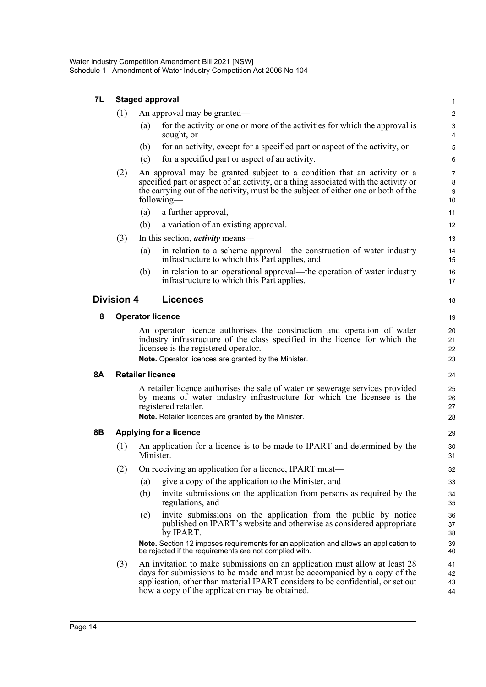| 7L                                         | <b>Staged approval</b> |                         |                                                                                                                                                                                                                                                                                             |                                |  |  |
|--------------------------------------------|------------------------|-------------------------|---------------------------------------------------------------------------------------------------------------------------------------------------------------------------------------------------------------------------------------------------------------------------------------------|--------------------------------|--|--|
|                                            | (1)                    |                         | An approval may be granted—                                                                                                                                                                                                                                                                 | $\overline{c}$                 |  |  |
|                                            |                        | (a)                     | for the activity or one or more of the activities for which the approval is<br>sought, or                                                                                                                                                                                                   | 3<br>4                         |  |  |
|                                            |                        | (b)                     | for an activity, except for a specified part or aspect of the activity, or                                                                                                                                                                                                                  | 5                              |  |  |
|                                            |                        | (c)                     | for a specified part or aspect of an activity.                                                                                                                                                                                                                                              | $6\phantom{1}6$                |  |  |
|                                            | (2)                    |                         | An approval may be granted subject to a condition that an activity or a<br>specified part or aspect of an activity, or a thing associated with the activity or<br>the carrying out of the activity, must be the subject of either one or both of the<br>following-                          | $\overline{7}$<br>8<br>9<br>10 |  |  |
|                                            |                        | (a)                     | a further approval,                                                                                                                                                                                                                                                                         | 11                             |  |  |
|                                            |                        | (b)                     | a variation of an existing approval.                                                                                                                                                                                                                                                        | 12                             |  |  |
|                                            | (3)                    |                         | In this section, <i>activity</i> means—                                                                                                                                                                                                                                                     | 13                             |  |  |
|                                            |                        | (a)                     | in relation to a scheme approval—the construction of water industry<br>infrastructure to which this Part applies, and                                                                                                                                                                       | 14<br>15                       |  |  |
|                                            |                        | (b)                     | in relation to an operational approval—the operation of water industry<br>infrastructure to which this Part applies.                                                                                                                                                                        | 16<br>17                       |  |  |
| <b>Licences</b><br><b>Division 4</b><br>18 |                        |                         |                                                                                                                                                                                                                                                                                             |                                |  |  |
| 8                                          |                        |                         | <b>Operator licence</b>                                                                                                                                                                                                                                                                     |                                |  |  |
|                                            |                        |                         | An operator licence authorises the construction and operation of water<br>industry infrastructure of the class specified in the licence for which the<br>licensee is the registered operator.<br>Note. Operator licences are granted by the Minister.                                       | 20<br>21<br>22<br>23           |  |  |
| <b>8A</b>                                  |                        | <b>Retailer licence</b> |                                                                                                                                                                                                                                                                                             | 24                             |  |  |
|                                            |                        |                         | A retailer licence authorises the sale of water or sewerage services provided<br>by means of water industry infrastructure for which the licensee is the<br>registered retailer.<br>Note. Retailer licences are granted by the Minister.                                                    | 25<br>26<br>27<br>28           |  |  |
| 8B                                         |                        |                         | Applying for a licence                                                                                                                                                                                                                                                                      | 29                             |  |  |
|                                            | (1)                    | Minister.               | An application for a licence is to be made to IPART and determined by the                                                                                                                                                                                                                   | 30<br>31                       |  |  |
|                                            | (2)                    |                         | On receiving an application for a licence, IPART must—                                                                                                                                                                                                                                      | 32                             |  |  |
|                                            |                        | (a)                     | give a copy of the application to the Minister, and                                                                                                                                                                                                                                         | 33                             |  |  |
|                                            |                        | (b)                     | invite submissions on the application from persons as required by the<br>regulations, and                                                                                                                                                                                                   | 34<br>35                       |  |  |
|                                            |                        | (c)                     | invite submissions on the application from the public by notice<br>published on IPART's website and otherwise as considered appropriate<br>by IPART.                                                                                                                                        | 36<br>37<br>38                 |  |  |
|                                            |                        |                         | Note. Section 12 imposes requirements for an application and allows an application to<br>be rejected if the requirements are not complied with.                                                                                                                                             | 39<br>40                       |  |  |
|                                            | (3)                    |                         | An invitation to make submissions on an application must allow at least 28<br>days for submissions to be made and must be accompanied by a copy of the<br>application, other than material IPART considers to be confidential, or set out<br>how a copy of the application may be obtained. | 41<br>42<br>43<br>44           |  |  |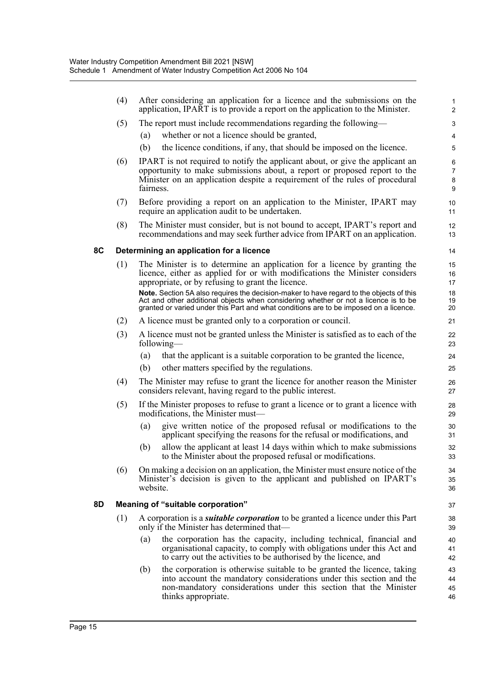|    | (4) | After considering an application for a licence and the submissions on the<br>application, IPART is to provide a report on the application to the Minister.                                                                                                                                               | $\mathbf{1}$<br>$\overline{2}$ |
|----|-----|----------------------------------------------------------------------------------------------------------------------------------------------------------------------------------------------------------------------------------------------------------------------------------------------------------|--------------------------------|
|    | (5) | The report must include recommendations regarding the following—                                                                                                                                                                                                                                         | 3                              |
|    |     | whether or not a licence should be granted,<br>(a)                                                                                                                                                                                                                                                       | $\overline{4}$                 |
|    |     | (b)<br>the licence conditions, if any, that should be imposed on the licence.                                                                                                                                                                                                                            | 5                              |
|    | (6) | IPART is not required to notify the applicant about, or give the applicant an<br>opportunity to make submissions about, a report or proposed report to the<br>Minister on an application despite a requirement of the rules of procedural<br>fairness.                                                   | 6<br>7<br>8<br>9               |
|    | (7) | Before providing a report on an application to the Minister, IPART may<br>require an application audit to be undertaken.                                                                                                                                                                                 | 10<br>11                       |
|    | (8) | The Minister must consider, but is not bound to accept, IPART's report and<br>recommendations and may seek further advice from IPART on an application.                                                                                                                                                  | 12<br>13                       |
| 8C |     | Determining an application for a licence                                                                                                                                                                                                                                                                 | 14                             |
|    | (1) | The Minister is to determine an application for a licence by granting the<br>licence, either as applied for or with modifications the Minister considers<br>appropriate, or by refusing to grant the licence.<br>Note. Section 5A also requires the decision-maker to have regard to the objects of this | 15<br>16<br>17<br>18           |
|    |     | Act and other additional objects when considering whether or not a licence is to be<br>granted or varied under this Part and what conditions are to be imposed on a licence.                                                                                                                             | 19<br>20                       |
|    | (2) | A licence must be granted only to a corporation or council.                                                                                                                                                                                                                                              | 21                             |
|    | (3) | A licence must not be granted unless the Minister is satisfied as to each of the<br>following—                                                                                                                                                                                                           | 22<br>23                       |
|    |     | that the applicant is a suitable corporation to be granted the licence,<br>(a)                                                                                                                                                                                                                           | 24                             |
|    |     | other matters specified by the regulations.<br>(b)                                                                                                                                                                                                                                                       | 25                             |
|    | (4) | The Minister may refuse to grant the licence for another reason the Minister<br>considers relevant, having regard to the public interest.                                                                                                                                                                | 26<br>27                       |
|    | (5) | If the Minister proposes to refuse to grant a licence or to grant a licence with<br>modifications, the Minister must-                                                                                                                                                                                    | 28<br>29                       |
|    |     | give written notice of the proposed refusal or modifications to the<br>(a)<br>applicant specifying the reasons for the refusal or modifications, and                                                                                                                                                     | 30<br>31                       |
|    |     | allow the applicant at least 14 days within which to make submissions<br>(b)<br>to the Minister about the proposed refusal or modifications.                                                                                                                                                             | 32<br>33                       |
|    | (6) | On making a decision on an application, the Minister must ensure notice of the<br>Minister's decision is given to the applicant and published on IPART's<br>website.                                                                                                                                     | 34<br>35<br>36                 |
| 8D |     | Meaning of "suitable corporation"                                                                                                                                                                                                                                                                        | 37                             |
|    | (1) | A corporation is a <i>suitable corporation</i> to be granted a licence under this Part<br>only if the Minister has determined that—                                                                                                                                                                      | 38<br>39                       |
|    |     | the corporation has the capacity, including technical, financial and<br>(a)<br>organisational capacity, to comply with obligations under this Act and<br>to carry out the activities to be authorised by the licence, and                                                                                | 40<br>41<br>42                 |
|    |     | the corporation is otherwise suitable to be granted the licence, taking<br>(b)<br>into account the mandatory considerations under this section and the<br>non-mandatory considerations under this section that the Minister<br>thinks appropriate.                                                       | 43<br>44<br>45<br>46           |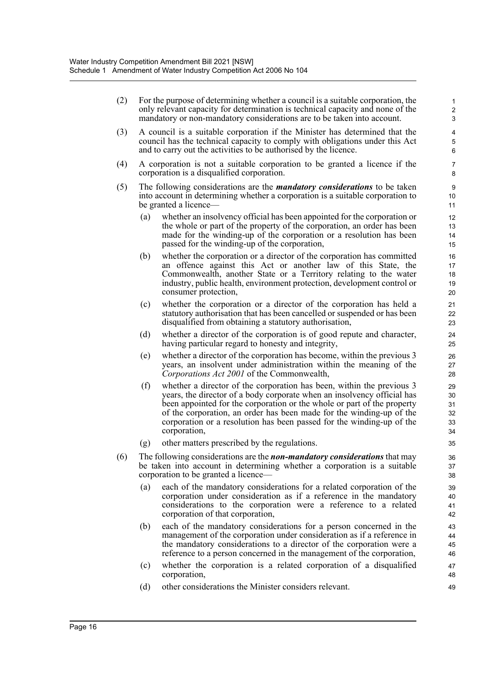| (2) |                   | For the purpose of determining whether a council is a suitable corporation, the<br>only relevant capacity for determination is technical capacity and none of the<br>mandatory or non-mandatory considerations are to be taken into account.                                                                                                                                                 | 1<br>$\overline{2}$<br>3         |  |
|-----|-------------------|----------------------------------------------------------------------------------------------------------------------------------------------------------------------------------------------------------------------------------------------------------------------------------------------------------------------------------------------------------------------------------------------|----------------------------------|--|
| (3) |                   | A council is a suitable corporation if the Minister has determined that the<br>council has the technical capacity to comply with obligations under this Act<br>and to carry out the activities to be authorised by the licence.                                                                                                                                                              |                                  |  |
| (4) |                   | A corporation is not a suitable corporation to be granted a licence if the<br>corporation is a disqualified corporation.                                                                                                                                                                                                                                                                     |                                  |  |
| (5) |                   | The following considerations are the <i>mandatory considerations</i> to be taken<br>into account in determining whether a corporation is a suitable corporation to<br>be granted a licence—                                                                                                                                                                                                  | 9<br>10 <sup>1</sup><br>11       |  |
|     | $\left( a\right)$ | whether an insolvency official has been appointed for the corporation or<br>the whole or part of the property of the corporation, an order has been<br>made for the winding-up of the corporation or a resolution has been<br>passed for the winding-up of the corporation,                                                                                                                  | 12<br>13<br>14<br>15             |  |
|     | (b)               | whether the corporation or a director of the corporation has committed<br>an offence against this Act or another law of this State, the<br>Commonwealth, another State or a Territory relating to the water<br>industry, public health, environment protection, development control or<br>consumer protection,                                                                               | 16<br>17<br>18<br>19<br>20       |  |
|     | (c)               | whether the corporation or a director of the corporation has held a<br>statutory authorisation that has been cancelled or suspended or has been<br>disqualified from obtaining a statutory authorisation,                                                                                                                                                                                    | 21<br>22<br>23                   |  |
|     | (d)               | whether a director of the corporation is of good repute and character,<br>having particular regard to honesty and integrity,                                                                                                                                                                                                                                                                 | 24<br>25                         |  |
|     | (e)               | whether a director of the corporation has become, within the previous 3<br>years, an insolvent under administration within the meaning of the<br>Corporations Act 2001 of the Commonwealth,                                                                                                                                                                                                  | 26<br>27<br>28                   |  |
|     | (f)               | whether a director of the corporation has been, within the previous 3<br>years, the director of a body corporate when an insolvency official has<br>been appointed for the corporation or the whole or part of the property<br>of the corporation, an order has been made for the winding-up of the<br>corporation or a resolution has been passed for the winding-up of the<br>corporation, | 29<br>30<br>31<br>32<br>33<br>34 |  |
|     | (g)               | other matters prescribed by the regulations.                                                                                                                                                                                                                                                                                                                                                 | 35                               |  |
| (6) |                   | The following considerations are the non-mandatory considerations that may<br>be taken into account in determining whether a corporation is a suitable<br>corporation to be granted a licence—                                                                                                                                                                                               | 36<br>37<br>38                   |  |
|     | (a)               | each of the mandatory considerations for a related corporation of the<br>corporation under consideration as if a reference in the mandatory<br>considerations to the corporation were a reference to a related<br>corporation of that corporation,                                                                                                                                           | 39<br>40<br>41<br>42             |  |
|     | (b)               | each of the mandatory considerations for a person concerned in the<br>management of the corporation under consideration as if a reference in<br>the mandatory considerations to a director of the corporation were a<br>reference to a person concerned in the management of the corporation,                                                                                                | 43<br>44<br>45<br>46             |  |
|     | (c)               | whether the corporation is a related corporation of a disqualified<br>corporation,                                                                                                                                                                                                                                                                                                           | 47<br>48                         |  |
|     | (d)               | other considerations the Minister considers relevant.                                                                                                                                                                                                                                                                                                                                        | 49                               |  |

(d) other considerations the Minister considers relevant.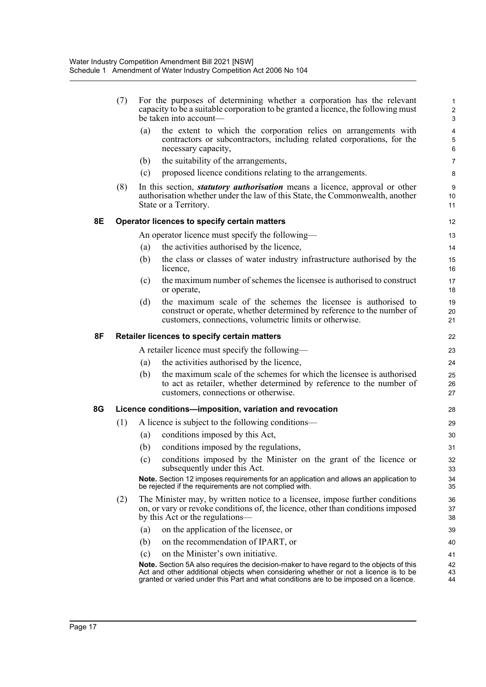|    | (7) |                   | For the purposes of determining whether a corporation has the relevant<br>capacity to be a suitable corporation to be granted a licence, the following must<br>be taken into account—                                                                                          | 3              |
|----|-----|-------------------|--------------------------------------------------------------------------------------------------------------------------------------------------------------------------------------------------------------------------------------------------------------------------------|----------------|
|    |     | (a)               | the extent to which the corporation relies on arrangements with<br>contractors or subcontractors, including related corporations, for the<br>necessary capacity,                                                                                                               | 6              |
|    |     | (b)               | the suitability of the arrangements,                                                                                                                                                                                                                                           | 7              |
|    |     | (c)               | proposed licence conditions relating to the arrangements.                                                                                                                                                                                                                      | 8              |
|    | (8) |                   | In this section, <i>statutory authorisation</i> means a licence, approval or other<br>authorisation whether under the law of this State, the Commonwealth, another<br>State or a Territory.                                                                                    | g<br>10<br>11  |
| 8E |     |                   | Operator licences to specify certain matters                                                                                                                                                                                                                                   | 12             |
|    |     |                   | An operator licence must specify the following—                                                                                                                                                                                                                                | 13             |
|    |     | (a)               | the activities authorised by the licence,                                                                                                                                                                                                                                      | 14             |
|    |     | (b)               | the class or classes of water industry infrastructure authorised by the<br>licence,                                                                                                                                                                                            | 15<br>16       |
|    |     | (c)               | the maximum number of schemes the licensee is authorised to construct<br>or operate,                                                                                                                                                                                           | 17<br>18       |
|    |     | (d)               | the maximum scale of the schemes the licensee is authorised to<br>construct or operate, whether determined by reference to the number of<br>customers, connections, volumetric limits or otherwise.                                                                            | 19<br>20<br>21 |
| 8F |     |                   | Retailer licences to specify certain matters                                                                                                                                                                                                                                   | 22             |
|    |     |                   | A retailer licence must specify the following—                                                                                                                                                                                                                                 | 23             |
|    |     | (a)               | the activities authorised by the licence,                                                                                                                                                                                                                                      | 24             |
|    |     | (b)               | the maximum scale of the schemes for which the licensee is authorised<br>to act as retailer, whether determined by reference to the number of<br>customers, connections or otherwise.                                                                                          | 25<br>26<br>27 |
| 8G |     |                   | Licence conditions-imposition, variation and revocation                                                                                                                                                                                                                        | 28             |
|    | (1) |                   | A licence is subject to the following conditions—                                                                                                                                                                                                                              | 29             |
|    |     | (a)               | conditions imposed by this Act,                                                                                                                                                                                                                                                | 30             |
|    |     | (b)               | conditions imposed by the regulations,                                                                                                                                                                                                                                         | 31             |
|    |     | (c)               | conditions imposed by the Minister on the grant of the licence or<br>subsequently under this Act.                                                                                                                                                                              | 32<br>33       |
|    |     |                   | Note. Section 12 imposes requirements for an application and allows an application to<br>be rejected if the requirements are not complied with.                                                                                                                                | 34<br>35       |
|    | (2) |                   | The Minister may, by written notice to a licensee, impose further conditions<br>on, or vary or revoke conditions of, the licence, other than conditions imposed<br>by this Act or the regulations—                                                                             | 36<br>37<br>38 |
|    |     | $\left( a\right)$ | on the application of the licensee, or                                                                                                                                                                                                                                         | 39             |
|    |     | (b)               | on the recommendation of IPART, or                                                                                                                                                                                                                                             | 40             |
|    |     | (c)               | on the Minister's own initiative.                                                                                                                                                                                                                                              | 41             |
|    |     |                   | <b>Note.</b> Section 5A also requires the decision-maker to have regard to the objects of this<br>Act and other additional objects when considering whether or not a licence is to be<br>granted or varied under this Part and what conditions are to be imposed on a licence. | 42<br>43<br>44 |
|    |     |                   |                                                                                                                                                                                                                                                                                |                |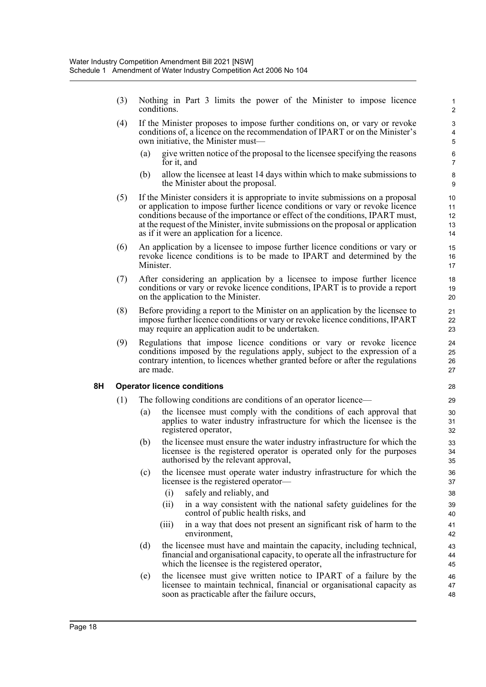- (3) Nothing in Part 3 limits the power of the Minister to impose licence conditions.
- (4) If the Minister proposes to impose further conditions on, or vary or revoke conditions of, a licence on the recommendation of IPART or on the Minister's own initiative, the Minister must—
	- (a) give written notice of the proposal to the licensee specifying the reasons for it, and

- (b) allow the licensee at least 14 days within which to make submissions to the Minister about the proposal.
- (5) If the Minister considers it is appropriate to invite submissions on a proposal or application to impose further licence conditions or vary or revoke licence conditions because of the importance or effect of the conditions, IPART must, at the request of the Minister, invite submissions on the proposal or application as if it were an application for a licence.
- (6) An application by a licensee to impose further licence conditions or vary or revoke licence conditions is to be made to IPART and determined by the Minister.
- (7) After considering an application by a licensee to impose further licence conditions or vary or revoke licence conditions, IPART is to provide a report on the application to the Minister.
- (8) Before providing a report to the Minister on an application by the licensee to impose further licence conditions or vary or revoke licence conditions, IPART may require an application audit to be undertaken.
- (9) Regulations that impose licence conditions or vary or revoke licence conditions imposed by the regulations apply, subject to the expression of a contrary intention, to licences whether granted before or after the regulations are made.

#### **8H Operator licence conditions**

- (1) The following conditions are conditions of an operator licence—
	- (a) the licensee must comply with the conditions of each approval that applies to water industry infrastructure for which the licensee is the registered operator,
	- (b) the licensee must ensure the water industry infrastructure for which the licensee is the registered operator is operated only for the purposes authorised by the relevant approval,
	- (c) the licensee must operate water industry infrastructure for which the licensee is the registered operator—
		- (i) safely and reliably, and
		- (ii) in a way consistent with the national safety guidelines for the control of public health risks, and
		- (iii) in a way that does not present an significant risk of harm to the environment,
	- (d) the licensee must have and maintain the capacity, including technical, financial and organisational capacity, to operate all the infrastructure for which the licensee is the registered operator,
	- (e) the licensee must give written notice to IPART of a failure by the licensee to maintain technical, financial or organisational capacity as soon as practicable after the failure occurs,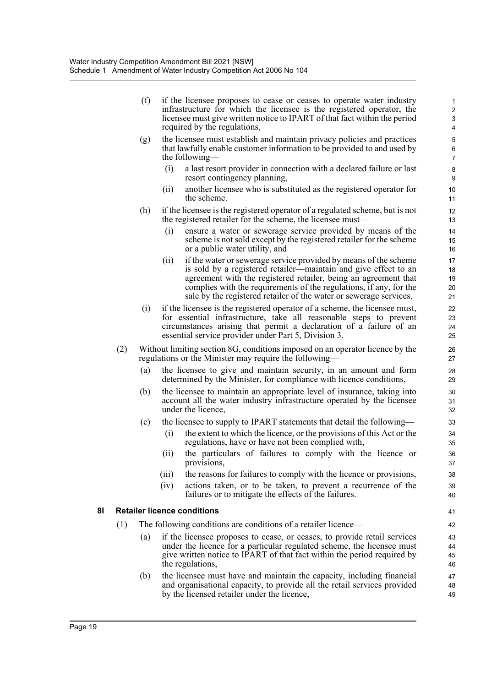| (f) | if the licensee proposes to cease or ceases to operate water industry<br>infrastructure for which the licensee is the registered operator, the<br>licensee must give written notice to IPART of that fact within the period<br>required by the regulations,                                                                                               |  |
|-----|-----------------------------------------------------------------------------------------------------------------------------------------------------------------------------------------------------------------------------------------------------------------------------------------------------------------------------------------------------------|--|
|     | $\lambda$ and $\lambda$ and $\lambda$ and $\lambda$ and $\lambda$ and $\lambda$ and $\lambda$ and $\lambda$ and $\lambda$ and $\lambda$ and $\lambda$ and $\lambda$ and $\lambda$ and $\lambda$ and $\lambda$ and $\lambda$ and $\lambda$ and $\lambda$ and $\lambda$ and $\lambda$ and $\lambda$ and $\lambda$ and $\lambda$ and $\lambda$ and $\lambda$ |  |

- (g) the licensee must establish and maintain privacy policies and practices that lawfully enable customer information to be provided to and used by the following—
	- (i) a last resort provider in connection with a declared failure or last resort contingency planning,
	- (ii) another licensee who is substituted as the registered operator for the scheme.
- (h) if the licensee is the registered operator of a regulated scheme, but is not the registered retailer for the scheme, the licensee must—
	- (i) ensure a water or sewerage service provided by means of the scheme is not sold except by the registered retailer for the scheme or a public water utility, and
	- (ii) if the water or sewerage service provided by means of the scheme is sold by a registered retailer—maintain and give effect to an agreement with the registered retailer, being an agreement that complies with the requirements of the regulations, if any, for the sale by the registered retailer of the water or sewerage services,
- (i) if the licensee is the registered operator of a scheme, the licensee must, for essential infrastructure, take all reasonable steps to prevent circumstances arising that permit a declaration of a failure of an essential service provider under Part 5, Division 3.
- (2) Without limiting section 8G, conditions imposed on an operator licence by the regulations or the Minister may require the following—
	- (a) the licensee to give and maintain security, in an amount and form determined by the Minister, for compliance with licence conditions,
	- (b) the licensee to maintain an appropriate level of insurance, taking into account all the water industry infrastructure operated by the licensee under the licence,
	- (c) the licensee to supply to IPART statements that detail the following—
		- (i) the extent to which the licence, or the provisions of this Act or the regulations, have or have not been complied with,
		- (ii) the particulars of failures to comply with the licence or provisions,
		- (iii) the reasons for failures to comply with the licence or provisions,
		- (iv) actions taken, or to be taken, to prevent a recurrence of the failures or to mitigate the effects of the failures.

#### **8I Retailer licence conditions**

- (1) The following conditions are conditions of a retailer licence—
	- (a) if the licensee proposes to cease, or ceases, to provide retail services under the licence for a particular regulated scheme, the licensee must give written notice to IPART of that fact within the period required by the regulations,
	- (b) the licensee must have and maintain the capacity, including financial and organisational capacity, to provide all the retail services provided by the licensed retailer under the licence,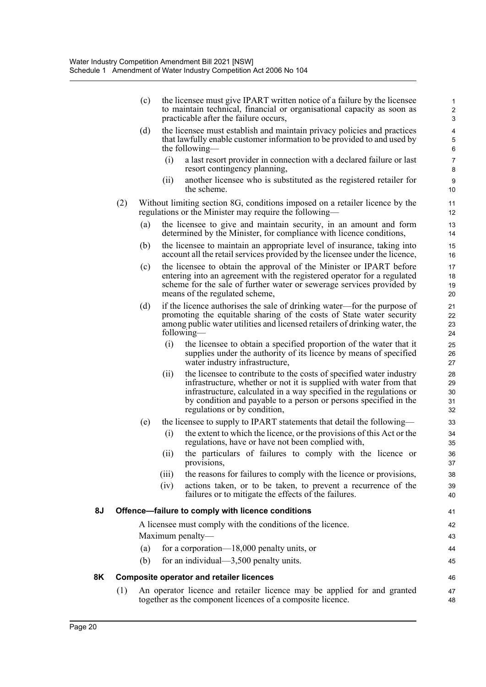|    |     | (c) |       | the licensee must give IPART written notice of a failure by the licensee<br>to maintain technical, financial or organisational capacity as soon as<br>practicable after the failure occurs,                                                                                                                          | $\mathbf{1}$<br>$\overline{\mathbf{c}}$<br>$\mathsf 3$ |
|----|-----|-----|-------|----------------------------------------------------------------------------------------------------------------------------------------------------------------------------------------------------------------------------------------------------------------------------------------------------------------------|--------------------------------------------------------|
|    |     | (d) |       | the licensee must establish and maintain privacy policies and practices<br>that lawfully enable customer information to be provided to and used by<br>the following—                                                                                                                                                 | $\overline{\mathbf{4}}$<br>$\mathbf 5$<br>6            |
|    |     |     | (i)   | a last resort provider in connection with a declared failure or last<br>resort contingency planning,                                                                                                                                                                                                                 | $\overline{7}$<br>8                                    |
|    |     |     | (ii)  | another licensee who is substituted as the registered retailer for<br>the scheme.                                                                                                                                                                                                                                    | 9<br>10                                                |
|    | (2) |     |       | Without limiting section 8G, conditions imposed on a retailer licence by the<br>regulations or the Minister may require the following—                                                                                                                                                                               | 11<br>12                                               |
|    |     | (a) |       | the licensee to give and maintain security, in an amount and form<br>determined by the Minister, for compliance with licence conditions,                                                                                                                                                                             | 13<br>14                                               |
|    |     | (b) |       | the licensee to maintain an appropriate level of insurance, taking into<br>account all the retail services provided by the licensee under the licence,                                                                                                                                                               | 15<br>16                                               |
|    |     | (c) |       | the licensee to obtain the approval of the Minister or IPART before<br>entering into an agreement with the registered operator for a regulated<br>scheme for the sale of further water or sewerage services provided by<br>means of the regulated scheme,                                                            | 17<br>18<br>19<br>20                                   |
|    |     | (d) |       | if the licence authorises the sale of drinking water—for the purpose of<br>promoting the equitable sharing of the costs of State water security<br>among public water utilities and licensed retailers of drinking water, the<br>following—                                                                          | 21<br>22<br>23<br>24                                   |
|    |     |     | (i)   | the licensee to obtain a specified proportion of the water that it<br>supplies under the authority of its licence by means of specified<br>water industry infrastructure,                                                                                                                                            | 25<br>26<br>27                                         |
|    |     |     | (ii)  | the licensee to contribute to the costs of specified water industry<br>infrastructure, whether or not it is supplied with water from that<br>infrastructure, calculated in a way specified in the regulations or<br>by condition and payable to a person or persons specified in the<br>regulations or by condition, | 28<br>29<br>30<br>31<br>32                             |
|    |     | (e) |       | the licensee to supply to IPART statements that detail the following—                                                                                                                                                                                                                                                | 33                                                     |
|    |     |     | (i)   | the extent to which the licence, or the provisions of this Act or the<br>regulations, have or have not been complied with,                                                                                                                                                                                           | 34<br>35                                               |
|    |     |     | (ii)  | the particulars of failures to comply with the licence or<br>provisions,                                                                                                                                                                                                                                             | 36<br>37                                               |
|    |     |     | (iii) | the reasons for failures to comply with the licence or provisions,                                                                                                                                                                                                                                                   | 38                                                     |
|    |     |     | (iv)  | actions taken, or to be taken, to prevent a recurrence of the<br>failures or to mitigate the effects of the failures.                                                                                                                                                                                                | 39<br>40                                               |
| 8J |     |     |       | Offence-failure to comply with licence conditions                                                                                                                                                                                                                                                                    | 41                                                     |
|    |     |     |       | A licensee must comply with the conditions of the licence.                                                                                                                                                                                                                                                           | 42                                                     |
|    |     |     |       | Maximum penalty—                                                                                                                                                                                                                                                                                                     | 43                                                     |
|    |     | (a) |       | for a corporation-18,000 penalty units, or                                                                                                                                                                                                                                                                           | 44                                                     |
|    |     | (b) |       | for an individual— $3,500$ penalty units.                                                                                                                                                                                                                                                                            | 45                                                     |
| 8K |     |     |       | <b>Composite operator and retailer licences</b>                                                                                                                                                                                                                                                                      | 46                                                     |
|    | (1) |     |       | An operator licence and retailer licence may be applied for and granted<br>together as the component licences of a composite licence.                                                                                                                                                                                | 47<br>48                                               |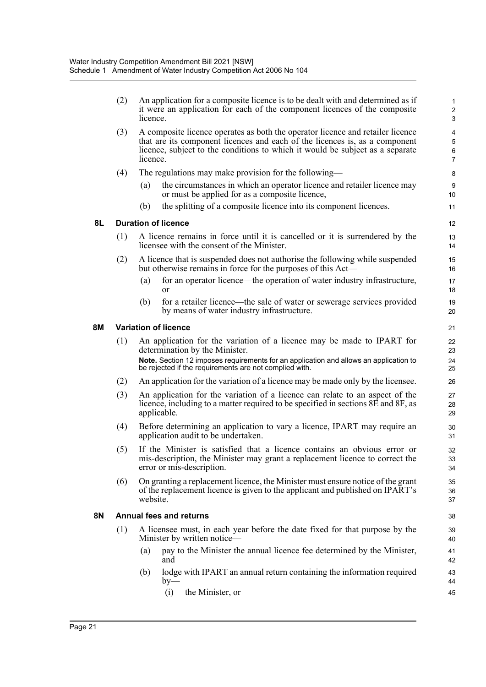|    | (2) | An application for a composite licence is to be dealt with and determined as if<br>it were an application for each of the component licences of the composite<br>licence.                                                                                   | 1<br>$\overline{c}$<br>3      |
|----|-----|-------------------------------------------------------------------------------------------------------------------------------------------------------------------------------------------------------------------------------------------------------------|-------------------------------|
|    | (3) | A composite licence operates as both the operator licence and retailer licence<br>that are its component licences and each of the licences is, as a component<br>licence, subject to the conditions to which it would be subject as a separate<br>licence.  | 4<br>5<br>6<br>$\overline{7}$ |
|    | (4) | The regulations may make provision for the following—                                                                                                                                                                                                       | 8                             |
|    |     | the circumstances in which an operator licence and retailer licence may<br>(a)<br>or must be applied for as a composite licence,                                                                                                                            | $\boldsymbol{9}$<br>10        |
|    |     | the splitting of a composite licence into its component licences.<br>(b)                                                                                                                                                                                    | 11                            |
| 8L |     | <b>Duration of licence</b>                                                                                                                                                                                                                                  | 12                            |
|    | (1) | A licence remains in force until it is cancelled or it is surrendered by the<br>licensee with the consent of the Minister.                                                                                                                                  | 13<br>14                      |
|    | (2) | A licence that is suspended does not authorise the following while suspended<br>but otherwise remains in force for the purposes of this Act—                                                                                                                | 15<br>16                      |
|    |     | for an operator licence—the operation of water industry infrastructure,<br>(a)<br>or                                                                                                                                                                        | 17<br>18                      |
|    |     | for a retailer licence—the sale of water or sewerage services provided<br>(b)<br>by means of water industry infrastructure.                                                                                                                                 | 19<br>20                      |
| 8M |     | <b>Variation of licence</b>                                                                                                                                                                                                                                 | 21                            |
|    | (1) | An application for the variation of a licence may be made to IPART for<br>determination by the Minister.<br>Note. Section 12 imposes requirements for an application and allows an application to<br>be rejected if the requirements are not complied with. | 22<br>23<br>24<br>25          |
|    | (2) | An application for the variation of a licence may be made only by the licensee.                                                                                                                                                                             | 26                            |
|    | (3) | An application for the variation of a licence can relate to an aspect of the<br>licence, including to a matter required to be specified in sections 8E and 8F, as<br>applicable.                                                                            | 27<br>28<br>29                |
|    | (4) | Before determining an application to vary a licence, IPART may require an<br>application audit to be undertaken.                                                                                                                                            | 30<br>31                      |
|    | (5) | If the Minister is satisfied that a licence contains an obvious error or<br>mis-description, the Minister may grant a replacement licence to correct the<br>error or mis-description.                                                                       | 32<br>33<br>34                |
|    | (6) | On granting a replacement licence, the Minister must ensure notice of the grant<br>of the replacement licence is given to the applicant and published on IPART's<br>website.                                                                                | 35<br>36<br>37                |
| 8N |     | <b>Annual fees and returns</b>                                                                                                                                                                                                                              | 38                            |
|    | (1) | A licensee must, in each year before the date fixed for that purpose by the<br>Minister by written notice-                                                                                                                                                  | 39<br>40                      |
|    |     | pay to the Minister the annual licence fee determined by the Minister,<br>(a)<br>and                                                                                                                                                                        | 41<br>42                      |
|    |     | lodge with IPART an annual return containing the information required<br>(b)<br>$by-$                                                                                                                                                                       | 43<br>44                      |
|    |     | the Minister, or<br>(i)                                                                                                                                                                                                                                     | 45                            |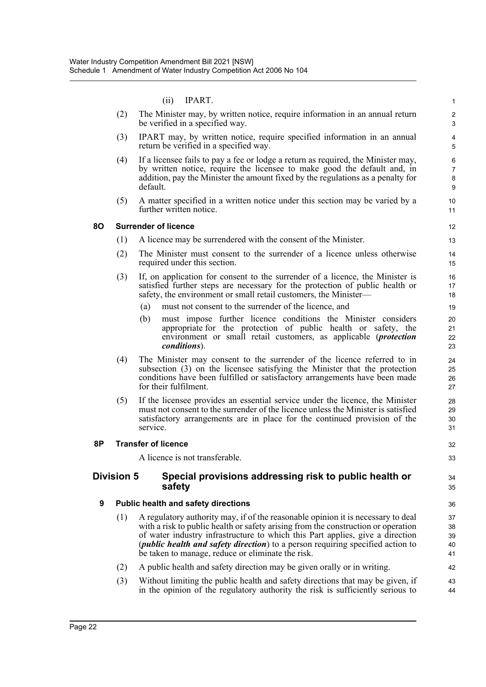#### (ii) IPART.

|    |                                            | (ii)<br>IPART.                                                                                                                                                                                                                                                                                                                                                                                         | 1                             |  |  |
|----|--------------------------------------------|--------------------------------------------------------------------------------------------------------------------------------------------------------------------------------------------------------------------------------------------------------------------------------------------------------------------------------------------------------------------------------------------------------|-------------------------------|--|--|
|    | (2)                                        | The Minister may, by written notice, require information in an annual return<br>be verified in a specified way.                                                                                                                                                                                                                                                                                        | $\overline{\mathbf{c}}$<br>3  |  |  |
|    | (3)                                        | IPART may, by written notice, require specified information in an annual<br>return be verified in a specified way.                                                                                                                                                                                                                                                                                     | $\overline{\mathbf{4}}$<br>5  |  |  |
|    | (4)                                        | If a licensee fails to pay a fee or lodge a return as required, the Minister may,<br>by written notice, require the licensee to make good the default and, in<br>addition, pay the Minister the amount fixed by the regulations as a penalty for<br>default.                                                                                                                                           | 6<br>$\overline{7}$<br>8<br>9 |  |  |
|    | (5)                                        | A matter specified in a written notice under this section may be varied by a<br>further written notice.                                                                                                                                                                                                                                                                                                | 10<br>11                      |  |  |
| 80 |                                            | <b>Surrender of licence</b>                                                                                                                                                                                                                                                                                                                                                                            | 12                            |  |  |
|    | (1)                                        | A licence may be surrendered with the consent of the Minister.                                                                                                                                                                                                                                                                                                                                         | 13                            |  |  |
|    | (2)                                        | The Minister must consent to the surrender of a licence unless otherwise<br>required under this section.                                                                                                                                                                                                                                                                                               | 14<br>15                      |  |  |
|    | (3)                                        | If, on application for consent to the surrender of a licence, the Minister is<br>satisfied further steps are necessary for the protection of public health or<br>safety, the environment or small retail customers, the Minister-                                                                                                                                                                      | 16<br>17<br>18                |  |  |
|    |                                            | must not consent to the surrender of the licence, and<br>(a)                                                                                                                                                                                                                                                                                                                                           | 19                            |  |  |
|    |                                            | must impose further licence conditions the Minister considers<br>(b)<br>appropriate for the protection of public health or safety, the<br>environment or small retail customers, as applicable ( <i>protection</i><br><i>conditions</i> ).                                                                                                                                                             | 20<br>21<br>22<br>23          |  |  |
|    | (4)                                        | The Minister may consent to the surrender of the licence referred to in<br>subsection (3) on the licensee satisfying the Minister that the protection<br>conditions have been fulfilled or satisfactory arrangements have been made<br>for their fulfilment.                                                                                                                                           | 24<br>25<br>26<br>27          |  |  |
|    | (5)                                        | If the licensee provides an essential service under the licence, the Minister<br>must not consent to the surrender of the licence unless the Minister is satisfied<br>satisfactory arrangements are in place for the continued provision of the<br>service.                                                                                                                                            | 28<br>29<br>30<br>31          |  |  |
| 8P |                                            | <b>Transfer of licence</b>                                                                                                                                                                                                                                                                                                                                                                             | 32                            |  |  |
|    |                                            | A licence is not transferable.                                                                                                                                                                                                                                                                                                                                                                         | 33                            |  |  |
|    | <b>Division 5</b>                          | Special provisions addressing risk to public health or<br>safety                                                                                                                                                                                                                                                                                                                                       | 34<br>35                      |  |  |
| 9  | <b>Public health and safety directions</b> |                                                                                                                                                                                                                                                                                                                                                                                                        |                               |  |  |
|    | (1)                                        | A regulatory authority may, if of the reasonable opinion it is necessary to deal<br>with a risk to public health or safety arising from the construction or operation<br>of water industry infrastructure to which this Part applies, give a direction<br>( <i>public health and safety direction</i> ) to a person requiring specified action to<br>be taken to manage, reduce or eliminate the risk. | 37<br>38<br>39<br>40<br>41    |  |  |
|    | (2)                                        | A public health and safety direction may be given orally or in writing.                                                                                                                                                                                                                                                                                                                                | 42                            |  |  |
|    | (3)                                        | Without limiting the public health and safety directions that may be given, if<br>in the opinion of the regulatory authority the risk is sufficiently serious to                                                                                                                                                                                                                                       | 43<br>44                      |  |  |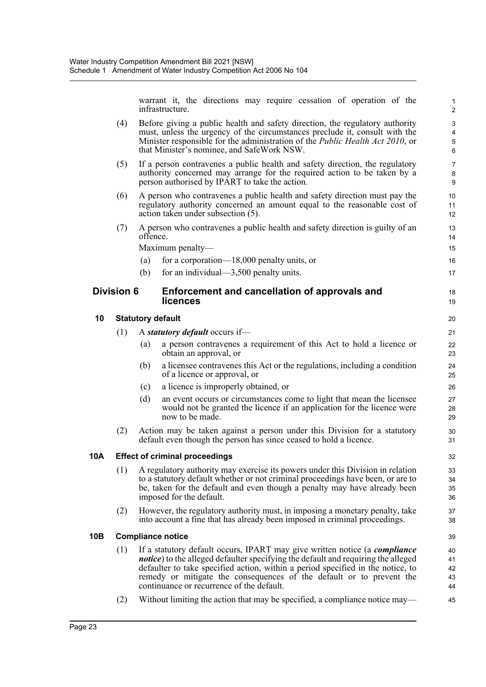warrant it, the directions may require cessation of operation of the infrastructure.

1

|     |                   |          | infrastructure.                                                                                                                                                                                                                                                                                                                                                                        | $\overline{c}$                                                  |
|-----|-------------------|----------|----------------------------------------------------------------------------------------------------------------------------------------------------------------------------------------------------------------------------------------------------------------------------------------------------------------------------------------------------------------------------------------|-----------------------------------------------------------------|
|     | (4)               |          | Before giving a public health and safety direction, the regulatory authority<br>must, unless the urgency of the circumstances preclude it, consult with the<br>Minister responsible for the administration of the <i>Public Health Act 2010</i> , or<br>that Minister's nominee, and SafeWork NSW.                                                                                     | $\sqrt{3}$<br>$\overline{\mathbf{4}}$<br>$\mathbf 5$<br>$\,6\,$ |
|     | (5)               |          | If a person contravenes a public health and safety direction, the regulatory<br>authority concerned may arrange for the required action to be taken by a<br>person authorised by IPART to take the action.                                                                                                                                                                             | $\overline{7}$<br>8<br>9                                        |
|     | (6)               |          | A person who contravenes a public health and safety direction must pay the<br>regulatory authority concerned an amount equal to the reasonable cost of<br>action taken under subsection (5).                                                                                                                                                                                           | 10<br>11<br>12                                                  |
|     | (7)               | offence. | A person who contravenes a public health and safety direction is guilty of an                                                                                                                                                                                                                                                                                                          | 13<br>14                                                        |
|     |                   |          | Maximum penalty-                                                                                                                                                                                                                                                                                                                                                                       | 15                                                              |
|     |                   | (a)      | for a corporation— $18,000$ penalty units, or                                                                                                                                                                                                                                                                                                                                          | 16                                                              |
|     |                   | (b)      | for an individual— $3,500$ penalty units.                                                                                                                                                                                                                                                                                                                                              | 17                                                              |
|     | <b>Division 6</b> |          | Enforcement and cancellation of approvals and<br>licences                                                                                                                                                                                                                                                                                                                              | 18<br>19                                                        |
| 10  |                   |          | <b>Statutory default</b>                                                                                                                                                                                                                                                                                                                                                               | 20                                                              |
|     | (1)               |          | A statutory default occurs if-                                                                                                                                                                                                                                                                                                                                                         | 21                                                              |
|     |                   | (a)      | a person contravenes a requirement of this Act to hold a licence or<br>obtain an approval, or                                                                                                                                                                                                                                                                                          | 22<br>23                                                        |
|     |                   | (b)      | a licensee contravenes this Act or the regulations, including a condition<br>of a licence or approval, or                                                                                                                                                                                                                                                                              | 24<br>25                                                        |
|     |                   | (c)      | a licence is improperly obtained, or                                                                                                                                                                                                                                                                                                                                                   | 26                                                              |
|     |                   | (d)      | an event occurs or circumstances come to light that mean the licensee<br>would not be granted the licence if an application for the licence were<br>now to be made.                                                                                                                                                                                                                    | 27<br>28<br>29                                                  |
|     | (2)               |          | Action may be taken against a person under this Division for a statutory<br>default even though the person has since ceased to hold a licence.                                                                                                                                                                                                                                         | 30<br>31                                                        |
| 10A |                   |          | <b>Effect of criminal proceedings</b>                                                                                                                                                                                                                                                                                                                                                  | 32                                                              |
|     |                   |          | (1) A regulatory authority may exercise its powers under this Division in relation<br>to a statutory default whether or not criminal proceedings have been, or are to<br>be, taken for the default and even though a penalty may have already been<br>imposed for the default.                                                                                                         | 33<br>34<br>35<br>36                                            |
|     | (2)               |          | However, the regulatory authority must, in imposing a monetary penalty, take<br>into account a fine that has already been imposed in criminal proceedings.                                                                                                                                                                                                                             | 37<br>38                                                        |
| 10B |                   |          | <b>Compliance notice</b>                                                                                                                                                                                                                                                                                                                                                               | 39                                                              |
|     | (1)               |          | If a statutory default occurs, IPART may give written notice (a <i>compliance</i><br><i>notice</i> ) to the alleged defaulter specifying the default and requiring the alleged<br>defaulter to take specified action, within a period specified in the notice, to<br>remedy or mitigate the consequences of the default or to prevent the<br>continuance or recurrence of the default. | 40<br>41<br>42<br>43<br>44                                      |
|     | (2)               |          | Without limiting the action that may be specified, a compliance notice may—                                                                                                                                                                                                                                                                                                            | 45                                                              |
|     |                   |          |                                                                                                                                                                                                                                                                                                                                                                                        |                                                                 |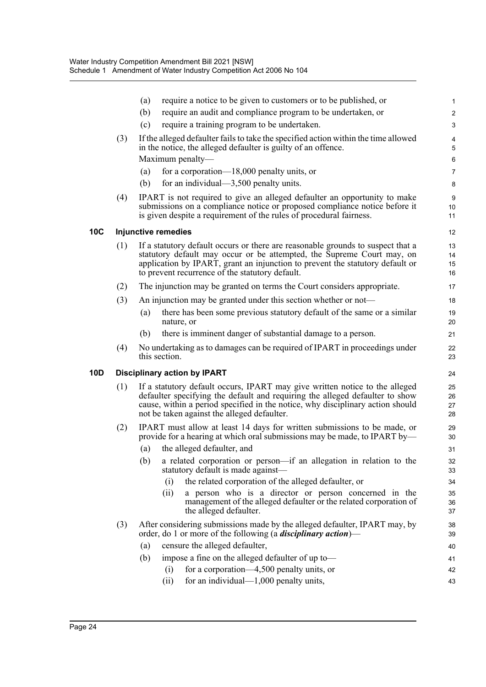|     |     | require a notice to be given to customers or to be published, or<br>(a)                                                                                                                                                                                                                       | 1                            |
|-----|-----|-----------------------------------------------------------------------------------------------------------------------------------------------------------------------------------------------------------------------------------------------------------------------------------------------|------------------------------|
|     |     | (b)<br>require an audit and compliance program to be undertaken, or                                                                                                                                                                                                                           | $\overline{2}$               |
|     |     | (c)<br>require a training program to be undertaken.                                                                                                                                                                                                                                           | $\ensuremath{\mathsf{3}}$    |
|     | (3) | If the alleged defaulter fails to take the specified action within the time allowed<br>in the notice, the alleged defaulter is guilty of an offence.                                                                                                                                          | $\overline{\mathbf{4}}$<br>5 |
|     |     | Maximum penalty-                                                                                                                                                                                                                                                                              | 6                            |
|     |     | for a corporation— $18,000$ penalty units, or<br>(a)                                                                                                                                                                                                                                          | $\overline{7}$               |
|     |     | (b)<br>for an individual— $3,500$ penalty units.                                                                                                                                                                                                                                              | 8                            |
|     | (4) | IPART is not required to give an alleged defaulter an opportunity to make<br>submissions on a compliance notice or proposed compliance notice before it<br>is given despite a requirement of the rules of procedural fairness.                                                                | 9<br>10<br>11                |
| 10C |     | <b>Injunctive remedies</b>                                                                                                                                                                                                                                                                    | 12                           |
|     | (1) | If a statutory default occurs or there are reasonable grounds to suspect that a<br>statutory default may occur or be attempted, the Supreme Court may, on<br>application by IPART, grant an injunction to prevent the statutory default or<br>to prevent recurrence of the statutory default. | 13<br>14<br>15<br>16         |
|     | (2) | The injunction may be granted on terms the Court considers appropriate.                                                                                                                                                                                                                       | 17                           |
|     | (3) | An injunction may be granted under this section whether or not—                                                                                                                                                                                                                               | 18                           |
|     |     | there has been some previous statutory default of the same or a similar<br>(a)<br>nature, or                                                                                                                                                                                                  | 19<br>20                     |
|     |     | there is imminent danger of substantial damage to a person.<br>(b)                                                                                                                                                                                                                            | 21                           |
|     | (4) | No undertaking as to damages can be required of IPART in proceedings under<br>this section.                                                                                                                                                                                                   | 22<br>23                     |
| 10D |     | <b>Disciplinary action by IPART</b>                                                                                                                                                                                                                                                           | 24                           |
|     | (1) | If a statutory default occurs, IPART may give written notice to the alleged<br>defaulter specifying the default and requiring the alleged defaulter to show<br>cause, within a period specified in the notice, why disciplinary action should<br>not be taken against the alleged defaulter.  | 25<br>26<br>27<br>28         |
|     | (2) | IPART must allow at least 14 days for written submissions to be made, or<br>provide for a hearing at which oral submissions may be made, to IPART by—                                                                                                                                         | 29<br>30                     |
|     |     | the alleged defaulter, and<br>(a)                                                                                                                                                                                                                                                             | 31                           |
|     |     | (b)<br>a related corporation or person-if an allegation in relation to the<br>statutory default is made against—                                                                                                                                                                              | 32<br>33                     |
|     |     | the related corporation of the alleged defaulter, or<br>(i)                                                                                                                                                                                                                                   | 34                           |
|     |     | (ii)<br>a person who is a director or person concerned in the<br>management of the alleged defaulter or the related corporation of<br>the alleged defaulter.                                                                                                                                  | 35<br>36<br>37               |
|     | (3) | After considering submissions made by the alleged defaulter, IPART may, by<br>order, do 1 or more of the following (a <i>disciplinary action</i> )—                                                                                                                                           | 38<br>39                     |
|     |     | censure the alleged defaulter,<br>(a)                                                                                                                                                                                                                                                         | 40                           |
|     |     | (b)<br>impose a fine on the alleged defaulter of up to-                                                                                                                                                                                                                                       | 41                           |
|     |     | for a corporation—4,500 penalty units, or<br>(i)                                                                                                                                                                                                                                              | 42                           |
|     |     | for an individual— $1,000$ penalty units,<br>(ii)                                                                                                                                                                                                                                             | 43                           |
|     |     |                                                                                                                                                                                                                                                                                               |                              |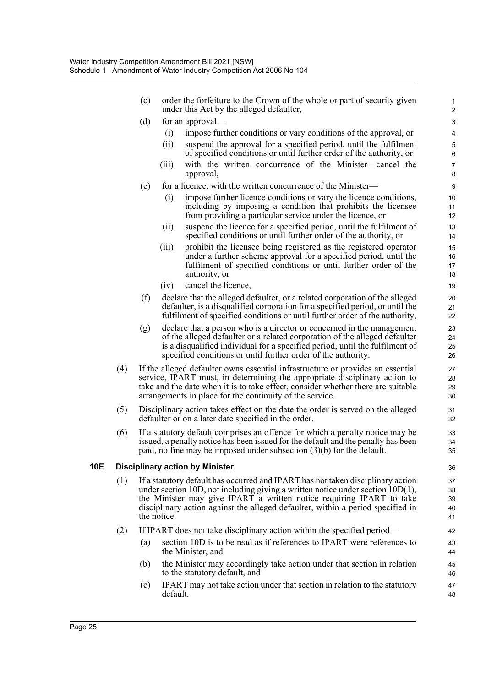- (c) order the forfeiture to the Crown of the whole or part of security given under this Act by the alleged defaulter,
- (d) for an approval—
	- (i) impose further conditions or vary conditions of the approval, or

- (ii) suspend the approval for a specified period, until the fulfilment of specified conditions or until further order of the authority, or
- (iii) with the written concurrence of the Minister—cancel the approval,
- (e) for a licence, with the written concurrence of the Minister—
	- (i) impose further licence conditions or vary the licence conditions, including by imposing a condition that prohibits the licensee from providing a particular service under the licence, or
	- (ii) suspend the licence for a specified period, until the fulfilment of specified conditions or until further order of the authority, or
	- (iii) prohibit the licensee being registered as the registered operator under a further scheme approval for a specified period, until the fulfilment of specified conditions or until further order of the authority, or
	- (iv) cancel the licence,
- (f) declare that the alleged defaulter, or a related corporation of the alleged defaulter, is a disqualified corporation for a specified period, or until the fulfilment of specified conditions or until further order of the authority,
- (g) declare that a person who is a director or concerned in the management of the alleged defaulter or a related corporation of the alleged defaulter is a disqualified individual for a specified period, until the fulfilment of specified conditions or until further order of the authority.
- (4) If the alleged defaulter owns essential infrastructure or provides an essential service, IPART must, in determining the appropriate disciplinary action to take and the date when it is to take effect, consider whether there are suitable arrangements in place for the continuity of the service.
- (5) Disciplinary action takes effect on the date the order is served on the alleged defaulter or on a later date specified in the order.
- (6) If a statutory default comprises an offence for which a penalty notice may be issued, a penalty notice has been issued for the default and the penalty has been paid, no fine may be imposed under subsection (3)(b) for the default.

#### **10E Disciplinary action by Minister**

- (1) If a statutory default has occurred and IPART has not taken disciplinary action under section 10D, not including giving a written notice under section 10D(1), the Minister may give IPART a written notice requiring IPART to take disciplinary action against the alleged defaulter, within a period specified in the notice.
- (2) If IPART does not take disciplinary action within the specified period—
	- (a) section 10D is to be read as if references to IPART were references to the Minister, and
	- (b) the Minister may accordingly take action under that section in relation to the statutory default, and
	- (c) IPART may not take action under that section in relation to the statutory default.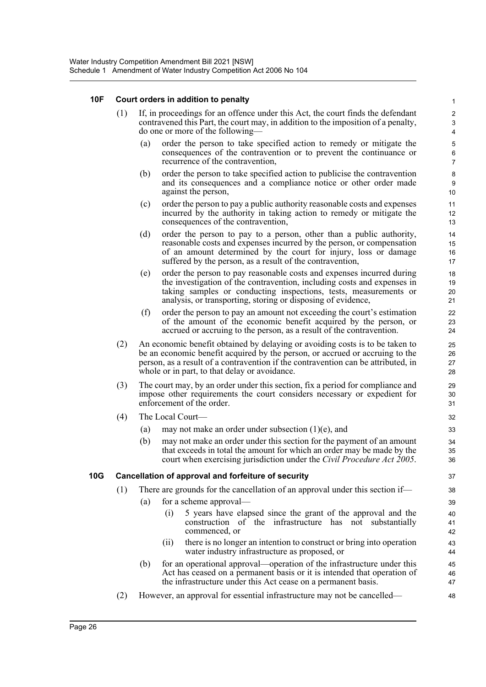#### **10F Court orders in addition to penalty**

- (1) If, in proceedings for an offence under this Act, the court finds the defendant contravened this Part, the court may, in addition to the imposition of a penalty, do one or more of the following—
	- (a) order the person to take specified action to remedy or mitigate the consequences of the contravention or to prevent the continuance or recurrence of the contravention,

- (b) order the person to take specified action to publicise the contravention and its consequences and a compliance notice or other order made against the person,
- (c) order the person to pay a public authority reasonable costs and expenses incurred by the authority in taking action to remedy or mitigate the consequences of the contravention,
- (d) order the person to pay to a person, other than a public authority, reasonable costs and expenses incurred by the person, or compensation of an amount determined by the court for injury, loss or damage suffered by the person, as a result of the contravention,
- (e) order the person to pay reasonable costs and expenses incurred during the investigation of the contravention, including costs and expenses in taking samples or conducting inspections, tests, measurements or analysis, or transporting, storing or disposing of evidence,
- (f) order the person to pay an amount not exceeding the court's estimation of the amount of the economic benefit acquired by the person, or accrued or accruing to the person, as a result of the contravention.
- (2) An economic benefit obtained by delaying or avoiding costs is to be taken to be an economic benefit acquired by the person, or accrued or accruing to the person, as a result of a contravention if the contravention can be attributed, in whole or in part, to that delay or avoidance.
- (3) The court may, by an order under this section, fix a period for compliance and impose other requirements the court considers necessary or expedient for enforcement of the order.
- (4) The Local Court—
	- (a) may not make an order under subsection  $(1)(e)$ , and
	- (b) may not make an order under this section for the payment of an amount that exceeds in total the amount for which an order may be made by the court when exercising jurisdiction under the *Civil Procedure Act 2005*.

#### **10G Cancellation of approval and forfeiture of security**

- (1) There are grounds for the cancellation of an approval under this section if—
	- (a) for a scheme approval—
		- (i) 5 years have elapsed since the grant of the approval and the construction of the infrastructure has not substantially commenced, or
		- (ii) there is no longer an intention to construct or bring into operation water industry infrastructure as proposed, or
	- (b) for an operational approval—operation of the infrastructure under this Act has ceased on a permanent basis or it is intended that operation of the infrastructure under this Act cease on a permanent basis.
- (2) However, an approval for essential infrastructure may not be cancelled—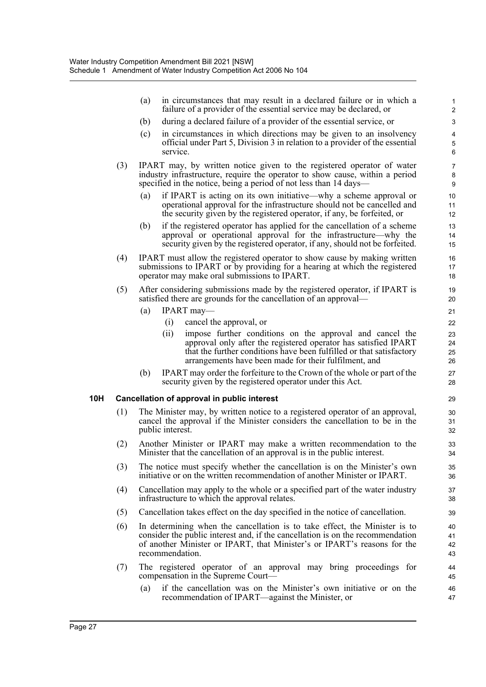|     |     | in circumstances that may result in a declared failure or in which a<br>(a)<br>failure of a provider of the essential service may be declared, or                                                                                                                    | 1<br>$\overline{2}$                        |
|-----|-----|----------------------------------------------------------------------------------------------------------------------------------------------------------------------------------------------------------------------------------------------------------------------|--------------------------------------------|
|     |     | during a declared failure of a provider of the essential service, or<br>(b)                                                                                                                                                                                          | $\ensuremath{\mathsf{3}}$                  |
|     |     | (c)<br>in circumstances in which directions may be given to an insolvency<br>official under Part 5, Division 3 in relation to a provider of the essential<br>service.                                                                                                | $\overline{\mathbf{4}}$<br>$\sqrt{5}$<br>6 |
|     | (3) | IPART may, by written notice given to the registered operator of water<br>industry infrastructure, require the operator to show cause, within a period<br>specified in the notice, being a period of not less than 14 days—                                          | $\overline{7}$<br>8<br>$\boldsymbol{9}$    |
|     |     | (a)<br>if IPART is acting on its own initiative—why a scheme approval or<br>operational approval for the infrastructure should not be cancelled and<br>the security given by the registered operator, if any, be forfeited, or                                       | 10<br>11<br>12                             |
|     |     | if the registered operator has applied for the cancellation of a scheme<br>(b)<br>approval or operational approval for the infrastructure—why the<br>security given by the registered operator, if any, should not be forfeited.                                     | 13<br>14<br>15                             |
|     | (4) | IPART must allow the registered operator to show cause by making written<br>submissions to IPART or by providing for a hearing at which the registered<br>operator may make oral submissions to IPART.                                                               | 16<br>17<br>18                             |
|     | (5) | After considering submissions made by the registered operator, if IPART is<br>satisfied there are grounds for the cancellation of an approval—                                                                                                                       | 19<br>20                                   |
|     |     | (a)<br>$IPART$ may—                                                                                                                                                                                                                                                  | 21                                         |
|     |     | cancel the approval, or<br>(i)                                                                                                                                                                                                                                       | 22                                         |
|     |     | impose further conditions on the approval and cancel the<br>(ii)<br>approval only after the registered operator has satisfied IPART<br>that the further conditions have been fulfilled or that satisfactory<br>arrangements have been made for their fulfilment, and | 23<br>24<br>25<br>26                       |
|     |     | IPART may order the forfeiture to the Crown of the whole or part of the<br>(b)<br>security given by the registered operator under this Act.                                                                                                                          | 27<br>28                                   |
| 10H |     | Cancellation of approval in public interest                                                                                                                                                                                                                          | 29                                         |
|     | (1) | The Minister may, by written notice to a registered operator of an approval,<br>cancel the approval if the Minister considers the cancellation to be in the<br>public interest.                                                                                      | 30<br>31<br>32                             |
|     | (2) | Another Minister or IPART may make a written recommendation to the<br>Minister that the cancellation of an approval is in the public interest.                                                                                                                       | 33<br>34                                   |
|     | (3) | The notice must specify whether the cancellation is on the Minister's own<br>initiative or on the written recommendation of another Minister or IPART.                                                                                                               | 35<br>36                                   |
|     | (4) | Cancellation may apply to the whole or a specified part of the water industry<br>infrastructure to which the approval relates.                                                                                                                                       | 37<br>38                                   |
|     | (5) | Cancellation takes effect on the day specified in the notice of cancellation.                                                                                                                                                                                        | 39                                         |
|     | (6) | In determining when the cancellation is to take effect, the Minister is to<br>consider the public interest and, if the cancellation is on the recommendation<br>of another Minister or IPART, that Minister's or IPART's reasons for the<br>recommendation.          | 40<br>41<br>42<br>43                       |
|     | (7) | The registered operator of an approval may bring proceedings for<br>compensation in the Supreme Court—                                                                                                                                                               | 44<br>45                                   |
|     |     | if the cancellation was on the Minister's own initiative or on the<br>(a)<br>recommendation of IPART—against the Minister, or                                                                                                                                        | 46<br>47                                   |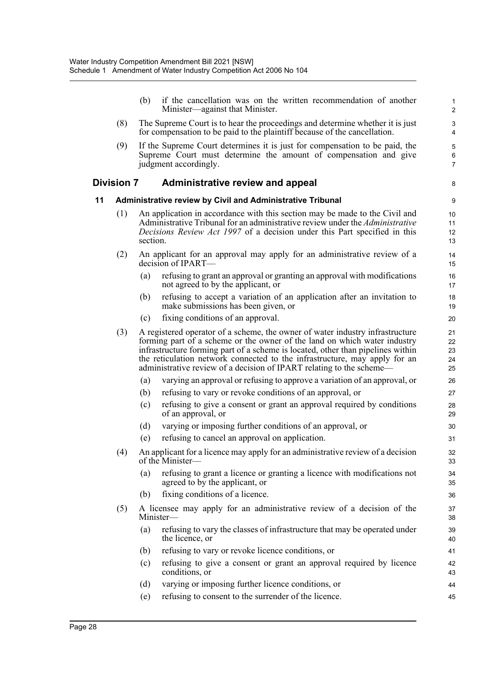|    |                   | (b)      | if the cancellation was on the written recommendation of another<br>Minister—against that Minister.                                                                                                                                                                                                                                                                                                 | 1<br>$\boldsymbol{2}$      |
|----|-------------------|----------|-----------------------------------------------------------------------------------------------------------------------------------------------------------------------------------------------------------------------------------------------------------------------------------------------------------------------------------------------------------------------------------------------------|----------------------------|
|    | (8)               |          | The Supreme Court is to hear the proceedings and determine whether it is just<br>for compensation to be paid to the plaintiff because of the cancellation.                                                                                                                                                                                                                                          | 3<br>4                     |
|    | (9)               |          | If the Supreme Court determines it is just for compensation to be paid, the<br>Supreme Court must determine the amount of compensation and give<br>judgment accordingly.                                                                                                                                                                                                                            | 5<br>$\,6$<br>7            |
|    | <b>Division 7</b> |          | <b>Administrative review and appeal</b>                                                                                                                                                                                                                                                                                                                                                             | 8                          |
| 11 |                   |          | Administrative review by Civil and Administrative Tribunal                                                                                                                                                                                                                                                                                                                                          | 9                          |
|    | (1)               | section. | An application in accordance with this section may be made to the Civil and<br>Administrative Tribunal for an administrative review under the Administrative<br><i>Decisions Review Act 1997</i> of a decision under this Part specified in this                                                                                                                                                    | 10<br>11<br>12<br>13       |
|    | (2)               |          | An applicant for an approval may apply for an administrative review of a<br>decision of IPART—                                                                                                                                                                                                                                                                                                      | 14<br>15                   |
|    |                   | (a)      | refusing to grant an approval or granting an approval with modifications<br>not agreed to by the applicant, or                                                                                                                                                                                                                                                                                      | 16<br>17                   |
|    |                   | (b)      | refusing to accept a variation of an application after an invitation to<br>make submissions has been given, or                                                                                                                                                                                                                                                                                      | 18<br>19                   |
|    |                   | (c)      | fixing conditions of an approval.                                                                                                                                                                                                                                                                                                                                                                   | 20                         |
|    | (3)               |          | A registered operator of a scheme, the owner of water industry infrastructure<br>forming part of a scheme or the owner of the land on which water industry<br>infrastructure forming part of a scheme is located, other than pipelines within<br>the reticulation network connected to the infrastructure, may apply for an<br>administrative review of a decision of IPART relating to the scheme— | 21<br>22<br>23<br>24<br>25 |
|    |                   | (a)      | varying an approval or refusing to approve a variation of an approval, or                                                                                                                                                                                                                                                                                                                           | 26                         |
|    |                   | (b)      | refusing to vary or revoke conditions of an approval, or                                                                                                                                                                                                                                                                                                                                            | 27                         |
|    |                   | (c)      | refusing to give a consent or grant an approval required by conditions<br>of an approval, or                                                                                                                                                                                                                                                                                                        | 28<br>29                   |
|    |                   | (d)      | varying or imposing further conditions of an approval, or                                                                                                                                                                                                                                                                                                                                           | 30                         |
|    |                   | (e)      | refusing to cancel an approval on application.                                                                                                                                                                                                                                                                                                                                                      | 31                         |
|    | (4)               |          | An applicant for a licence may apply for an administrative review of a decision<br>of the Minister—                                                                                                                                                                                                                                                                                                 | 32<br>33                   |
|    |                   | (a)      | refusing to grant a licence or granting a licence with modifications not<br>agreed to by the applicant, or                                                                                                                                                                                                                                                                                          | 34<br>35                   |
|    |                   | (b)      | fixing conditions of a licence.                                                                                                                                                                                                                                                                                                                                                                     | 36                         |
|    | (5)               |          | A licensee may apply for an administrative review of a decision of the<br>Minister-                                                                                                                                                                                                                                                                                                                 | 37<br>38                   |
|    |                   | (a)      | refusing to vary the classes of infrastructure that may be operated under<br>the licence, or                                                                                                                                                                                                                                                                                                        | 39<br>40                   |
|    |                   | (b)      | refusing to vary or revoke licence conditions, or                                                                                                                                                                                                                                                                                                                                                   | 41                         |
|    |                   | (c)      | refusing to give a consent or grant an approval required by licence<br>conditions, or                                                                                                                                                                                                                                                                                                               | 42<br>43                   |
|    |                   | (d)      | varying or imposing further licence conditions, or                                                                                                                                                                                                                                                                                                                                                  | 44                         |
|    |                   | (e)      | refusing to consent to the surrender of the licence.                                                                                                                                                                                                                                                                                                                                                | 45                         |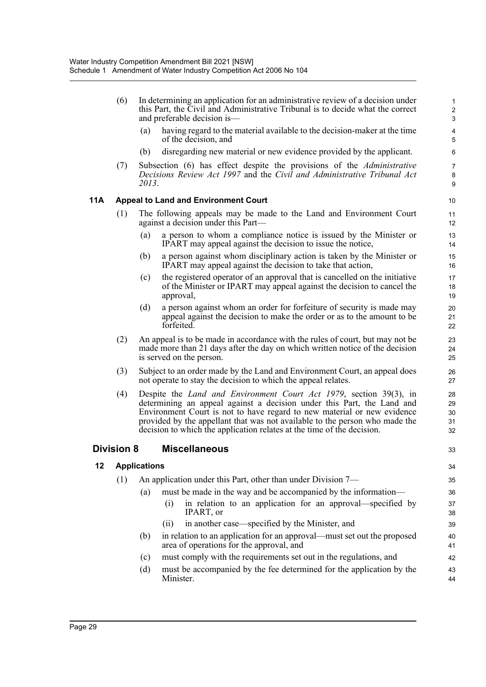|     | (6)               |                     | In determining an application for an administrative review of a decision under<br>this Part, the Civil and Administrative Tribunal is to decide what the correct<br>and preferable decision is—                                                                                                                                                                                          | 1<br>$\overline{2}$<br>$\mathbf{3}$ |
|-----|-------------------|---------------------|------------------------------------------------------------------------------------------------------------------------------------------------------------------------------------------------------------------------------------------------------------------------------------------------------------------------------------------------------------------------------------------|-------------------------------------|
|     |                   | (a)                 | having regard to the material available to the decision-maker at the time<br>of the decision, and                                                                                                                                                                                                                                                                                        | $\overline{\mathbf{4}}$<br>5        |
|     |                   | (b)                 | disregarding new material or new evidence provided by the applicant.                                                                                                                                                                                                                                                                                                                     | 6                                   |
|     | (7)               | 2013.               | Subsection (6) has effect despite the provisions of the <i>Administrative</i><br>Decisions Review Act 1997 and the Civil and Administrative Tribunal Act                                                                                                                                                                                                                                 | $\overline{7}$<br>8<br>9            |
| 11A |                   |                     | <b>Appeal to Land and Environment Court</b>                                                                                                                                                                                                                                                                                                                                              | 10                                  |
|     | (1)               |                     | The following appeals may be made to the Land and Environment Court<br>against a decision under this Part—                                                                                                                                                                                                                                                                               | 11<br>12                            |
|     |                   | (a)                 | a person to whom a compliance notice is issued by the Minister or<br>IPART may appeal against the decision to issue the notice,                                                                                                                                                                                                                                                          | 13<br>14                            |
|     |                   | (b)                 | a person against whom disciplinary action is taken by the Minister or<br>IPART may appeal against the decision to take that action,                                                                                                                                                                                                                                                      | 15<br>16                            |
|     |                   | (c)                 | the registered operator of an approval that is cancelled on the initiative<br>of the Minister or IPART may appeal against the decision to cancel the<br>approval,                                                                                                                                                                                                                        | 17<br>18<br>19                      |
|     |                   | (d)                 | a person against whom an order for forfeiture of security is made may<br>appeal against the decision to make the order or as to the amount to be<br>forfeited.                                                                                                                                                                                                                           | 20<br>21<br>22                      |
|     | (2)               |                     | An appeal is to be made in accordance with the rules of court, but may not be<br>made more than 21 days after the day on which written notice of the decision<br>is served on the person.                                                                                                                                                                                                | 23<br>24<br>25                      |
|     | (3)               |                     | Subject to an order made by the Land and Environment Court, an appeal does<br>not operate to stay the decision to which the appeal relates.                                                                                                                                                                                                                                              | 26<br>27                            |
|     | (4)               |                     | Despite the <i>Land and Environment Court Act 1979</i> , section 39(3), in<br>determining an appeal against a decision under this Part, the Land and<br>Environment Court is not to have regard to new material or new evidence<br>provided by the appellant that was not available to the person who made the<br>decision to which the application relates at the time of the decision. | 28<br>29<br>30<br>31<br>32          |
|     | <b>Division 8</b> |                     | <b>Miscellaneous</b>                                                                                                                                                                                                                                                                                                                                                                     | 33                                  |
| 12  |                   | <b>Applications</b> |                                                                                                                                                                                                                                                                                                                                                                                          | 34                                  |
|     | (1)               |                     | An application under this Part, other than under Division 7—                                                                                                                                                                                                                                                                                                                             | 35                                  |
|     |                   | (a)                 | must be made in the way and be accompanied by the information—                                                                                                                                                                                                                                                                                                                           | 36                                  |
|     |                   |                     | in relation to an application for an approval—specified by<br>(i)<br>IPART, or                                                                                                                                                                                                                                                                                                           | 37<br>38                            |
|     |                   |                     | in another case—specified by the Minister, and<br>(ii)                                                                                                                                                                                                                                                                                                                                   | 39                                  |
|     |                   | (b)                 | in relation to an application for an approval—must set out the proposed<br>area of operations for the approval, and                                                                                                                                                                                                                                                                      | 40<br>41                            |
|     |                   | (c)                 | must comply with the requirements set out in the regulations, and                                                                                                                                                                                                                                                                                                                        | 42                                  |
|     |                   | (d)                 | must be accompanied by the fee determined for the application by the<br>Minister.                                                                                                                                                                                                                                                                                                        | 43<br>44                            |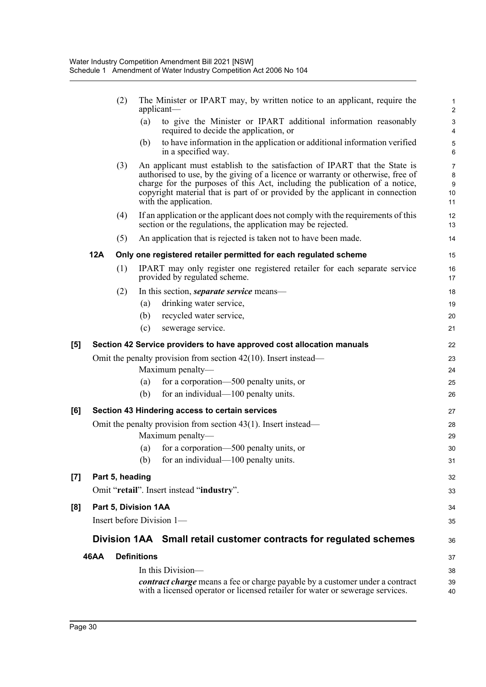|     |             | (2)             | The Minister or IPART may, by written notice to an applicant, require the<br>applicant-                                                                                                                                                                                                                                                                | $\mathbf{1}$<br>$\sqrt{2}$               |
|-----|-------------|-----------------|--------------------------------------------------------------------------------------------------------------------------------------------------------------------------------------------------------------------------------------------------------------------------------------------------------------------------------------------------------|------------------------------------------|
|     |             |                 | to give the Minister or IPART additional information reasonably<br>(a)<br>required to decide the application, or                                                                                                                                                                                                                                       | 3<br>4                                   |
|     |             |                 | to have information in the application or additional information verified<br>(b)<br>in a specified way.                                                                                                                                                                                                                                                | $\sqrt{5}$<br>6                          |
|     |             | (3)             | An applicant must establish to the satisfaction of IPART that the State is<br>authorised to use, by the giving of a licence or warranty or otherwise, free of<br>charge for the purposes of this Act, including the publication of a notice,<br>copyright material that is part of or provided by the applicant in connection<br>with the application. | $\overline{7}$<br>8<br>$9\,$<br>10<br>11 |
|     |             | (4)             | If an application or the applicant does not comply with the requirements of this<br>section or the regulations, the application may be rejected.                                                                                                                                                                                                       | 12<br>13                                 |
|     |             | (5)             | An application that is rejected is taken not to have been made.                                                                                                                                                                                                                                                                                        | 14                                       |
|     | <b>12A</b>  |                 | Only one registered retailer permitted for each regulated scheme                                                                                                                                                                                                                                                                                       | 15                                       |
|     |             | (1)             | IPART may only register one registered retailer for each separate service<br>provided by regulated scheme.                                                                                                                                                                                                                                             | 16<br>17                                 |
|     |             | (2)             | In this section, <i>separate service</i> means—                                                                                                                                                                                                                                                                                                        | 18                                       |
|     |             |                 | drinking water service,<br>(a)                                                                                                                                                                                                                                                                                                                         | 19                                       |
|     |             |                 | (b)<br>recycled water service,                                                                                                                                                                                                                                                                                                                         | 20                                       |
|     |             |                 | (c)<br>sewerage service.                                                                                                                                                                                                                                                                                                                               | 21                                       |
| [5] |             |                 | Section 42 Service providers to have approved cost allocation manuals                                                                                                                                                                                                                                                                                  | 22                                       |
|     |             |                 | Omit the penalty provision from section $42(10)$ . Insert instead—                                                                                                                                                                                                                                                                                     | 23                                       |
|     |             |                 | Maximum penalty-                                                                                                                                                                                                                                                                                                                                       | 24                                       |
|     |             |                 | for a corporation—500 penalty units, or<br>(a)                                                                                                                                                                                                                                                                                                         | 25                                       |
|     |             |                 | for an individual—100 penalty units.<br>(b)                                                                                                                                                                                                                                                                                                            | 26                                       |
| [6] |             |                 | Section 43 Hindering access to certain services                                                                                                                                                                                                                                                                                                        | 27                                       |
|     |             |                 | Omit the penalty provision from section $43(1)$ . Insert instead—                                                                                                                                                                                                                                                                                      | 28                                       |
|     |             |                 | Maximum penalty-                                                                                                                                                                                                                                                                                                                                       | 29                                       |
|     |             |                 | for a corporation—500 penalty units, or<br>(a)                                                                                                                                                                                                                                                                                                         | 30                                       |
|     |             |                 | (b) for an individual—100 penalty units.                                                                                                                                                                                                                                                                                                               | 31                                       |
| [7] |             | Part 5, heading |                                                                                                                                                                                                                                                                                                                                                        | 32                                       |
|     |             |                 | Omit "retail". Insert instead "industry".                                                                                                                                                                                                                                                                                                              | 33                                       |
| [8] |             |                 | Part 5, Division 1AA                                                                                                                                                                                                                                                                                                                                   | 34                                       |
|     |             |                 | Insert before Division 1-                                                                                                                                                                                                                                                                                                                              | 35                                       |
|     |             |                 | Division 1AA Small retail customer contracts for regulated schemes                                                                                                                                                                                                                                                                                     | 36                                       |
|     | <b>46AA</b> |                 | <b>Definitions</b>                                                                                                                                                                                                                                                                                                                                     | 37                                       |
|     |             |                 | In this Division-                                                                                                                                                                                                                                                                                                                                      | 38                                       |
|     |             |                 | contract charge means a fee or charge payable by a customer under a contract<br>with a licensed operator or licensed retailer for water or sewerage services.                                                                                                                                                                                          | 39<br>40                                 |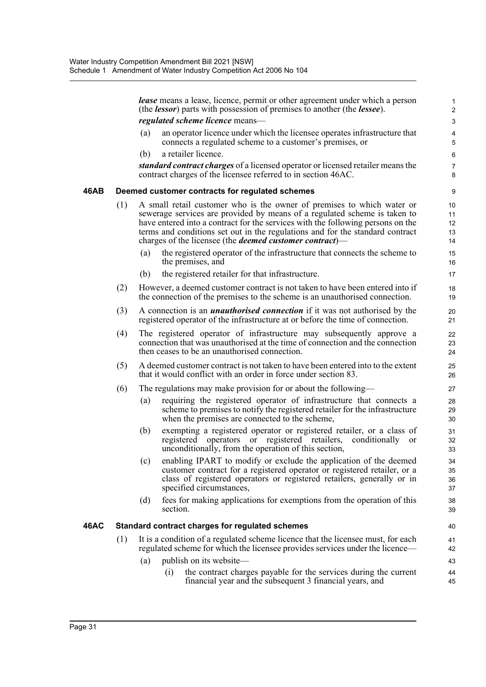|      |     |     | <b>lease</b> means a lease, licence, permit or other agreement under which a person<br>(the <i>lessor</i> ) parts with possession of premises to another (the <i>lessee</i> ).                                                                                                                                                                                                             | 1<br>$\overline{c}$        |
|------|-----|-----|--------------------------------------------------------------------------------------------------------------------------------------------------------------------------------------------------------------------------------------------------------------------------------------------------------------------------------------------------------------------------------------------|----------------------------|
|      |     |     | regulated scheme licence means-                                                                                                                                                                                                                                                                                                                                                            | 3                          |
|      |     | (a) | an operator licence under which the licensee operates infrastructure that<br>connects a regulated scheme to a customer's premises, or                                                                                                                                                                                                                                                      | 4<br>5                     |
|      |     | (b) | a retailer licence.                                                                                                                                                                                                                                                                                                                                                                        | 6                          |
|      |     |     | standard contract charges of a licensed operator or licensed retailer means the<br>contract charges of the licensee referred to in section 46AC.                                                                                                                                                                                                                                           | $\overline{7}$<br>8        |
| 46AB |     |     | Deemed customer contracts for regulated schemes                                                                                                                                                                                                                                                                                                                                            | 9                          |
|      | (1) |     | A small retail customer who is the owner of premises to which water or<br>sewerage services are provided by means of a regulated scheme is taken to<br>have entered into a contract for the services with the following persons on the<br>terms and conditions set out in the regulations and for the standard contract<br>charges of the licensee (the <i>deemed customer contract</i> )— | 10<br>11<br>12<br>13<br>14 |
|      |     | (a) | the registered operator of the infrastructure that connects the scheme to<br>the premises, and                                                                                                                                                                                                                                                                                             | 15<br>16                   |
|      |     | (b) | the registered retailer for that infrastructure.                                                                                                                                                                                                                                                                                                                                           | 17                         |
|      | (2) |     | However, a deemed customer contract is not taken to have been entered into if<br>the connection of the premises to the scheme is an unauthorised connection.                                                                                                                                                                                                                               | 18<br>19                   |
|      | (3) |     | A connection is an <i>unauthorised connection</i> if it was not authorised by the<br>registered operator of the infrastructure at or before the time of connection.                                                                                                                                                                                                                        | 20<br>21                   |
|      | (4) |     | The registered operator of infrastructure may subsequently approve a<br>connection that was unauthorised at the time of connection and the connection<br>then ceases to be an unauthorised connection.                                                                                                                                                                                     | 22<br>23<br>24             |
|      | (5) |     | A deemed customer contract is not taken to have been entered into to the extent<br>that it would conflict with an order in force under section 83.                                                                                                                                                                                                                                         | 25<br>26                   |
|      | (6) |     | The regulations may make provision for or about the following—                                                                                                                                                                                                                                                                                                                             | 27                         |
|      |     | (a) | requiring the registered operator of infrastructure that connects a<br>scheme to premises to notify the registered retailer for the infrastructure<br>when the premises are connected to the scheme,                                                                                                                                                                                       | 28<br>29<br>30             |
|      |     | (b) | exempting a registered operator or registered retailer, or a class of<br>registered operators or registered retailers,<br>conditionally<br>or<br>unconditionally, from the operation of this section,                                                                                                                                                                                      | 31<br>32<br>33             |
|      |     | (c) | enabling IPART to modify or exclude the application of the deemed<br>customer contract for a registered operator or registered retailer, or a<br>class of registered operators or registered retailers, generally or in<br>specified circumstances,                                                                                                                                        | 34<br>35<br>36<br>37       |
|      |     | (d) | fees for making applications for exemptions from the operation of this<br>section.                                                                                                                                                                                                                                                                                                         | 38<br>39                   |
| 46AC |     |     | Standard contract charges for regulated schemes                                                                                                                                                                                                                                                                                                                                            | 40                         |
|      | (1) |     | It is a condition of a regulated scheme licence that the licensee must, for each<br>regulated scheme for which the licensee provides services under the licence—                                                                                                                                                                                                                           | 41<br>42                   |
|      |     | (a) | publish on its website—                                                                                                                                                                                                                                                                                                                                                                    | 43                         |
|      |     |     | the contract charges payable for the services during the current<br>(i)<br>financial year and the subsequent 3 financial years, and                                                                                                                                                                                                                                                        | 44<br>45                   |
|      |     |     |                                                                                                                                                                                                                                                                                                                                                                                            |                            |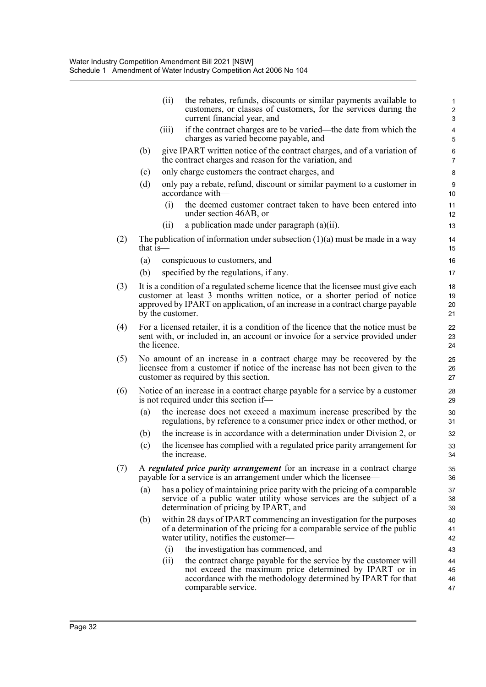|                                                                                                                                                       | (ii)                                                                                                                                                                                                                                          | the rebates, refunds, discounts or similar payments available to<br>customers, or classes of customers, for the services during the<br>current financial year, and                         | $\overline{c}$<br>3                                                                                                                                                                                                                                                                                                                                                                                                                                                                                                                                                                                                                                                                                                                                                                                                                                                                                                                                                                                                                                      |  |  |  |  |  |
|-------------------------------------------------------------------------------------------------------------------------------------------------------|-----------------------------------------------------------------------------------------------------------------------------------------------------------------------------------------------------------------------------------------------|--------------------------------------------------------------------------------------------------------------------------------------------------------------------------------------------|----------------------------------------------------------------------------------------------------------------------------------------------------------------------------------------------------------------------------------------------------------------------------------------------------------------------------------------------------------------------------------------------------------------------------------------------------------------------------------------------------------------------------------------------------------------------------------------------------------------------------------------------------------------------------------------------------------------------------------------------------------------------------------------------------------------------------------------------------------------------------------------------------------------------------------------------------------------------------------------------------------------------------------------------------------|--|--|--|--|--|
|                                                                                                                                                       | (iii)                                                                                                                                                                                                                                         | if the contract charges are to be varied—the date from which the<br>charges as varied become payable, and                                                                                  | 4<br>5                                                                                                                                                                                                                                                                                                                                                                                                                                                                                                                                                                                                                                                                                                                                                                                                                                                                                                                                                                                                                                                   |  |  |  |  |  |
| (b)                                                                                                                                                   |                                                                                                                                                                                                                                               |                                                                                                                                                                                            | $\epsilon$<br>7                                                                                                                                                                                                                                                                                                                                                                                                                                                                                                                                                                                                                                                                                                                                                                                                                                                                                                                                                                                                                                          |  |  |  |  |  |
| (c)                                                                                                                                                   |                                                                                                                                                                                                                                               |                                                                                                                                                                                            | 8                                                                                                                                                                                                                                                                                                                                                                                                                                                                                                                                                                                                                                                                                                                                                                                                                                                                                                                                                                                                                                                        |  |  |  |  |  |
| (d)                                                                                                                                                   |                                                                                                                                                                                                                                               |                                                                                                                                                                                            | g<br>10                                                                                                                                                                                                                                                                                                                                                                                                                                                                                                                                                                                                                                                                                                                                                                                                                                                                                                                                                                                                                                                  |  |  |  |  |  |
|                                                                                                                                                       | (i)                                                                                                                                                                                                                                           | the deemed customer contract taken to have been entered into<br>under section 46AB, or                                                                                                     | 11<br>12                                                                                                                                                                                                                                                                                                                                                                                                                                                                                                                                                                                                                                                                                                                                                                                                                                                                                                                                                                                                                                                 |  |  |  |  |  |
|                                                                                                                                                       | (i)                                                                                                                                                                                                                                           | a publication made under paragraph $(a)(ii)$ .                                                                                                                                             | 13                                                                                                                                                                                                                                                                                                                                                                                                                                                                                                                                                                                                                                                                                                                                                                                                                                                                                                                                                                                                                                                       |  |  |  |  |  |
|                                                                                                                                                       |                                                                                                                                                                                                                                               |                                                                                                                                                                                            | 14<br>15                                                                                                                                                                                                                                                                                                                                                                                                                                                                                                                                                                                                                                                                                                                                                                                                                                                                                                                                                                                                                                                 |  |  |  |  |  |
| (a)                                                                                                                                                   |                                                                                                                                                                                                                                               |                                                                                                                                                                                            | 16                                                                                                                                                                                                                                                                                                                                                                                                                                                                                                                                                                                                                                                                                                                                                                                                                                                                                                                                                                                                                                                       |  |  |  |  |  |
| (b)                                                                                                                                                   |                                                                                                                                                                                                                                               |                                                                                                                                                                                            | 17                                                                                                                                                                                                                                                                                                                                                                                                                                                                                                                                                                                                                                                                                                                                                                                                                                                                                                                                                                                                                                                       |  |  |  |  |  |
|                                                                                                                                                       | It is a condition of a regulated scheme licence that the licensee must give each<br>customer at least 3 months written notice, or a shorter period of notice<br>approved by IPART on application, of an increase in a contract charge payable |                                                                                                                                                                                            |                                                                                                                                                                                                                                                                                                                                                                                                                                                                                                                                                                                                                                                                                                                                                                                                                                                                                                                                                                                                                                                          |  |  |  |  |  |
|                                                                                                                                                       | For a licensed retailer, it is a condition of the licence that the notice must be<br>22<br>sent with, or included in, an account or invoice for a service provided under<br>23<br>the licence.<br>24                                          |                                                                                                                                                                                            |                                                                                                                                                                                                                                                                                                                                                                                                                                                                                                                                                                                                                                                                                                                                                                                                                                                                                                                                                                                                                                                          |  |  |  |  |  |
| No amount of an increase in a contract charge may be recovered by the<br>licensee from a customer if notice of the increase has not been given to the |                                                                                                                                                                                                                                               |                                                                                                                                                                                            |                                                                                                                                                                                                                                                                                                                                                                                                                                                                                                                                                                                                                                                                                                                                                                                                                                                                                                                                                                                                                                                          |  |  |  |  |  |
| Notice of an increase in a contract charge payable for a service by a customer<br>is not required under this section if-                              |                                                                                                                                                                                                                                               |                                                                                                                                                                                            |                                                                                                                                                                                                                                                                                                                                                                                                                                                                                                                                                                                                                                                                                                                                                                                                                                                                                                                                                                                                                                                          |  |  |  |  |  |
| (a)                                                                                                                                                   |                                                                                                                                                                                                                                               |                                                                                                                                                                                            | 30<br>31                                                                                                                                                                                                                                                                                                                                                                                                                                                                                                                                                                                                                                                                                                                                                                                                                                                                                                                                                                                                                                                 |  |  |  |  |  |
| (b)                                                                                                                                                   |                                                                                                                                                                                                                                               |                                                                                                                                                                                            | 32                                                                                                                                                                                                                                                                                                                                                                                                                                                                                                                                                                                                                                                                                                                                                                                                                                                                                                                                                                                                                                                       |  |  |  |  |  |
| (c)                                                                                                                                                   |                                                                                                                                                                                                                                               |                                                                                                                                                                                            | 33<br>34                                                                                                                                                                                                                                                                                                                                                                                                                                                                                                                                                                                                                                                                                                                                                                                                                                                                                                                                                                                                                                                 |  |  |  |  |  |
| A regulated price parity arrangement for an increase in a contract charge<br>payable for a service is an arrangement under which the licensee—        |                                                                                                                                                                                                                                               |                                                                                                                                                                                            |                                                                                                                                                                                                                                                                                                                                                                                                                                                                                                                                                                                                                                                                                                                                                                                                                                                                                                                                                                                                                                                          |  |  |  |  |  |
| (a)                                                                                                                                                   | has a policy of maintaining price parity with the pricing of a comparable<br>service of a public water utility whose services are the subject of a<br>determination of pricing by IPART, and                                                  |                                                                                                                                                                                            |                                                                                                                                                                                                                                                                                                                                                                                                                                                                                                                                                                                                                                                                                                                                                                                                                                                                                                                                                                                                                                                          |  |  |  |  |  |
| (b)                                                                                                                                                   |                                                                                                                                                                                                                                               |                                                                                                                                                                                            | 40<br>41<br>42                                                                                                                                                                                                                                                                                                                                                                                                                                                                                                                                                                                                                                                                                                                                                                                                                                                                                                                                                                                                                                           |  |  |  |  |  |
|                                                                                                                                                       | (i)                                                                                                                                                                                                                                           | the investigation has commenced, and                                                                                                                                                       | 43                                                                                                                                                                                                                                                                                                                                                                                                                                                                                                                                                                                                                                                                                                                                                                                                                                                                                                                                                                                                                                                       |  |  |  |  |  |
|                                                                                                                                                       | (ii)                                                                                                                                                                                                                                          | the contract charge payable for the service by the customer will<br>not exceed the maximum price determined by IPART or in<br>accordance with the methodology determined by IPART for that | 44<br>45<br>46<br>47                                                                                                                                                                                                                                                                                                                                                                                                                                                                                                                                                                                                                                                                                                                                                                                                                                                                                                                                                                                                                                     |  |  |  |  |  |
|                                                                                                                                                       |                                                                                                                                                                                                                                               | that is-                                                                                                                                                                                   | give IPART written notice of the contract charges, and of a variation of<br>the contract charges and reason for the variation, and<br>only charge customers the contract charges, and<br>only pay a rebate, refund, discount or similar payment to a customer in<br>accordance with-<br>The publication of information under subsection $(1)(a)$ must be made in a way<br>conspicuous to customers, and<br>specified by the regulations, if any.<br>by the customer.<br>customer as required by this section.<br>the increase does not exceed a maximum increase prescribed by the<br>regulations, by reference to a consumer price index or other method, or<br>the increase is in accordance with a determination under Division 2, or<br>the licensee has complied with a regulated price parity arrangement for<br>the increase.<br>within 28 days of IPART commencing an investigation for the purposes<br>of a determination of the pricing for a comparable service of the public<br>water utility, notifies the customer-<br>comparable service. |  |  |  |  |  |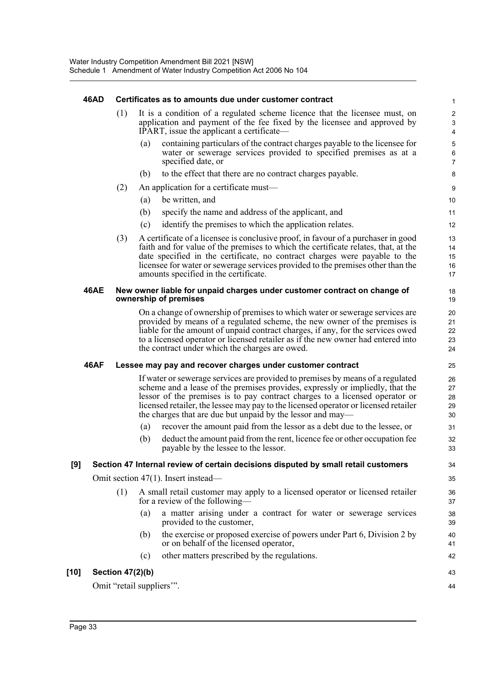## **46AD Certificates as to amounts due under customer contract**

| (1) It is a condition of a regulated scheme licence that the licensee must, on<br>application and payment of the fee fixed by the licensee and approved by |
|------------------------------------------------------------------------------------------------------------------------------------------------------------|
| IPART, issue the applicant a certificate—                                                                                                                  |

(a) containing particulars of the contract charges payable to the licensee for water or sewerage services provided to specified premises as at a specified date, or

- (b) to the effect that there are no contract charges payable.
- (2) An application for a certificate must—
	- (a) be written, and
	- (b) specify the name and address of the applicant, and
	- (c) identify the premises to which the application relates.
- (3) A certificate of a licensee is conclusive proof, in favour of a purchaser in good faith and for value of the premises to which the certificate relates, that, at the date specified in the certificate, no contract charges were payable to the licensee for water or sewerage services provided to the premises other than the amounts specified in the certificate.

#### **46AE New owner liable for unpaid charges under customer contract on change of ownership of premises**

On a change of ownership of premises to which water or sewerage services are provided by means of a regulated scheme, the new owner of the premises is liable for the amount of unpaid contract charges, if any, for the services owed to a licensed operator or licensed retailer as if the new owner had entered into the contract under which the charges are owed.

### **46AF Lessee may pay and recover charges under customer contract**

If water or sewerage services are provided to premises by means of a regulated scheme and a lease of the premises provides, expressly or impliedly, that the lessor of the premises is to pay contract charges to a licensed operator or licensed retailer, the lessee may pay to the licensed operator or licensed retailer the charges that are due but unpaid by the lessor and may—

- (a) recover the amount paid from the lessor as a debt due to the lessee, or
- (b) deduct the amount paid from the rent, licence fee or other occupation fee payable by the lessee to the lessor.

## **[9] Section 47 Internal review of certain decisions disputed by small retail customers**

Omit section 47(1). Insert instead—

- (1) A small retail customer may apply to a licensed operator or licensed retailer for a review of the following—
	- (a) a matter arising under a contract for water or sewerage services provided to the customer,
	- (b) the exercise or proposed exercise of powers under Part 6, Division 2 by or on behalf of the licensed operator,
	- (c) other matters prescribed by the regulations.

## **[10] Section 47(2)(b)**

Omit "retail suppliers'".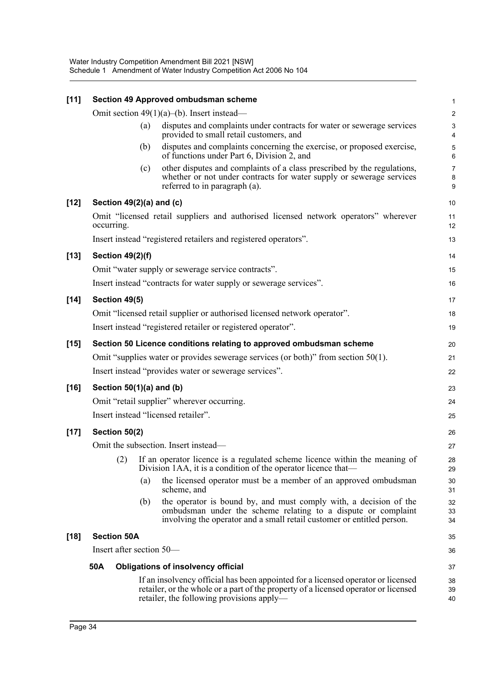| $[11]$ |                                                                 |     | Section 49 Approved ombudsman scheme                                                                                                                                                                                 | $\mathbf{1}$             |  |  |  |  |  |
|--------|-----------------------------------------------------------------|-----|----------------------------------------------------------------------------------------------------------------------------------------------------------------------------------------------------------------------|--------------------------|--|--|--|--|--|
|        |                                                                 |     | Omit section $49(1)(a)$ –(b). Insert instead—                                                                                                                                                                        | $\boldsymbol{2}$         |  |  |  |  |  |
|        |                                                                 | (a) | disputes and complaints under contracts for water or sewerage services<br>provided to small retail customers, and                                                                                                    | 3<br>4                   |  |  |  |  |  |
|        |                                                                 | (b) | disputes and complaints concerning the exercise, or proposed exercise,<br>of functions under Part 6, Division 2, and                                                                                                 | $\mathbf 5$<br>6         |  |  |  |  |  |
|        |                                                                 | (c) | other disputes and complaints of a class prescribed by the regulations,<br>whether or not under contracts for water supply or sewerage services<br>referred to in paragraph (a).                                     | $\overline{7}$<br>8<br>9 |  |  |  |  |  |
| $[12]$ | Section 49(2)(a) and (c)                                        |     |                                                                                                                                                                                                                      | 10                       |  |  |  |  |  |
|        | occurring.                                                      |     | Omit "licensed retail suppliers and authorised licensed network operators" wherever                                                                                                                                  | 11<br>12                 |  |  |  |  |  |
|        | Insert instead "registered retailers and registered operators". |     |                                                                                                                                                                                                                      |                          |  |  |  |  |  |
| $[13]$ | <b>Section 49(2)(f)</b>                                         |     |                                                                                                                                                                                                                      | 14                       |  |  |  |  |  |
|        |                                                                 |     | Omit "water supply or sewerage service contracts".                                                                                                                                                                   | 15                       |  |  |  |  |  |
|        |                                                                 |     | Insert instead "contracts for water supply or sewerage services".                                                                                                                                                    | 16                       |  |  |  |  |  |
| $[14]$ | Section 49(5)                                                   |     |                                                                                                                                                                                                                      | 17                       |  |  |  |  |  |
|        |                                                                 |     | Omit "licensed retail supplier or authorised licensed network operator".                                                                                                                                             | 18                       |  |  |  |  |  |
|        | Insert instead "registered retailer or registered operator".    |     |                                                                                                                                                                                                                      |                          |  |  |  |  |  |
| $[15]$ |                                                                 |     | Section 50 Licence conditions relating to approved ombudsman scheme                                                                                                                                                  | 20                       |  |  |  |  |  |
|        |                                                                 |     | Omit "supplies water or provides sewerage services (or both)" from section $50(1)$ .                                                                                                                                 | 21                       |  |  |  |  |  |
|        |                                                                 |     | Insert instead "provides water or sewerage services".                                                                                                                                                                | 22                       |  |  |  |  |  |
| $[16]$ | Section $50(1)(a)$ and (b)                                      |     |                                                                                                                                                                                                                      | 23                       |  |  |  |  |  |
|        | Omit "retail supplier" wherever occurring.                      |     |                                                                                                                                                                                                                      |                          |  |  |  |  |  |
|        |                                                                 |     | Insert instead "licensed retailer".                                                                                                                                                                                  | 25                       |  |  |  |  |  |
| $[17]$ | Section 50(2)                                                   |     |                                                                                                                                                                                                                      |                          |  |  |  |  |  |
|        |                                                                 |     | Omit the subsection. Insert instead—                                                                                                                                                                                 | 27                       |  |  |  |  |  |
|        |                                                                 |     | (2) If an operator licence is a regulated scheme licence within the meaning of<br>Division 1AA, it is a condition of the operator licence that—                                                                      | 28<br>29                 |  |  |  |  |  |
|        |                                                                 | (a) | the licensed operator must be a member of an approved ombudsman<br>scheme, and                                                                                                                                       | 30<br>31                 |  |  |  |  |  |
|        |                                                                 | (b) | the operator is bound by, and must comply with, a decision of the<br>ombudsman under the scheme relating to a dispute or complaint<br>involving the operator and a small retail customer or entitled person.         | 32<br>33<br>34           |  |  |  |  |  |
| $[18]$ | <b>Section 50A</b>                                              |     |                                                                                                                                                                                                                      | 35                       |  |  |  |  |  |
|        | Insert after section 50—                                        |     |                                                                                                                                                                                                                      | 36                       |  |  |  |  |  |
|        | 50A                                                             |     | <b>Obligations of insolvency official</b>                                                                                                                                                                            | 37                       |  |  |  |  |  |
|        |                                                                 |     | If an insolvency official has been appointed for a licensed operator or licensed<br>retailer, or the whole or a part of the property of a licensed operator or licensed<br>retailer, the following provisions apply— | 38<br>39<br>40           |  |  |  |  |  |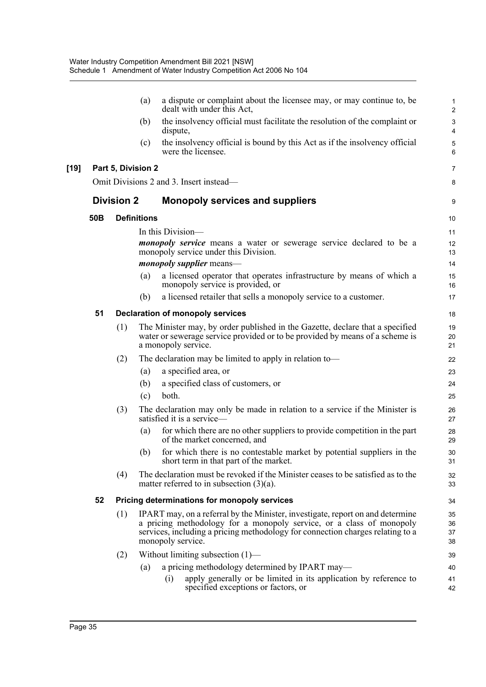|        |                   |                    | (a)                | a dispute or complaint about the licensee may, or may continue to, be<br>dealt with under this Act,                                                                                                                                                           | $\mathbf{1}$<br>2    |
|--------|-------------------|--------------------|--------------------|---------------------------------------------------------------------------------------------------------------------------------------------------------------------------------------------------------------------------------------------------------------|----------------------|
|        |                   |                    | (b)                | the insolvency official must facilitate the resolution of the complaint or<br>dispute,                                                                                                                                                                        | 3<br>4               |
|        |                   |                    | (c)                | the insolvency official is bound by this Act as if the insolvency official<br>were the licensee.                                                                                                                                                              | 5<br>6               |
| $[19]$ |                   | Part 5, Division 2 |                    |                                                                                                                                                                                                                                                               | $\overline{7}$       |
|        |                   |                    |                    | Omit Divisions 2 and 3. Insert instead—                                                                                                                                                                                                                       | 8                    |
|        | <b>Division 2</b> |                    |                    | <b>Monopoly services and suppliers</b>                                                                                                                                                                                                                        | 9                    |
|        | 50 <sub>B</sub>   |                    | <b>Definitions</b> |                                                                                                                                                                                                                                                               | 10                   |
|        |                   |                    |                    | In this Division-                                                                                                                                                                                                                                             | 11                   |
|        |                   |                    |                    | <i>monopoly service</i> means a water or sewerage service declared to be a<br>monopoly service under this Division.                                                                                                                                           | 12<br>13             |
|        |                   |                    |                    | <i>monopoly supplier</i> means—                                                                                                                                                                                                                               | 14                   |
|        |                   |                    | (a)                | a licensed operator that operates infrastructure by means of which a<br>monopoly service is provided, or                                                                                                                                                      | 15<br>16             |
|        |                   |                    | (b)                | a licensed retailer that sells a monopoly service to a customer.                                                                                                                                                                                              | 17                   |
|        | 51                |                    |                    | <b>Declaration of monopoly services</b>                                                                                                                                                                                                                       | 18                   |
|        |                   | (1)                |                    | The Minister may, by order published in the Gazette, declare that a specified<br>water or sewerage service provided or to be provided by means of a scheme is<br>a monopoly service.                                                                          | 19<br>20<br>21       |
|        |                   | (2)                |                    | The declaration may be limited to apply in relation to-                                                                                                                                                                                                       | 22                   |
|        |                   |                    | (a)                | a specified area, or                                                                                                                                                                                                                                          | 23                   |
|        |                   |                    | (b)                | a specified class of customers, or                                                                                                                                                                                                                            | 24                   |
|        |                   |                    | (c)                | both.                                                                                                                                                                                                                                                         | 25                   |
|        |                   | (3)                |                    | The declaration may only be made in relation to a service if the Minister is<br>satisfied it is a service-                                                                                                                                                    | 26<br>27             |
|        |                   |                    | (a)                | for which there are no other suppliers to provide competition in the part<br>of the market concerned, and                                                                                                                                                     | 28<br>29             |
|        |                   |                    | (b)                | for which there is no contestable market by potential suppliers in the<br>short term in that part of the market.                                                                                                                                              | 30<br>31             |
|        |                   | (4)                |                    | The declaration must be revoked if the Minister ceases to be satisfied as to the<br>matter referred to in subsection $(3)(a)$ .                                                                                                                               | 32<br>33             |
|        | 52                |                    |                    | <b>Pricing determinations for monopoly services</b>                                                                                                                                                                                                           | 34                   |
|        |                   | (1)                |                    | IPART may, on a referral by the Minister, investigate, report on and determine<br>a pricing methodology for a monopoly service, or a class of monopoly<br>services, including a pricing methodology for connection charges relating to a<br>monopoly service. | 35<br>36<br>37<br>38 |
|        |                   | (2)                |                    | Without limiting subsection $(1)$ —                                                                                                                                                                                                                           | 39                   |
|        |                   |                    | (a)                | a pricing methodology determined by IPART may—                                                                                                                                                                                                                | 40                   |
|        |                   |                    |                    | apply generally or be limited in its application by reference to<br>(i)<br>specified exceptions or factors, or                                                                                                                                                | 41<br>42             |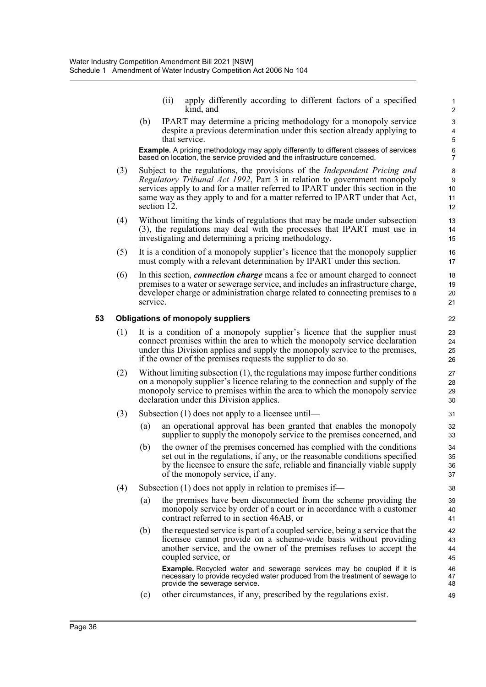(ii) apply differently according to different factors of a specified kind, and

(b) IPART may determine a pricing methodology for a monopoly service despite a previous determination under this section already applying to that service.

**Example.** A pricing methodology may apply differently to different classes of services based on location, the service provided and the infrastructure concerned.

- (3) Subject to the regulations, the provisions of the *Independent Pricing and Regulatory Tribunal Act 1992*, Part 3 in relation to government monopoly services apply to and for a matter referred to IPART under this section in the same way as they apply to and for a matter referred to IPART under that Act, section 12.
- (4) Without limiting the kinds of regulations that may be made under subsection (3), the regulations may deal with the processes that IPART must use in investigating and determining a pricing methodology.
- (5) It is a condition of a monopoly supplier's licence that the monopoly supplier must comply with a relevant determination by IPART under this section.
- (6) In this section, *connection charge* means a fee or amount charged to connect premises to a water or sewerage service, and includes an infrastructure charge, developer charge or administration charge related to connecting premises to a service.

## **53 Obligations of monopoly suppliers**

- (1) It is a condition of a monopoly supplier's licence that the supplier must connect premises within the area to which the monopoly service declaration under this Division applies and supply the monopoly service to the premises, if the owner of the premises requests the supplier to do so.
- (2) Without limiting subsection (1), the regulations may impose further conditions on a monopoly supplier's licence relating to the connection and supply of the monopoly service to premises within the area to which the monopoly service declaration under this Division applies.
- (3) Subsection (1) does not apply to a licensee until—
	- (a) an operational approval has been granted that enables the monopoly supplier to supply the monopoly service to the premises concerned, and
	- (b) the owner of the premises concerned has complied with the conditions set out in the regulations, if any, or the reasonable conditions specified by the licensee to ensure the safe, reliable and financially viable supply of the monopoly service, if any.
- (4) Subsection (1) does not apply in relation to premises if—
	- (a) the premises have been disconnected from the scheme providing the monopoly service by order of a court or in accordance with a customer contract referred to in section 46AB, or
	- (b) the requested service is part of a coupled service, being a service that the licensee cannot provide on a scheme-wide basis without providing another service, and the owner of the premises refuses to accept the coupled service, or

**Example.** Recycled water and sewerage services may be coupled if it is necessary to provide recycled water produced from the treatment of sewage to provide the sewerage service.

(c) other circumstances, if any, prescribed by the regulations exist.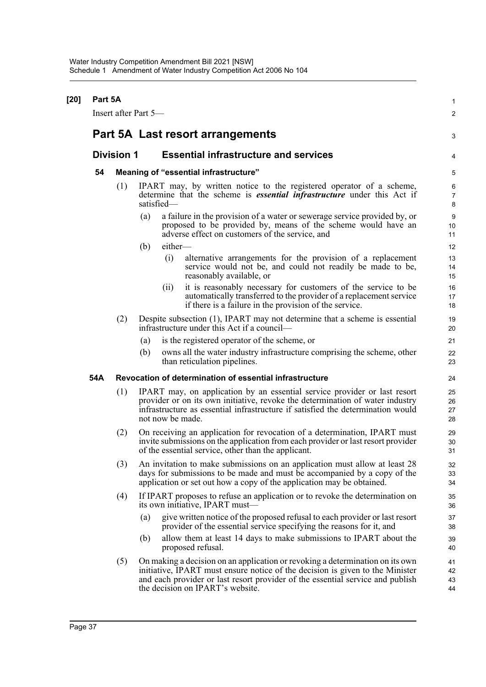| $[20]$ | Part 5A |                      |     |                                                                                                                                                                      |                                                                                                                                                                                                                                                                                      | 1                            |  |  |  |
|--------|---------|----------------------|-----|----------------------------------------------------------------------------------------------------------------------------------------------------------------------|--------------------------------------------------------------------------------------------------------------------------------------------------------------------------------------------------------------------------------------------------------------------------------------|------------------------------|--|--|--|
|        |         | Insert after Part 5- |     |                                                                                                                                                                      |                                                                                                                                                                                                                                                                                      | 2                            |  |  |  |
|        |         |                      |     |                                                                                                                                                                      | Part 5A Last resort arrangements                                                                                                                                                                                                                                                     | 3                            |  |  |  |
|        |         | <b>Division 1</b>    |     |                                                                                                                                                                      | <b>Essential infrastructure and services</b>                                                                                                                                                                                                                                         | 4                            |  |  |  |
|        | 54      |                      |     |                                                                                                                                                                      | Meaning of "essential infrastructure"                                                                                                                                                                                                                                                | 5                            |  |  |  |
|        |         | (1)                  |     | IPART may, by written notice to the registered operator of a scheme,<br>determine that the scheme is <i>essential infrastructure</i> under this Act if<br>satisfied- |                                                                                                                                                                                                                                                                                      |                              |  |  |  |
|        |         |                      | (a) |                                                                                                                                                                      | a failure in the provision of a water or sewerage service provided by, or<br>proposed to be provided by, means of the scheme would have an<br>adverse effect on customers of the service, and                                                                                        | $\boldsymbol{9}$<br>10<br>11 |  |  |  |
|        |         |                      | (b) | either-                                                                                                                                                              |                                                                                                                                                                                                                                                                                      | 12                           |  |  |  |
|        |         |                      |     | (i)                                                                                                                                                                  | alternative arrangements for the provision of a replacement<br>service would not be, and could not readily be made to be,<br>reasonably available, or                                                                                                                                | 13<br>14<br>15               |  |  |  |
|        |         |                      |     | (ii)                                                                                                                                                                 | it is reasonably necessary for customers of the service to be<br>automatically transferred to the provider of a replacement service<br>if there is a failure in the provision of the service.                                                                                        | 16<br>17<br>18               |  |  |  |
|        |         | (2)                  |     |                                                                                                                                                                      | Despite subsection (1), IPART may not determine that a scheme is essential<br>infrastructure under this Act if a council—                                                                                                                                                            | 19<br>20                     |  |  |  |
|        |         |                      | (a) |                                                                                                                                                                      | is the registered operator of the scheme, or                                                                                                                                                                                                                                         | 21                           |  |  |  |
|        |         |                      | (b) |                                                                                                                                                                      | owns all the water industry infrastructure comprising the scheme, other<br>than reticulation pipelines.                                                                                                                                                                              | 22<br>23                     |  |  |  |
|        | 54A     |                      |     |                                                                                                                                                                      | Revocation of determination of essential infrastructure                                                                                                                                                                                                                              | 24                           |  |  |  |
|        |         | (1)                  |     | not now be made.                                                                                                                                                     | IPART may, on application by an essential service provider or last resort<br>provider or on its own initiative, revoke the determination of water industry<br>infrastructure as essential infrastructure if satisfied the determination would                                        | 25<br>26<br>27<br>28         |  |  |  |
|        |         | (2)                  |     |                                                                                                                                                                      | On receiving an application for revocation of a determination, IPART must<br>invite submissions on the application from each provider or last resort provider<br>of the essential service, other than the applicant.                                                                 | 29<br>30<br>31               |  |  |  |
|        |         | (3)                  |     |                                                                                                                                                                      | An invitation to make submissions on an application must allow at least 28<br>days for submissions to be made and must be accompanied by a copy of the<br>application or set out how a copy of the application may be obtained.                                                      | 32<br>33<br>34               |  |  |  |
|        |         | (4)                  |     |                                                                                                                                                                      | If IPART proposes to refuse an application or to revoke the determination on<br>its own initiative, IPART must—                                                                                                                                                                      | 35<br>36                     |  |  |  |
|        |         |                      | (a) |                                                                                                                                                                      | give written notice of the proposed refusal to each provider or last resort<br>provider of the essential service specifying the reasons for it, and                                                                                                                                  | 37<br>38                     |  |  |  |
|        |         |                      | (b) |                                                                                                                                                                      | allow them at least 14 days to make submissions to IPART about the<br>proposed refusal.                                                                                                                                                                                              | 39<br>40                     |  |  |  |
|        |         | (5)                  |     |                                                                                                                                                                      | On making a decision on an application or revoking a determination on its own<br>initiative, IPART must ensure notice of the decision is given to the Minister<br>and each provider or last resort provider of the essential service and publish<br>the decision on IPART's website. | 41<br>42<br>43<br>44         |  |  |  |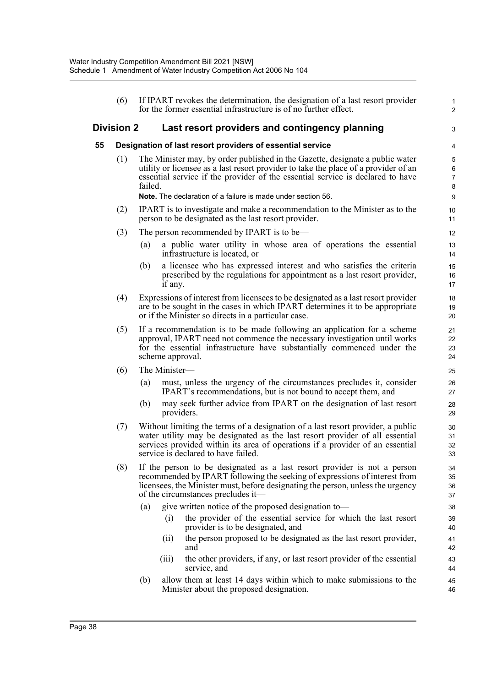|    | (6)                                                       |                                                                                                                                                                                                                                                                                                                                   |               | If IPART revokes the determination, the designation of a last resort provider<br>for the former essential infrastructure is of no further effect.                                                                                                                                       | $\mathbf{1}$<br>$\overline{2}$ |  |  |  |  |
|----|-----------------------------------------------------------|-----------------------------------------------------------------------------------------------------------------------------------------------------------------------------------------------------------------------------------------------------------------------------------------------------------------------------------|---------------|-----------------------------------------------------------------------------------------------------------------------------------------------------------------------------------------------------------------------------------------------------------------------------------------|--------------------------------|--|--|--|--|
|    | <b>Division 2</b>                                         |                                                                                                                                                                                                                                                                                                                                   |               | Last resort providers and contingency planning                                                                                                                                                                                                                                          | 3                              |  |  |  |  |
| 55 | Designation of last resort providers of essential service |                                                                                                                                                                                                                                                                                                                                   |               |                                                                                                                                                                                                                                                                                         |                                |  |  |  |  |
|    | (1)                                                       | The Minister may, by order published in the Gazette, designate a public water<br>utility or licensee as a last resort provider to take the place of a provider of an<br>essential service if the provider of the essential service is declared to have<br>failed.<br>Note. The declaration of a failure is made under section 56. |               |                                                                                                                                                                                                                                                                                         |                                |  |  |  |  |
|    | (2)                                                       |                                                                                                                                                                                                                                                                                                                                   |               | IPART is to investigate and make a recommendation to the Minister as to the<br>person to be designated as the last resort provider.                                                                                                                                                     | 10<br>11                       |  |  |  |  |
|    | (3)                                                       |                                                                                                                                                                                                                                                                                                                                   |               | The person recommended by IPART is to be—                                                                                                                                                                                                                                               | 12                             |  |  |  |  |
|    |                                                           | (a)                                                                                                                                                                                                                                                                                                                               |               | a public water utility in whose area of operations the essential<br>infrastructure is located, or                                                                                                                                                                                       | 13<br>14                       |  |  |  |  |
|    |                                                           | (b)                                                                                                                                                                                                                                                                                                                               | if any.       | a licensee who has expressed interest and who satisfies the criteria<br>prescribed by the regulations for appointment as a last resort provider,                                                                                                                                        | 15<br>16<br>17                 |  |  |  |  |
|    | (4)                                                       |                                                                                                                                                                                                                                                                                                                                   |               | Expressions of interest from licensees to be designated as a last resort provider<br>are to be sought in the cases in which IPART determines it to be appropriate<br>or if the Minister so directs in a particular case.                                                                | 18<br>19<br>20                 |  |  |  |  |
|    | (5)                                                       |                                                                                                                                                                                                                                                                                                                                   |               | If a recommendation is to be made following an application for a scheme<br>approval, IPART need not commence the necessary investigation until works<br>for the essential infrastructure have substantially commenced under the<br>scheme approval.                                     | 21<br>22<br>23<br>24           |  |  |  |  |
|    | (6)                                                       |                                                                                                                                                                                                                                                                                                                                   | The Minister- |                                                                                                                                                                                                                                                                                         | 25                             |  |  |  |  |
|    |                                                           | (a)                                                                                                                                                                                                                                                                                                                               |               | must, unless the urgency of the circumstances precludes it, consider<br>IPART's recommendations, but is not bound to accept them, and                                                                                                                                                   | 26<br>27                       |  |  |  |  |
|    |                                                           | (b)                                                                                                                                                                                                                                                                                                                               |               | may seek further advice from IPART on the designation of last resort<br>providers.                                                                                                                                                                                                      | 28<br>29                       |  |  |  |  |
|    | (7)                                                       |                                                                                                                                                                                                                                                                                                                                   |               | Without limiting the terms of a designation of a last resort provider, a public<br>water utility may be designated as the last resort provider of all essential<br>services provided within its area of operations if a provider of an essential<br>service is declared to have failed. | 30<br>31<br>32<br>33           |  |  |  |  |
|    | (8)                                                       |                                                                                                                                                                                                                                                                                                                                   |               | If the person to be designated as a last resort provider is not a person<br>recommended by IPART following the seeking of expressions of interest from<br>licensees, the Minister must, before designating the person, unless the urgency<br>of the circumstances precludes it—         | 34<br>35<br>36<br>37           |  |  |  |  |
|    |                                                           | (a)                                                                                                                                                                                                                                                                                                                               |               | give written notice of the proposed designation to-                                                                                                                                                                                                                                     | 38                             |  |  |  |  |
|    |                                                           |                                                                                                                                                                                                                                                                                                                                   | (i)           | the provider of the essential service for which the last resort<br>provider is to be designated, and                                                                                                                                                                                    | 39<br>40                       |  |  |  |  |
|    |                                                           |                                                                                                                                                                                                                                                                                                                                   | (ii)          | the person proposed to be designated as the last resort provider,<br>and                                                                                                                                                                                                                | 41<br>42                       |  |  |  |  |
|    |                                                           |                                                                                                                                                                                                                                                                                                                                   | (iii)         | the other providers, if any, or last resort provider of the essential<br>service, and                                                                                                                                                                                                   | 43<br>44                       |  |  |  |  |
|    |                                                           | (b)                                                                                                                                                                                                                                                                                                                               |               | allow them at least 14 days within which to make submissions to the<br>Minister about the proposed designation.                                                                                                                                                                         | 45<br>46                       |  |  |  |  |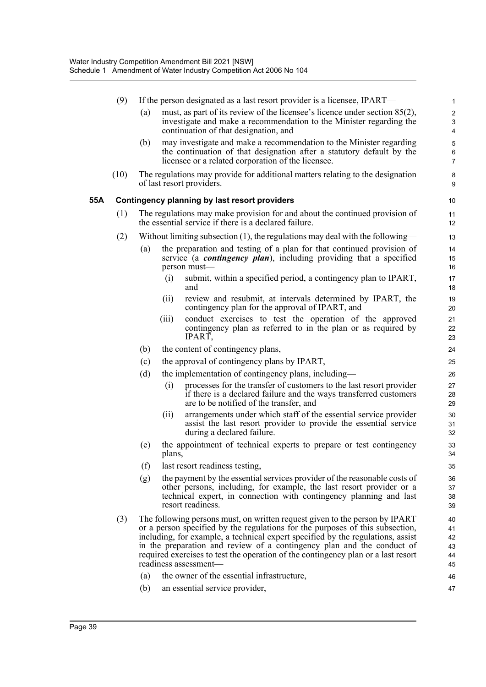|     | (9)  |                   |        | If the person designated as a last resort provider is a licensee, IPART—                                                                                                                                                                                                                                                                                                                                                                                                              | $\mathbf{1}$                             |
|-----|------|-------------------|--------|---------------------------------------------------------------------------------------------------------------------------------------------------------------------------------------------------------------------------------------------------------------------------------------------------------------------------------------------------------------------------------------------------------------------------------------------------------------------------------------|------------------------------------------|
|     |      | (a)               |        | must, as part of its review of the licensee's licence under section $85(2)$ ,<br>investigate and make a recommendation to the Minister regarding the<br>continuation of that designation, and                                                                                                                                                                                                                                                                                         | $\overline{c}$<br>3<br>4                 |
|     |      | (b)               |        | may investigate and make a recommendation to the Minister regarding<br>the continuation of that designation after a statutory default by the<br>licensee or a related corporation of the licensee.                                                                                                                                                                                                                                                                                    | $\mathbf 5$<br>$\,6\,$<br>$\overline{7}$ |
|     | (10) |                   |        | The regulations may provide for additional matters relating to the designation<br>of last resort providers.                                                                                                                                                                                                                                                                                                                                                                           | 8<br>9                                   |
| 55A |      |                   |        | Contingency planning by last resort providers                                                                                                                                                                                                                                                                                                                                                                                                                                         | 10                                       |
|     | (1)  |                   |        | The regulations may make provision for and about the continued provision of<br>the essential service if there is a declared failure.                                                                                                                                                                                                                                                                                                                                                  | 11<br>12                                 |
|     | (2)  |                   |        | Without limiting subsection $(1)$ , the regulations may deal with the following—                                                                                                                                                                                                                                                                                                                                                                                                      | 13                                       |
|     |      | $\left( a\right)$ |        | the preparation and testing of a plan for that continued provision of<br>service (a <i>contingency plan</i> ), including providing that a specified<br>person must-                                                                                                                                                                                                                                                                                                                   | 14<br>15<br>16                           |
|     |      |                   | (i)    | submit, within a specified period, a contingency plan to IPART,<br>and                                                                                                                                                                                                                                                                                                                                                                                                                | 17<br>18                                 |
|     |      |                   | (ii)   | review and resubmit, at intervals determined by IPART, the<br>contingency plan for the approval of IPART, and                                                                                                                                                                                                                                                                                                                                                                         | 19<br>20                                 |
|     |      |                   | (iii)  | conduct exercises to test the operation of the approved<br>contingency plan as referred to in the plan or as required by<br>IPART,                                                                                                                                                                                                                                                                                                                                                    | 21<br>22<br>23                           |
|     |      | (b)               |        | the content of contingency plans,                                                                                                                                                                                                                                                                                                                                                                                                                                                     | 24                                       |
|     |      | (c)               |        | the approval of contingency plans by IPART,                                                                                                                                                                                                                                                                                                                                                                                                                                           | 25                                       |
|     |      | (d)               |        | the implementation of contingency plans, including—                                                                                                                                                                                                                                                                                                                                                                                                                                   | 26                                       |
|     |      |                   | (i)    | processes for the transfer of customers to the last resort provider<br>if there is a declared failure and the ways transferred customers<br>are to be notified of the transfer, and                                                                                                                                                                                                                                                                                                   | 27<br>28<br>29                           |
|     |      |                   | (ii)   | arrangements under which staff of the essential service provider<br>assist the last resort provider to provide the essential service<br>during a declared failure.                                                                                                                                                                                                                                                                                                                    | 30<br>31<br>32                           |
|     |      | (e)               | plans, | the appointment of technical experts to prepare or test contingency                                                                                                                                                                                                                                                                                                                                                                                                                   | 33<br>34                                 |
|     |      | (f)               |        | last resort readiness testing,                                                                                                                                                                                                                                                                                                                                                                                                                                                        | 35                                       |
|     |      | (g)               |        | the payment by the essential services provider of the reasonable costs of<br>other persons, including, for example, the last resort provider or a<br>technical expert, in connection with contingency planning and last<br>resort readiness.                                                                                                                                                                                                                                          | 36<br>37<br>38<br>39                     |
|     | (3)  | (a)               |        | The following persons must, on written request given to the person by IPART<br>or a person specified by the regulations for the purposes of this subsection,<br>including, for example, a technical expert specified by the regulations, assist<br>in the preparation and review of a contingency plan and the conduct of<br>required exercises to test the operation of the contingency plan or a last resort<br>readiness assessment-<br>the owner of the essential infrastructure, | 40<br>41<br>42<br>43<br>44<br>45<br>46   |
|     |      | (b)               |        | an essential service provider,                                                                                                                                                                                                                                                                                                                                                                                                                                                        | 47                                       |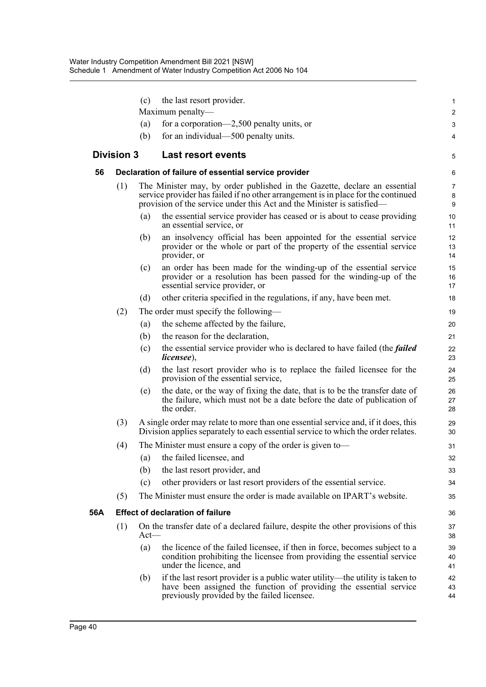|     |                   | (c)     | the last resort provider.                                                                                                                                                                                                                | $\mathbf{1}$   |  |  |  |  |
|-----|-------------------|---------|------------------------------------------------------------------------------------------------------------------------------------------------------------------------------------------------------------------------------------------|----------------|--|--|--|--|
|     |                   |         | Maximum penalty-                                                                                                                                                                                                                         | $\overline{c}$ |  |  |  |  |
|     |                   | (a)     | for a corporation—2,500 penalty units, or                                                                                                                                                                                                | 3              |  |  |  |  |
|     |                   | (b)     | for an individual—500 penalty units.                                                                                                                                                                                                     | 4              |  |  |  |  |
|     | <b>Division 3</b> |         | <b>Last resort events</b>                                                                                                                                                                                                                | 5              |  |  |  |  |
| 56  |                   |         | Declaration of failure of essential service provider                                                                                                                                                                                     |                |  |  |  |  |
|     | (1)               |         | The Minister may, by order published in the Gazette, declare an essential<br>service provider has failed if no other arrangement is in place for the continued<br>provision of the service under this Act and the Minister is satisfied— |                |  |  |  |  |
|     |                   | (a)     | the essential service provider has ceased or is about to cease providing<br>an essential service, or                                                                                                                                     | 10<br>11       |  |  |  |  |
|     |                   | (b)     | an insolvency official has been appointed for the essential service<br>provider or the whole or part of the property of the essential service<br>provider, or                                                                            | 12<br>13<br>14 |  |  |  |  |
|     |                   | (c)     | an order has been made for the winding-up of the essential service<br>provider or a resolution has been passed for the winding-up of the<br>essential service provider, or                                                               | 15<br>16<br>17 |  |  |  |  |
|     |                   | (d)     | other criteria specified in the regulations, if any, have been met.                                                                                                                                                                      | 18             |  |  |  |  |
|     | (2)               |         | The order must specify the following—                                                                                                                                                                                                    | 19             |  |  |  |  |
|     |                   | (a)     | the scheme affected by the failure,                                                                                                                                                                                                      | 20             |  |  |  |  |
|     |                   | (b)     | the reason for the declaration,                                                                                                                                                                                                          | 21             |  |  |  |  |
|     |                   | (c)     | the essential service provider who is declared to have failed (the <i>failed</i><br><i>licensee</i> ),                                                                                                                                   | 22<br>23       |  |  |  |  |
|     |                   | (d)     | the last resort provider who is to replace the failed licensee for the<br>provision of the essential service,                                                                                                                            | 24<br>25       |  |  |  |  |
|     |                   | (e)     | the date, or the way of fixing the date, that is to be the transfer date of<br>the failure, which must not be a date before the date of publication of<br>the order.                                                                     | 26<br>27<br>28 |  |  |  |  |
|     | (3)               |         | A single order may relate to more than one essential service and, if it does, this<br>Division applies separately to each essential service to which the order relates.                                                                  | 29<br>30       |  |  |  |  |
|     | (4)               |         | The Minister must ensure a copy of the order is given to-                                                                                                                                                                                | 31             |  |  |  |  |
|     |                   |         | (a) the failed licensee, and                                                                                                                                                                                                             | 32             |  |  |  |  |
|     |                   | (b)     | the last resort provider, and                                                                                                                                                                                                            | 33             |  |  |  |  |
|     |                   | (c)     | other providers or last resort providers of the essential service.                                                                                                                                                                       | 34             |  |  |  |  |
|     | (5)               |         | The Minister must ensure the order is made available on IPART's website.                                                                                                                                                                 | 35             |  |  |  |  |
| 56A |                   |         | <b>Effect of declaration of failure</b>                                                                                                                                                                                                  | 36             |  |  |  |  |
|     | (1)               | $Act$ — | On the transfer date of a declared failure, despite the other provisions of this                                                                                                                                                         | 37<br>38       |  |  |  |  |
|     |                   | (a)     | the licence of the failed licensee, if then in force, becomes subject to a<br>condition prohibiting the licensee from providing the essential service<br>under the licence, and                                                          | 39<br>40<br>41 |  |  |  |  |
|     |                   | (b)     | if the last resort provider is a public water utility—the utility is taken to<br>have been assigned the function of providing the essential service<br>previously provided by the failed licensee.                                       | 42<br>43<br>44 |  |  |  |  |
|     |                   |         |                                                                                                                                                                                                                                          |                |  |  |  |  |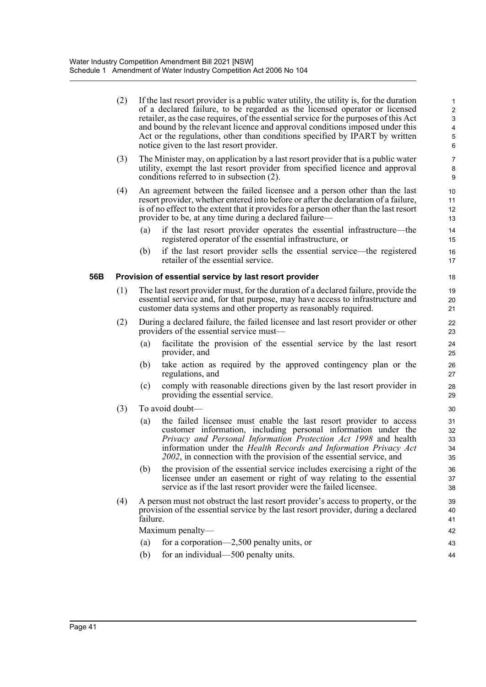|     | (2) |                                                                                                                                                                                                                                          | If the last resort provider is a public water utility, the utility is, for the duration<br>of a declared failure, to be regarded as the licensed operator or licensed<br>retailer, as the case requires, of the essential service for the purposes of this Act<br>and bound by the relevant licence and approval conditions imposed under this<br>Act or the regulations, other than conditions specified by IPART by written<br>notice given to the last resort provider. | 1<br>$\overline{\mathbf{c}}$<br>3<br>4<br>5<br>6 |  |  |  |  |  |
|-----|-----|------------------------------------------------------------------------------------------------------------------------------------------------------------------------------------------------------------------------------------------|----------------------------------------------------------------------------------------------------------------------------------------------------------------------------------------------------------------------------------------------------------------------------------------------------------------------------------------------------------------------------------------------------------------------------------------------------------------------------|--------------------------------------------------|--|--|--|--|--|
|     | (3) |                                                                                                                                                                                                                                          | The Minister may, on application by a last resort provider that is a public water<br>utility, exempt the last resort provider from specified licence and approval<br>conditions referred to in subsection (2).                                                                                                                                                                                                                                                             | 7<br>8<br>9                                      |  |  |  |  |  |
|     | (4) |                                                                                                                                                                                                                                          | An agreement between the failed licensee and a person other than the last<br>resort provider, whether entered into before or after the declaration of a failure,<br>is of no effect to the extent that it provides for a person other than the last resort<br>provider to be, at any time during a declared failure—                                                                                                                                                       | 10<br>11<br>12<br>13                             |  |  |  |  |  |
|     |     | (a)                                                                                                                                                                                                                                      | if the last resort provider operates the essential infrastructure—the<br>registered operator of the essential infrastructure, or                                                                                                                                                                                                                                                                                                                                           | 14<br>15                                         |  |  |  |  |  |
|     |     | (b)                                                                                                                                                                                                                                      | if the last resort provider sells the essential service—the registered<br>retailer of the essential service.                                                                                                                                                                                                                                                                                                                                                               | 16<br>17                                         |  |  |  |  |  |
| 56B |     |                                                                                                                                                                                                                                          | Provision of essential service by last resort provider                                                                                                                                                                                                                                                                                                                                                                                                                     | 18                                               |  |  |  |  |  |
|     | (1) | The last resort provider must, for the duration of a declared failure, provide the<br>essential service and, for that purpose, may have access to infrastructure and<br>customer data systems and other property as reasonably required. |                                                                                                                                                                                                                                                                                                                                                                                                                                                                            |                                                  |  |  |  |  |  |
|     | (2) | During a declared failure, the failed licensee and last resort provider or other<br>providers of the essential service must—                                                                                                             |                                                                                                                                                                                                                                                                                                                                                                                                                                                                            |                                                  |  |  |  |  |  |
|     |     | (a)                                                                                                                                                                                                                                      | facilitate the provision of the essential service by the last resort<br>provider, and                                                                                                                                                                                                                                                                                                                                                                                      | 24<br>25                                         |  |  |  |  |  |
|     |     | (b)                                                                                                                                                                                                                                      | take action as required by the approved contingency plan or the<br>regulations, and                                                                                                                                                                                                                                                                                                                                                                                        | 26<br>27                                         |  |  |  |  |  |
|     |     | (c)                                                                                                                                                                                                                                      | comply with reasonable directions given by the last resort provider in<br>providing the essential service.                                                                                                                                                                                                                                                                                                                                                                 | 28<br>29                                         |  |  |  |  |  |
|     | (3) |                                                                                                                                                                                                                                          | To avoid doubt—                                                                                                                                                                                                                                                                                                                                                                                                                                                            | 30                                               |  |  |  |  |  |
|     |     | (a)                                                                                                                                                                                                                                      | the failed licensee must enable the last resort provider to access<br>customer information, including personal information under the<br>Privacy and Personal Information Protection Act 1998 and health<br>information under the Health Records and Information Privacy Act<br>2002, in connection with the provision of the essential service, and                                                                                                                        | 31<br>32<br>33<br>34<br>35                       |  |  |  |  |  |
|     |     | (b)                                                                                                                                                                                                                                      | the provision of the essential service includes exercising a right of the<br>licensee under an easement or right of way relating to the essential<br>service as if the last resort provider were the failed licensee.                                                                                                                                                                                                                                                      | 36<br>37<br>38                                   |  |  |  |  |  |
|     | (4) | failure.                                                                                                                                                                                                                                 | A person must not obstruct the last resort provider's access to property, or the<br>provision of the essential service by the last resort provider, during a declared                                                                                                                                                                                                                                                                                                      | 39<br>40<br>41                                   |  |  |  |  |  |
|     |     |                                                                                                                                                                                                                                          | Maximum penalty-                                                                                                                                                                                                                                                                                                                                                                                                                                                           | 42                                               |  |  |  |  |  |
|     |     | (a)                                                                                                                                                                                                                                      | for a corporation—2,500 penalty units, or                                                                                                                                                                                                                                                                                                                                                                                                                                  | 43                                               |  |  |  |  |  |
|     |     | (b)                                                                                                                                                                                                                                      | for an individual—500 penalty units.                                                                                                                                                                                                                                                                                                                                                                                                                                       | 44                                               |  |  |  |  |  |
|     |     |                                                                                                                                                                                                                                          |                                                                                                                                                                                                                                                                                                                                                                                                                                                                            |                                                  |  |  |  |  |  |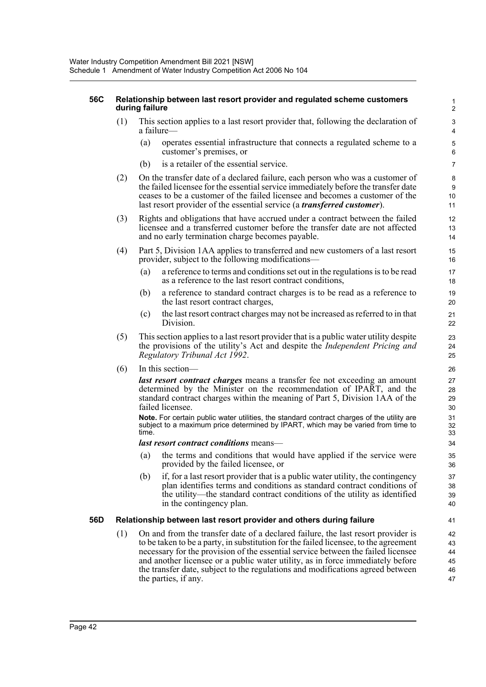### **56C Relationship between last resort provider and regulated scheme customers during failure**

- (1) This section applies to a last resort provider that, following the declaration of a failure—
	- (a) operates essential infrastructure that connects a regulated scheme to a customer's premises, or

- (b) is a retailer of the essential service.
- (2) On the transfer date of a declared failure, each person who was a customer of the failed licensee for the essential service immediately before the transfer date ceases to be a customer of the failed licensee and becomes a customer of the last resort provider of the essential service (a *transferred customer*).
- (3) Rights and obligations that have accrued under a contract between the failed licensee and a transferred customer before the transfer date are not affected and no early termination charge becomes payable.
- (4) Part 5, Division 1AA applies to transferred and new customers of a last resort provider, subject to the following modifications—
	- (a) a reference to terms and conditions set out in the regulations is to be read as a reference to the last resort contract conditions,
	- (b) a reference to standard contract charges is to be read as a reference to the last resort contract charges,
	- (c) the last resort contract charges may not be increased as referred to in that Division.
- (5) This section applies to a last resort provider that is a public water utility despite the provisions of the utility's Act and despite the *Independent Pricing and Regulatory Tribunal Act 1992*.
- (6) In this section—

*last resort contract charges* means a transfer fee not exceeding an amount determined by the Minister on the recommendation of IPART, and the standard contract charges within the meaning of Part 5, Division 1AA of the failed licensee.

**Note.** For certain public water utilities, the standard contract charges of the utility are subject to a maximum price determined by IPART, which may be varied from time to time.

### *last resort contract conditions* means—

- (a) the terms and conditions that would have applied if the service were provided by the failed licensee, or
- (b) if, for a last resort provider that is a public water utility, the contingency plan identifies terms and conditions as standard contract conditions of the utility—the standard contract conditions of the utility as identified in the contingency plan.

## **56D Relationship between last resort provider and others during failure**

(1) On and from the transfer date of a declared failure, the last resort provider is to be taken to be a party, in substitution for the failed licensee, to the agreement necessary for the provision of the essential service between the failed licensee and another licensee or a public water utility, as in force immediately before the transfer date, subject to the regulations and modifications agreed between the parties, if any.  $42$ 43 44 45 46 47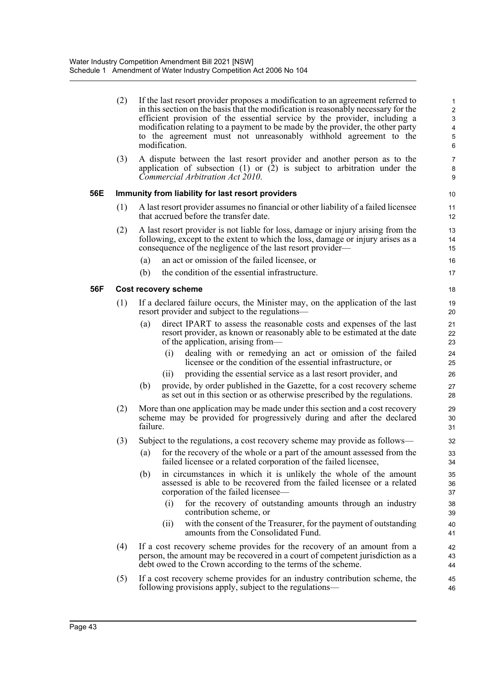|     | (2) |                                                                                                                                                                                                                          | If the last resort provider proposes a modification to an agreement referred to<br>in this section on the basis that the modification is reasonably necessary for the<br>efficient provision of the essential service by the provider, including a<br>modification relating to a payment to be made by the provider, the other party<br>to the agreement must not unreasonably withhold agreement to the<br>modification. | 1<br>2<br>3<br>$\pmb{4}$<br>$\mathbf 5$<br>$6\phantom{1}$ |  |  |  |
|-----|-----|--------------------------------------------------------------------------------------------------------------------------------------------------------------------------------------------------------------------------|---------------------------------------------------------------------------------------------------------------------------------------------------------------------------------------------------------------------------------------------------------------------------------------------------------------------------------------------------------------------------------------------------------------------------|-----------------------------------------------------------|--|--|--|
|     | (3) |                                                                                                                                                                                                                          | A dispute between the last resort provider and another person as to the<br>application of subsection $(1)$ or $(2)$ is subject to arbitration under the<br>Commercial Arbitration Act 2010.                                                                                                                                                                                                                               | $\overline{7}$<br>8<br>9                                  |  |  |  |
| 56E |     |                                                                                                                                                                                                                          | Immunity from liability for last resort providers                                                                                                                                                                                                                                                                                                                                                                         | 10                                                        |  |  |  |
|     | (1) |                                                                                                                                                                                                                          | A last resort provider assumes no financial or other liability of a failed licensee<br>that accrued before the transfer date.                                                                                                                                                                                                                                                                                             | 11<br>12                                                  |  |  |  |
|     | (2) |                                                                                                                                                                                                                          | A last resort provider is not liable for loss, damage or injury arising from the<br>following, except to the extent to which the loss, damage or injury arises as a<br>consequence of the negligence of the last resort provider—                                                                                                                                                                                         | 13<br>14<br>15                                            |  |  |  |
|     |     | (a)                                                                                                                                                                                                                      | an act or omission of the failed licensee, or                                                                                                                                                                                                                                                                                                                                                                             | 16                                                        |  |  |  |
|     |     | (b)                                                                                                                                                                                                                      | the condition of the essential infrastructure.                                                                                                                                                                                                                                                                                                                                                                            | 17                                                        |  |  |  |
| 56F |     |                                                                                                                                                                                                                          | Cost recovery scheme                                                                                                                                                                                                                                                                                                                                                                                                      | 18                                                        |  |  |  |
|     | (1) |                                                                                                                                                                                                                          | If a declared failure occurs, the Minister may, on the application of the last<br>resort provider and subject to the regulations—                                                                                                                                                                                                                                                                                         | 19<br>20                                                  |  |  |  |
|     |     | (a)                                                                                                                                                                                                                      | direct IPART to assess the reasonable costs and expenses of the last<br>resort provider, as known or reasonably able to be estimated at the date<br>of the application, arising from—                                                                                                                                                                                                                                     | 21<br>22<br>23                                            |  |  |  |
|     |     |                                                                                                                                                                                                                          | dealing with or remedying an act or omission of the failed<br>(i)<br>licensee or the condition of the essential infrastructure, or                                                                                                                                                                                                                                                                                        | 24<br>25                                                  |  |  |  |
|     |     |                                                                                                                                                                                                                          | providing the essential service as a last resort provider, and<br>(ii)                                                                                                                                                                                                                                                                                                                                                    | 26                                                        |  |  |  |
|     |     | (b)                                                                                                                                                                                                                      | provide, by order published in the Gazette, for a cost recovery scheme<br>as set out in this section or as otherwise prescribed by the regulations.                                                                                                                                                                                                                                                                       | 27<br>28                                                  |  |  |  |
|     | (2) | More than one application may be made under this section and a cost recovery<br>scheme may be provided for progressively during and after the declared<br>failure.                                                       |                                                                                                                                                                                                                                                                                                                                                                                                                           |                                                           |  |  |  |
|     | (3) |                                                                                                                                                                                                                          | Subject to the regulations, a cost recovery scheme may provide as follows—                                                                                                                                                                                                                                                                                                                                                | 32                                                        |  |  |  |
|     |     | (a)                                                                                                                                                                                                                      | for the recovery of the whole or a part of the amount assessed from the<br>failed licensee or a related corporation of the failed licensee,                                                                                                                                                                                                                                                                               | 33<br>34                                                  |  |  |  |
|     |     | (b)                                                                                                                                                                                                                      | in circumstances in which it is unlikely the whole of the amount<br>assessed is able to be recovered from the failed licensee or a related<br>corporation of the failed licensee—                                                                                                                                                                                                                                         | 35<br>36<br>37                                            |  |  |  |
|     |     |                                                                                                                                                                                                                          | for the recovery of outstanding amounts through an industry<br>(i)<br>contribution scheme, or                                                                                                                                                                                                                                                                                                                             | 38<br>39                                                  |  |  |  |
|     |     |                                                                                                                                                                                                                          | with the consent of the Treasurer, for the payment of outstanding<br>(11)<br>amounts from the Consolidated Fund.                                                                                                                                                                                                                                                                                                          | 40<br>41                                                  |  |  |  |
|     | (4) | If a cost recovery scheme provides for the recovery of an amount from a<br>person, the amount may be recovered in a court of competent jurisdiction as a<br>debt owed to the Crown according to the terms of the scheme. |                                                                                                                                                                                                                                                                                                                                                                                                                           |                                                           |  |  |  |
|     | (5) | If a cost recovery scheme provides for an industry contribution scheme, the<br>following provisions apply, subject to the regulations—                                                                                   |                                                                                                                                                                                                                                                                                                                                                                                                                           |                                                           |  |  |  |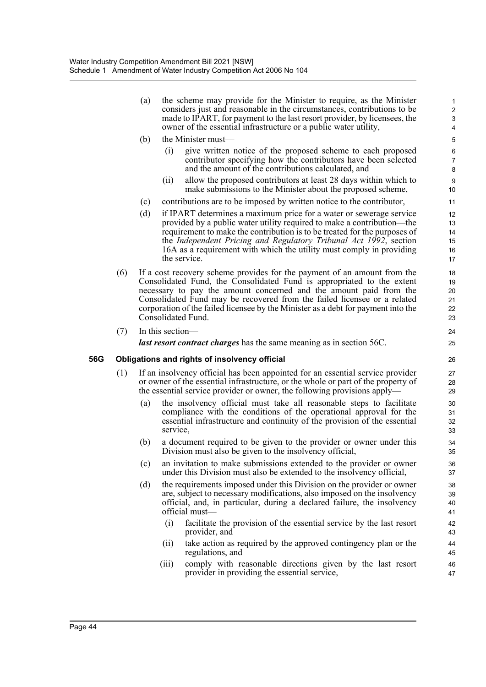|     |     | (a)               | the scheme may provide for the Minister to require, as the Minister<br>considers just and reasonable in the circumstances, contributions to be<br>made to IPART, for payment to the last resort provider, by licensees, the<br>owner of the essential infrastructure or a public water utility,                                                                                                                 | 1<br>$\overline{\mathbf{c}}$<br>3<br>4 |
|-----|-----|-------------------|-----------------------------------------------------------------------------------------------------------------------------------------------------------------------------------------------------------------------------------------------------------------------------------------------------------------------------------------------------------------------------------------------------------------|----------------------------------------|
|     |     | (b)               | the Minister must—                                                                                                                                                                                                                                                                                                                                                                                              | 5                                      |
|     |     |                   | (i)<br>give written notice of the proposed scheme to each proposed<br>contributor specifying how the contributors have been selected<br>and the amount of the contributions calculated, and                                                                                                                                                                                                                     | 6<br>$\overline{7}$<br>8               |
|     |     |                   | allow the proposed contributors at least 28 days within which to<br>(ii)<br>make submissions to the Minister about the proposed scheme,                                                                                                                                                                                                                                                                         | 9<br>10                                |
|     |     | (c)               | contributions are to be imposed by written notice to the contributor,                                                                                                                                                                                                                                                                                                                                           | 11                                     |
|     |     | (d)               | if IPART determines a maximum price for a water or sewerage service<br>provided by a public water utility required to make a contribution-the<br>requirement to make the contribution is to be treated for the purposes of<br>the Independent Pricing and Regulatory Tribunal Act 1992, section<br>16A as a requirement with which the utility must comply in providing<br>the service.                         | 12<br>13<br>14<br>15<br>16<br>17       |
|     | (6) |                   | If a cost recovery scheme provides for the payment of an amount from the<br>Consolidated Fund, the Consolidated Fund is appropriated to the extent<br>necessary to pay the amount concerned and the amount paid from the<br>Consolidated Fund may be recovered from the failed licensee or a related<br>corporation of the failed licensee by the Minister as a debt for payment into the<br>Consolidated Fund. | 18<br>19<br>20<br>21<br>22<br>23       |
|     | (7) |                   | In this section—                                                                                                                                                                                                                                                                                                                                                                                                | 24                                     |
|     |     |                   | <i>last resort contract charges</i> has the same meaning as in section 56C.                                                                                                                                                                                                                                                                                                                                     | 25                                     |
| 56G |     |                   | Obligations and rights of insolvency official                                                                                                                                                                                                                                                                                                                                                                   | 26                                     |
|     | (1) |                   | If an insolvency official has been appointed for an essential service provider<br>or owner of the essential infrastructure, or the whole or part of the property of<br>the essential service provider or owner, the following provisions apply—                                                                                                                                                                 | 27<br>28<br>29                         |
|     |     | $\left( a\right)$ | the insolvency official must take all reasonable steps to facilitate<br>compliance with the conditions of the operational approval for the<br>essential infrastructure and continuity of the provision of the essential<br>service,                                                                                                                                                                             | 30<br>31<br>32<br>33                   |
|     |     | (b)               | a document required to be given to the provider or owner under this<br>Division must also be given to the insolvency official,                                                                                                                                                                                                                                                                                  | 34<br>35                               |
|     |     | (c)               | an invitation to make submissions extended to the provider or owner<br>under this Division must also be extended to the insolvency official,                                                                                                                                                                                                                                                                    | 36<br>37                               |
|     |     | (d)               | the requirements imposed under this Division on the provider or owner<br>are, subject to necessary modifications, also imposed on the insolvency<br>official, and, in particular, during a declared failure, the insolvency<br>official must-                                                                                                                                                                   | 38<br>39<br>40<br>41                   |
|     |     |                   | (i)<br>facilitate the provision of the essential service by the last resort<br>provider, and                                                                                                                                                                                                                                                                                                                    | 42<br>43                               |
|     |     |                   | take action as required by the approved contingency plan or the<br>(11)<br>regulations, and                                                                                                                                                                                                                                                                                                                     | 44<br>45                               |
|     |     |                   | comply with reasonable directions given by the last resort<br>(111)<br>provider in providing the essential service,                                                                                                                                                                                                                                                                                             | 46<br>47                               |
|     |     |                   |                                                                                                                                                                                                                                                                                                                                                                                                                 |                                        |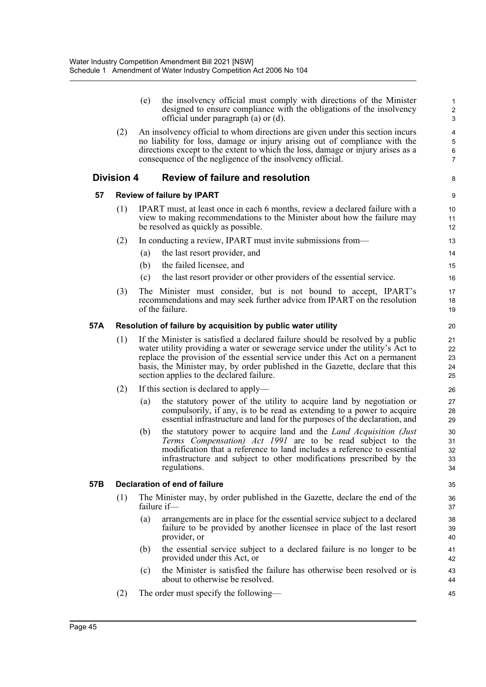|     |                   | (e) | the insolvency official must comply with directions of the Minister<br>designed to ensure compliance with the obligations of the insolvency<br>official under paragraph (a) or (d).                                                                                                                                                                                           | $\mathbf{1}$<br>$\overline{c}$<br>3     |
|-----|-------------------|-----|-------------------------------------------------------------------------------------------------------------------------------------------------------------------------------------------------------------------------------------------------------------------------------------------------------------------------------------------------------------------------------|-----------------------------------------|
|     | (2)               |     | An insolvency official to whom directions are given under this section incurs<br>no liability for loss, damage or injury arising out of compliance with the<br>directions except to the extent to which the loss, damage or injury arises as a<br>consequence of the negligence of the insolvency official.                                                                   | 4<br>$\,$ 5 $\,$<br>6<br>$\overline{7}$ |
|     | <b>Division 4</b> |     | <b>Review of failure and resolution</b>                                                                                                                                                                                                                                                                                                                                       | 8                                       |
| 57  |                   |     | <b>Review of failure by IPART</b>                                                                                                                                                                                                                                                                                                                                             | 9                                       |
|     | (1)               |     | IPART must, at least once in each 6 months, review a declared failure with a<br>view to making recommendations to the Minister about how the failure may<br>be resolved as quickly as possible.                                                                                                                                                                               | 10<br>11<br>12                          |
|     | (2)               |     | In conducting a review, IPART must invite submissions from—                                                                                                                                                                                                                                                                                                                   | 13                                      |
|     |                   | (a) | the last resort provider, and                                                                                                                                                                                                                                                                                                                                                 | 14                                      |
|     |                   | (b) | the failed licensee, and                                                                                                                                                                                                                                                                                                                                                      | 15                                      |
|     |                   | (c) | the last resort provider or other providers of the essential service.                                                                                                                                                                                                                                                                                                         | 16                                      |
|     | (3)               |     | The Minister must consider, but is not bound to accept, IPART's<br>recommendations and may seek further advice from IPART on the resolution<br>of the failure.                                                                                                                                                                                                                | 17<br>18<br>19                          |
| 57A |                   |     | Resolution of failure by acquisition by public water utility                                                                                                                                                                                                                                                                                                                  | 20                                      |
|     | (1)               |     | If the Minister is satisfied a declared failure should be resolved by a public<br>water utility providing a water or sewerage service under the utility's Act to<br>replace the provision of the essential service under this Act on a permanent<br>basis, the Minister may, by order published in the Gazette, declare that this<br>section applies to the declared failure. | 21<br>22<br>23<br>24<br>25              |
|     | (2)               |     | If this section is declared to apply—                                                                                                                                                                                                                                                                                                                                         | 26                                      |
|     |                   | (a) | the statutory power of the utility to acquire land by negotiation or<br>compulsorily, if any, is to be read as extending to a power to acquire<br>essential infrastructure and land for the purposes of the declaration, and                                                                                                                                                  | 27<br>28<br>29                          |
|     |                   | (b) | the statutory power to acquire land and the <i>Land Acquisition (Just</i><br>Terms Compensation) Act 1991 are to be read subject to the<br>modification that a reference to land includes a reference to essential<br>infrastructure and subject to other modifications prescribed by the<br>regulations.                                                                     | 30<br>31<br>32<br>33<br>34              |
| 57B |                   |     | Declaration of end of failure                                                                                                                                                                                                                                                                                                                                                 | 35                                      |
|     | (1)               |     | The Minister may, by order published in the Gazette, declare the end of the<br>failure if-                                                                                                                                                                                                                                                                                    | 36<br>37                                |
|     |                   | (a) | arrangements are in place for the essential service subject to a declared<br>failure to be provided by another licensee in place of the last resort<br>provider, or                                                                                                                                                                                                           | 38<br>39<br>40                          |
|     |                   | (b) | the essential service subject to a declared failure is no longer to be<br>provided under this Act, or                                                                                                                                                                                                                                                                         | 41<br>42                                |
|     |                   | (c) | the Minister is satisfied the failure has otherwise been resolved or is<br>about to otherwise be resolved.                                                                                                                                                                                                                                                                    | 43<br>44                                |
|     | (2)               |     | The order must specify the following—                                                                                                                                                                                                                                                                                                                                         | 45                                      |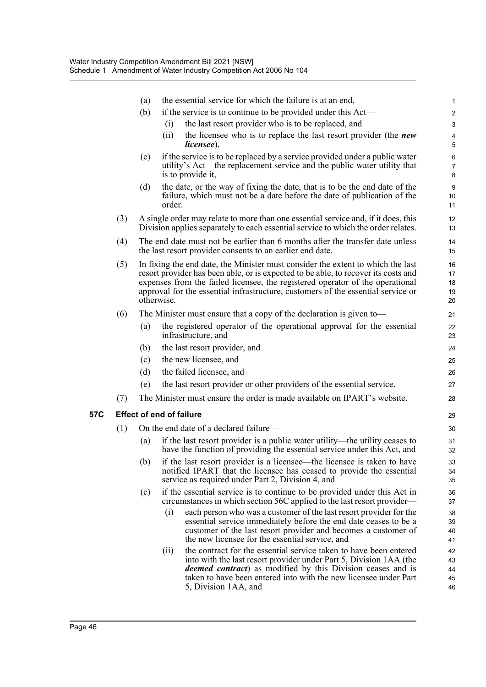|     |     | (a)                                                                                                                                        | the essential service for which the failure is at an end,                                                                                                                                                                                                          | 1                    |  |  |  |
|-----|-----|--------------------------------------------------------------------------------------------------------------------------------------------|--------------------------------------------------------------------------------------------------------------------------------------------------------------------------------------------------------------------------------------------------------------------|----------------------|--|--|--|
|     |     | (b)                                                                                                                                        | if the service is to continue to be provided under this Act—                                                                                                                                                                                                       | $\overline{c}$       |  |  |  |
|     |     |                                                                                                                                            | the last resort provider who is to be replaced, and<br>(1)                                                                                                                                                                                                         | 3                    |  |  |  |
|     |     |                                                                                                                                            | (ii)<br>the licensee who is to replace the last resort provider (the <i>new</i><br><i>licensee</i> ),                                                                                                                                                              | 4<br>5               |  |  |  |
|     |     | (c)                                                                                                                                        | if the service is to be replaced by a service provided under a public water                                                                                                                                                                                        | 6                    |  |  |  |
|     |     |                                                                                                                                            | utility's Act—the replacement service and the public water utility that<br>is to provide it,                                                                                                                                                                       | $\overline{7}$<br>8  |  |  |  |
|     |     | (d)                                                                                                                                        | the date, or the way of fixing the date, that is to be the end date of the                                                                                                                                                                                         | $\boldsymbol{9}$     |  |  |  |
|     |     |                                                                                                                                            | failure, which must not be a date before the date of publication of the<br>order.                                                                                                                                                                                  | 10<br>11             |  |  |  |
|     | (3) |                                                                                                                                            | A single order may relate to more than one essential service and, if it does, this<br>Division applies separately to each essential service to which the order relates.                                                                                            | 12<br>13             |  |  |  |
|     | (4) | The end date must not be earlier than 6 months after the transfer date unless<br>the last resort provider consents to an earlier end date. |                                                                                                                                                                                                                                                                    |                      |  |  |  |
|     | (5) |                                                                                                                                            | In fixing the end date, the Minister must consider the extent to which the last                                                                                                                                                                                    | 16                   |  |  |  |
|     |     |                                                                                                                                            | resort provider has been able, or is expected to be able, to recover its costs and<br>expenses from the failed licensee, the registered operator of the operational                                                                                                | 17<br>18             |  |  |  |
|     |     |                                                                                                                                            | approval for the essential infrastructure, customers of the essential service or                                                                                                                                                                                   | 19                   |  |  |  |
|     |     |                                                                                                                                            | otherwise.                                                                                                                                                                                                                                                         | 20                   |  |  |  |
|     | (6) |                                                                                                                                            | The Minister must ensure that a copy of the declaration is given to—                                                                                                                                                                                               | 21                   |  |  |  |
|     |     | (a)                                                                                                                                        | the registered operator of the operational approval for the essential<br>infrastructure, and                                                                                                                                                                       | 22<br>23             |  |  |  |
|     |     | (b)                                                                                                                                        | the last resort provider, and                                                                                                                                                                                                                                      | 24                   |  |  |  |
|     |     | (c)                                                                                                                                        | the new licensee, and                                                                                                                                                                                                                                              | 25                   |  |  |  |
|     |     | (d)                                                                                                                                        | the failed licensee, and                                                                                                                                                                                                                                           | 26                   |  |  |  |
|     |     | (e)                                                                                                                                        | the last resort provider or other providers of the essential service.                                                                                                                                                                                              | 27                   |  |  |  |
|     | (7) |                                                                                                                                            | The Minister must ensure the order is made available on IPART's website.                                                                                                                                                                                           | 28                   |  |  |  |
| 57C |     |                                                                                                                                            | <b>Effect of end of failure</b>                                                                                                                                                                                                                                    | 29                   |  |  |  |
|     | (1) |                                                                                                                                            | On the end date of a declared failure-                                                                                                                                                                                                                             | 30                   |  |  |  |
|     |     | (a)                                                                                                                                        | if the last resort provider is a public water utility—the utility ceases to<br>have the function of providing the essential service under this Act, and                                                                                                            | 31<br>32             |  |  |  |
|     |     | (b)                                                                                                                                        | if the last resort provider is a licensee—the licensee is taken to have<br>notified IPART that the licensee has ceased to provide the essential<br>service as required under Part 2, Division 4, and                                                               | 33<br>34<br>35       |  |  |  |
|     |     | (c)                                                                                                                                        | if the essential service is to continue to be provided under this Act in<br>circumstances in which section 56C applied to the last resort provider—                                                                                                                | 36<br>37             |  |  |  |
|     |     |                                                                                                                                            | (i)<br>each person who was a customer of the last resort provider for the<br>essential service immediately before the end date ceases to be a<br>customer of the last resort provider and becomes a customer of<br>the new licensee for the essential service, and | 38<br>39<br>40<br>41 |  |  |  |
|     |     |                                                                                                                                            | the contract for the essential service taken to have been entered<br>(ii)                                                                                                                                                                                          | 42                   |  |  |  |
|     |     |                                                                                                                                            | into with the last resort provider under Part 5, Division 1AA (the                                                                                                                                                                                                 | 43                   |  |  |  |
|     |     |                                                                                                                                            | <i>deemed contract</i> ) as modified by this Division ceases and is<br>taken to have been entered into with the new licensee under Part                                                                                                                            | 44<br>45             |  |  |  |
|     |     |                                                                                                                                            | 5, Division 1AA, and                                                                                                                                                                                                                                               | 46                   |  |  |  |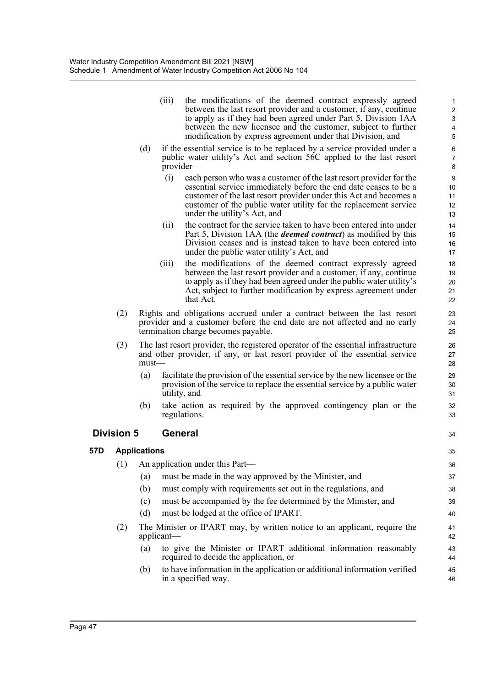| (iii) | the modifications of the deemed contract expressly agreed<br>between the last resort provider and a customer, if any, continue<br>to apply as if they had been agreed under Part 5, Division 1AA<br>between the new licensee and the customer, subject to further |
|-------|-------------------------------------------------------------------------------------------------------------------------------------------------------------------------------------------------------------------------------------------------------------------|
|       | modification by express agreement under that Division, and                                                                                                                                                                                                        |

34

- (d) if the essential service is to be replaced by a service provided under a public water utility's Act and section 56C applied to the last resort provider—
	- (i) each person who was a customer of the last resort provider for the essential service immediately before the end date ceases to be a customer of the last resort provider under this Act and becomes a customer of the public water utility for the replacement service under the utility's Act, and
	- (ii) the contract for the service taken to have been entered into under Part 5, Division 1AA (the *deemed contract*) as modified by this Division ceases and is instead taken to have been entered into under the public water utility's Act, and
	- (iii) the modifications of the deemed contract expressly agreed between the last resort provider and a customer, if any, continue to apply as if they had been agreed under the public water utility's Act, subject to further modification by express agreement under that Act.
- (2) Rights and obligations accrued under a contract between the last resort provider and a customer before the end date are not affected and no early termination charge becomes payable.
- (3) The last resort provider, the registered operator of the essential infrastructure and other provider, if any, or last resort provider of the essential service must—
	- (a) facilitate the provision of the essential service by the new licensee or the provision of the service to replace the essential service by a public water utility, and
	- (b) take action as required by the approved contingency plan or the regulations.

## **Division 5 General**

|     | <b>Applications</b>                                                                                              | 35       |
|-----|------------------------------------------------------------------------------------------------------------------|----------|
| (1) | An application under this Part—                                                                                  | 36       |
|     | must be made in the way approved by the Minister, and<br>(a)                                                     | 37       |
|     | must comply with requirements set out in the regulations, and<br>(b)                                             | 38       |
|     | must be accompanied by the fee determined by the Minister, and<br>(c)                                            | 39       |
|     | must be lodged at the office of IPART.<br>(d)                                                                    | 40       |
| (2) | The Minister or IPART may, by written notice to an applicant, require the<br>applicant                           | 41<br>42 |
|     | to give the Minister or IPART additional information reasonably<br>(a)<br>required to decide the application, or | 43<br>44 |
|     | to have information in the application or additional information verified<br>(b)<br>in a specified way.          | 45<br>46 |
|     |                                                                                                                  |          |

57D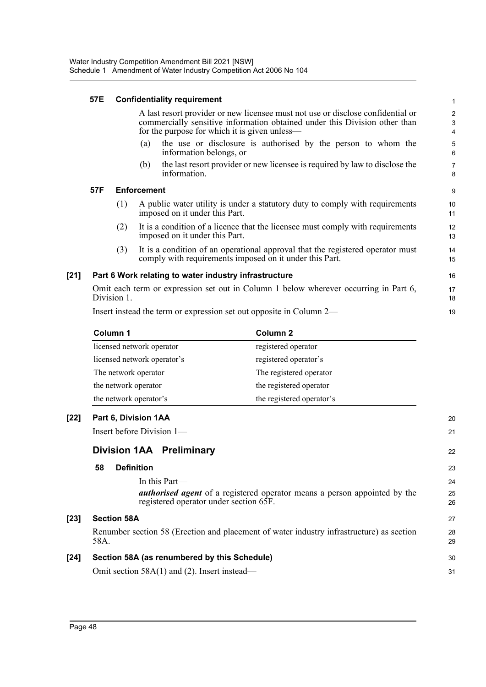## **57E Confidentiality requirement**

A last resort provider or new licensee must not use or disclose confidential or commercially sensitive information obtained under this Division other than for the purpose for which it is given unless—

19

20 21

22

27 28 29

30  $31$ 

- (a) the use or disclosure is authorised by the person to whom the information belongs, or
- (b) the last resort provider or new licensee is required by law to disclose the information.

## **57F Enforcement**

- (1) A public water utility is under a statutory duty to comply with requirements imposed on it under this Part.
- (2) It is a condition of a licence that the licensee must comply with requirements imposed on it under this Part.
- (3) It is a condition of an operational approval that the registered operator must comply with requirements imposed on it under this Part.

## **[21] Part 6 Work relating to water industry infrastructure**

Omit each term or expression set out in Column 1 below wherever occurring in Part 6, Division 1. 17 18

Insert instead the term or expression set out opposite in Column 2—

| Column 1                    | Column 2                  |  |
|-----------------------------|---------------------------|--|
| licensed network operator   | registered operator       |  |
| licensed network operator's | registered operator's     |  |
| The network operator        | The registered operator   |  |
| the network operator        | the registered operator   |  |
| the network operator's      | the registered operator's |  |

## **[22] Part 6, Division 1AA**

Insert before Division 1—

# **Division 1AA Preliminary**

## **58 Definition**

In this Part *authorised agent* of a registered operator means a person appointed by the registered operator under section 65F.

## **[23] Section 58A**

Renumber section 58 (Erection and placement of water industry infrastructure) as section 58A.

# **[24] Section 58A (as renumbered by this Schedule)**

Omit section 58A(1) and (2). Insert instead—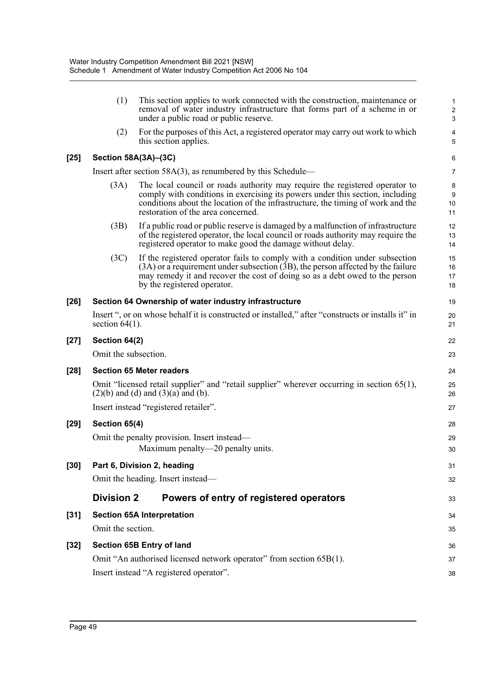|        | (1)                  | This section applies to work connected with the construction, maintenance or<br>removal of water industry infrastructure that forms part of a scheme in or<br>under a public road or public reserve.                                                                                  | $\mathbf{1}$<br>$\overline{\mathbf{c}}$<br>3 |
|--------|----------------------|---------------------------------------------------------------------------------------------------------------------------------------------------------------------------------------------------------------------------------------------------------------------------------------|----------------------------------------------|
|        | (2)                  | For the purposes of this Act, a registered operator may carry out work to which<br>this section applies.                                                                                                                                                                              | $\overline{\mathbf{4}}$<br>5                 |
| [25]   | Section 58A(3A)-(3C) |                                                                                                                                                                                                                                                                                       | 6                                            |
|        |                      | Insert after section $58A(3)$ , as renumbered by this Schedule—                                                                                                                                                                                                                       | $\overline{7}$                               |
|        | (3A)                 | The local council or roads authority may require the registered operator to<br>comply with conditions in exercising its powers under this section, including<br>conditions about the location of the infrastructure, the timing of work and the<br>restoration of the area concerned. | 8<br>$9\,$<br>10<br>11                       |
|        | (3B)                 | If a public road or public reserve is damaged by a malfunction of infrastructure<br>of the registered operator, the local council or roads authority may require the<br>registered operator to make good the damage without delay.                                                    | 12<br>13<br>14                               |
|        | (3C)                 | If the registered operator fails to comply with a condition under subsection<br>$(3A)$ or a requirement under subsection $(3B)$ , the person affected by the failure<br>may remedy it and recover the cost of doing so as a debt owed to the person<br>by the registered operator.    | 15<br>16<br>17<br>18                         |
| $[26]$ |                      | Section 64 Ownership of water industry infrastructure                                                                                                                                                                                                                                 | 19                                           |
|        | section $64(1)$ .    | Insert ", or on whose behalf it is constructed or installed," after "constructs or installs it" in                                                                                                                                                                                    | 20<br>21                                     |
| $[27]$ | Section 64(2)        |                                                                                                                                                                                                                                                                                       | 22                                           |
|        | Omit the subsection. |                                                                                                                                                                                                                                                                                       | 23                                           |
| $[28]$ |                      | <b>Section 65 Meter readers</b>                                                                                                                                                                                                                                                       | 24                                           |
|        |                      | Omit "licensed retail supplier" and "retail supplier" wherever occurring in section 65(1),<br>$(2)(b)$ and $(d)$ and $(3)(a)$ and $(b)$ .                                                                                                                                             | 25<br>26                                     |
|        |                      | Insert instead "registered retailer".                                                                                                                                                                                                                                                 | 27                                           |
| [29]   | Section 65(4)        |                                                                                                                                                                                                                                                                                       | 28                                           |
|        |                      | Omit the penalty provision. Insert instead—<br>Maximum penalty—20 penalty units.                                                                                                                                                                                                      | 29<br>30                                     |
| [30]   |                      | Part 6, Division 2, heading                                                                                                                                                                                                                                                           | 31                                           |
|        |                      | Omit the heading. Insert instead-                                                                                                                                                                                                                                                     | 32                                           |
|        | <b>Division 2</b>    | Powers of entry of registered operators                                                                                                                                                                                                                                               | 33                                           |
| [31]   |                      | <b>Section 65A Interpretation</b>                                                                                                                                                                                                                                                     | 34                                           |
|        | Omit the section.    |                                                                                                                                                                                                                                                                                       | 35                                           |
| [32]   |                      | Section 65B Entry of land                                                                                                                                                                                                                                                             | 36                                           |
|        |                      | Omit "An authorised licensed network operator" from section 65B(1).                                                                                                                                                                                                                   | 37                                           |
|        |                      | Insert instead "A registered operator".                                                                                                                                                                                                                                               | 38                                           |
|        |                      |                                                                                                                                                                                                                                                                                       |                                              |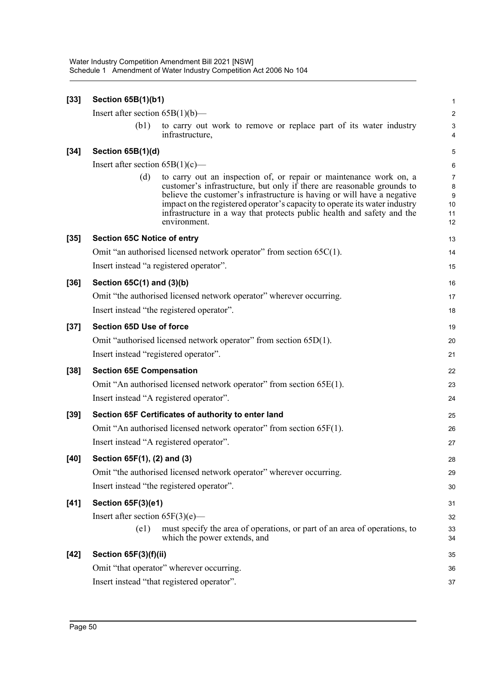| $[33]$ | Section 65B(1)(b1)                                                                                                                                                                                                                                                                                                                                                                                     | $\mathbf{1}$                               |  |  |  |  |
|--------|--------------------------------------------------------------------------------------------------------------------------------------------------------------------------------------------------------------------------------------------------------------------------------------------------------------------------------------------------------------------------------------------------------|--------------------------------------------|--|--|--|--|
|        | Insert after section $65B(1)(b)$ —                                                                                                                                                                                                                                                                                                                                                                     | 2                                          |  |  |  |  |
|        | to carry out work to remove or replace part of its water industry<br>(b1)<br>infrastructure,                                                                                                                                                                                                                                                                                                           | 3<br>4                                     |  |  |  |  |
| $[34]$ | Section 65B(1)(d)                                                                                                                                                                                                                                                                                                                                                                                      | 5                                          |  |  |  |  |
|        | Insert after section $65B(1)(c)$ —                                                                                                                                                                                                                                                                                                                                                                     | 6                                          |  |  |  |  |
|        | to carry out an inspection of, or repair or maintenance work on, a<br>(d)<br>customer's infrastructure, but only if there are reasonable grounds to<br>believe the customer's infrastructure is having or will have a negative<br>impact on the registered operator's capacity to operate its water industry<br>infrastructure in a way that protects public health and safety and the<br>environment. | $\overline{7}$<br>8<br>9<br>10<br>11<br>12 |  |  |  |  |
| $[35]$ | <b>Section 65C Notice of entry</b>                                                                                                                                                                                                                                                                                                                                                                     | 13                                         |  |  |  |  |
|        | Omit "an authorised licensed network operator" from section $65C(1)$ .                                                                                                                                                                                                                                                                                                                                 | 14                                         |  |  |  |  |
|        | Insert instead "a registered operator".                                                                                                                                                                                                                                                                                                                                                                | 15                                         |  |  |  |  |
| $[36]$ | Section 65C(1) and (3)(b)                                                                                                                                                                                                                                                                                                                                                                              | 16                                         |  |  |  |  |
|        | Omit "the authorised licensed network operator" wherever occurring.                                                                                                                                                                                                                                                                                                                                    | 17                                         |  |  |  |  |
|        | Insert instead "the registered operator".                                                                                                                                                                                                                                                                                                                                                              | 18                                         |  |  |  |  |
| $[37]$ | Section 65D Use of force                                                                                                                                                                                                                                                                                                                                                                               | 19                                         |  |  |  |  |
|        | Omit "authorised licensed network operator" from section 65D(1).                                                                                                                                                                                                                                                                                                                                       | 20                                         |  |  |  |  |
|        | Insert instead "registered operator".                                                                                                                                                                                                                                                                                                                                                                  | 21                                         |  |  |  |  |
| $[38]$ | <b>Section 65E Compensation</b>                                                                                                                                                                                                                                                                                                                                                                        | 22                                         |  |  |  |  |
|        | Omit "An authorised licensed network operator" from section 65E(1).                                                                                                                                                                                                                                                                                                                                    | 23                                         |  |  |  |  |
|        | Insert instead "A registered operator".                                                                                                                                                                                                                                                                                                                                                                | 24                                         |  |  |  |  |
| $[39]$ | Section 65F Certificates of authority to enter land                                                                                                                                                                                                                                                                                                                                                    | 25                                         |  |  |  |  |
|        | Omit "An authorised licensed network operator" from section 65F(1).                                                                                                                                                                                                                                                                                                                                    | 26                                         |  |  |  |  |
|        | Insert instead "A registered operator".                                                                                                                                                                                                                                                                                                                                                                | 27                                         |  |  |  |  |
| $[40]$ | Section 65F(1), (2) and (3)                                                                                                                                                                                                                                                                                                                                                                            | 28                                         |  |  |  |  |
|        | Omit "the authorised licensed network operator" wherever occurring.                                                                                                                                                                                                                                                                                                                                    | 29                                         |  |  |  |  |
|        | Insert instead "the registered operator".                                                                                                                                                                                                                                                                                                                                                              |                                            |  |  |  |  |
| $[41]$ | Section 65F(3)(e1)                                                                                                                                                                                                                                                                                                                                                                                     | 31                                         |  |  |  |  |
|        | Insert after section $65F(3)(e)$ —                                                                                                                                                                                                                                                                                                                                                                     | 32                                         |  |  |  |  |
|        | must specify the area of operations, or part of an area of operations, to<br>(e1)<br>which the power extends, and                                                                                                                                                                                                                                                                                      | 33<br>34                                   |  |  |  |  |
| $[42]$ | Section 65F(3)(f)(ii)                                                                                                                                                                                                                                                                                                                                                                                  | 35                                         |  |  |  |  |
|        | Omit "that operator" wherever occurring.                                                                                                                                                                                                                                                                                                                                                               | 36                                         |  |  |  |  |
|        | Insert instead "that registered operator".                                                                                                                                                                                                                                                                                                                                                             | 37                                         |  |  |  |  |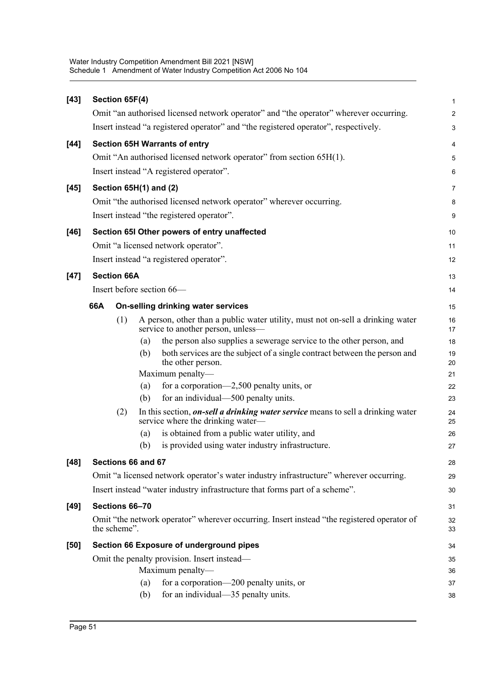| $[43]$ | Section 65F(4)            |     |                                                                                                                       | 1                       |
|--------|---------------------------|-----|-----------------------------------------------------------------------------------------------------------------------|-------------------------|
|        |                           |     | Omit "an authorised licensed network operator" and "the operator" wherever occurring.                                 | $\overline{\mathbf{c}}$ |
|        |                           |     | Insert instead "a registered operator" and "the registered operator", respectively.                                   | 3                       |
| $[44]$ |                           |     | <b>Section 65H Warrants of entry</b>                                                                                  | 4                       |
|        |                           |     | Omit "An authorised licensed network operator" from section 65H(1).                                                   | 5                       |
|        |                           |     | Insert instead "A registered operator".                                                                               | 6                       |
| $[45]$ | Section 65H(1) and (2)    |     |                                                                                                                       | 7                       |
|        |                           |     | Omit "the authorised licensed network operator" wherever occurring.                                                   | 8                       |
|        |                           |     | Insert instead "the registered operator".                                                                             | 9                       |
| $[46]$ |                           |     | Section 65I Other powers of entry unaffected                                                                          | 10                      |
|        |                           |     | Omit "a licensed network operator".                                                                                   | 11                      |
|        |                           |     | Insert instead "a registered operator".                                                                               | 12                      |
| $[47]$ | <b>Section 66A</b>        |     |                                                                                                                       | 13                      |
|        | Insert before section 66- |     |                                                                                                                       | 14                      |
|        | 66A                       |     | On-selling drinking water services                                                                                    | 15                      |
|        | (1)                       |     | A person, other than a public water utility, must not on-sell a drinking water                                        | 16                      |
|        |                           |     | service to another person, unless-                                                                                    | 17                      |
|        |                           | (a) | the person also supplies a sewerage service to the other person, and                                                  | 18                      |
|        |                           | (b) | both services are the subject of a single contract between the person and<br>the other person.                        | 19<br>20                |
|        |                           |     | Maximum penalty-                                                                                                      | 21                      |
|        |                           | (a) | for a corporation-2,500 penalty units, or                                                                             | 22                      |
|        |                           | (b) | for an individual-500 penalty units.                                                                                  | 23                      |
|        | (2)                       |     | In this section, on-sell a drinking water service means to sell a drinking water<br>service where the drinking water— | 24<br>25                |
|        |                           | (a) | is obtained from a public water utility, and                                                                          | 26                      |
|        |                           | (b) | is provided using water industry infrastructure.                                                                      | 27                      |
| $[48]$ | Sections 66 and 67        |     |                                                                                                                       | 28                      |
|        |                           |     | Omit "a licensed network operator's water industry infrastructure" wherever occurring.                                | 29                      |
|        |                           |     | Insert instead "water industry infrastructure that forms part of a scheme".                                           | 30                      |
| $[49]$ | Sections 66-70            |     |                                                                                                                       | 31                      |
|        | the scheme".              |     | Omit "the network operator" wherever occurring. Insert instead "the registered operator of                            | 32<br>33                |
| $[50]$ |                           |     | <b>Section 66 Exposure of underground pipes</b>                                                                       | 34                      |
|        |                           |     | Omit the penalty provision. Insert instead—                                                                           | 35                      |
|        |                           |     | Maximum penalty-                                                                                                      | 36                      |
|        |                           | (a) | for a corporation—200 penalty units, or                                                                               | 37                      |
|        |                           | (b) | for an individual—35 penalty units.                                                                                   | 38                      |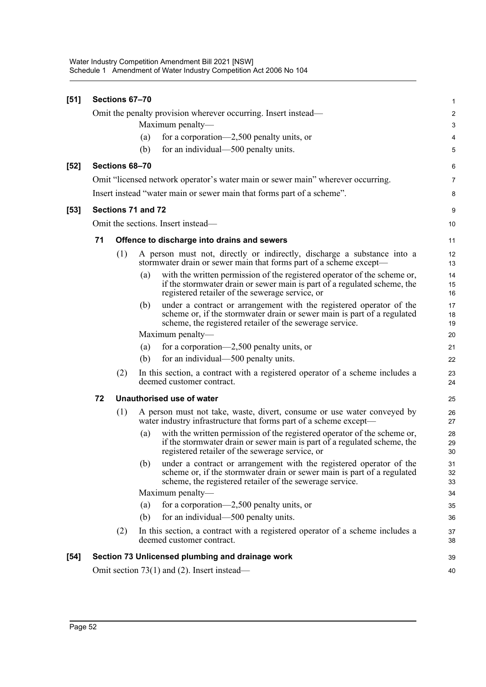| [51] |    | Sections 67-70     |     |                                                                                                                                                                                                            | 1                       |
|------|----|--------------------|-----|------------------------------------------------------------------------------------------------------------------------------------------------------------------------------------------------------------|-------------------------|
|      |    |                    |     | Omit the penalty provision wherever occurring. Insert instead—                                                                                                                                             | $\overline{\mathbf{c}}$ |
|      |    |                    |     | Maximum penalty-                                                                                                                                                                                           | 3                       |
|      |    |                    | (a) | for a corporation—2,500 penalty units, or                                                                                                                                                                  | 4                       |
|      |    |                    | (b) | for an individual—500 penalty units.                                                                                                                                                                       | 5                       |
| [52] |    | Sections 68-70     |     |                                                                                                                                                                                                            | 6                       |
|      |    |                    |     | Omit "licensed network operator's water main or sewer main" wherever occurring.                                                                                                                            | 7                       |
|      |    |                    |     | Insert instead "water main or sewer main that forms part of a scheme".                                                                                                                                     | 8                       |
| [53] |    | Sections 71 and 72 |     |                                                                                                                                                                                                            | 9                       |
|      |    |                    |     | Omit the sections. Insert instead—                                                                                                                                                                         | 10                      |
|      | 71 |                    |     | Offence to discharge into drains and sewers                                                                                                                                                                | 11                      |
|      |    | (1)                |     | A person must not, directly or indirectly, discharge a substance into a<br>stormwater drain or sewer main that forms part of a scheme except-                                                              | 12<br>13                |
|      |    |                    | (a) | with the written permission of the registered operator of the scheme or,<br>if the stormwater drain or sewer main is part of a regulated scheme, the<br>registered retailer of the sewerage service, or    | 14<br>15<br>16          |
|      |    |                    | (b) | under a contract or arrangement with the registered operator of the<br>scheme or, if the stormwater drain or sewer main is part of a regulated<br>scheme, the registered retailer of the sewerage service. | 17<br>18<br>19          |
|      |    |                    |     | Maximum penalty—                                                                                                                                                                                           | 20                      |
|      |    |                    | (a) | for a corporation—2,500 penalty units, or                                                                                                                                                                  | 21                      |
|      |    |                    | (b) | for an individual—500 penalty units.                                                                                                                                                                       | 22                      |
|      |    | (2)                |     | In this section, a contract with a registered operator of a scheme includes a<br>deemed customer contract.                                                                                                 | 23<br>24                |
|      | 72 |                    |     | Unauthorised use of water                                                                                                                                                                                  | 25                      |
|      |    | (1)                |     | A person must not take, waste, divert, consume or use water conveyed by<br>water industry infrastructure that forms part of a scheme except-                                                               | 26<br>27                |
|      |    |                    | (a) | with the written permission of the registered operator of the scheme or,<br>if the stormwater drain or sewer main is part of a regulated scheme, the<br>registered retailer of the sewerage service, or    | 28<br>29<br>30          |
|      |    |                    | (b) | under a contract or arrangement with the registered operator of the<br>scheme or, if the stormwater drain or sewer main is part of a regulated<br>scheme, the registered retailer of the sewerage service. | 31<br>32<br>33          |
|      |    |                    |     | Maximum penalty-                                                                                                                                                                                           | 34                      |
|      |    |                    | (a) | for a corporation-2,500 penalty units, or                                                                                                                                                                  | 35                      |
|      |    |                    | (b) | for an individual—500 penalty units.                                                                                                                                                                       | 36                      |
|      |    | (2)                |     | In this section, a contract with a registered operator of a scheme includes a<br>deemed customer contract.                                                                                                 | 37<br>38                |
| [54] |    |                    |     | Section 73 Unlicensed plumbing and drainage work                                                                                                                                                           | 39                      |
|      |    |                    |     | Omit section $73(1)$ and (2). Insert instead—                                                                                                                                                              | 40                      |
|      |    |                    |     |                                                                                                                                                                                                            |                         |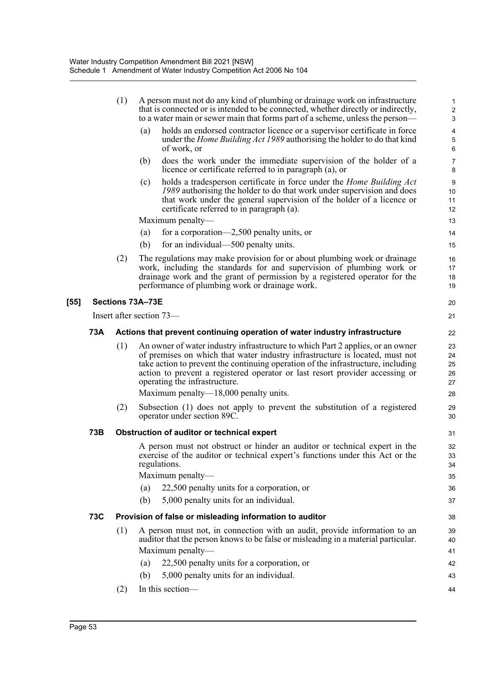|        |            | (1)                                                                        |                  | A person must not do any kind of plumbing or drainage work on infrastructure<br>that is connected or is intended to be connected, whether directly or indirectly,<br>to a water main or sewer main that forms part of a scheme, unless the person-                                                                                                                                                              | 1<br>$\overline{\mathbf{c}}$<br>3 |  |
|--------|------------|----------------------------------------------------------------------------|------------------|-----------------------------------------------------------------------------------------------------------------------------------------------------------------------------------------------------------------------------------------------------------------------------------------------------------------------------------------------------------------------------------------------------------------|-----------------------------------|--|
|        |            |                                                                            | (a)              | holds an endorsed contractor licence or a supervisor certificate in force<br>under the <i>Home Building Act 1989</i> authorising the holder to do that kind<br>of work, or                                                                                                                                                                                                                                      | 4<br>5<br>6                       |  |
|        |            |                                                                            | (b)              | does the work under the immediate supervision of the holder of a<br>licence or certificate referred to in paragraph (a), or                                                                                                                                                                                                                                                                                     | 7<br>8                            |  |
|        |            |                                                                            | (c)              | holds a tradesperson certificate in force under the <i>Home Building Act</i><br>1989 authorising the holder to do that work under supervision and does<br>that work under the general supervision of the holder of a licence or<br>certificate referred to in paragraph (a).                                                                                                                                    | 9<br>10<br>11<br>12               |  |
|        |            |                                                                            |                  | Maximum penalty—                                                                                                                                                                                                                                                                                                                                                                                                | 13                                |  |
|        |            |                                                                            | (a)              | for a corporation—2,500 penalty units, or                                                                                                                                                                                                                                                                                                                                                                       | 14                                |  |
|        |            |                                                                            | (b)              | for an individual—500 penalty units.                                                                                                                                                                                                                                                                                                                                                                            | 15                                |  |
|        |            | (2)                                                                        |                  | The regulations may make provision for or about plumbing work or drainage<br>work, including the standards for and supervision of plumbing work or<br>drainage work and the grant of permission by a registered operator for the<br>performance of plumbing work or drainage work.                                                                                                                              | 16<br>17<br>18<br>19              |  |
| $[55]$ |            |                                                                            | Sections 73A-73E |                                                                                                                                                                                                                                                                                                                                                                                                                 | 20                                |  |
|        |            |                                                                            |                  | Insert after section 73—                                                                                                                                                                                                                                                                                                                                                                                        | 21                                |  |
|        | 73A        | Actions that prevent continuing operation of water industry infrastructure |                  |                                                                                                                                                                                                                                                                                                                                                                                                                 |                                   |  |
|        |            | (1)                                                                        |                  | An owner of water industry infrastructure to which Part 2 applies, or an owner<br>of premises on which that water industry infrastructure is located, must not<br>take action to prevent the continuing operation of the infrastructure, including<br>action to prevent a registered operator or last resort provider accessing or<br>operating the infrastructure.<br>Maximum penalty— $18,000$ penalty units. | 23<br>24<br>25<br>26<br>27<br>28  |  |
|        |            | (2)                                                                        |                  | Subsection (1) does not apply to prevent the substitution of a registered<br>operator under section 89C.                                                                                                                                                                                                                                                                                                        | 29<br>30                          |  |
|        | 73B        |                                                                            |                  | Obstruction of auditor or technical expert                                                                                                                                                                                                                                                                                                                                                                      | 31                                |  |
|        |            |                                                                            | (a)<br>(b)       | A person must not obstruct or hinder an auditor or technical expert in the<br>exercise of the auditor or technical expert's functions under this Act or the<br>regulations.<br>Maximum penalty-<br>22,500 penalty units for a corporation, or<br>5,000 penalty units for an individual.                                                                                                                         | 32<br>33<br>34<br>35<br>36<br>37  |  |
|        | <b>73C</b> |                                                                            |                  | Provision of false or misleading information to auditor                                                                                                                                                                                                                                                                                                                                                         | 38                                |  |
|        |            | (1)                                                                        |                  | A person must not, in connection with an audit, provide information to an                                                                                                                                                                                                                                                                                                                                       | 39                                |  |
|        |            |                                                                            |                  | auditor that the person knows to be false or misleading in a material particular.                                                                                                                                                                                                                                                                                                                               | 40                                |  |
|        |            |                                                                            |                  | Maximum penalty-                                                                                                                                                                                                                                                                                                                                                                                                | 41                                |  |
|        |            |                                                                            | (a)              | 22,500 penalty units for a corporation, or                                                                                                                                                                                                                                                                                                                                                                      | 42                                |  |
|        |            |                                                                            | (b)              | 5,000 penalty units for an individual.                                                                                                                                                                                                                                                                                                                                                                          | 43                                |  |
|        |            | (2)                                                                        |                  | In this section-                                                                                                                                                                                                                                                                                                                                                                                                | 44                                |  |
|        |            |                                                                            |                  |                                                                                                                                                                                                                                                                                                                                                                                                                 |                                   |  |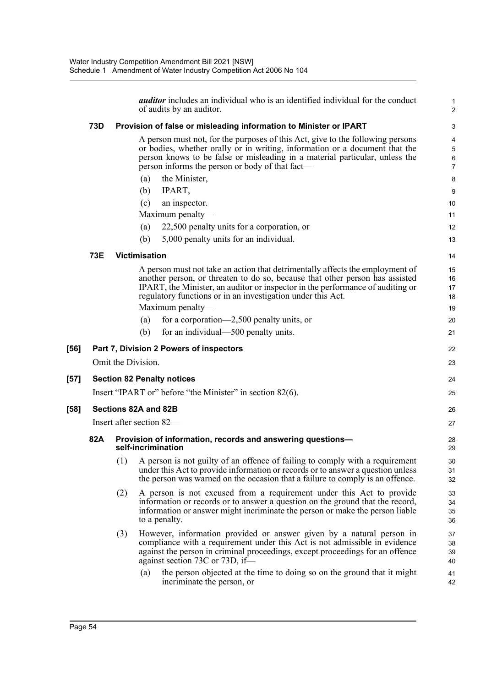|      |                                   |                    |                      | <i>auditor</i> includes an individual who is an identified individual for the conduct<br>of audits by an auditor.                                                                                                                                                                                              | 2                    |  |  |  |  |
|------|-----------------------------------|--------------------|----------------------|----------------------------------------------------------------------------------------------------------------------------------------------------------------------------------------------------------------------------------------------------------------------------------------------------------------|----------------------|--|--|--|--|
|      | 73D                               |                    |                      | Provision of false or misleading information to Minister or IPART                                                                                                                                                                                                                                              | З                    |  |  |  |  |
|      |                                   |                    |                      | A person must not, for the purposes of this Act, give to the following persons<br>or bodies, whether orally or in writing, information or a document that the<br>person knows to be false or misleading in a material particular, unless the<br>person informs the person or body of that fact—                | $\epsilon$<br>7      |  |  |  |  |
|      |                                   |                    | (a)                  | the Minister,                                                                                                                                                                                                                                                                                                  | ε                    |  |  |  |  |
|      |                                   |                    | (b)                  | IPART,                                                                                                                                                                                                                                                                                                         |                      |  |  |  |  |
|      |                                   |                    | (c)                  | an inspector.                                                                                                                                                                                                                                                                                                  | 10                   |  |  |  |  |
|      |                                   |                    |                      | Maximum penalty-                                                                                                                                                                                                                                                                                               | 11                   |  |  |  |  |
|      |                                   |                    | (a)                  | 22,500 penalty units for a corporation, or                                                                                                                                                                                                                                                                     | 12                   |  |  |  |  |
|      |                                   |                    | (b)                  | 5,000 penalty units for an individual.                                                                                                                                                                                                                                                                         | 13                   |  |  |  |  |
|      | <b>73E</b>                        |                    | <b>Victimisation</b> |                                                                                                                                                                                                                                                                                                                | 14                   |  |  |  |  |
|      |                                   |                    |                      | A person must not take an action that detrimentally affects the employment of<br>another person, or threaten to do so, because that other person has assisted<br>IPART, the Minister, an auditor or inspector in the performance of auditing or<br>regulatory functions or in an investigation under this Act. | 15<br>16<br>17<br>18 |  |  |  |  |
|      |                                   |                    |                      | Maximum penalty-                                                                                                                                                                                                                                                                                               | 19                   |  |  |  |  |
|      |                                   |                    | (a)                  | for a corporation—2,500 penalty units, or                                                                                                                                                                                                                                                                      | 20                   |  |  |  |  |
|      |                                   |                    | (b)                  | for an individual—500 penalty units.                                                                                                                                                                                                                                                                           | 21                   |  |  |  |  |
| [56] |                                   |                    |                      | Part 7, Division 2 Powers of inspectors                                                                                                                                                                                                                                                                        | 22                   |  |  |  |  |
|      |                                   | Omit the Division. |                      |                                                                                                                                                                                                                                                                                                                | 23                   |  |  |  |  |
| [57] | <b>Section 82 Penalty notices</b> |                    |                      |                                                                                                                                                                                                                                                                                                                |                      |  |  |  |  |
|      |                                   |                    |                      | Insert "IPART or" before "the Minister" in section 82(6).                                                                                                                                                                                                                                                      | 24<br>25             |  |  |  |  |
|      |                                   |                    |                      |                                                                                                                                                                                                                                                                                                                | 26                   |  |  |  |  |
| [58] | Sections 82A and 82B              |                    |                      |                                                                                                                                                                                                                                                                                                                |                      |  |  |  |  |
|      | Insert after section 82-          |                    |                      |                                                                                                                                                                                                                                                                                                                |                      |  |  |  |  |
|      | 82A                               |                    |                      | Provision of information, records and answering questions-<br>self-incrimination                                                                                                                                                                                                                               | 28<br>29             |  |  |  |  |
|      |                                   | (1)                |                      | A person is not guilty of an offence of failing to comply with a requirement<br>under this Act to provide information or records or to answer a question unless<br>the person was warned on the occasion that a failure to comply is an offence.                                                               | 30<br>31<br>32       |  |  |  |  |
|      |                                   | (2)                |                      | A person is not excused from a requirement under this Act to provide<br>information or records or to answer a question on the ground that the record,<br>information or answer might incriminate the person or make the person liable<br>to a penalty.                                                         | 33<br>34<br>35<br>36 |  |  |  |  |
|      |                                   | (3)                |                      | However, information provided or answer given by a natural person in<br>compliance with a requirement under this Act is not admissible in evidence<br>against the person in criminal proceedings, except proceedings for an offence<br>against section 73C or 73D, if-                                         | 37<br>38<br>39<br>40 |  |  |  |  |
|      |                                   |                    | (a)                  | the person objected at the time to doing so on the ground that it might<br>incriminate the person, or                                                                                                                                                                                                          | 41<br>42             |  |  |  |  |

 $[57]$ 

**[58]**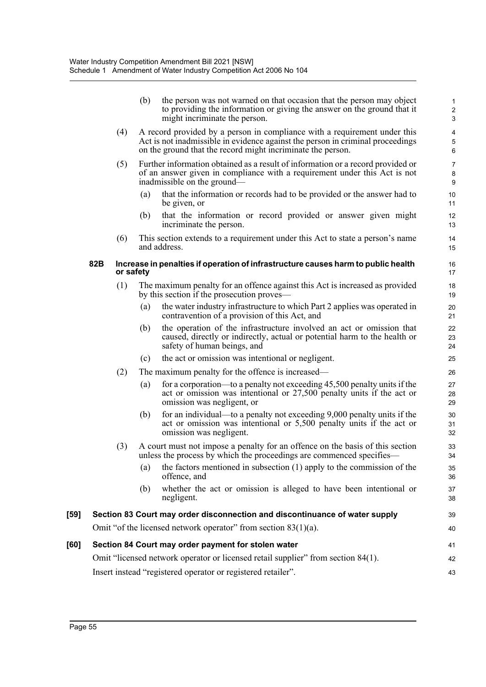|      |                                                     |           | (b)                                                          | the person was not warned on that occasion that the person may object<br>to providing the information or giving the answer on the ground that it<br>might incriminate the person.                                          | $\mathbf{1}$<br>$\boldsymbol{2}$<br>3 |  |  |
|------|-----------------------------------------------------|-----------|--------------------------------------------------------------|----------------------------------------------------------------------------------------------------------------------------------------------------------------------------------------------------------------------------|---------------------------------------|--|--|
|      |                                                     | (4)       |                                                              | A record provided by a person in compliance with a requirement under this<br>Act is not inadmissible in evidence against the person in criminal proceedings<br>on the ground that the record might incriminate the person. | 4<br>$\sqrt{5}$<br>6                  |  |  |
|      |                                                     | (5)       |                                                              | Further information obtained as a result of information or a record provided or<br>of an answer given in compliance with a requirement under this Act is not<br>inadmissible on the ground—                                | $\overline{7}$<br>$\bf8$<br>9         |  |  |
|      |                                                     |           | (a)                                                          | that the information or records had to be provided or the answer had to<br>be given, or                                                                                                                                    | 10<br>11                              |  |  |
|      |                                                     |           | (b)                                                          | that the information or record provided or answer given might<br>incriminate the person.                                                                                                                                   | 12<br>13                              |  |  |
|      |                                                     | (6)       |                                                              | This section extends to a requirement under this Act to state a person's name<br>and address.                                                                                                                              | 14<br>15                              |  |  |
|      | 82B                                                 | or safety |                                                              | Increase in penalties if operation of infrastructure causes harm to public health                                                                                                                                          | 16<br>17                              |  |  |
|      |                                                     | (1)       |                                                              | The maximum penalty for an offence against this Act is increased as provided<br>by this section if the prosecution proves—                                                                                                 | 18<br>19                              |  |  |
|      |                                                     |           | (a)                                                          | the water industry infrastructure to which Part 2 applies was operated in<br>contravention of a provision of this Act, and                                                                                                 | 20<br>21                              |  |  |
|      |                                                     |           | (b)                                                          | the operation of the infrastructure involved an act or omission that<br>caused, directly or indirectly, actual or potential harm to the health or<br>safety of human beings, and                                           | 22<br>23<br>24                        |  |  |
|      |                                                     |           | (c)                                                          | the act or omission was intentional or negligent.                                                                                                                                                                          | 25                                    |  |  |
|      |                                                     | (2)       |                                                              | The maximum penalty for the offence is increased—                                                                                                                                                                          | 26                                    |  |  |
|      |                                                     |           | (a)                                                          | for a corporation—to a penalty not exceeding 45,500 penalty units if the<br>act or omission was intentional or 27,500 penalty units if the act or<br>omission was negligent, or                                            | 27<br>28<br>29                        |  |  |
|      |                                                     |           | (b)                                                          | for an individual—to a penalty not exceeding 9,000 penalty units if the<br>act or omission was intentional or 5,500 penalty units if the act or<br>omission was negligent.                                                 | 30<br>31<br>32                        |  |  |
|      |                                                     | (3)       |                                                              | A court must not impose a penalty for an offence on the basis of this section<br>unless the process by which the proceedings are commenced specifies-                                                                      | 33<br>34                              |  |  |
|      |                                                     |           | (a)                                                          | the factors mentioned in subsection $(1)$ apply to the commission of the<br>offence, and                                                                                                                                   | 35<br>36                              |  |  |
|      |                                                     |           | (b)                                                          | whether the act or omission is alleged to have been intentional or<br>negligent.                                                                                                                                           | 37<br>38                              |  |  |
| [59] |                                                     |           |                                                              | Section 83 Court may order disconnection and discontinuance of water supply                                                                                                                                                | 39                                    |  |  |
|      |                                                     |           |                                                              | Omit "of the licensed network operator" from section $83(1)(a)$ .                                                                                                                                                          | 40                                    |  |  |
| [60] | Section 84 Court may order payment for stolen water |           |                                                              |                                                                                                                                                                                                                            |                                       |  |  |
|      |                                                     |           |                                                              | Omit "licensed network operator or licensed retail supplier" from section 84(1).                                                                                                                                           | 42                                    |  |  |
|      |                                                     |           | Insert instead "registered operator or registered retailer". |                                                                                                                                                                                                                            |                                       |  |  |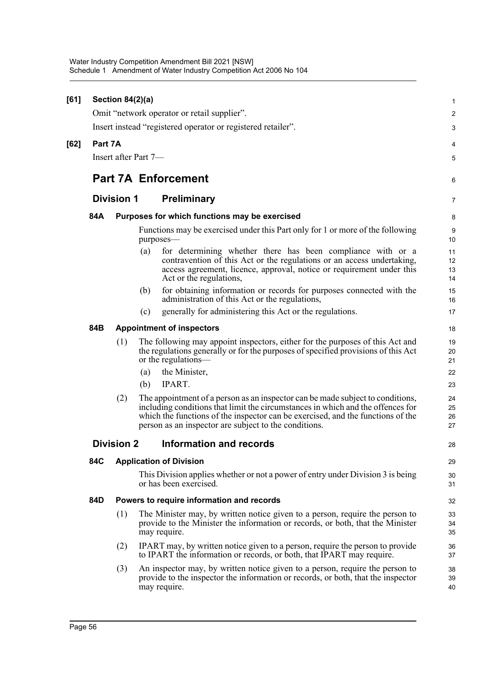| [61]   |                                                              | Section 84(2)(a)                          |     |                                                                                                                                                                                                                                                                                                               | $\mathbf{1}$         |  |  |  |
|--------|--------------------------------------------------------------|-------------------------------------------|-----|---------------------------------------------------------------------------------------------------------------------------------------------------------------------------------------------------------------------------------------------------------------------------------------------------------------|----------------------|--|--|--|
|        |                                                              |                                           |     | Omit "network operator or retail supplier".                                                                                                                                                                                                                                                                   | 2                    |  |  |  |
|        | Insert instead "registered operator or registered retailer". |                                           |     |                                                                                                                                                                                                                                                                                                               |                      |  |  |  |
| $[62]$ | Part 7A                                                      |                                           |     |                                                                                                                                                                                                                                                                                                               |                      |  |  |  |
|        | Insert after Part 7-                                         |                                           |     |                                                                                                                                                                                                                                                                                                               |                      |  |  |  |
|        | <b>Part 7A Enforcement</b>                                   |                                           |     |                                                                                                                                                                                                                                                                                                               |                      |  |  |  |
|        | <b>Division 1</b><br><b>Preliminary</b>                      |                                           |     |                                                                                                                                                                                                                                                                                                               |                      |  |  |  |
|        | 84A                                                          |                                           |     | Purposes for which functions may be exercised                                                                                                                                                                                                                                                                 | 8                    |  |  |  |
|        |                                                              |                                           |     | Functions may be exercised under this Part only for 1 or more of the following<br>purposes-                                                                                                                                                                                                                   | 9<br>10              |  |  |  |
|        |                                                              |                                           | (a) | for determining whether there has been compliance with or a<br>contravention of this Act or the regulations or an access undertaking,<br>access agreement, licence, approval, notice or requirement under this<br>Act or the regulations,                                                                     | 11<br>12<br>13<br>14 |  |  |  |
|        |                                                              |                                           | (b) | for obtaining information or records for purposes connected with the<br>administration of this Act or the regulations,                                                                                                                                                                                        | 15<br>16             |  |  |  |
|        |                                                              |                                           | (c) | generally for administering this Act or the regulations.                                                                                                                                                                                                                                                      | 17                   |  |  |  |
|        | 84B                                                          | <b>Appointment of inspectors</b>          |     |                                                                                                                                                                                                                                                                                                               |                      |  |  |  |
|        |                                                              | (1)                                       |     | The following may appoint inspectors, either for the purposes of this Act and<br>the regulations generally or for the purposes of specified provisions of this Act<br>or the regulations—                                                                                                                     | 19<br>20<br>21       |  |  |  |
|        |                                                              |                                           | (a) | the Minister,                                                                                                                                                                                                                                                                                                 | 22                   |  |  |  |
|        |                                                              |                                           | (b) | IPART.                                                                                                                                                                                                                                                                                                        | 23                   |  |  |  |
|        |                                                              | (2)                                       |     | The appointment of a person as an inspector can be made subject to conditions,<br>including conditions that limit the circumstances in which and the offences for<br>which the functions of the inspector can be exercised, and the functions of the<br>person as an inspector are subject to the conditions. | 24<br>25<br>26<br>27 |  |  |  |
|        |                                                              | <b>Division 2</b>                         |     | Information and records                                                                                                                                                                                                                                                                                       | 28                   |  |  |  |
|        | 84C                                                          |                                           |     | <b>Application of Division</b>                                                                                                                                                                                                                                                                                | 29                   |  |  |  |
|        |                                                              |                                           |     | This Division applies whether or not a power of entry under Division 3 is being<br>or has been exercised.                                                                                                                                                                                                     | 30<br>31             |  |  |  |
|        | 84D                                                          | Powers to require information and records |     |                                                                                                                                                                                                                                                                                                               |                      |  |  |  |
|        |                                                              | (1)                                       |     | The Minister may, by written notice given to a person, require the person to<br>provide to the Minister the information or records, or both, that the Minister<br>may require.                                                                                                                                | 33<br>34<br>35       |  |  |  |
|        |                                                              | (2)                                       |     | IPART may, by written notice given to a person, require the person to provide<br>to IPART the information or records, or both, that IPART may require.                                                                                                                                                        | 36<br>37             |  |  |  |
|        |                                                              | (3)                                       |     | An inspector may, by written notice given to a person, require the person to<br>provide to the inspector the information or records, or both, that the inspector<br>may require.                                                                                                                              | 38<br>39<br>40       |  |  |  |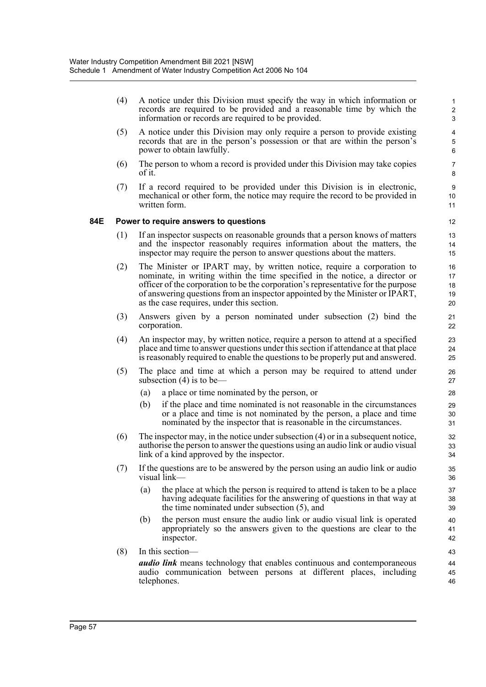(4) A notice under this Division must specify the way in which information or records are required to be provided and a reasonable time by which the information or records are required to be provided.

- (5) A notice under this Division may only require a person to provide existing records that are in the person's possession or that are within the person's power to obtain lawfully.
- (6) The person to whom a record is provided under this Division may take copies of it.
- (7) If a record required to be provided under this Division is in electronic, mechanical or other form, the notice may require the record to be provided in written form.

## **84E Power to require answers to questions**

- (1) If an inspector suspects on reasonable grounds that a person knows of matters and the inspector reasonably requires information about the matters, the inspector may require the person to answer questions about the matters.
- (2) The Minister or IPART may, by written notice, require a corporation to nominate, in writing within the time specified in the notice, a director or officer of the corporation to be the corporation's representative for the purpose of answering questions from an inspector appointed by the Minister or IPART, as the case requires, under this section.
- (3) Answers given by a person nominated under subsection (2) bind the corporation.
- (4) An inspector may, by written notice, require a person to attend at a specified place and time to answer questions under this section if attendance at that place is reasonably required to enable the questions to be properly put and answered.
- (5) The place and time at which a person may be required to attend under subsection (4) is to be—
	- (a) a place or time nominated by the person, or
	- (b) if the place and time nominated is not reasonable in the circumstances or a place and time is not nominated by the person, a place and time nominated by the inspector that is reasonable in the circumstances.
- (6) The inspector may, in the notice under subsection (4) or in a subsequent notice, authorise the person to answer the questions using an audio link or audio visual link of a kind approved by the inspector.
- (7) If the questions are to be answered by the person using an audio link or audio visual link—
	- (a) the place at which the person is required to attend is taken to be a place having adequate facilities for the answering of questions in that way at the time nominated under subsection (5), and
	- (b) the person must ensure the audio link or audio visual link is operated appropriately so the answers given to the questions are clear to the inspector.
- (8) In this section—

*audio link* means technology that enables continuous and contemporaneous audio communication between persons at different places, including telephones.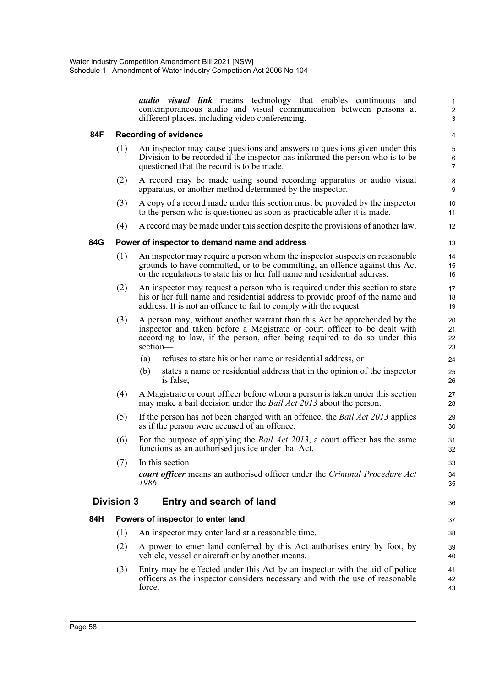*audio visual link* means technology that enables continuous and contemporaneous audio and visual communication between persons at different places, including video conferencing.

36

## **84F Recording of evidence**

- (1) An inspector may cause questions and answers to questions given under this Division to be recorded if the inspector has informed the person who is to be questioned that the record is to be made.
- (2) A record may be made using sound recording apparatus or audio visual apparatus, or another method determined by the inspector.
- (3) A copy of a record made under this section must be provided by the inspector to the person who is questioned as soon as practicable after it is made.
- (4) A record may be made under this section despite the provisions of another law.

## **84G Power of inspector to demand name and address**

- (1) An inspector may require a person whom the inspector suspects on reasonable grounds to have committed, or to be committing, an offence against this Act or the regulations to state his or her full name and residential address.
- (2) An inspector may request a person who is required under this section to state his or her full name and residential address to provide proof of the name and address. It is not an offence to fail to comply with the request.
- (3) A person may, without another warrant than this Act be apprehended by the inspector and taken before a Magistrate or court officer to be dealt with according to law, if the person, after being required to do so under this section—
	- (a) refuses to state his or her name or residential address, or
	- (b) states a name or residential address that in the opinion of the inspector is false,
- (4) A Magistrate or court officer before whom a person is taken under this section may make a bail decision under the *Bail Act 2013* about the person.
- (5) If the person has not been charged with an offence, the *Bail Act 2013* applies as if the person were accused of an offence.
- (6) For the purpose of applying the *Bail Act 2013*, a court officer has the same functions as an authorised justice under that Act.
- (7) In this section *court officer* means an authorised officer under the *Criminal Procedure Act 1986*.

## **Division 3 Entry and search of land**

## **84H Powers of inspector to enter land**

- (1) An inspector may enter land at a reasonable time.
- (2) A power to enter land conferred by this Act authorises entry by foot, by vehicle, vessel or aircraft or by another means.
- (3) Entry may be effected under this Act by an inspector with the aid of police officers as the inspector considers necessary and with the use of reasonable force. 41 42 43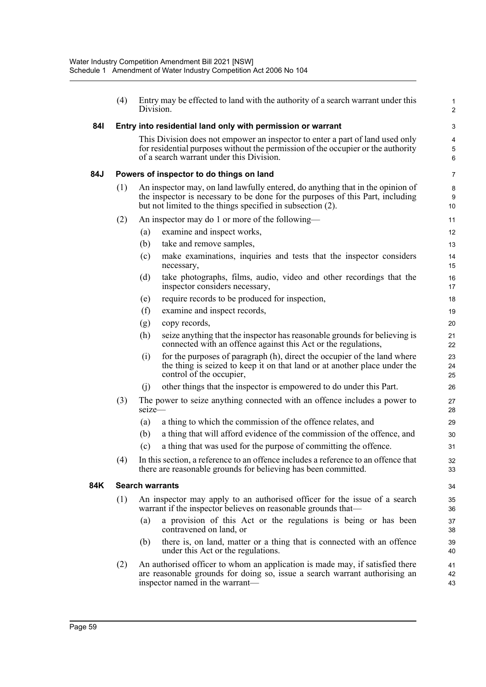|     | (4)                                      | Division.                                                                                                                                                                                                                      | Entry may be effected to land with the authority of a search warrant under this                                                                                                                               | $\mathbf{1}$<br>$\overline{2}$ |  |  |  |  |  |
|-----|------------------------------------------|--------------------------------------------------------------------------------------------------------------------------------------------------------------------------------------------------------------------------------|---------------------------------------------------------------------------------------------------------------------------------------------------------------------------------------------------------------|--------------------------------|--|--|--|--|--|
| 841 |                                          |                                                                                                                                                                                                                                | Entry into residential land only with permission or warrant                                                                                                                                                   | 3                              |  |  |  |  |  |
|     |                                          |                                                                                                                                                                                                                                | This Division does not empower an inspector to enter a part of land used only<br>for residential purposes without the permission of the occupier or the authority<br>of a search warrant under this Division. | 4<br>5<br>$\,6$                |  |  |  |  |  |
| 84J | Powers of inspector to do things on land |                                                                                                                                                                                                                                |                                                                                                                                                                                                               |                                |  |  |  |  |  |
|     | (1)                                      | An inspector may, on land lawfully entered, do anything that in the opinion of<br>the inspector is necessary to be done for the purposes of this Part, including<br>but not limited to the things specified in subsection (2). |                                                                                                                                                                                                               |                                |  |  |  |  |  |
|     | (2)                                      |                                                                                                                                                                                                                                | An inspector may do 1 or more of the following-                                                                                                                                                               | 11                             |  |  |  |  |  |
|     |                                          | (a)                                                                                                                                                                                                                            | examine and inspect works,                                                                                                                                                                                    | 12                             |  |  |  |  |  |
|     |                                          | (b)                                                                                                                                                                                                                            | take and remove samples,                                                                                                                                                                                      | 13                             |  |  |  |  |  |
|     |                                          | (c)                                                                                                                                                                                                                            | make examinations, inquiries and tests that the inspector considers<br>necessary,                                                                                                                             | 14<br>15                       |  |  |  |  |  |
|     |                                          | (d)                                                                                                                                                                                                                            | take photographs, films, audio, video and other recordings that the<br>inspector considers necessary,                                                                                                         | 16<br>17                       |  |  |  |  |  |
|     |                                          | (e)                                                                                                                                                                                                                            | require records to be produced for inspection,                                                                                                                                                                | 18                             |  |  |  |  |  |
|     |                                          | (f)                                                                                                                                                                                                                            | examine and inspect records,                                                                                                                                                                                  | 19                             |  |  |  |  |  |
|     |                                          | (g)                                                                                                                                                                                                                            | copy records,                                                                                                                                                                                                 | 20                             |  |  |  |  |  |
|     |                                          | (h)                                                                                                                                                                                                                            | seize anything that the inspector has reasonable grounds for believing is<br>connected with an offence against this Act or the regulations,                                                                   | 21<br>22                       |  |  |  |  |  |
|     |                                          | (i)                                                                                                                                                                                                                            | for the purposes of paragraph (h), direct the occupier of the land where<br>the thing is seized to keep it on that land or at another place under the<br>control of the occupier,                             | 23<br>24<br>25                 |  |  |  |  |  |
|     |                                          | (i)                                                                                                                                                                                                                            | other things that the inspector is empowered to do under this Part.                                                                                                                                           | 26                             |  |  |  |  |  |
|     | (3)                                      | seize-                                                                                                                                                                                                                         | The power to seize anything connected with an offence includes a power to                                                                                                                                     | 27<br>28                       |  |  |  |  |  |
|     |                                          | (a)                                                                                                                                                                                                                            | a thing to which the commission of the offence relates, and                                                                                                                                                   | 29                             |  |  |  |  |  |
|     |                                          | (b)                                                                                                                                                                                                                            | a thing that will afford evidence of the commission of the offence, and                                                                                                                                       | 30                             |  |  |  |  |  |
|     |                                          | (c)                                                                                                                                                                                                                            | a thing that was used for the purpose of committing the offence.                                                                                                                                              | 31                             |  |  |  |  |  |
|     |                                          |                                                                                                                                                                                                                                | (4) In this section, a reference to an offence includes a reference to an offence that<br>there are reasonable grounds for believing has been committed.                                                      | 32<br>33                       |  |  |  |  |  |
| 84K |                                          | <b>Search warrants</b>                                                                                                                                                                                                         |                                                                                                                                                                                                               | 34                             |  |  |  |  |  |
|     | (1)                                      |                                                                                                                                                                                                                                | An inspector may apply to an authorised officer for the issue of a search<br>warrant if the inspector believes on reasonable grounds that—                                                                    | 35<br>36                       |  |  |  |  |  |
|     |                                          | (a)                                                                                                                                                                                                                            | a provision of this Act or the regulations is being or has been<br>contravened on land, or                                                                                                                    | 37<br>38                       |  |  |  |  |  |
|     |                                          | (b)                                                                                                                                                                                                                            | there is, on land, matter or a thing that is connected with an offence<br>under this Act or the regulations.                                                                                                  | 39<br>40                       |  |  |  |  |  |
|     | (2)                                      |                                                                                                                                                                                                                                | An authorised officer to whom an application is made may, if satisfied there<br>are reasonable grounds for doing so, issue a search warrant authorising an<br>inspector named in the warrant—                 | 41<br>42<br>43                 |  |  |  |  |  |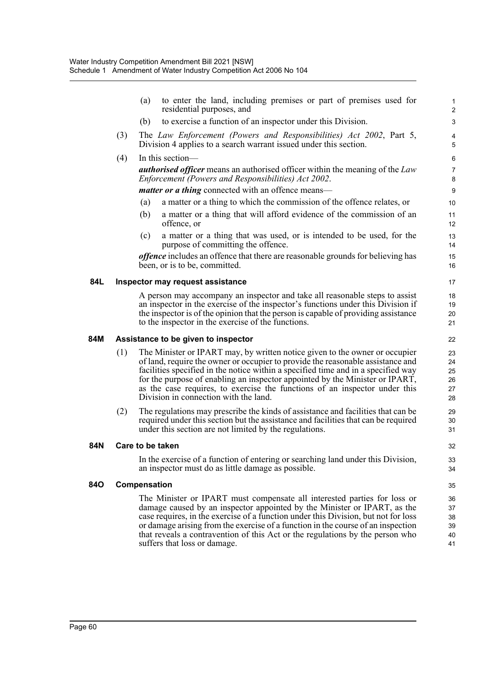| 3<br>The Law Enforcement (Powers and Responsibilities) Act 2002, Part 5,<br>4                                                                                                                                                                                                                                                                                                                                                                         |
|-------------------------------------------------------------------------------------------------------------------------------------------------------------------------------------------------------------------------------------------------------------------------------------------------------------------------------------------------------------------------------------------------------------------------------------------------------|
|                                                                                                                                                                                                                                                                                                                                                                                                                                                       |
| 5                                                                                                                                                                                                                                                                                                                                                                                                                                                     |
| 6                                                                                                                                                                                                                                                                                                                                                                                                                                                     |
| <b><i>authorised officer</i></b> means an authorised officer within the meaning of the Law<br>7<br>8                                                                                                                                                                                                                                                                                                                                                  |
| 9                                                                                                                                                                                                                                                                                                                                                                                                                                                     |
| a matter or a thing to which the commission of the offence relates, or<br>10                                                                                                                                                                                                                                                                                                                                                                          |
| a matter or a thing that will afford evidence of the commission of an<br>11<br>12                                                                                                                                                                                                                                                                                                                                                                     |
| a matter or a thing that was used, or is intended to be used, for the<br>13<br>14                                                                                                                                                                                                                                                                                                                                                                     |
| <i>offence</i> includes an offence that there are reasonable grounds for believing has<br>15<br>16                                                                                                                                                                                                                                                                                                                                                    |
| 17                                                                                                                                                                                                                                                                                                                                                                                                                                                    |
| A person may accompany an inspector and take all reasonable steps to assist<br>18<br>an inspector in the exercise of the inspector's functions under this Division if<br>19<br>the inspector is of the opinion that the person is capable of providing assistance<br>20<br>21                                                                                                                                                                         |
| 22                                                                                                                                                                                                                                                                                                                                                                                                                                                    |
| The Minister or IPART may, by written notice given to the owner or occupier<br>23<br>of land, require the owner or occupier to provide the reasonable assistance and<br>24<br>facilities specified in the notice within a specified time and in a specified way<br>25<br>for the purpose of enabling an inspector appointed by the Minister or IPART,<br>26<br>as the case requires, to exercise the functions of an inspector under this<br>27<br>28 |
| The regulations may prescribe the kinds of assistance and facilities that can be<br>29<br>required under this section but the assistance and facilities that can be required<br>30<br>31                                                                                                                                                                                                                                                              |
| 32                                                                                                                                                                                                                                                                                                                                                                                                                                                    |
| In the exercise of a function of entering or searching land under this Division,<br>33<br>34                                                                                                                                                                                                                                                                                                                                                          |
| 35                                                                                                                                                                                                                                                                                                                                                                                                                                                    |
| The Minister or IPART must compensate all interested parties for loss or<br>36<br>damage caused by an inspector appointed by the Minister or IPART, as the<br>37<br>case requires, in the exercise of a function under this Division, but not for loss<br>38<br>or damage arising from the exercise of a function in the course of an inspection<br>39<br>that reveals a contravention of this Act or the regulations by the person who<br>40<br>41   |
|                                                                                                                                                                                                                                                                                                                                                                                                                                                       |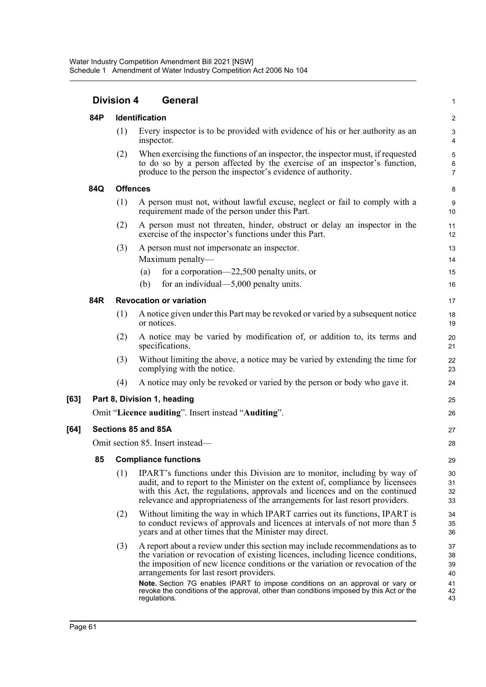|      |                                  | <b>Division 4</b>       | <b>General</b>                                                                                                                                                                                                                                                                                                                                                                                                                                                                           |                                        |  |  |  |  |
|------|----------------------------------|-------------------------|------------------------------------------------------------------------------------------------------------------------------------------------------------------------------------------------------------------------------------------------------------------------------------------------------------------------------------------------------------------------------------------------------------------------------------------------------------------------------------------|----------------------------------------|--|--|--|--|
|      | 84P                              |                         | Identification                                                                                                                                                                                                                                                                                                                                                                                                                                                                           |                                        |  |  |  |  |
|      |                                  | (1)                     | Every inspector is to be provided with evidence of his or her authority as an<br>inspector.                                                                                                                                                                                                                                                                                                                                                                                              | $\sqrt{3}$<br>4                        |  |  |  |  |
|      |                                  | (2)                     | When exercising the functions of an inspector, the inspector must, if requested<br>to do so by a person affected by the exercise of an inspector's function,<br>produce to the person the inspector's evidence of authority.                                                                                                                                                                                                                                                             | 5<br>6<br>$\overline{7}$               |  |  |  |  |
|      | 84Q                              | <b>Offences</b>         |                                                                                                                                                                                                                                                                                                                                                                                                                                                                                          | 8                                      |  |  |  |  |
|      |                                  | (1)                     | A person must not, without lawful excuse, neglect or fail to comply with a<br>requirement made of the person under this Part.                                                                                                                                                                                                                                                                                                                                                            | $\boldsymbol{9}$<br>10                 |  |  |  |  |
|      |                                  | (2)                     | A person must not threaten, hinder, obstruct or delay an inspector in the<br>exercise of the inspector's functions under this Part.                                                                                                                                                                                                                                                                                                                                                      | 11<br>12                               |  |  |  |  |
|      |                                  | (3)                     | A person must not impersonate an inspector.                                                                                                                                                                                                                                                                                                                                                                                                                                              | 13                                     |  |  |  |  |
|      |                                  |                         | Maximum penalty—                                                                                                                                                                                                                                                                                                                                                                                                                                                                         | 14                                     |  |  |  |  |
|      |                                  |                         | for a corporation— $22,500$ penalty units, or<br>(a)                                                                                                                                                                                                                                                                                                                                                                                                                                     | 15                                     |  |  |  |  |
|      |                                  |                         | (b)<br>for an individual— $5,000$ penalty units.                                                                                                                                                                                                                                                                                                                                                                                                                                         | 16                                     |  |  |  |  |
|      | 84R                              |                         | <b>Revocation or variation</b>                                                                                                                                                                                                                                                                                                                                                                                                                                                           | 17                                     |  |  |  |  |
|      |                                  | (1)                     | A notice given under this Part may be revoked or varied by a subsequent notice<br>or notices.                                                                                                                                                                                                                                                                                                                                                                                            | 18<br>19                               |  |  |  |  |
|      |                                  | (2)                     | A notice may be varied by modification of, or addition to, its terms and<br>specifications.                                                                                                                                                                                                                                                                                                                                                                                              | 20<br>21                               |  |  |  |  |
|      |                                  | (3)                     | Without limiting the above, a notice may be varied by extending the time for<br>complying with the notice.                                                                                                                                                                                                                                                                                                                                                                               | 22<br>23                               |  |  |  |  |
|      |                                  | (4)                     | A notice may only be revoked or varied by the person or body who gave it.                                                                                                                                                                                                                                                                                                                                                                                                                | 24                                     |  |  |  |  |
| [63] |                                  |                         | Part 8, Division 1, heading                                                                                                                                                                                                                                                                                                                                                                                                                                                              | 25                                     |  |  |  |  |
|      |                                  |                         | Omit "Licence auditing". Insert instead "Auditing".                                                                                                                                                                                                                                                                                                                                                                                                                                      | 26                                     |  |  |  |  |
| [64] | Sections 85 and 85A              |                         |                                                                                                                                                                                                                                                                                                                                                                                                                                                                                          |                                        |  |  |  |  |
|      | Omit section 85. Insert instead- |                         |                                                                                                                                                                                                                                                                                                                                                                                                                                                                                          |                                        |  |  |  |  |
|      |                                  | 85 Compliance functions |                                                                                                                                                                                                                                                                                                                                                                                                                                                                                          |                                        |  |  |  |  |
|      |                                  | (1)                     | IPART's functions under this Division are to monitor, including by way of<br>audit, and to report to the Minister on the extent of, compliance by licensees<br>with this Act, the regulations, approvals and licences and on the continued<br>relevance and appropriateness of the arrangements for last resort providers.                                                                                                                                                               | 30<br>31<br>32<br>33                   |  |  |  |  |
|      |                                  | (2)                     | Without limiting the way in which IPART carries out its functions, IPART is<br>to conduct reviews of approvals and licences at intervals of not more than 5<br>years and at other times that the Minister may direct.                                                                                                                                                                                                                                                                    | 34<br>35<br>36                         |  |  |  |  |
|      |                                  | (3)                     | A report about a review under this section may include recommendations as to<br>the variation or revocation of existing licences, including licence conditions,<br>the imposition of new licence conditions or the variation or revocation of the<br>arrangements for last resort providers.<br>Note. Section 7G enables IPART to impose conditions on an approval or vary or<br>revoke the conditions of the approval, other than conditions imposed by this Act or the<br>regulations. | 37<br>38<br>39<br>40<br>41<br>42<br>43 |  |  |  |  |
|      |                                  |                         |                                                                                                                                                                                                                                                                                                                                                                                                                                                                                          |                                        |  |  |  |  |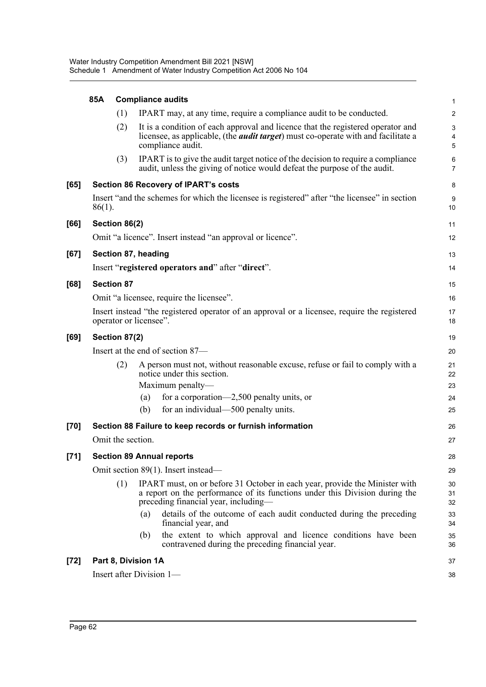|        | 85A       | <b>Compliance audits</b>            |                                                                                                                                                                                                    |                                     |  |  |  |
|--------|-----------|-------------------------------------|----------------------------------------------------------------------------------------------------------------------------------------------------------------------------------------------------|-------------------------------------|--|--|--|
|        |           | (1)                                 | IPART may, at any time, require a compliance audit to be conducted.                                                                                                                                | $\overline{2}$                      |  |  |  |
|        |           | (2)                                 | It is a condition of each approval and licence that the registered operator and<br>licensee, as applicable, (the <i>audit target</i> ) must co-operate with and facilitate a<br>compliance audit.  | $\ensuremath{\mathsf{3}}$<br>4<br>5 |  |  |  |
|        |           | (3)                                 | IPART is to give the audit target notice of the decision to require a compliance<br>audit, unless the giving of notice would defeat the purpose of the audit.                                      | $\,6\,$<br>$\overline{7}$           |  |  |  |
| [65]   |           |                                     | <b>Section 86 Recovery of IPART's costs</b>                                                                                                                                                        | 8                                   |  |  |  |
|        | $86(1)$ . |                                     | Insert "and the schemes for which the licensee is registered" after "the licensee" in section                                                                                                      | $\boldsymbol{9}$<br>10              |  |  |  |
| [66]   |           | Section 86(2)                       |                                                                                                                                                                                                    | 11                                  |  |  |  |
|        |           |                                     | Omit "a licence". Insert instead "an approval or licence".                                                                                                                                         | 12                                  |  |  |  |
| [67]   |           |                                     | Section 87, heading                                                                                                                                                                                | 13                                  |  |  |  |
|        |           |                                     | Insert "registered operators and" after "direct".                                                                                                                                                  | 14                                  |  |  |  |
| [68]   |           | <b>Section 87</b>                   |                                                                                                                                                                                                    | 15                                  |  |  |  |
|        |           |                                     | Omit "a licensee, require the licensee".                                                                                                                                                           | 16                                  |  |  |  |
|        |           |                                     | Insert instead "the registered operator of an approval or a licensee, require the registered<br>operator or licensee".                                                                             | 17<br>18                            |  |  |  |
| [69]   |           | Section 87(2)                       |                                                                                                                                                                                                    | 19                                  |  |  |  |
|        |           |                                     | Insert at the end of section 87—                                                                                                                                                                   | 20                                  |  |  |  |
|        |           | (2)                                 | A person must not, without reasonable excuse, refuse or fail to comply with a<br>notice under this section.                                                                                        | 21<br>22                            |  |  |  |
|        |           |                                     | Maximum penalty—<br>for a corporation—2,500 penalty units, or<br>(a)                                                                                                                               | 23<br>24                            |  |  |  |
|        |           |                                     | for an individual—500 penalty units.<br>(b)                                                                                                                                                        | 25                                  |  |  |  |
| $[70]$ |           |                                     | Section 88 Failure to keep records or furnish information                                                                                                                                          | 26                                  |  |  |  |
|        |           | Omit the section.                   |                                                                                                                                                                                                    | 27                                  |  |  |  |
| $[71]$ |           |                                     | <b>Section 89 Annual reports</b>                                                                                                                                                                   | 28                                  |  |  |  |
|        |           | Omit section 89(1). Insert instead— |                                                                                                                                                                                                    |                                     |  |  |  |
|        |           | (1)                                 | IPART must, on or before 31 October in each year, provide the Minister with<br>a report on the performance of its functions under this Division during the<br>preceding financial year, including— | 29<br>30<br>31<br>32                |  |  |  |
|        |           |                                     | details of the outcome of each audit conducted during the preceding<br>(a)<br>financial year, and                                                                                                  | 33<br>34                            |  |  |  |
|        |           |                                     | the extent to which approval and licence conditions have been<br>(b)<br>contravened during the preceding financial year.                                                                           | 35<br>36                            |  |  |  |
| $[72]$ |           |                                     | Part 8, Division 1A                                                                                                                                                                                | 37                                  |  |  |  |
|        |           |                                     | Insert after Division 1-                                                                                                                                                                           | 38                                  |  |  |  |
|        |           |                                     |                                                                                                                                                                                                    |                                     |  |  |  |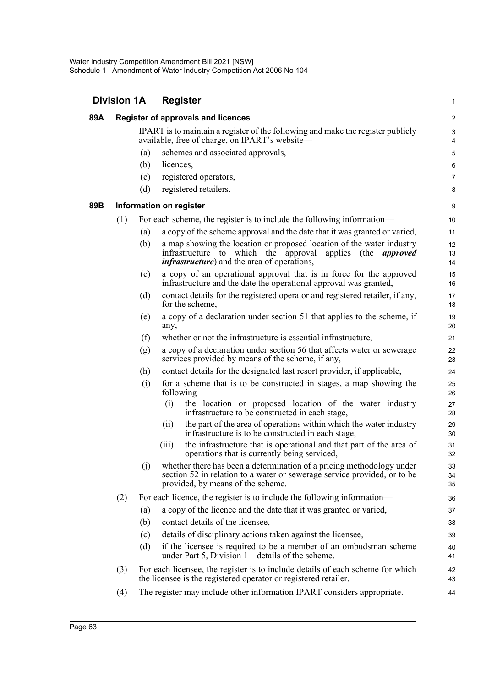| <b>Division 1A</b> |     |     | <b>Register</b>                                                                                                                                                                                     |                     |  |  |
|--------------------|-----|-----|-----------------------------------------------------------------------------------------------------------------------------------------------------------------------------------------------------|---------------------|--|--|
| 89A                |     |     | <b>Register of approvals and licences</b>                                                                                                                                                           |                     |  |  |
|                    |     |     | IPART is to maintain a register of the following and make the register publicly<br>available, free of charge, on IPART's website—                                                                   | 3<br>$\overline{4}$ |  |  |
|                    |     | (a) | schemes and associated approvals,                                                                                                                                                                   | 5                   |  |  |
|                    |     | (b) | licences,                                                                                                                                                                                           | 6                   |  |  |
|                    |     | (c) | registered operators,                                                                                                                                                                               | 7                   |  |  |
|                    |     | (d) | registered retailers.                                                                                                                                                                               | 8                   |  |  |
| 89B                |     |     | Information on register                                                                                                                                                                             | 9                   |  |  |
|                    | (1) |     | For each scheme, the register is to include the following information—                                                                                                                              | 10                  |  |  |
|                    |     | (a) | a copy of the scheme approval and the date that it was granted or varied,                                                                                                                           | 11                  |  |  |
|                    |     | (b) | a map showing the location or proposed location of the water industry<br>infrastructure to which the<br>approval<br>applies (the<br>approved<br><i>infrastructure</i> ) and the area of operations, | 12<br>13<br>14      |  |  |
|                    |     | (c) | a copy of an operational approval that is in force for the approved<br>infrastructure and the date the operational approval was granted,                                                            | 15<br>16            |  |  |
|                    |     | (d) | contact details for the registered operator and registered retailer, if any,<br>for the scheme,                                                                                                     | 17<br>18            |  |  |
|                    |     | (e) | a copy of a declaration under section 51 that applies to the scheme, if<br>any,                                                                                                                     | 19<br>20            |  |  |
|                    |     | (f) | whether or not the infrastructure is essential infrastructure,                                                                                                                                      | 21                  |  |  |
|                    |     | (g) | a copy of a declaration under section 56 that affects water or sewerage<br>services provided by means of the scheme, if any,                                                                        | 22<br>23            |  |  |
|                    |     | (h) | contact details for the designated last resort provider, if applicable,                                                                                                                             | 24                  |  |  |
|                    |     | (i) | for a scheme that is to be constructed in stages, a map showing the<br>following—                                                                                                                   | 25<br>26            |  |  |
|                    |     |     | (i)<br>the location or proposed location of the water industry<br>infrastructure to be constructed in each stage,                                                                                   | 27<br>28            |  |  |
|                    |     |     | the part of the area of operations within which the water industry<br>(ii)<br>infrastructure is to be constructed in each stage,                                                                    | 29<br>30            |  |  |
|                    |     |     | the infrastructure that is operational and that part of the area of<br>(iii)<br>operations that is currently being serviced,                                                                        | 31<br>32            |  |  |
|                    |     | (i) | whether there has been a determination of a pricing methodology under<br>section 52 in relation to a water or sewerage service provided, or to be<br>provided, by means of the scheme.              | 33<br>34<br>35      |  |  |
|                    | (2) |     | For each licence, the register is to include the following information—                                                                                                                             | 36                  |  |  |
|                    |     | (a) | a copy of the licence and the date that it was granted or varied,                                                                                                                                   | 37                  |  |  |
|                    |     | (b) | contact details of the licensee,                                                                                                                                                                    | 38                  |  |  |
|                    |     | (c) | details of disciplinary actions taken against the licensee,                                                                                                                                         | 39                  |  |  |
|                    |     | (d) | if the licensee is required to be a member of an ombudsman scheme<br>under Part 5, Division 1—details of the scheme.                                                                                | 40<br>41            |  |  |
|                    | (3) |     | For each licensee, the register is to include details of each scheme for which<br>the licensee is the registered operator or registered retailer.                                                   | 42<br>43            |  |  |
|                    | (4) |     | The register may include other information IPART considers appropriate.                                                                                                                             | 44                  |  |  |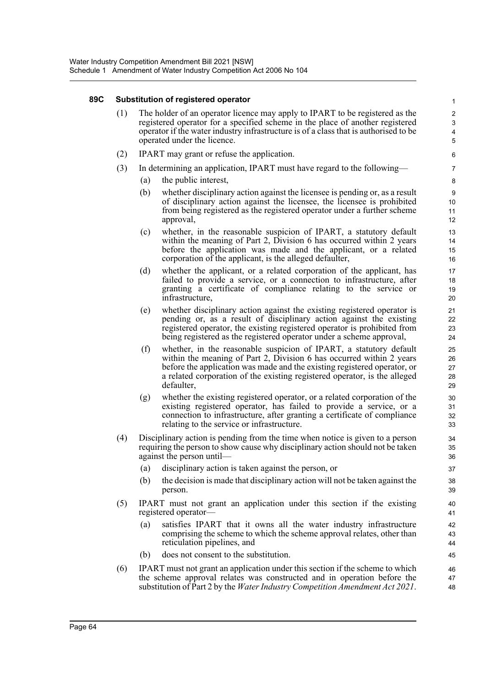## **89C Substitution of registered operator**

(1) The holder of an operator licence may apply to IPART to be registered as the registered operator for a specified scheme in the place of another registered operator if the water industry infrastructure is of a class that is authorised to be operated under the licence.

- (2) IPART may grant or refuse the application.
- (3) In determining an application, IPART must have regard to the following—
	- (a) the public interest,
	- (b) whether disciplinary action against the licensee is pending or, as a result of disciplinary action against the licensee, the licensee is prohibited from being registered as the registered operator under a further scheme approval,
	- (c) whether, in the reasonable suspicion of IPART, a statutory default within the meaning of Part 2, Division 6 has occurred within 2 years before the application was made and the applicant, or a related corporation of the applicant, is the alleged defaulter,
	- (d) whether the applicant, or a related corporation of the applicant, has failed to provide a service, or a connection to infrastructure, after granting a certificate of compliance relating to the service or infrastructure,
	- (e) whether disciplinary action against the existing registered operator is pending or, as a result of disciplinary action against the existing registered operator, the existing registered operator is prohibited from being registered as the registered operator under a scheme approval,
	- (f) whether, in the reasonable suspicion of IPART, a statutory default within the meaning of Part 2, Division 6 has occurred within 2 years before the application was made and the existing registered operator, or a related corporation of the existing registered operator, is the alleged defaulter,
	- (g) whether the existing registered operator, or a related corporation of the existing registered operator, has failed to provide a service, or a connection to infrastructure, after granting a certificate of compliance relating to the service or infrastructure.
- (4) Disciplinary action is pending from the time when notice is given to a person requiring the person to show cause why disciplinary action should not be taken against the person until—
	- (a) disciplinary action is taken against the person, or
	- (b) the decision is made that disciplinary action will not be taken against the person.
- (5) IPART must not grant an application under this section if the existing registered operator—
	- (a) satisfies IPART that it owns all the water industry infrastructure comprising the scheme to which the scheme approval relates, other than reticulation pipelines, and
	- (b) does not consent to the substitution.
- (6) IPART must not grant an application under this section if the scheme to which the scheme approval relates was constructed and in operation before the substitution of Part 2 by the *Water Industry Competition Amendment Act 2021*. 46 47 48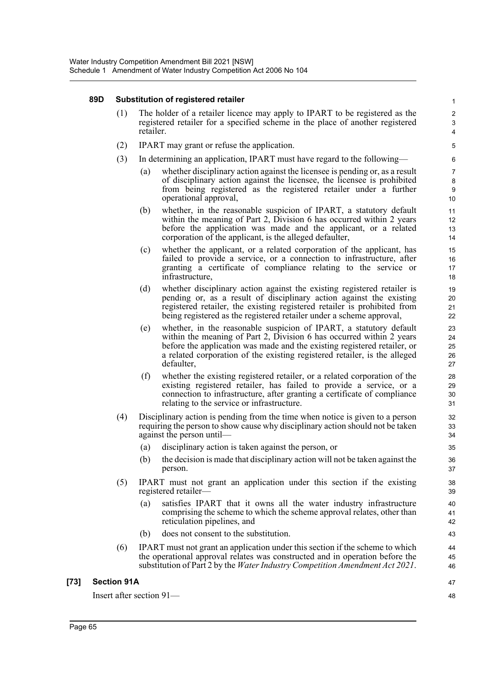# **89D Substitution of registered retailer**

(1) The holder of a retailer licence may apply to IPART to be registered as the registered retailer for a specified scheme in the place of another registered retailer.

- (2) IPART may grant or refuse the application.
- (3) In determining an application, IPART must have regard to the following—
	- (a) whether disciplinary action against the licensee is pending or, as a result of disciplinary action against the licensee, the licensee is prohibited from being registered as the registered retailer under a further operational approval,
	- (b) whether, in the reasonable suspicion of IPART, a statutory default within the meaning of Part 2, Division 6 has occurred within 2 years before the application was made and the applicant, or a related corporation of the applicant, is the alleged defaulter,
	- (c) whether the applicant, or a related corporation of the applicant, has failed to provide a service, or a connection to infrastructure, after granting a certificate of compliance relating to the service or infrastructure,
	- (d) whether disciplinary action against the existing registered retailer is pending or, as a result of disciplinary action against the existing registered retailer, the existing registered retailer is prohibited from being registered as the registered retailer under a scheme approval,
	- (e) whether, in the reasonable suspicion of IPART, a statutory default within the meaning of Part 2, Division 6 has occurred within 2 years before the application was made and the existing registered retailer, or a related corporation of the existing registered retailer, is the alleged defaulter,
	- (f) whether the existing registered retailer, or a related corporation of the existing registered retailer, has failed to provide a service, or a connection to infrastructure, after granting a certificate of compliance relating to the service or infrastructure.
- (4) Disciplinary action is pending from the time when notice is given to a person requiring the person to show cause why disciplinary action should not be taken against the person until—
	- (a) disciplinary action is taken against the person, or
	- (b) the decision is made that disciplinary action will not be taken against the person.
- (5) IPART must not grant an application under this section if the existing registered retailer—
	- (a) satisfies IPART that it owns all the water industry infrastructure comprising the scheme to which the scheme approval relates, other than reticulation pipelines, and
	- (b) does not consent to the substitution.
- (6) IPART must not grant an application under this section if the scheme to which the operational approval relates was constructed and in operation before the substitution of Part 2 by the *Water Industry Competition Amendment Act 2021*.

# **[73] Section 91A**

Insert after section 91—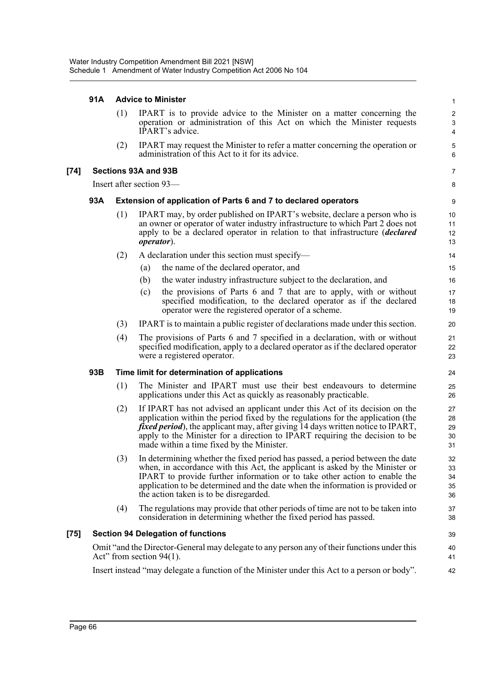# **91A Advice to Minister**

|        | 91A | <b>Advice to Minister</b> |                                                                                                                                                                                                                                                                                                                                                                                       |                                              |  |  |
|--------|-----|---------------------------|---------------------------------------------------------------------------------------------------------------------------------------------------------------------------------------------------------------------------------------------------------------------------------------------------------------------------------------------------------------------------------------|----------------------------------------------|--|--|
|        |     | (1)                       | IPART is to provide advice to the Minister on a matter concerning the<br>operation or administration of this Act on which the Minister requests<br>IPART's advice.                                                                                                                                                                                                                    | $\sqrt{2}$<br>$\mathbf{3}$<br>$\overline{4}$ |  |  |
|        |     | (2)                       | IPART may request the Minister to refer a matter concerning the operation or<br>administration of this Act to it for its advice.                                                                                                                                                                                                                                                      | 5<br>6                                       |  |  |
| $[74]$ |     |                           | Sections 93A and 93B                                                                                                                                                                                                                                                                                                                                                                  | 7                                            |  |  |
|        |     |                           | Insert after section 93-                                                                                                                                                                                                                                                                                                                                                              | 8                                            |  |  |
|        | 93A |                           | Extension of application of Parts 6 and 7 to declared operators                                                                                                                                                                                                                                                                                                                       | 9                                            |  |  |
|        |     | (1)                       | IPART may, by order published on IPART's website, declare a person who is<br>an owner or operator of water industry infrastructure to which Part 2 does not<br>apply to be a declared operator in relation to that infrastructure <i>(declared</i> )<br><i>operator</i> ).                                                                                                            | 10<br>11<br>12<br>13                         |  |  |
|        |     | (2)                       | A declaration under this section must specify—                                                                                                                                                                                                                                                                                                                                        | 14                                           |  |  |
|        |     |                           | the name of the declared operator, and<br>(a)                                                                                                                                                                                                                                                                                                                                         | 15                                           |  |  |
|        |     |                           | the water industry infrastructure subject to the declaration, and<br>(b)                                                                                                                                                                                                                                                                                                              | 16                                           |  |  |
|        |     |                           | the provisions of Parts 6 and 7 that are to apply, with or without<br>(c)<br>specified modification, to the declared operator as if the declared<br>operator were the registered operator of a scheme.                                                                                                                                                                                | 17<br>18<br>19                               |  |  |
|        |     | (3)                       | IPART is to maintain a public register of declarations made under this section.                                                                                                                                                                                                                                                                                                       | 20                                           |  |  |
|        |     | (4)                       | The provisions of Parts 6 and 7 specified in a declaration, with or without<br>specified modification, apply to a declared operator as if the declared operator<br>were a registered operator.                                                                                                                                                                                        | 21<br>22<br>23                               |  |  |
|        | 93B |                           | Time limit for determination of applications                                                                                                                                                                                                                                                                                                                                          | 24                                           |  |  |
|        |     | (1)                       | The Minister and IPART must use their best endeavours to determine<br>applications under this Act as quickly as reasonably practicable.                                                                                                                                                                                                                                               | 25<br>26                                     |  |  |
|        |     | (2)                       | If IPART has not advised an applicant under this Act of its decision on the<br>application within the period fixed by the regulations for the application (the<br><i>fixed period</i> ), the applicant may, after giving 14 days written notice to IPART,<br>apply to the Minister for a direction to IPART requiring the decision to be<br>made within a time fixed by the Minister. | 27<br>28<br>29<br>30<br>31                   |  |  |
|        |     | (3)                       | In determining whether the fixed period has passed, a period between the date<br>when, in accordance with this Act, the applicant is asked by the Minister or<br>IPART to provide further information or to take other action to enable the<br>application to be determined and the date when the information is provided or<br>the action taken is to be disregarded.                | 32<br>33<br>34<br>35<br>36                   |  |  |
|        |     | (4)                       | The regulations may provide that other periods of time are not to be taken into<br>consideration in determining whether the fixed period has passed.                                                                                                                                                                                                                                  | 37<br>38                                     |  |  |
| $[75]$ |     |                           | <b>Section 94 Delegation of functions</b>                                                                                                                                                                                                                                                                                                                                             | 39                                           |  |  |
|        |     |                           | Omit "and the Director-General may delegate to any person any of their functions under this<br>Act" from section $94(1)$ .                                                                                                                                                                                                                                                            | 40<br>41                                     |  |  |
|        |     |                           | Insert instead "may delegate a function of the Minister under this Act to a person or body".                                                                                                                                                                                                                                                                                          | 42                                           |  |  |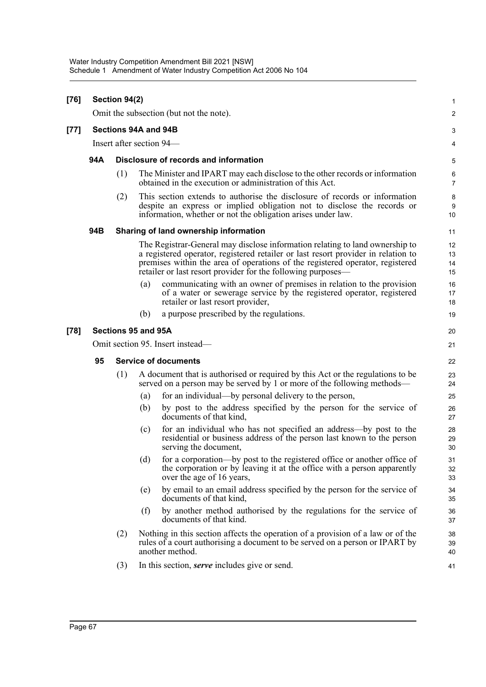| $[76]$ |                                  | Section 94(2)               |                     |                                                                                                                                                                                                                                                                                                                    | 1                    |  |  |
|--------|----------------------------------|-----------------------------|---------------------|--------------------------------------------------------------------------------------------------------------------------------------------------------------------------------------------------------------------------------------------------------------------------------------------------------------------|----------------------|--|--|
|        |                                  |                             |                     | Omit the subsection (but not the note).                                                                                                                                                                                                                                                                            | 2                    |  |  |
| [77]   | Sections 94A and 94B             |                             |                     |                                                                                                                                                                                                                                                                                                                    |                      |  |  |
|        | Insert after section 94-         |                             |                     |                                                                                                                                                                                                                                                                                                                    |                      |  |  |
|        | 94A                              |                             |                     | Disclosure of records and information                                                                                                                                                                                                                                                                              | 5                    |  |  |
|        |                                  | (1)                         |                     | The Minister and IPART may each disclose to the other records or information<br>obtained in the execution or administration of this Act.                                                                                                                                                                           | 6<br>7               |  |  |
|        |                                  | (2)                         |                     | This section extends to authorise the disclosure of records or information<br>despite an express or implied obligation not to disclose the records or<br>information, whether or not the obligation arises under law.                                                                                              | 8<br>g<br>10         |  |  |
|        | 94B                              |                             |                     | Sharing of land ownership information                                                                                                                                                                                                                                                                              | 11                   |  |  |
|        |                                  |                             |                     | The Registrar-General may disclose information relating to land ownership to<br>a registered operator, registered retailer or last resort provider in relation to<br>premises within the area of operations of the registered operator, registered<br>retailer or last resort provider for the following purposes— | 12<br>13<br>14<br>15 |  |  |
|        |                                  |                             | (a)                 | communicating with an owner of premises in relation to the provision<br>of a water or sewerage service by the registered operator, registered<br>retailer or last resort provider,                                                                                                                                 | 16<br>17<br>18       |  |  |
|        |                                  |                             | (b)                 | a purpose prescribed by the regulations.                                                                                                                                                                                                                                                                           | 19                   |  |  |
| [78]   |                                  |                             | Sections 95 and 95A |                                                                                                                                                                                                                                                                                                                    | 20                   |  |  |
|        | Omit section 95. Insert instead— |                             |                     |                                                                                                                                                                                                                                                                                                                    |                      |  |  |
|        | 95                               | <b>Service of documents</b> |                     |                                                                                                                                                                                                                                                                                                                    |                      |  |  |
|        |                                  | (1)                         |                     | A document that is authorised or required by this Act or the regulations to be<br>served on a person may be served by 1 or more of the following methods—                                                                                                                                                          | 23<br>24             |  |  |
|        |                                  |                             | (a)                 | for an individual—by personal delivery to the person,                                                                                                                                                                                                                                                              | 25                   |  |  |
|        |                                  |                             | (b)                 | by post to the address specified by the person for the service of<br>documents of that kind,                                                                                                                                                                                                                       | 26<br>27             |  |  |
|        |                                  |                             | (c)                 | for an individual who has not specified an address-by post to the<br>residential or business address of the person last known to the person<br>serving the document,                                                                                                                                               | 28<br>29<br>30       |  |  |
|        |                                  |                             |                     | (d) for a corporation—by post to the registered office or another office of<br>the corporation or by leaving it at the office with a person apparently<br>over the age of 16 years,                                                                                                                                | 31<br>32<br>33       |  |  |
|        |                                  |                             | (e)                 | by email to an email address specified by the person for the service of<br>documents of that kind,                                                                                                                                                                                                                 | 34<br>35             |  |  |
|        |                                  |                             | (f)                 | by another method authorised by the regulations for the service of<br>documents of that kind.                                                                                                                                                                                                                      | 36<br>37             |  |  |
|        |                                  | (2)                         |                     | Nothing in this section affects the operation of a provision of a law or of the<br>rules of a court authorising a document to be served on a person or IPART by<br>another method.                                                                                                                                 | 38<br>39<br>40       |  |  |
|        |                                  | (3)                         |                     | In this section, <i>serve</i> includes give or send.                                                                                                                                                                                                                                                               | 41                   |  |  |
|        |                                  |                             |                     |                                                                                                                                                                                                                                                                                                                    |                      |  |  |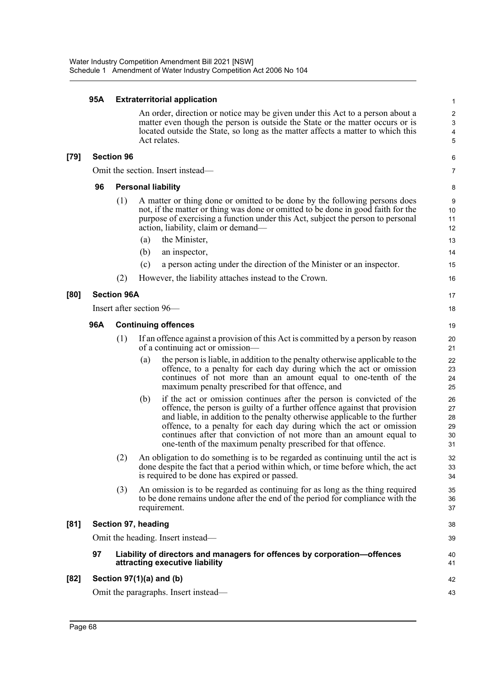### **95A Extraterritorial application**

An order, direction or notice may be given under this Act to a person about a matter even though the person is outside the State or the matter occurs or is located outside the State, so long as the matter affects a matter to which this Act relates.

#### **[79] Section 96**

Omit the section. Insert instead—

#### **96 Personal liability**

- (1) A matter or thing done or omitted to be done by the following persons does not, if the matter or thing was done or omitted to be done in good faith for the purpose of exercising a function under this Act, subject the person to personal action, liability, claim or demand—
	- (a) the Minister,
	- (b) an inspector,
	- (c) a person acting under the direction of the Minister or an inspector.
- (2) However, the liability attaches instead to the Crown.

#### **[80] Section 96A**

Insert after section 96—

#### **96A Continuing offences**

- (1) If an offence against a provision of this Act is committed by a person by reason of a continuing act or omission—
	- (a) the person is liable, in addition to the penalty otherwise applicable to the offence, to a penalty for each day during which the act or omission continues of not more than an amount equal to one-tenth of the maximum penalty prescribed for that offence, and
	- (b) if the act or omission continues after the person is convicted of the offence, the person is guilty of a further offence against that provision and liable, in addition to the penalty otherwise applicable to the further offence, to a penalty for each day during which the act or omission continues after that conviction of not more than an amount equal to one-tenth of the maximum penalty prescribed for that offence.
- (2) An obligation to do something is to be regarded as continuing until the act is done despite the fact that a period within which, or time before which, the act is required to be done has expired or passed.
- (3) An omission is to be regarded as continuing for as long as the thing required to be done remains undone after the end of the period for compliance with the requirement.

# **[81] Section 97, heading**

Omit the heading. Insert instead—

#### **97 Liability of directors and managers for offences by corporation—offences attracting executive liability**

#### **[82] Section 97(1)(a) and (b)**

Omit the paragraphs. Insert instead—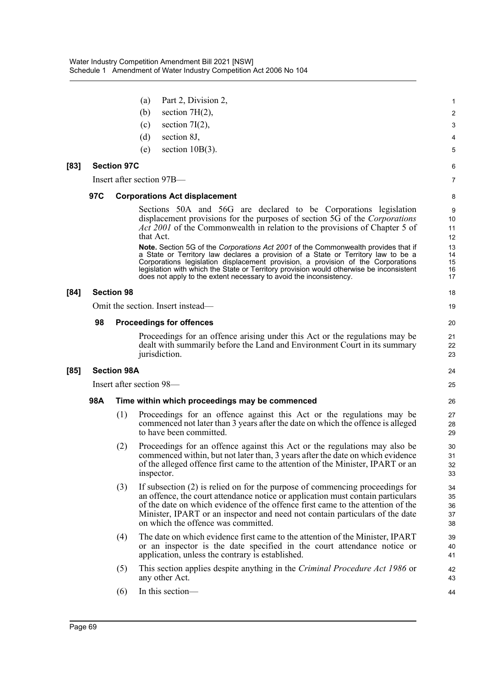|      |                          |                    | Part 2, Division 2,<br>(a)                                                                                                                                                                                                                                                                                                                                                                                                   | 1                          |  |  |  |
|------|--------------------------|--------------------|------------------------------------------------------------------------------------------------------------------------------------------------------------------------------------------------------------------------------------------------------------------------------------------------------------------------------------------------------------------------------------------------------------------------------|----------------------------|--|--|--|
|      |                          |                    | section $7H(2)$ ,<br>(b)                                                                                                                                                                                                                                                                                                                                                                                                     | 2                          |  |  |  |
|      |                          |                    | section $7I(2)$ ,<br>(c)                                                                                                                                                                                                                                                                                                                                                                                                     | 3                          |  |  |  |
|      |                          |                    | (d)<br>section 8J,                                                                                                                                                                                                                                                                                                                                                                                                           | 4                          |  |  |  |
|      |                          |                    | section $10B(3)$ .<br>(e)                                                                                                                                                                                                                                                                                                                                                                                                    | 5                          |  |  |  |
| [83] |                          | <b>Section 97C</b> |                                                                                                                                                                                                                                                                                                                                                                                                                              | 6                          |  |  |  |
|      |                          |                    | Insert after section 97B—                                                                                                                                                                                                                                                                                                                                                                                                    | 7                          |  |  |  |
|      | 97C                      |                    | <b>Corporations Act displacement</b>                                                                                                                                                                                                                                                                                                                                                                                         | 8                          |  |  |  |
|      |                          |                    | Sections 50A and 56G are declared to be Corporations legislation<br>displacement provisions for the purposes of section 5G of the Corporations<br><i>Act 2001</i> of the Commonwealth in relation to the provisions of Chapter 5 of<br>that Act.                                                                                                                                                                             | 9<br>10<br>11<br>12        |  |  |  |
|      |                          |                    | Note. Section 5G of the Corporations Act 2001 of the Commonwealth provides that if<br>a State or Territory law declares a provision of a State or Territory law to be a<br>Corporations legislation displacement provision, a provision of the Corporations<br>legislation with which the State or Territory provision would otherwise be inconsistent<br>does not apply to the extent necessary to avoid the inconsistency. | 13<br>14<br>15<br>16<br>17 |  |  |  |
| [84] |                          | <b>Section 98</b>  |                                                                                                                                                                                                                                                                                                                                                                                                                              | 18                         |  |  |  |
|      |                          |                    | Omit the section. Insert instead—                                                                                                                                                                                                                                                                                                                                                                                            | 19                         |  |  |  |
|      | 98                       |                    | <b>Proceedings for offences</b>                                                                                                                                                                                                                                                                                                                                                                                              | 20                         |  |  |  |
|      |                          |                    | Proceedings for an offence arising under this Act or the regulations may be<br>dealt with summarily before the Land and Environment Court in its summary<br>jurisdiction.                                                                                                                                                                                                                                                    | 21<br>22<br>23             |  |  |  |
| [85] |                          | <b>Section 98A</b> |                                                                                                                                                                                                                                                                                                                                                                                                                              | 24                         |  |  |  |
|      | Insert after section 98— |                    |                                                                                                                                                                                                                                                                                                                                                                                                                              |                            |  |  |  |
|      | 98A                      |                    | Time within which proceedings may be commenced                                                                                                                                                                                                                                                                                                                                                                               | 26                         |  |  |  |
|      |                          | (1)                | Proceedings for an offence against this Act or the regulations may be<br>commenced not later than 3 years after the date on which the offence is alleged<br>to have been committed.                                                                                                                                                                                                                                          | 27<br>28<br>29             |  |  |  |
|      |                          | (2)                | Proceedings for an offence against this Act or the regulations may also be<br>commenced within, but not later than, 3 years after the date on which evidence<br>of the alleged offence first came to the attention of the Minister, IPART or an<br>inspector.                                                                                                                                                                | 30<br>31<br>32<br>33       |  |  |  |
|      |                          | (3)                | If subsection (2) is relied on for the purpose of commencing proceedings for<br>an offence, the court attendance notice or application must contain particulars<br>of the date on which evidence of the offence first came to the attention of the<br>Minister, IPART or an inspector and need not contain particulars of the date<br>on which the offence was committed.                                                    | 34<br>35<br>36<br>37<br>38 |  |  |  |
|      |                          | (4)                | The date on which evidence first came to the attention of the Minister, IPART<br>or an inspector is the date specified in the court attendance notice or<br>application, unless the contrary is established.                                                                                                                                                                                                                 | 39<br>40<br>41             |  |  |  |
|      |                          | (5)                | This section applies despite anything in the Criminal Procedure Act 1986 or<br>any other Act.                                                                                                                                                                                                                                                                                                                                | 42<br>43                   |  |  |  |
|      |                          | (6)                | In this section-                                                                                                                                                                                                                                                                                                                                                                                                             | 44                         |  |  |  |
|      |                          |                    |                                                                                                                                                                                                                                                                                                                                                                                                                              |                            |  |  |  |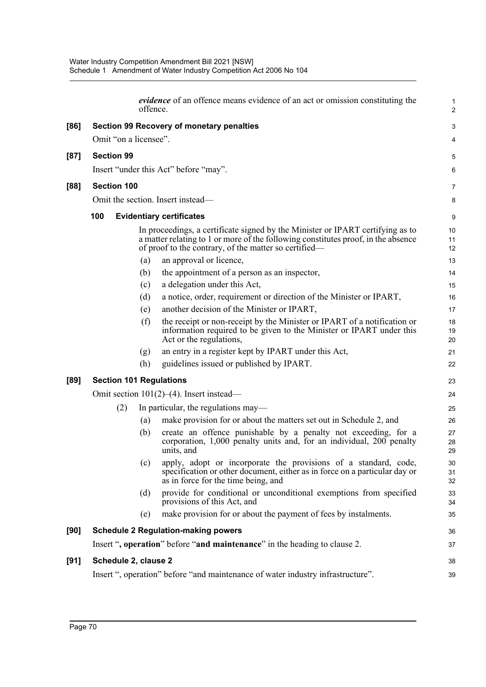|      |     |                    | offence.              | <i>evidence</i> of an offence means evidence of an act or omission constituting the                                                                                                                                          | $\mathbf{1}$<br>2 |
|------|-----|--------------------|-----------------------|------------------------------------------------------------------------------------------------------------------------------------------------------------------------------------------------------------------------------|-------------------|
| [86] |     |                    |                       | <b>Section 99 Recovery of monetary penalties</b>                                                                                                                                                                             | 3                 |
|      |     |                    | Omit "on a licensee". |                                                                                                                                                                                                                              | 4                 |
| [87] |     | <b>Section 99</b>  |                       |                                                                                                                                                                                                                              | $\mathbf 5$       |
|      |     |                    |                       | Insert "under this Act" before "may".                                                                                                                                                                                        | 6                 |
|      |     |                    |                       |                                                                                                                                                                                                                              |                   |
| [88] |     | <b>Section 100</b> |                       |                                                                                                                                                                                                                              | 7                 |
|      |     |                    |                       | Omit the section. Insert instead—                                                                                                                                                                                            | 8                 |
|      | 100 |                    |                       | <b>Evidentiary certificates</b>                                                                                                                                                                                              | 9                 |
|      |     |                    |                       | In proceedings, a certificate signed by the Minister or IPART certifying as to<br>a matter relating to 1 or more of the following constitutes proof, in the absence<br>of proof to the contrary, of the matter so certified— | 10<br>11<br>12    |
|      |     |                    | (a)                   | an approval or licence,                                                                                                                                                                                                      | 13                |
|      |     |                    | (b)                   | the appointment of a person as an inspector,                                                                                                                                                                                 | 14                |
|      |     |                    | (c)                   | a delegation under this Act,                                                                                                                                                                                                 | 15                |
|      |     |                    | (d)                   | a notice, order, requirement or direction of the Minister or IPART,                                                                                                                                                          | 16                |
|      |     |                    | (e)                   | another decision of the Minister or IPART,                                                                                                                                                                                   | 17                |
|      |     |                    | (f)                   | the receipt or non-receipt by the Minister or IPART of a notification or<br>information required to be given to the Minister or IPART under this<br>Act or the regulations,                                                  | 18<br>19<br>20    |
|      |     |                    | (g)                   | an entry in a register kept by IPART under this Act,                                                                                                                                                                         | 21                |
|      |     |                    | (h)                   | guidelines issued or published by IPART.                                                                                                                                                                                     | 22                |
| [89] |     |                    |                       | <b>Section 101 Regulations</b>                                                                                                                                                                                               | 23                |
|      |     |                    |                       | Omit section $101(2)$ –(4). Insert instead—                                                                                                                                                                                  | 24                |
|      |     | (2)                |                       | In particular, the regulations may—                                                                                                                                                                                          | 25                |
|      |     |                    | (a)                   | make provision for or about the matters set out in Schedule 2, and                                                                                                                                                           | 26                |
|      |     |                    | (b)                   | create an offence punishable by a penalty not exceeding, for a<br>corporation, 1,000 penalty units and, for an individual, 200 penalty<br>units, and                                                                         | 27<br>28<br>29    |
|      |     |                    | (c)                   | apply, adopt or incorporate the provisions of a standard, code,<br>specification or other document, either as in force on a particular day or<br>as in force for the time being, and                                         | 30<br>31<br>32    |
|      |     |                    | (d)                   | provide for conditional or unconditional exemptions from specified<br>provisions of this Act, and                                                                                                                            | 33<br>34          |
|      |     |                    | (e)                   | make provision for or about the payment of fees by instalments.                                                                                                                                                              | 35                |
| [90] |     |                    |                       | <b>Schedule 2 Regulation-making powers</b>                                                                                                                                                                                   | 36                |
|      |     |                    |                       | Insert ", operation" before "and maintenance" in the heading to clause 2.                                                                                                                                                    | 37                |
| [91] |     |                    | Schedule 2, clause 2  |                                                                                                                                                                                                                              | 38                |
|      |     |                    |                       | Insert ", operation" before "and maintenance of water industry infrastructure".                                                                                                                                              | 39                |
|      |     |                    |                       |                                                                                                                                                                                                                              |                   |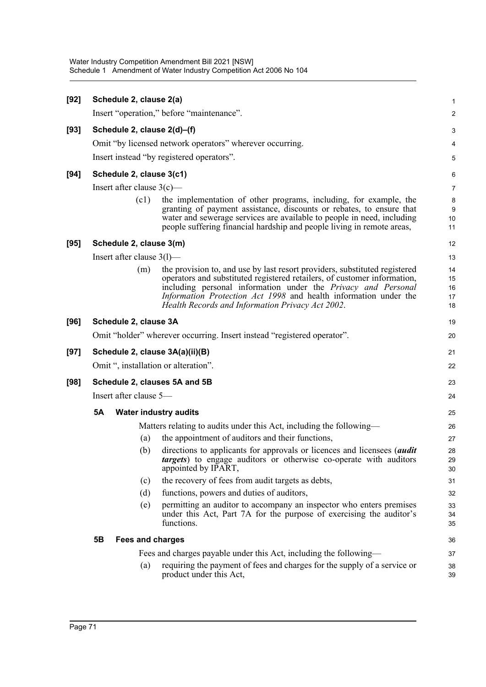| [92] |                              | Schedule 2, clause 2(a)      |                                                                                                                                                                                                                                                                                                                                                        | $\mathbf{1}$               |  |  |  |
|------|------------------------------|------------------------------|--------------------------------------------------------------------------------------------------------------------------------------------------------------------------------------------------------------------------------------------------------------------------------------------------------------------------------------------------------|----------------------------|--|--|--|
|      |                              |                              | Insert "operation," before "maintenance".                                                                                                                                                                                                                                                                                                              | $\boldsymbol{2}$           |  |  |  |
| [93] |                              | Schedule 2, clause 2(d)-(f)  |                                                                                                                                                                                                                                                                                                                                                        | 3                          |  |  |  |
|      |                              |                              | Omit "by licensed network operators" wherever occurring.                                                                                                                                                                                                                                                                                               | 4                          |  |  |  |
|      |                              |                              | Insert instead "by registered operators".                                                                                                                                                                                                                                                                                                              | $\mathbf 5$                |  |  |  |
| [94] |                              | Schedule 2, clause 3(c1)     |                                                                                                                                                                                                                                                                                                                                                        | 6                          |  |  |  |
|      | Insert after clause $3(c)$ — |                              |                                                                                                                                                                                                                                                                                                                                                        |                            |  |  |  |
|      |                              | (c1)                         | the implementation of other programs, including, for example, the<br>granting of payment assistance, discounts or rebates, to ensure that<br>water and sewerage services are available to people in need, including<br>people suffering financial hardship and people living in remote areas,                                                          | 8<br>9<br>10<br>11         |  |  |  |
| [95] |                              | Schedule 2, clause 3(m)      |                                                                                                                                                                                                                                                                                                                                                        | 12                         |  |  |  |
|      |                              | Insert after clause $3(1)$ — |                                                                                                                                                                                                                                                                                                                                                        | 13                         |  |  |  |
|      |                              | (m)                          | the provision to, and use by last resort providers, substituted registered<br>operators and substituted registered retailers, of customer information,<br>including personal information under the <i>Privacy and Personal</i><br>Information Protection Act 1998 and health information under the<br>Health Records and Information Privacy Act 2002. | 14<br>15<br>16<br>17<br>18 |  |  |  |
| [96] |                              | Schedule 2, clause 3A        |                                                                                                                                                                                                                                                                                                                                                        | 19                         |  |  |  |
|      |                              |                              | Omit "holder" wherever occurring. Insert instead "registered operator".                                                                                                                                                                                                                                                                                | 20                         |  |  |  |
| [97] |                              |                              | Schedule 2, clause 3A(a)(ii)(B)                                                                                                                                                                                                                                                                                                                        | 21                         |  |  |  |
|      |                              |                              | Omit ", installation or alteration".                                                                                                                                                                                                                                                                                                                   | 22                         |  |  |  |
| [98] |                              |                              | Schedule 2, clauses 5A and 5B                                                                                                                                                                                                                                                                                                                          | 23                         |  |  |  |
|      |                              | Insert after clause 5-       |                                                                                                                                                                                                                                                                                                                                                        | 24                         |  |  |  |
|      | <b>5A</b>                    |                              | <b>Water industry audits</b>                                                                                                                                                                                                                                                                                                                           | 25                         |  |  |  |
|      |                              |                              | Matters relating to audits under this Act, including the following—                                                                                                                                                                                                                                                                                    | 26                         |  |  |  |
|      |                              | (a)                          | the appointment of auditors and their functions,                                                                                                                                                                                                                                                                                                       | 27                         |  |  |  |
|      |                              | (b)                          | directions to applicants for approvals or licences and licensees ( <i>audit</i><br>targets) to engage auditors or otherwise co-operate with auditors<br>appointed by IPART,                                                                                                                                                                            | 28<br>29<br>30             |  |  |  |
|      |                              | (c)                          | the recovery of fees from audit targets as debts,                                                                                                                                                                                                                                                                                                      | 31                         |  |  |  |
|      |                              | (d)                          | functions, powers and duties of auditors,                                                                                                                                                                                                                                                                                                              | 32                         |  |  |  |
|      |                              | (e)                          | permitting an auditor to accompany an inspector who enters premises<br>under this Act, Part 7A for the purpose of exercising the auditor's<br>functions.                                                                                                                                                                                               | 33<br>34<br>35             |  |  |  |
|      | 5B                           | <b>Fees and charges</b>      |                                                                                                                                                                                                                                                                                                                                                        | 36                         |  |  |  |
|      |                              |                              | Fees and charges payable under this Act, including the following—                                                                                                                                                                                                                                                                                      | 37                         |  |  |  |
|      |                              | (a)                          | requiring the payment of fees and charges for the supply of a service or<br>product under this Act,                                                                                                                                                                                                                                                    | 38                         |  |  |  |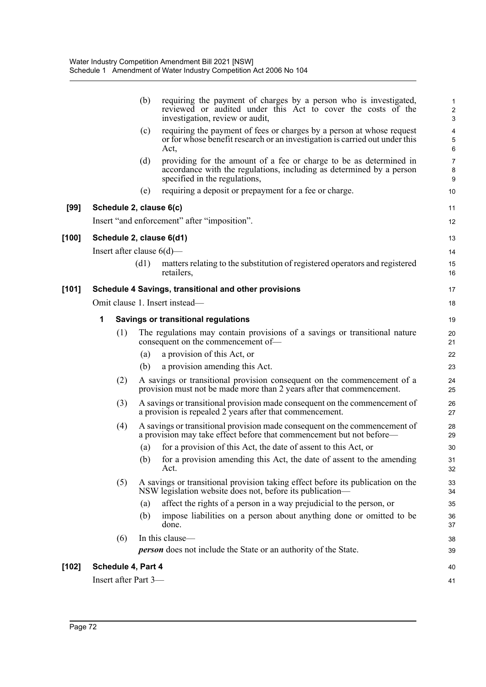|         |                              | (b)  | requiring the payment of charges by a person who is investigated,<br>reviewed or audited under this Act to cover the costs of the<br>investigation, review or audit,        | 1<br>$\boldsymbol{2}$<br>$\ensuremath{\mathsf{3}}$ |
|---------|------------------------------|------|-----------------------------------------------------------------------------------------------------------------------------------------------------------------------------|----------------------------------------------------|
|         |                              | (c)  | requiring the payment of fees or charges by a person at whose request<br>or for whose benefit research or an investigation is carried out under this<br>Act,                | 4<br>$\sqrt{5}$<br>6                               |
|         |                              | (d)  | providing for the amount of a fee or charge to be as determined in<br>accordance with the regulations, including as determined by a person<br>specified in the regulations, | $\overline{7}$<br>8<br>9                           |
|         |                              | (e)  | requiring a deposit or prepayment for a fee or charge.                                                                                                                      | 10                                                 |
| $[99]$  | Schedule 2, clause 6(c)      |      |                                                                                                                                                                             | 11                                                 |
|         |                              |      | Insert "and enforcement" after "imposition".                                                                                                                                | 12                                                 |
| [100]   | Schedule 2, clause 6(d1)     |      |                                                                                                                                                                             | 13                                                 |
|         | Insert after clause $6(d)$ — |      |                                                                                                                                                                             | 14                                                 |
|         |                              | (d1) | matters relating to the substitution of registered operators and registered<br>retailers,                                                                                   | 15<br>16                                           |
| [101]   |                              |      | Schedule 4 Savings, transitional and other provisions                                                                                                                       | 17                                                 |
|         |                              |      | Omit clause 1. Insert instead-                                                                                                                                              | 18                                                 |
|         | 1                            |      | <b>Savings or transitional regulations</b>                                                                                                                                  | 19                                                 |
|         | (1)                          |      | The regulations may contain provisions of a savings or transitional nature<br>consequent on the commencement of-                                                            | 20<br>21                                           |
|         |                              | (a)  | a provision of this Act, or                                                                                                                                                 | 22                                                 |
|         |                              | (b)  | a provision amending this Act.                                                                                                                                              | 23                                                 |
|         | (2)                          |      | A savings or transitional provision consequent on the commencement of a<br>provision must not be made more than 2 years after that commencement.                            | 24<br>25                                           |
|         | (3)                          |      | A savings or transitional provision made consequent on the commencement of<br>a provision is repealed 2 years after that commencement.                                      | 26<br>27                                           |
|         | (4)                          |      | A savings or transitional provision made consequent on the commencement of<br>a provision may take effect before that commencement but not before—                          | 28<br>29                                           |
|         |                              | (a)  | for a provision of this Act, the date of assent to this Act, or                                                                                                             | 30                                                 |
|         |                              |      | (b) for a provision amending this Act, the date of assent to the amending<br>Act.                                                                                           | 31<br>32                                           |
|         | (5)                          |      | A savings or transitional provision taking effect before its publication on the<br>NSW legislation website does not, before its publication—                                | 33<br>34                                           |
|         |                              | (a)  | affect the rights of a person in a way prejudicial to the person, or                                                                                                        | 35                                                 |
|         |                              | (b)  | impose liabilities on a person about anything done or omitted to be<br>done.                                                                                                | 36<br>37                                           |
|         | (6)                          |      | In this clause-                                                                                                                                                             | 38                                                 |
|         |                              |      | <b>person</b> does not include the State or an authority of the State.                                                                                                      | 39                                                 |
| $[102]$ | Schedule 4, Part 4           |      |                                                                                                                                                                             | 40                                                 |
|         | Insert after Part 3-         |      |                                                                                                                                                                             | 41                                                 |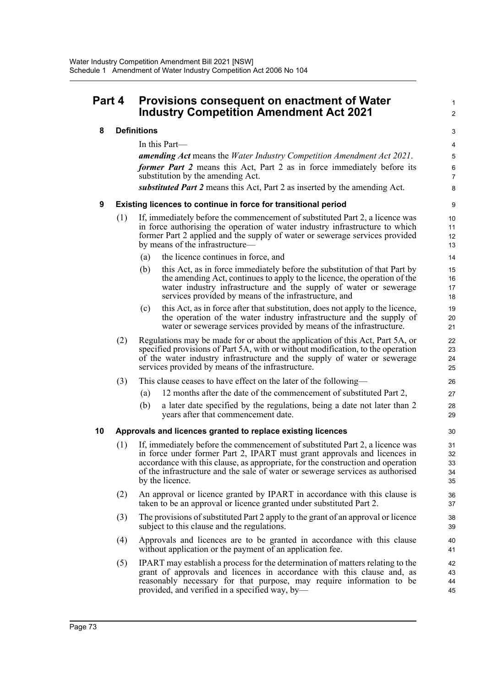# **Part 4 Provisions consequent on enactment of Water Industry Competition Amendment Act 2021**

# **8 Definitions**

In this Part—

*amending Act* means the *Water Industry Competition Amendment Act 2021*. *former Part 2* means this Act, Part 2 as in force immediately before its substitution by the amending Act. *substituted Part 2* means this Act, Part 2 as inserted by the amending Act.

1  $\overline{2}$ 

# **9 Existing licences to continue in force for transitional period**

- (1) If, immediately before the commencement of substituted Part 2, a licence was in force authorising the operation of water industry infrastructure to which former Part 2 applied and the supply of water or sewerage services provided by means of the infrastructure—
	- (a) the licence continues in force, and
	- (b) this Act, as in force immediately before the substitution of that Part by the amending Act, continues to apply to the licence, the operation of the water industry infrastructure and the supply of water or sewerage services provided by means of the infrastructure, and
	- (c) this Act, as in force after that substitution, does not apply to the licence, the operation of the water industry infrastructure and the supply of water or sewerage services provided by means of the infrastructure.
- (2) Regulations may be made for or about the application of this Act, Part 5A, or specified provisions of Part 5A, with or without modification, to the operation of the water industry infrastructure and the supply of water or sewerage services provided by means of the infrastructure.
- (3) This clause ceases to have effect on the later of the following—
	- (a) 12 months after the date of the commencement of substituted Part 2,
	- (b) a later date specified by the regulations, being a date not later than 2 years after that commencement date.

# **10 Approvals and licences granted to replace existing licences**

- (1) If, immediately before the commencement of substituted Part 2, a licence was in force under former Part 2, IPART must grant approvals and licences in accordance with this clause, as appropriate, for the construction and operation of the infrastructure and the sale of water or sewerage services as authorised by the licence.
- (2) An approval or licence granted by IPART in accordance with this clause is taken to be an approval or licence granted under substituted Part 2.
- (3) The provisions of substituted Part 2 apply to the grant of an approval or licence subject to this clause and the regulations.
- (4) Approvals and licences are to be granted in accordance with this clause without application or the payment of an application fee.
- (5) IPART may establish a process for the determination of matters relating to the grant of approvals and licences in accordance with this clause and, as reasonably necessary for that purpose, may require information to be provided, and verified in a specified way, by— 42 43 44 45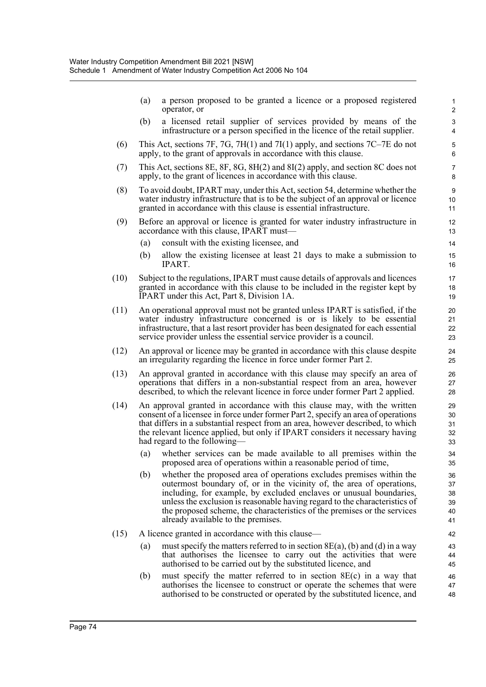|      | (a)               | a person proposed to be granted a licence or a proposed registered<br>operator, or                                                                                                                                                                                                                                                                                                                                   | 1<br>$\overline{2}$              |
|------|-------------------|----------------------------------------------------------------------------------------------------------------------------------------------------------------------------------------------------------------------------------------------------------------------------------------------------------------------------------------------------------------------------------------------------------------------|----------------------------------|
|      | (b)               | a licensed retail supplier of services provided by means of the<br>infrastructure or a person specified in the licence of the retail supplier.                                                                                                                                                                                                                                                                       | 3<br>4                           |
| (6)  |                   | This Act, sections 7F, 7G, 7H(1) and 7I(1) apply, and sections 7C–7E do not<br>apply, to the grant of approvals in accordance with this clause.                                                                                                                                                                                                                                                                      | 5<br>6                           |
| (7)  |                   | This Act, sections $8E$ , $8F$ , $8G$ , $8H(2)$ and $8I(2)$ apply, and section $8C$ does not<br>apply, to the grant of licences in accordance with this clause.                                                                                                                                                                                                                                                      | 7<br>8                           |
| (8)  |                   | To avoid doubt, IPART may, under this Act, section 54, determine whether the<br>water industry infrastructure that is to be the subject of an approval or licence<br>granted in accordance with this clause is essential infrastructure.                                                                                                                                                                             | 9<br>10 <sup>1</sup><br>11       |
| (9)  |                   | Before an approval or licence is granted for water industry infrastructure in<br>accordance with this clause, IPART must-                                                                                                                                                                                                                                                                                            | 12<br>13                         |
|      | (a)               | consult with the existing licensee, and                                                                                                                                                                                                                                                                                                                                                                              | 14                               |
|      | (b)               | allow the existing licensee at least 21 days to make a submission to<br>IPART.                                                                                                                                                                                                                                                                                                                                       | 15<br>16                         |
| (10) |                   | Subject to the regulations, IPART must cause details of approvals and licences<br>granted in accordance with this clause to be included in the register kept by<br>IPART under this Act, Part 8, Division 1A.                                                                                                                                                                                                        | 17<br>18<br>19                   |
| (11) |                   | An operational approval must not be granted unless IPART is satisfied, if the<br>water industry infrastructure concerned is or is likely to be essential<br>infrastructure, that a last resort provider has been designated for each essential<br>service provider unless the essential service provider is a council.                                                                                               | 20<br>21<br>22<br>23             |
| (12) |                   | An approval or licence may be granted in accordance with this clause despite<br>an irregularity regarding the licence in force under former Part 2.                                                                                                                                                                                                                                                                  | 24<br>25                         |
| (13) |                   | An approval granted in accordance with this clause may specify an area of<br>operations that differs in a non-substantial respect from an area, however<br>described, to which the relevant licence in force under former Part 2 applied.                                                                                                                                                                            | 26<br>27<br>28                   |
| (14) |                   | An approval granted in accordance with this clause may, with the written<br>consent of a licensee in force under former Part 2, specify an area of operations<br>that differs in a substantial respect from an area, however described, to which<br>the relevant licence applied, but only if IPART considers it necessary having<br>had regard to the following—                                                    | 29<br>30<br>31<br>32<br>33       |
|      | (a)               | whether services can be made available to all premises within the<br>proposed area of operations within a reasonable period of time,                                                                                                                                                                                                                                                                                 | 34<br>35                         |
|      | (b)               | whether the proposed area of operations excludes premises within the<br>outermost boundary of, or in the vicinity of, the area of operations,<br>including, for example, by excluded enclaves or unusual boundaries,<br>unless the exclusion is reasonable having regard to the characteristics of<br>the proposed scheme, the characteristics of the premises or the services<br>already available to the premises. | 36<br>37<br>38<br>39<br>40<br>41 |
| (15) |                   | A licence granted in accordance with this clause-                                                                                                                                                                                                                                                                                                                                                                    | 42                               |
|      | $\left( a\right)$ | must specify the matters referred to in section $8E(a)$ , (b) and (d) in a way<br>that authorises the licensee to carry out the activities that were<br>authorised to be carried out by the substituted licence, and                                                                                                                                                                                                 | 43<br>44<br>45                   |
|      | (b)               | must specify the matter referred to in section $8E(c)$ in a way that<br>authorises the licensee to construct or operate the schemes that were<br>authorised to be constructed or operated by the substituted licence, and                                                                                                                                                                                            | 46<br>47<br>48                   |
|      |                   |                                                                                                                                                                                                                                                                                                                                                                                                                      |                                  |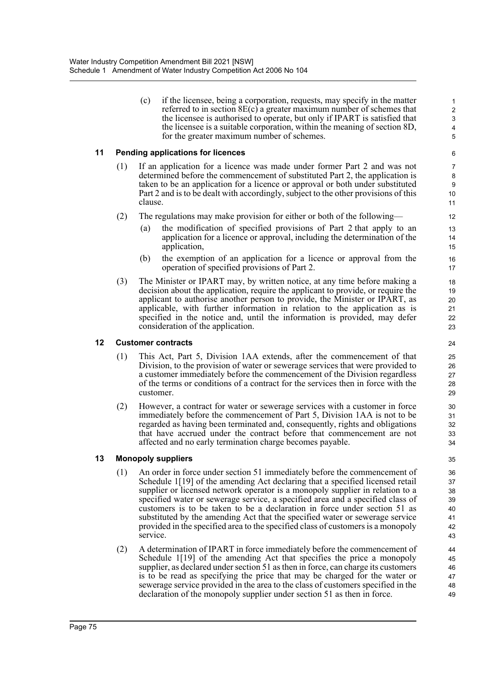(c) if the licensee, being a corporation, requests, may specify in the matter referred to in section 8E(c) a greater maximum number of schemes that the licensee is authorised to operate, but only if IPART is satisfied that the licensee is a suitable corporation, within the meaning of section 8D, for the greater maximum number of schemes.

# **11 Pending applications for licences**

- (1) If an application for a licence was made under former Part 2 and was not determined before the commencement of substituted Part 2, the application is taken to be an application for a licence or approval or both under substituted Part 2 and is to be dealt with accordingly, subject to the other provisions of this clause.
- (2) The regulations may make provision for either or both of the following—
	- (a) the modification of specified provisions of Part 2 that apply to an application for a licence or approval, including the determination of the application,
	- (b) the exemption of an application for a licence or approval from the operation of specified provisions of Part 2.
- (3) The Minister or IPART may, by written notice, at any time before making a decision about the application, require the applicant to provide, or require the applicant to authorise another person to provide, the Minister or IPART, as applicable, with further information in relation to the application as is specified in the notice and, until the information is provided, may defer consideration of the application.

### **12 Customer contracts**

- (1) This Act, Part 5, Division 1AA extends, after the commencement of that Division, to the provision of water or sewerage services that were provided to a customer immediately before the commencement of the Division regardless of the terms or conditions of a contract for the services then in force with the customer.
- (2) However, a contract for water or sewerage services with a customer in force immediately before the commencement of Part 5, Division 1AA is not to be regarded as having been terminated and, consequently, rights and obligations that have accrued under the contract before that commencement are not affected and no early termination charge becomes payable.

# **13 Monopoly suppliers**

- (1) An order in force under section 51 immediately before the commencement of Schedule 1[19] of the amending Act declaring that a specified licensed retail supplier or licensed network operator is a monopoly supplier in relation to a specified water or sewerage service, a specified area and a specified class of customers is to be taken to be a declaration in force under section 51 as substituted by the amending Act that the specified water or sewerage service provided in the specified area to the specified class of customers is a monopoly service.
- (2) A determination of IPART in force immediately before the commencement of Schedule 1<sup>[19]</sup> of the amending Act that specifies the price a monopoly supplier, as declared under section 51 as then in force, can charge its customers is to be read as specifying the price that may be charged for the water or sewerage service provided in the area to the class of customers specified in the declaration of the monopoly supplier under section 51 as then in force.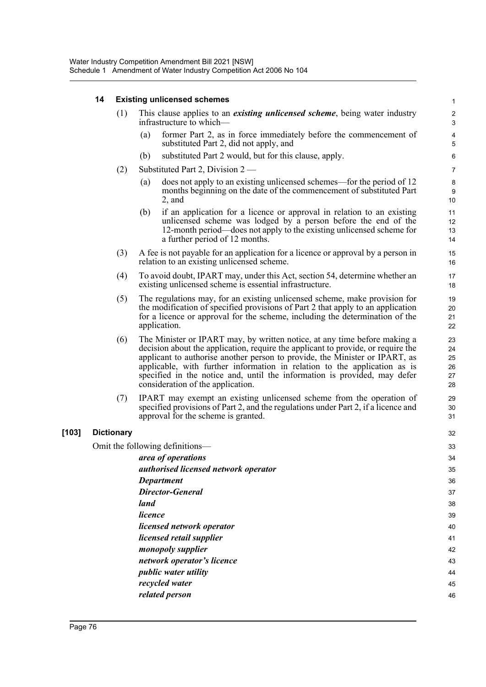# **14 Existing unlicensed schemes**

| This clause applies to an <i>existing unlicensed scheme</i> , being water industry<br>infrastructure to which— |  |
|----------------------------------------------------------------------------------------------------------------|--|
|                                                                                                                |  |

(a) former Part 2, as in force immediately before the commencement of substituted Part 2, did not apply, and

32

- (b) substituted Part 2 would, but for this clause, apply.
- (2) Substituted Part 2, Division 2
	- (a) does not apply to an existing unlicensed schemes—for the period of 12 months beginning on the date of the commencement of substituted Part 2, and
	- (b) if an application for a licence or approval in relation to an existing unlicensed scheme was lodged by a person before the end of the 12-month period—does not apply to the existing unlicensed scheme for a further period of 12 months.
- (3) A fee is not payable for an application for a licence or approval by a person in relation to an existing unlicensed scheme.
- (4) To avoid doubt, IPART may, under this Act, section 54, determine whether an existing unlicensed scheme is essential infrastructure.
- (5) The regulations may, for an existing unlicensed scheme, make provision for the modification of specified provisions of Part 2 that apply to an application for a licence or approval for the scheme, including the determination of the application.
- (6) The Minister or IPART may, by written notice, at any time before making a decision about the application, require the applicant to provide, or require the applicant to authorise another person to provide, the Minister or IPART, as applicable, with further information in relation to the application as is specified in the notice and, until the information is provided, may defer consideration of the application.
- (7) IPART may exempt an existing unlicensed scheme from the operation of specified provisions of Part 2, and the regulations under Part 2, if a licence and approval for the scheme is granted.

# **[103] Dictionary**

Omit the following definitions—

| llowing definitions—                 | 33 |
|--------------------------------------|----|
| area of operations                   | 34 |
| authorised licensed network operator | 35 |
| <b>Department</b>                    | 36 |
| <b>Director-General</b>              | 37 |
| land                                 | 38 |
| licence                              | 39 |
| licensed network operator            | 40 |
| <i>licensed retail supplier</i>      | 41 |
| monopoly supplier                    | 42 |
| network operator's licence           | 43 |
| <i>public water utility</i>          | 44 |
| recycled water                       | 45 |
| related person                       | 46 |
|                                      |    |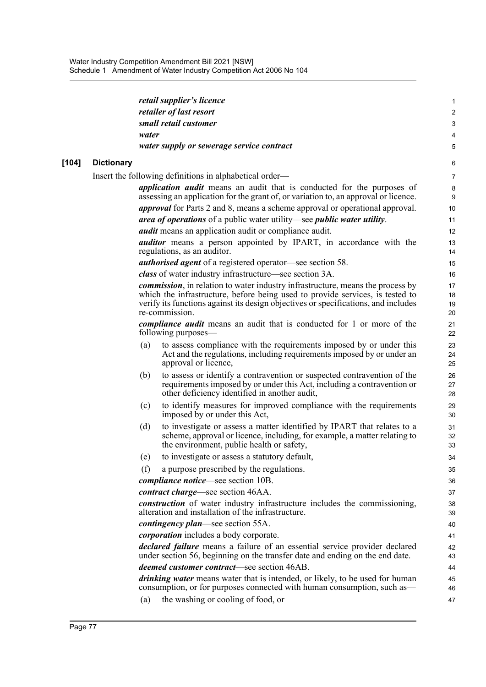|       |                   |       | retail supplier's licence                                                                                                                                                                           | 1              |
|-------|-------------------|-------|-----------------------------------------------------------------------------------------------------------------------------------------------------------------------------------------------------|----------------|
|       |                   |       | retailer of last resort                                                                                                                                                                             | $\overline{2}$ |
|       |                   |       | small retail customer                                                                                                                                                                               | 3              |
|       |                   | water |                                                                                                                                                                                                     | 4              |
|       |                   |       | water supply or sewerage service contract                                                                                                                                                           | 5              |
| [104] | <b>Dictionary</b> |       |                                                                                                                                                                                                     | 6              |
|       |                   |       | Insert the following definitions in alphabetical order—                                                                                                                                             | 7              |
|       |                   |       | <i>application audit</i> means an audit that is conducted for the purposes of<br>assessing an application for the grant of, or variation to, an approval or licence.                                | 8<br>9         |
|       |                   |       | <i>approval</i> for Parts 2 and 8, means a scheme approval or operational approval.                                                                                                                 | 10             |
|       |                   |       | area of operations of a public water utility—see public water utility.                                                                                                                              | 11             |
|       |                   |       | <i>audit</i> means an application audit or compliance audit.                                                                                                                                        | 12             |
|       |                   |       | <i>auditor</i> means a person appointed by IPART, in accordance with the<br>regulations, as an auditor.                                                                                             | 13<br>14       |
|       |                   |       | <b><i>authorised agent</i></b> of a registered operator—see section 58.                                                                                                                             | 15             |
|       |                   |       | class of water industry infrastructure—see section 3A.                                                                                                                                              | 16             |
|       |                   |       | <i>commission</i> , in relation to water industry infrastructure, means the process by                                                                                                              | 17             |
|       |                   |       | which the infrastructure, before being used to provide services, is tested to                                                                                                                       | 18             |
|       |                   |       | verify its functions against its design objectives or specifications, and includes<br>re-commission.                                                                                                | 19<br>20       |
|       |                   |       | <i>compliance audit</i> means an audit that is conducted for 1 or more of the                                                                                                                       | 21             |
|       |                   |       | following purposes—                                                                                                                                                                                 | 22             |
|       |                   | (a)   | to assess compliance with the requirements imposed by or under this<br>Act and the regulations, including requirements imposed by or under an<br>approval or licence,                               | 23<br>24<br>25 |
|       |                   | (b)   | to assess or identify a contravention or suspected contravention of the<br>requirements imposed by or under this Act, including a contravention or<br>other deficiency identified in another audit, | 26<br>27<br>28 |
|       |                   | (c)   | to identify measures for improved compliance with the requirements<br>imposed by or under this Act,                                                                                                 | 29<br>30       |
|       |                   | (d)   | to investigate or assess a matter identified by IPART that relates to a<br>scheme, approval or licence, including, for example, a matter relating to<br>the environment, public health or safety,   | 31<br>32<br>33 |
|       |                   | (e)   | to investigate or assess a statutory default,                                                                                                                                                       | 34             |
|       |                   | (f)   | a purpose prescribed by the regulations.                                                                                                                                                            | 35             |
|       |                   |       | <i>compliance notice</i> —see section 10B.                                                                                                                                                          | 36             |
|       |                   |       | <i>contract charge</i> —see section 46AA.                                                                                                                                                           | 37             |
|       |                   |       | <i>construction</i> of water industry infrastructure includes the commissioning,<br>alteration and installation of the infrastructure.                                                              | 38<br>39       |
|       |                   |       | <i>contingency plan—see section 55A.</i>                                                                                                                                                            | 40             |
|       |                   |       | <i>corporation</i> includes a body corporate.                                                                                                                                                       | 41             |
|       |                   |       | declared failure means a failure of an essential service provider declared<br>under section 56, beginning on the transfer date and ending on the end date.                                          | 42<br>43       |
|       |                   |       | <i>deemed customer contract</i> —see section 46AB.                                                                                                                                                  | 44             |
|       |                   |       | drinking water means water that is intended, or likely, to be used for human<br>consumption, or for purposes connected with human consumption, such as—                                             | 45<br>46       |
|       |                   | (a)   | the washing or cooling of food, or                                                                                                                                                                  | 47             |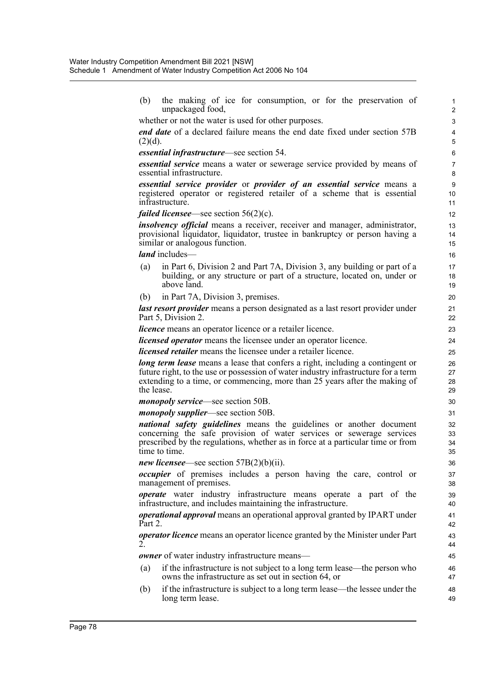(b) the making of ice for consumption, or for the preservation of unpackaged food, whether or not the water is used for other purposes. *end date* of a declared failure means the end date fixed under section 57B  $(2)(d)$ . *essential infrastructure*—see section 54. *essential service* means a water or sewerage service provided by means of essential infrastructure. *essential service provider* or *provider of an essential service* means a registered operator or registered retailer of a scheme that is essential infrastructure. *failed licensee*—see section 56(2)(c). *insolvency official* means a receiver, receiver and manager, administrator, provisional liquidator, liquidator, trustee in bankruptcy or person having a similar or analogous function. *land* includes (a) in Part 6, Division 2 and Part 7A, Division 3, any building or part of a building, or any structure or part of a structure, located on, under or above land. (b) in Part 7A, Division 3, premises. *last resort provider* means a person designated as a last resort provider under Part 5, Division 2. *licence* means an operator licence or a retailer licence. *licensed operator* means the licensee under an operator licence. *licensed retailer* means the licensee under a retailer licence. *long term lease* means a lease that confers a right, including a contingent or future right, to the use or possession of water industry infrastructure for a term extending to a time, or commencing, more than 25 years after the making of the lease. *monopoly service*—see section 50B. *monopoly supplier*—see section 50B. *national safety guidelines* means the guidelines or another document concerning the safe provision of water services or sewerage services prescribed by the regulations, whether as in force at a particular time or from time to time. *new licensee*—see section 57B(2)(b)(ii). *occupier* of premises includes a person having the care, control or management of premises. *operate* water industry infrastructure means operate a part of the infrastructure, and includes maintaining the infrastructure. *operational approval* means an operational approval granted by IPART under Part 2. *operator licence* means an operator licence granted by the Minister under Part 2. *owner* of water industry infrastructure means— (a) if the infrastructure is not subject to a long term lease—the person who owns the infrastructure as set out in section 64, or (b) if the infrastructure is subject to a long term lease—the lessee under the long term lease. 1 2 3 4 5 6 7 8 9 10 11 12 13 14 15 16 17 18 19 20 21 22 23 24 25 26 27 28  $29$ 30 31 32 33 34 35 36 37 38 39 40 41 42 43 44 45 46 47 48 49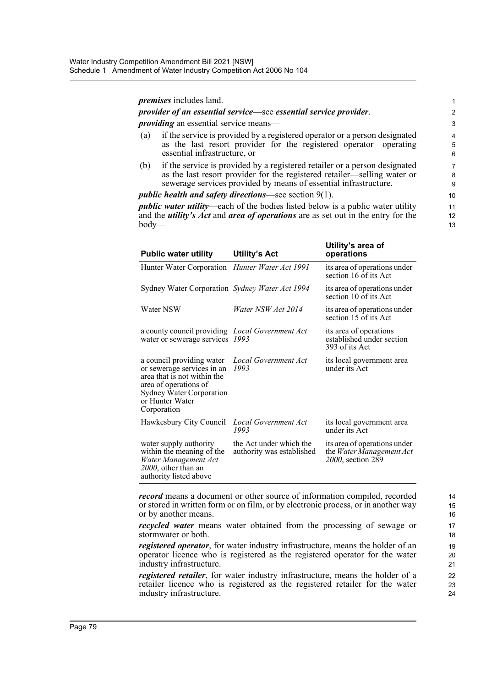#### *premises* includes land.

#### *provider of an essential service*—see *essential service provider*.

*providing* an essential service means—

- (a) if the service is provided by a registered operator or a person designated as the last resort provider for the registered operator—operating essential infrastructure, or
- (b) if the service is provided by a registered retailer or a person designated as the last resort provider for the registered retailer—selling water or sewerage services provided by means of essential infrastructure.

#### *public health and safety directions*—see section 9(1).

*public water utility*—each of the bodies listed below is a public water utility and the *utility's Act* and *area of operations* are as set out in the entry for the body—

| <b>Public water utility</b>                                                                                                                                                   | <b>Utility's Act</b>                                 | Utility's area of<br>operations                                               |
|-------------------------------------------------------------------------------------------------------------------------------------------------------------------------------|------------------------------------------------------|-------------------------------------------------------------------------------|
| Hunter Water Corporation Hunter Water Act 1991                                                                                                                                |                                                      | its area of operations under<br>section 16 of its Act                         |
| Sydney Water Corporation Sydney Water Act 1994                                                                                                                                |                                                      | its area of operations under<br>section 10 of its Act                         |
| Water NSW                                                                                                                                                                     | Water NSW Act 2014                                   | its area of operations under<br>section 15 of its Act                         |
| a county council providing Local Government Act<br>water or sewerage services                                                                                                 | 1993                                                 | its area of operations<br>established under section<br>393 of its Act         |
| a council providing water<br>or sewerage services in an<br>area that is not within the<br>area of operations of<br>Sydney Water Corporation<br>or Hunter Water<br>Corporation | Local Government Act<br>1993                         | its local government area<br>under its Act                                    |
| Hawkesbury City Council                                                                                                                                                       | <b>Local Government Act</b><br>1993                  | its local government area<br>under its Act                                    |
| water supply authority<br>within the meaning of the<br>Water Management Act<br>2000, other than an<br>authority listed above                                                  | the Act under which the<br>authority was established | its area of operations under<br>the Water Management Act<br>2000, section 289 |

*record* means a document or other source of information compiled, recorded or stored in written form or on film, or by electronic process, or in another way or by another means.

*recycled water* means water obtained from the processing of sewage or stormwater or both.

*registered operator*, for water industry infrastructure, means the holder of an operator licence who is registered as the registered operator for the water industry infrastructure.

*registered retailer*, for water industry infrastructure, means the holder of a retailer licence who is registered as the registered retailer for the water industry infrastructure.

24

14 15 16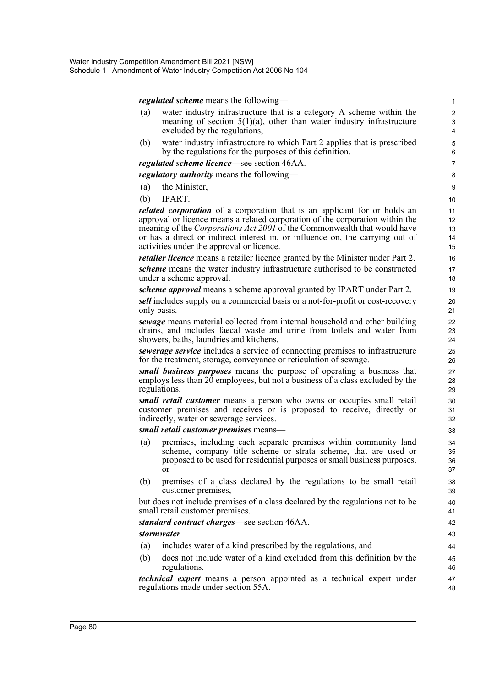*regulated scheme* means the following—

(a) water industry infrastructure that is a category A scheme within the meaning of section  $5(1)(a)$ , other than water industry infrastructure excluded by the regulations,

(b) water industry infrastructure to which Part 2 applies that is prescribed by the regulations for the purposes of this definition.

*regulated scheme licence*—see section 46AA.

*regulatory authority* means the following—

- (a) the Minister,
- (b) IPART.

*related corporation* of a corporation that is an applicant for or holds an approval or licence means a related corporation of the corporation within the meaning of the *Corporations Act 2001* of the Commonwealth that would have or has a direct or indirect interest in, or influence on, the carrying out of activities under the approval or licence.

*retailer licence* means a retailer licence granted by the Minister under Part 2.

*scheme* means the water industry infrastructure authorised to be constructed under a scheme approval.

*scheme approval* means a scheme approval granted by IPART under Part 2.

*sell* includes supply on a commercial basis or a not-for-profit or cost-recovery only basis.

*sewage* means material collected from internal household and other building drains, and includes faecal waste and urine from toilets and water from showers, baths, laundries and kitchens.

*sewerage service* includes a service of connecting premises to infrastructure for the treatment, storage, conveyance or reticulation of sewage.

*small business purposes* means the purpose of operating a business that employs less than  $20$  employees, but not a business of a class excluded by the regulations.

*small retail customer* means a person who owns or occupies small retail customer premises and receives or is proposed to receive, directly or indirectly, water or sewerage services.

#### *small retail customer premises* means—

- (a) premises, including each separate premises within community land scheme, company title scheme or strata scheme, that are used or proposed to be used for residential purposes or small business purposes, or
- (b) premises of a class declared by the regulations to be small retail customer premises,

but does not include premises of a class declared by the regulations not to be small retail customer premises.

#### *standard contract charges*—see section 46AA.

#### *stormwater*—

- (a) includes water of a kind prescribed by the regulations, and
- (b) does not include water of a kind excluded from this definition by the regulations.

*technical expert* means a person appointed as a technical expert under regulations made under section 55A.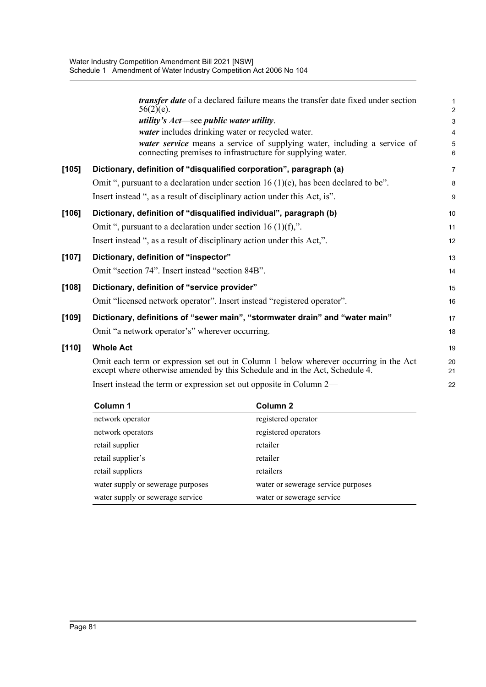|         | <i>transfer date</i> of a declared failure means the transfer date fixed under section<br>$56(2)(e)$ .                                                              | $\mathbf{1}$<br>$\overline{2}$ |
|---------|---------------------------------------------------------------------------------------------------------------------------------------------------------------------|--------------------------------|
|         | <i>utility's Act</i> —see <i>public water utility</i> .                                                                                                             | 3                              |
|         | water includes drinking water or recycled water.                                                                                                                    | $\overline{4}$                 |
|         | water service means a service of supplying water, including a service of<br>connecting premises to infrastructure for supplying water.                              | 5<br>6                         |
| [105]   | Dictionary, definition of "disqualified corporation", paragraph (a)                                                                                                 | $\overline{7}$                 |
|         | Omit ", pursuant to a declaration under section 16 (1)(e), has been declared to be".                                                                                | 8                              |
|         | Insert instead ", as a result of disciplinary action under this Act, is".                                                                                           | 9                              |
| [106]   | Dictionary, definition of "disqualified individual", paragraph (b)                                                                                                  | 10                             |
|         | Omit ", pursuant to a declaration under section 16 (1)(f),".                                                                                                        | 11                             |
|         | Insert instead ", as a result of disciplinary action under this Act,".                                                                                              | 12                             |
| $[107]$ | Dictionary, definition of "inspector"                                                                                                                               | 13                             |
|         | Omit "section 74". Insert instead "section 84B".                                                                                                                    | 14                             |
| [108]   | Dictionary, definition of "service provider"                                                                                                                        | 15                             |
|         | Omit "licensed network operator". Insert instead "registered operator".                                                                                             | 16                             |
| [109]   | Dictionary, definitions of "sewer main", "stormwater drain" and "water main"                                                                                        | 17                             |
|         | Omit "a network operator's" wherever occurring.                                                                                                                     | 18                             |
| [110]   | <b>Whole Act</b>                                                                                                                                                    | 19                             |
|         | Omit each term or expression set out in Column 1 below wherever occurring in the Act<br>except where otherwise amended by this Schedule and in the Act, Schedule 4. | 20<br>21                       |
|         | Insert instead the term or expression set out opposite in Column 2—                                                                                                 | 22                             |
|         |                                                                                                                                                                     |                                |

| Column 1                          | Column 2                           |
|-----------------------------------|------------------------------------|
| network operator                  | registered operator                |
| network operators                 | registered operators               |
| retail supplier                   | retailer                           |
| retail supplier's                 | retailer                           |
| retail suppliers                  | retailers                          |
| water supply or sewerage purposes | water or sewerage service purposes |
| water supply or sewerage service  | water or sewerage service          |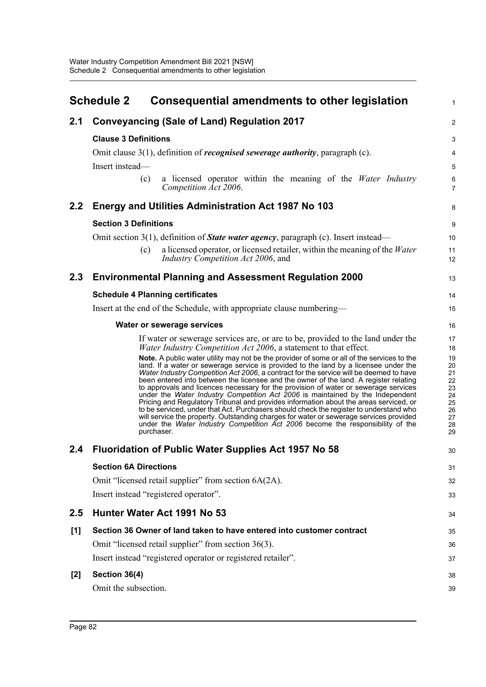|       | <b>Schedule 2</b><br><b>Consequential amendments to other legislation</b>                                                                                                                                                                                                                                                                                                                                                                                                                                                                                                                                                                                                                                                                                                                                                                                                                                                   | $\mathbf{1}$                                                   |
|-------|-----------------------------------------------------------------------------------------------------------------------------------------------------------------------------------------------------------------------------------------------------------------------------------------------------------------------------------------------------------------------------------------------------------------------------------------------------------------------------------------------------------------------------------------------------------------------------------------------------------------------------------------------------------------------------------------------------------------------------------------------------------------------------------------------------------------------------------------------------------------------------------------------------------------------------|----------------------------------------------------------------|
| 2.1   | <b>Conveyancing (Sale of Land) Regulation 2017</b>                                                                                                                                                                                                                                                                                                                                                                                                                                                                                                                                                                                                                                                                                                                                                                                                                                                                          | 2                                                              |
|       | <b>Clause 3 Definitions</b>                                                                                                                                                                                                                                                                                                                                                                                                                                                                                                                                                                                                                                                                                                                                                                                                                                                                                                 | 3                                                              |
|       | Omit clause $3(1)$ , definition of <i>recognised sewerage authority</i> , paragraph (c).                                                                                                                                                                                                                                                                                                                                                                                                                                                                                                                                                                                                                                                                                                                                                                                                                                    | 4                                                              |
|       | Insert instead-                                                                                                                                                                                                                                                                                                                                                                                                                                                                                                                                                                                                                                                                                                                                                                                                                                                                                                             | 5                                                              |
|       | a licensed operator within the meaning of the Water Industry<br>(c)<br>Competition Act 2006.                                                                                                                                                                                                                                                                                                                                                                                                                                                                                                                                                                                                                                                                                                                                                                                                                                | $\,6\,$<br>$\overline{7}$                                      |
| 2.2   | Energy and Utilities Administration Act 1987 No 103                                                                                                                                                                                                                                                                                                                                                                                                                                                                                                                                                                                                                                                                                                                                                                                                                                                                         | 8                                                              |
|       | <b>Section 3 Definitions</b>                                                                                                                                                                                                                                                                                                                                                                                                                                                                                                                                                                                                                                                                                                                                                                                                                                                                                                | 9                                                              |
|       | Omit section $3(1)$ , definition of <b><i>State water agency</i></b> , paragraph (c). Insert instead—                                                                                                                                                                                                                                                                                                                                                                                                                                                                                                                                                                                                                                                                                                                                                                                                                       | 10                                                             |
|       | a licensed operator, or licensed retailer, within the meaning of the Water<br>(c)<br>Industry Competition Act 2006, and                                                                                                                                                                                                                                                                                                                                                                                                                                                                                                                                                                                                                                                                                                                                                                                                     | 11<br>12                                                       |
| 2.3   | <b>Environmental Planning and Assessment Regulation 2000</b>                                                                                                                                                                                                                                                                                                                                                                                                                                                                                                                                                                                                                                                                                                                                                                                                                                                                | 13                                                             |
|       | <b>Schedule 4 Planning certificates</b>                                                                                                                                                                                                                                                                                                                                                                                                                                                                                                                                                                                                                                                                                                                                                                                                                                                                                     | 14                                                             |
|       | Insert at the end of the Schedule, with appropriate clause numbering-                                                                                                                                                                                                                                                                                                                                                                                                                                                                                                                                                                                                                                                                                                                                                                                                                                                       | 15                                                             |
|       | Water or sewerage services                                                                                                                                                                                                                                                                                                                                                                                                                                                                                                                                                                                                                                                                                                                                                                                                                                                                                                  | 16                                                             |
|       | If water or sewerage services are, or are to be, provided to the land under the<br>Water Industry Competition Act 2006, a statement to that effect.                                                                                                                                                                                                                                                                                                                                                                                                                                                                                                                                                                                                                                                                                                                                                                         | 17<br>18                                                       |
|       | Note. A public water utility may not be the provider of some or all of the services to the<br>land. If a water or sewerage service is provided to the land by a licensee under the<br>Water Industry Competition Act 2006, a contract for the service will be deemed to have<br>been entered into between the licensee and the owner of the land. A register relating<br>to approvals and licences necessary for the provision of water or sewerage services<br>under the Water Industry Competition Act 2006 is maintained by the Independent<br>Pricing and Regulatory Tribunal and provides information about the areas serviced, or<br>to be serviced, under that Act. Purchasers should check the register to understand who<br>will service the property. Outstanding charges for water or sewerage services provided<br>under the Water Industry Competition Act 2006 become the responsibility of the<br>purchaser. | 19<br>20<br>21<br>22<br>23<br>24<br>25<br>26<br>27<br>28<br>29 |
|       | 2.4 Fluoridation of Public Water Supplies Act 1957 No 58                                                                                                                                                                                                                                                                                                                                                                                                                                                                                                                                                                                                                                                                                                                                                                                                                                                                    | 30                                                             |
|       | <b>Section 6A Directions</b>                                                                                                                                                                                                                                                                                                                                                                                                                                                                                                                                                                                                                                                                                                                                                                                                                                                                                                | 31                                                             |
|       | Omit "licensed retail supplier" from section 6A(2A).                                                                                                                                                                                                                                                                                                                                                                                                                                                                                                                                                                                                                                                                                                                                                                                                                                                                        | 32                                                             |
|       | Insert instead "registered operator".                                                                                                                                                                                                                                                                                                                                                                                                                                                                                                                                                                                                                                                                                                                                                                                                                                                                                       | 33                                                             |
| 2.5   | Hunter Water Act 1991 No 53                                                                                                                                                                                                                                                                                                                                                                                                                                                                                                                                                                                                                                                                                                                                                                                                                                                                                                 | 34                                                             |
| [1]   | Section 36 Owner of land taken to have entered into customer contract                                                                                                                                                                                                                                                                                                                                                                                                                                                                                                                                                                                                                                                                                                                                                                                                                                                       | 35                                                             |
|       | Omit "licensed retail supplier" from section 36(3).                                                                                                                                                                                                                                                                                                                                                                                                                                                                                                                                                                                                                                                                                                                                                                                                                                                                         | 36                                                             |
|       | Insert instead "registered operator or registered retailer".                                                                                                                                                                                                                                                                                                                                                                                                                                                                                                                                                                                                                                                                                                                                                                                                                                                                | 37                                                             |
| $[2]$ | Section 36(4)                                                                                                                                                                                                                                                                                                                                                                                                                                                                                                                                                                                                                                                                                                                                                                                                                                                                                                               | 38                                                             |
|       | Omit the subsection.                                                                                                                                                                                                                                                                                                                                                                                                                                                                                                                                                                                                                                                                                                                                                                                                                                                                                                        | 39                                                             |
|       |                                                                                                                                                                                                                                                                                                                                                                                                                                                                                                                                                                                                                                                                                                                                                                                                                                                                                                                             |                                                                |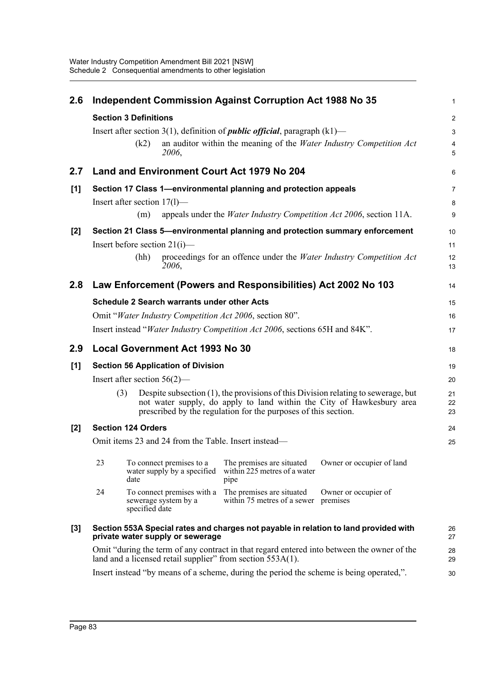| 2.6   | Independent Commission Against Corruption Act 1988 No 35         |                |                                                         |                                                                                      |                                                                                                                                                            | 1              |
|-------|------------------------------------------------------------------|----------------|---------------------------------------------------------|--------------------------------------------------------------------------------------|------------------------------------------------------------------------------------------------------------------------------------------------------------|----------------|
|       | <b>Section 3 Definitions</b>                                     |                |                                                         |                                                                                      |                                                                                                                                                            |                |
|       |                                                                  |                |                                                         | Insert after section 3(1), definition of <i>public official</i> , paragraph $(k1)$ — |                                                                                                                                                            | 3              |
|       |                                                                  | (k2)           | 2006,                                                   |                                                                                      | an auditor within the meaning of the Water Industry Competition Act                                                                                        | 4<br>5         |
| 2.7   |                                                                  |                |                                                         | Land and Environment Court Act 1979 No 204                                           |                                                                                                                                                            | 6              |
| [1]   | Section 17 Class 1-environmental planning and protection appeals |                |                                                         |                                                                                      |                                                                                                                                                            | 7              |
|       | Insert after section $17(1)$ —                                   |                |                                                         |                                                                                      |                                                                                                                                                            | 8              |
|       |                                                                  | (m)            |                                                         | appeals under the <i>Water Industry Competition Act 2006</i> , section 11A.          |                                                                                                                                                            | 9              |
| $[2]$ |                                                                  |                |                                                         |                                                                                      | Section 21 Class 5—environmental planning and protection summary enforcement                                                                               | 10             |
|       | Insert before section $21(i)$ —                                  |                |                                                         |                                                                                      |                                                                                                                                                            | 11             |
|       |                                                                  | (hh)           | 2006,                                                   |                                                                                      | proceedings for an offence under the Water Industry Competition Act                                                                                        | 12<br>13       |
| 2.8   |                                                                  |                |                                                         | Law Enforcement (Powers and Responsibilities) Act 2002 No 103                        |                                                                                                                                                            | 14             |
|       |                                                                  |                | <b>Schedule 2 Search warrants under other Acts</b>      |                                                                                      |                                                                                                                                                            | 15             |
|       |                                                                  |                |                                                         | Omit "Water Industry Competition Act 2006, section 80".                              |                                                                                                                                                            | 16             |
|       |                                                                  |                |                                                         | Insert instead "Water Industry Competition Act 2006, sections 65H and 84K".          |                                                                                                                                                            | 17             |
|       |                                                                  |                |                                                         |                                                                                      |                                                                                                                                                            |                |
| 2.9   |                                                                  |                | <b>Local Government Act 1993 No 30</b>                  |                                                                                      |                                                                                                                                                            | 18             |
| [1]   |                                                                  |                | <b>Section 56 Application of Division</b>               |                                                                                      |                                                                                                                                                            | 19             |
|       | Insert after section $56(2)$ —                                   |                |                                                         |                                                                                      |                                                                                                                                                            | 20             |
|       | (3)                                                              |                |                                                         | prescribed by the regulation for the purposes of this section.                       | Despite subsection (1), the provisions of this Division relating to sewerage, but<br>not water supply, do apply to land within the City of Hawkesbury area | 21<br>22<br>23 |
| $[2]$ | <b>Section 124 Orders</b>                                        |                |                                                         |                                                                                      |                                                                                                                                                            | 24             |
|       |                                                                  |                |                                                         | Omit items 23 and 24 from the Table. Insert instead—                                 |                                                                                                                                                            | 25             |
|       | 23                                                               | date           | To connect premises to a<br>water supply by a specified | The premises are situated<br>within 225 metres of a water<br>pipe                    | Owner or occupier of land                                                                                                                                  |                |
|       | 24                                                               | specified date | To connect premises with a<br>sewerage system by a      | The premises are situated<br>within 75 metres of a sewer                             | Owner or occupier of<br>premises                                                                                                                           |                |
| $[3]$ |                                                                  |                | private water supply or sewerage                        |                                                                                      | Section 553A Special rates and charges not payable in relation to land provided with                                                                       | 26<br>27       |
|       |                                                                  |                |                                                         | land and a licensed retail supplier" from section 553A(1).                           | Omit "during the term of any contract in that regard entered into between the owner of the                                                                 | 28<br>29       |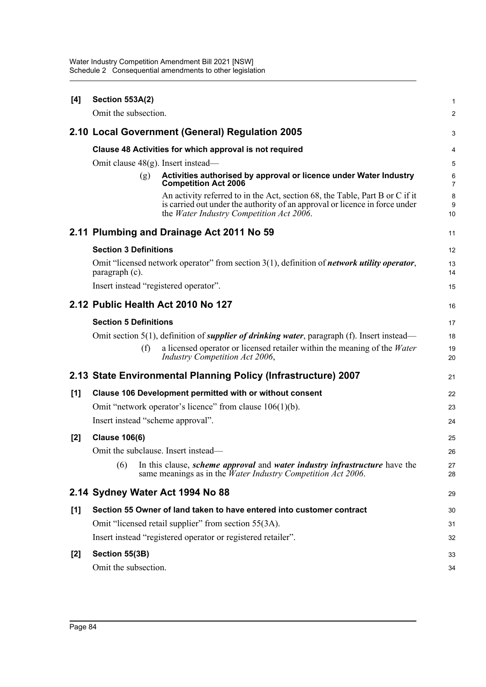| [4] | <b>Section 553A(2)</b>                                                                                                                                                                                  |                     |  |  |
|-----|---------------------------------------------------------------------------------------------------------------------------------------------------------------------------------------------------------|---------------------|--|--|
|     | Omit the subsection.                                                                                                                                                                                    | $\overline{2}$      |  |  |
|     | 2.10 Local Government (General) Regulation 2005                                                                                                                                                         | 3                   |  |  |
|     | Clause 48 Activities for which approval is not required                                                                                                                                                 | 4                   |  |  |
|     | Omit clause $48(g)$ . Insert instead—                                                                                                                                                                   | 5                   |  |  |
|     | Activities authorised by approval or licence under Water Industry<br>(g)<br><b>Competition Act 2006</b>                                                                                                 | 6<br>$\overline{7}$ |  |  |
|     | An activity referred to in the Act, section 68, the Table, Part B or C if it<br>is carried out under the authority of an approval or licence in force under<br>the Water Industry Competition Act 2006. | 8<br>9<br>10        |  |  |
|     | 2.11 Plumbing and Drainage Act 2011 No 59                                                                                                                                                               | 11                  |  |  |
|     | <b>Section 3 Definitions</b>                                                                                                                                                                            | 12                  |  |  |
|     | Omit "licensed network operator" from section $3(1)$ , definition of <i>network utility operator</i> ,<br>paragraph (c).                                                                                | 13<br>14            |  |  |
|     | Insert instead "registered operator".                                                                                                                                                                   | 15                  |  |  |
|     | 2.12 Public Health Act 2010 No 127                                                                                                                                                                      | 16                  |  |  |
|     | <b>Section 5 Definitions</b>                                                                                                                                                                            | 17                  |  |  |
|     | Omit section $5(1)$ , definition of <i>supplier of drinking water</i> , paragraph (f). Insert instead—                                                                                                  | 18                  |  |  |
|     | a licensed operator or licensed retailer within the meaning of the Water<br>(f)<br>Industry Competition Act 2006,                                                                                       | 19<br>20            |  |  |
|     | 2.13 State Environmental Planning Policy (Infrastructure) 2007                                                                                                                                          | 21                  |  |  |
| [1] | Clause 106 Development permitted with or without consent                                                                                                                                                | 22                  |  |  |
|     | Omit "network operator's licence" from clause $106(1)(b)$ .                                                                                                                                             | 23                  |  |  |
|     | Insert instead "scheme approval".                                                                                                                                                                       | 24                  |  |  |
| [2] | <b>Clause 106(6)</b>                                                                                                                                                                                    | 25                  |  |  |
|     | Omit the subclause. Insert instead—                                                                                                                                                                     | 26                  |  |  |
|     | In this clause, <i>scheme approval</i> and <i>water industry infrastructure</i> have the<br>(6)<br>same meanings as in the $\bar{W}$ ater Industry Competition Act 2006.                                | 27<br>28            |  |  |
|     | 2.14 Sydney Water Act 1994 No 88                                                                                                                                                                        | 29                  |  |  |
| [1] | Section 55 Owner of land taken to have entered into customer contract                                                                                                                                   | 30                  |  |  |
|     | Omit "licensed retail supplier" from section 55(3A).                                                                                                                                                    | 31                  |  |  |
|     | Insert instead "registered operator or registered retailer".                                                                                                                                            | 32                  |  |  |
| [2] | Section 55(3B)                                                                                                                                                                                          | 33                  |  |  |
|     | Omit the subsection.                                                                                                                                                                                    | 34                  |  |  |
|     |                                                                                                                                                                                                         |                     |  |  |